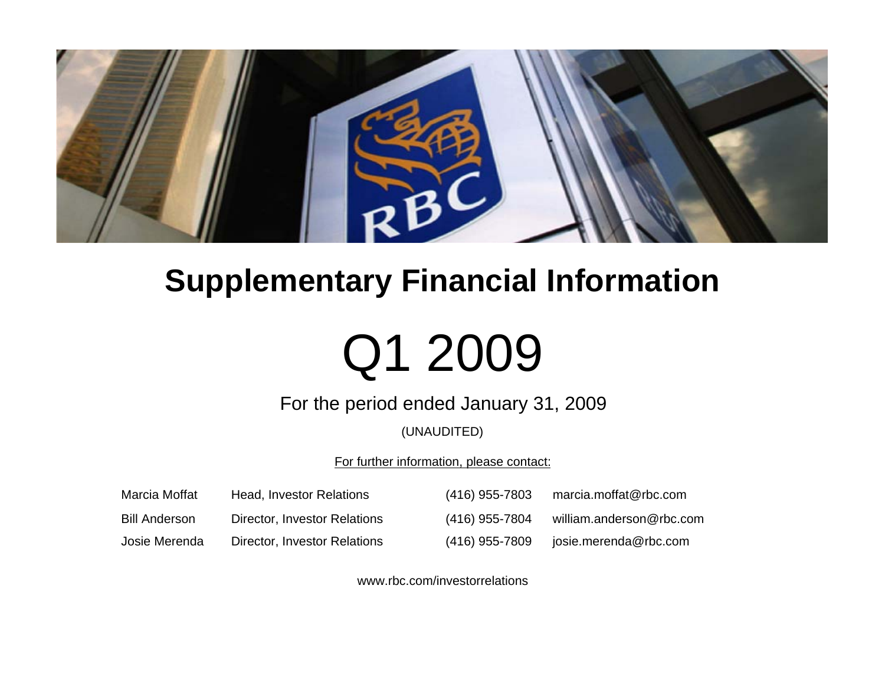

# **Supplementary Financial Information**

# Q1 2009

For the period ended January 31, 2009

(UNAUDITED)

For further information, please contact:

| Marcia Moffat | Head, Investor Relations     | (416) 955-7803   | marcia.moffat@rbc.com    |
|---------------|------------------------------|------------------|--------------------------|
| Bill Anderson | Director, Investor Relations | $(416)$ 955-7804 | william.anderson@rbc.com |
| Josie Merenda | Director, Investor Relations | (416) 955-7809   | josie.merenda@rbc.com    |

www.rbc.com/investorrelations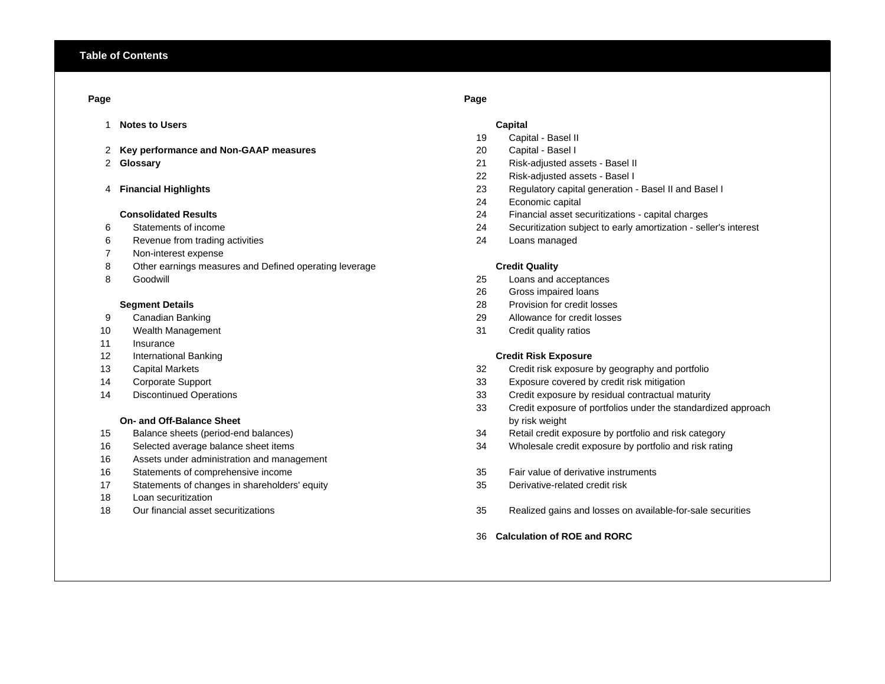# **Page Page**

- 1 **Notes to Users Capital**
- 2 **Key performance and Non-GAAP measures** 20 Capital Basel I
- 2 Glossary

# 4 Financial Highlights

# **Consolidated Results**

- 
- 6 Revenue from trading activities 24 Loans managed
- 7 Non-interest expense
- 8 Other earnings measures and Defined operating leverage **Credit Quality Credit Quality**
- 8 Goodwill

- 
- 10 Wealth Management **31** Credit quality ratios
- 11 Insurance
- 12 International Banking **Credit Risk Exposure**
- 
- 
- 

# **On- and Off-Balance Sheet**

- 
- 
- 16 Assets under administration and management
- 
- 17 Statements of changes in shareholders' equity 35 Derivative-related credit risk
- 18 Loan securitization
- 

- 19 Capital Basel II
- 
- **Glossary** 21 Risk-adjusted assets Basel II
- 22 Risk-adjusted assets Basel I
- **Financial Highlights** 23 Regulatory capital generation Basel II and Basel I
- 24 Economic capital
- 24 Financial asset securitizations capital charges
- 6 Statements of income 24 Securitization subject to early amortization seller's interest
	-

- 25 Loans and acceptances
- 26 Gross impaired loans
- **Segment Details** 28 Provision for credit losses
- 9 Canadian Banking 29 Allowance for credit losses
	-

- 13 Capital Markets 32 Credit risk exposure by geography and portfolio
- 14 Corporate Support 33 Exposure covered by credit risk mitigation
- 14 Discontinued Operations 33 Credit exposure by residual contractual maturity
	- 33 Credit exposure of portfolios under the standardized approach by risk weight
- 15 Balance sheets (period-end balances) 34 Retail credit exposure by portfolio and risk category
- 16 Selected average balance sheet items 34 Wholesale credit exposure by portfolio and risk rating
- 16 Statements of comprehensive income 35 Fair value of derivative instruments
	-
- 18 Our financial asset securitizations 35 Realized gains and losses on available-for-sale securities
	- 36 **Calculation of ROE and RORC**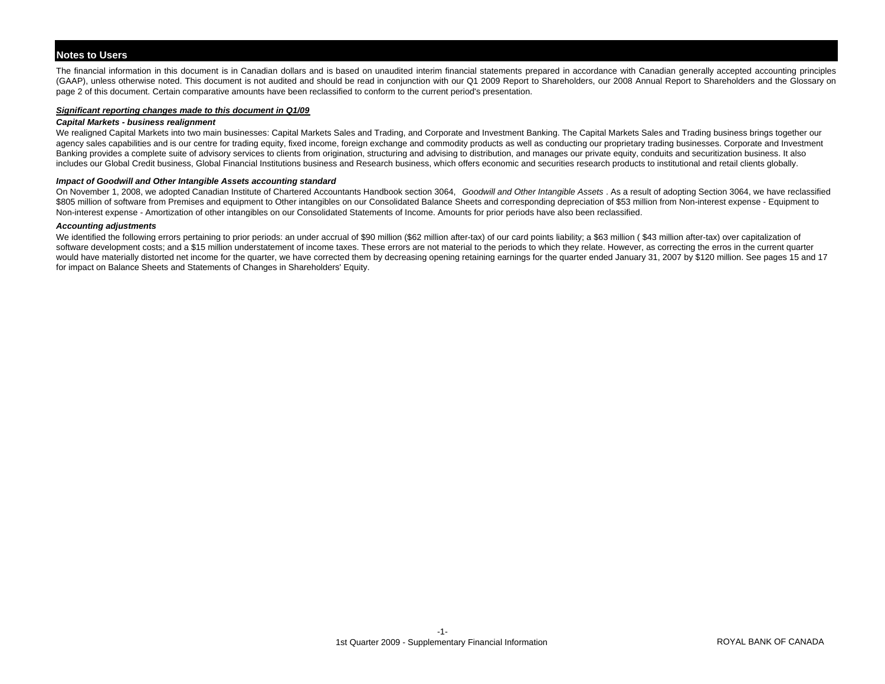# **Notes to Users**

The financial information in this document is in Canadian dollars and is based on unaudited interim financial statements prepared in accordance with Canadian generally accepted accounting principles (GAAP), unless otherwise noted. This document is not audited and should be read in conjunction with our Q1 2009 Report to Shareholders, our 2008 Annual Report to Shareholders and the Glossary on page 2 of this document. Certain comparative amounts have been reclassified to conform to the current period's presentation.

# *Significant reporting changes made to this document in Q1/09*

# *Capital Markets - business realignment*

We realigned Capital Markets into two main businesses: Capital Markets Sales and Trading, and Corporate and Investment Banking. The Capital Markets Sales and Trading business brings together our agency sales capabilities and is our centre for trading equity, fixed income, foreign exchange and commodity products as well as conducting our proprietary trading businesses. Corporate and Investment Banking provides a complete suite of advisory services to clients from origination, structuring and advising to distribution, and manages our private equity, conduits and securitization business. It also includes our Global Credit business, Global Financial Institutions business and Research business, which offers economic and securities research products to institutional and retail clients globally.

# *Impact of Goodwill and Other Intangible Assets accounting standard*

On November 1, 2008, we adopted Canadian Institute of Chartered Accountants Handbook section 3064, *Goodwill and Other Intangible Assets* . As a result of adopting Section 3064, we have reclassified \$805 million of software from Premises and equipment to Other intangibles on our Consolidated Balance Sheets and corresponding depreciation of \$53 million from Non-interest expense - Equipment to Non-interest expense - Amortization of other intangibles on our Consolidated Statements of Income. Amounts for prior periods have also been reclassified.

# *Accounting adjustments*

We identified the following errors pertaining to prior periods: an under accrual of \$90 million (\$62 million after-tax) of our card points liability; a \$63 million ( \$43 million after-tax) over capitalization of software development costs; and a \$15 million understatement of income taxes. These errors are not material to the periods to which they relate. However, as correcting the erros in the current quarter would have materially distorted net income for the quarter, we have corrected them by decreasing opening retaining earnings for the quarter ended January 31, 2007 by \$120 million. See pages 15 and 17 for impact on Balance Sheets and Statements of Changes in Shareholders' Equity.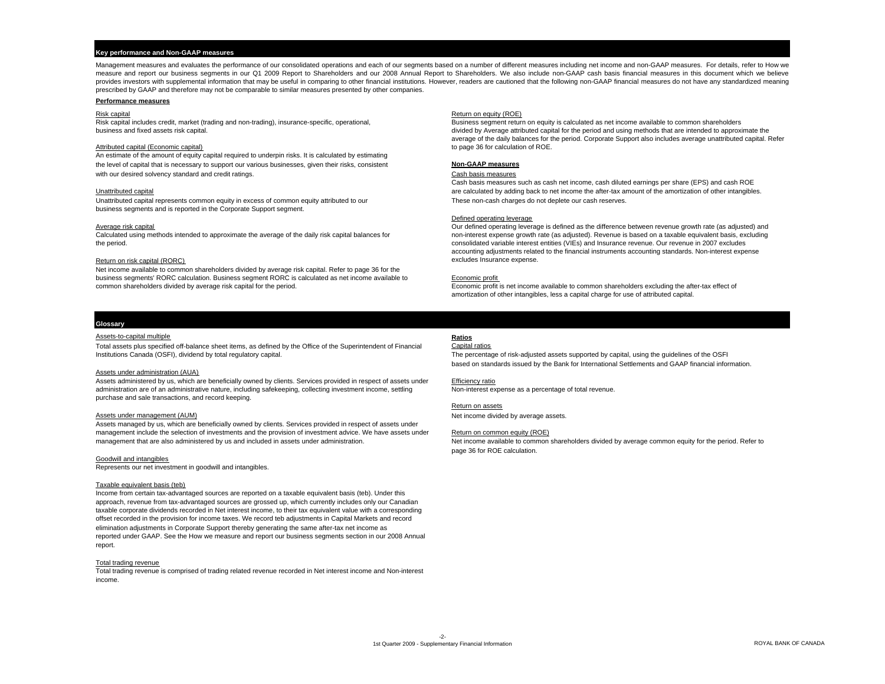# **Key performance and Non-GAAP measures**

Management measures and evaluates the performance of our consolidated operations and each of our segments based on a number of different measures including net income and non-GAAP measures. For details, refer to How we measure and report our business segments in our Q1 2009 Report to Shareholders and our 2008 Annual Report to Shareholders. We also include non-GAAP cash basis financial measures in this document which we believe provides investors with supplemental information that may be useful in comparing to other financial institutions. However, readers are cautioned that the following non-GAAP financial measures do not have any standardized m prescribed by GAAP and therefore may not be comparable to similar measures presented by other companies.

## **Performance measures**

Risk capital includes credit, market (trading and non-trading), insurance-specific, operational, Business segment return on equity is calculated as net income available to common shareholders

An estimate of the amount of equity capital required to underpin risks. It is calculated by estimating the level of capital that is necessary to support our various businesses, given their risks, consistent **Non-GAAP measures** with our desired solvency standard and credit ratings. The state of the state of the cash basis measures of the cash basis measures

Unattributed capital represents common equity in excess of common equity attributed to our These non-cash charges do not deplete our cash reserves. business segments and is reported in the Corporate Support segment.

Net income available to common shareholders divided by average risk capital. Refer to page 36 for the business segments' RORC calculation. Business segment RORC is calculated as net income available to Economic profit common shareholders divided by average risk capital for the period. The excluding the after-tax effect of

## **Risk capital** Return on equity (ROE) **Return on equity (ROE)**

business and fixed assets risk capital. divided by Average attributed capital for the period and using methods that are intended to approximate the average of the daily balances for the period. Corporate Support also includes average unattributed capital. Refer Attributed capital (Economic capital) **Attributed capital (Economic capital)** to page 36 for calculation of ROE.

Cash basis measures such as cash net income, cash diluted earnings per share (EPS) and cash ROE Unattributed capital and the amortization of other intangibles. The capital are calculated by adding back to net income the after-tax amount of the amortization of other intangibles.

## Defined operating leverage

Average risk capital experiment of the daily risk capital balances for and the difference between revenue growth rate (as adjusted) and Calculated using methods intended to approximate the average of the daily risk capital non-interest expense growth rate (as adjusted). Revenue is based on a taxable equivalent basis, excluding the period. consolidated variable interest entities (VIEs) and Insurance revenue. Our revenue in 2007 excludes accounting adjustments related to the financial instruments accounting standards. Non-interest expense Return on risk capital (RORC) excludes Insurance expense.

amortization of other intangibles, less a capital charge for use of attributed capital.

## **Glossary**

# Assets-to-capital multiple **Ratios**

Total assets plus specified off-balance sheet items, as defined by the Office of the Superintendent of Financial Institutions Canada (OSFI), dividend by total regulatory capital.

# Assets under administration (AUA)

Assets administered by us, which are beneficially owned by clients. Services provided in respect of assets under Efficiency ratio administration are of an administrative nature, including safekeeping, collecting investment income, settling Non-interest expense as a percentage of total revenue. purchase and sale transactions, and record keeping.

Assets managed by us, which are beneficially owned by clients. Services provided in respect of assets under management include the selection of investments and the provision of investment advice. We have assets under Return on common equity (ROE) management that are also administered by us and included in assets under administration. Net income available to common shareholders divided by average common equity for the period. Refer to

# Goodwill and intangibles

Represents our net investment in goodwill and intangibles.

## Taxable equivalent basis (teb)

Income from certain tax-advantaged sources are reported on a taxable equivalent basis (teb). Under this approach, revenue from tax-advantaged sources are grossed up, which currently includes only our Canadian taxable corporate dividends recorded in Net interest income, to their tax equivalent value with a corresponding offset recorded in the provision for income taxes. We record teb adjustments in Capital Markets and record elimination adjustments in Corporate Support thereby generating the same after-tax net income as reported under GAAP. See the How we measure and report our business segments section in our 2008 Annual report.

## Total trading revenue

Total trading revenue is comprised of trading related revenue recorded in Net interest income and Non-interest income.

# Capital ratios

The percentage of risk-adjusted assets supported by capital, using the guidelines of the OSFI based on standards issued by the Bank for International Settlements and GAAP financial information.

## Return on assets

Assets under management (AUM) Net income divided by average assets.

page 36 for ROE calculation.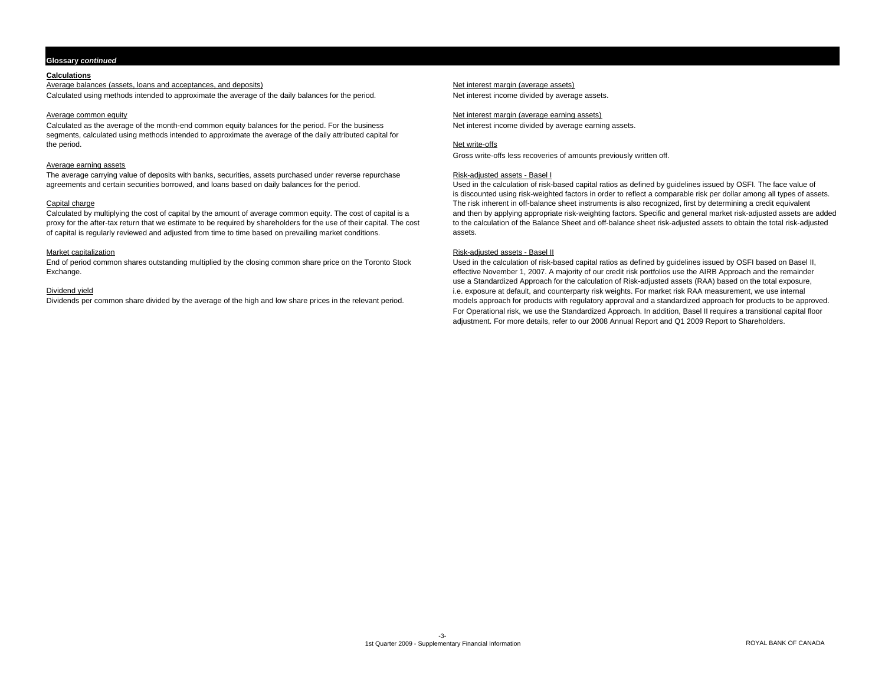# **Glossary** *continued*

# **Calculations**

Average balances (assets, loans and acceptances, and deposits) Net interest margin (average assets)

Calculated using methods intended to approximate the average of the daily balances for the period. Net interest income divided by average assets.

Calculated as the average of the month-end common equity balances for the period. For the business Net interest income divided by average earning assets. segments, calculated using methods intended to approximate the average of the daily attributed capital for the period. the period. Net write-offs and the period. Net write-offs and the period.

# Average earning assets

The average carrying value of deposits with banks, securities, assets purchased under reverse repurchase agreements and certain securities borrowed, and loans based on daily balances for the period.

of capital is regularly reviewed and adjusted from time to time based on prevailing market conditions. assets.

End of period common shares outstanding multiplied by the closing common share price on the Toronto Stock Used in the calculation of risk-based capital ratios as defined by guidelines issued by OSFI based on Basel II, Exchange. effective November 1, 2007. A majority of our credit risk portfolios use the AIRB Approach and the remainder

Average common equity networks are a state of the state of the state of the state of the state of the state of the state of the state of the state of the state of the state of the state of the state of the state of the sta

Gross write-offs less recoveries of amounts previously written off.

# Risk-adjusted assets - Basel I

Used in the calculation of risk-based capital ratios as defined by guidelines issued by OSFI. The face value of is discounted using risk-weighted factors in order to reflect a comparable risk per dollar among all types of assets. Capital charge The risk inherent in off-balance sheet instruments is also recognized, first by determining a credit equivalent Calculated by multiplying the cost of capital by the amount of average common equity. The cost of capital is a<br>
proxy for the after-tax return that we estimate to be required by shareholders for the use of their capital. T to the calculation of the Balance Sheet and off-balance sheet risk-adjusted assets to obtain the total risk-adjusted

# Market capitalization and the state of the state of the state of the state of the Risk-adjusted assets - Basel II

use a Standardized Approach for the calculation of Risk-adjusted assets (RAA) based on the total exposure, Dividend yield incomposing internal inc. exposure at default, and counterparty risk weights. For market risk RAA measurement, we use internal<br>Dividends per common share divided by the average of the high and low share pric models approach for products with regulatory approval and a standardized approach for products to be approved. For Operational risk, we use the Standardized Approach. In addition, Basel II requires a transitional capital floor adjustment. For more details, refer to our 2008 Annual Report and Q1 2009 Report to Shareholders.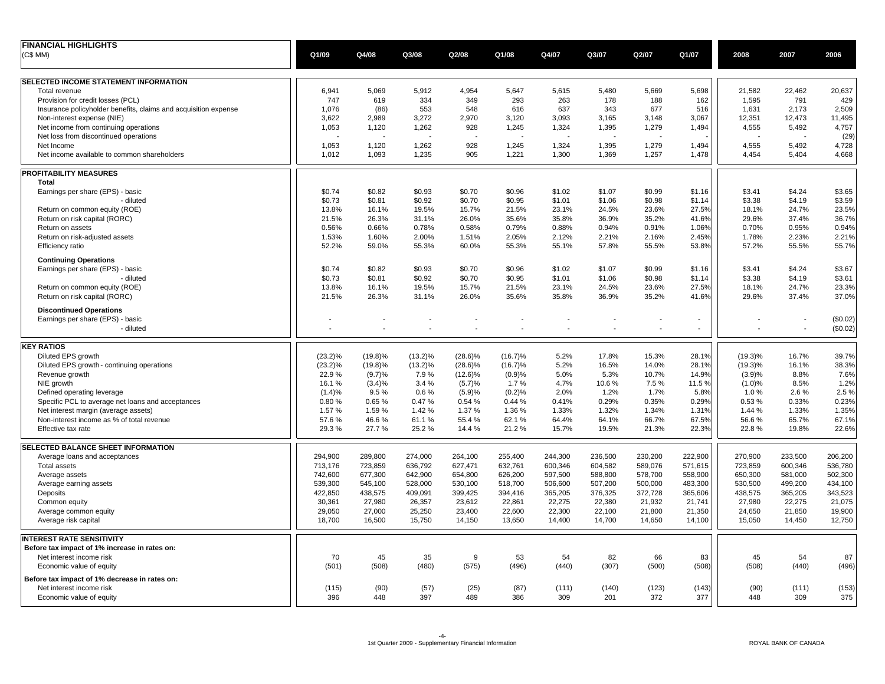| Q1/08<br>Q4/07<br>Q3/07<br>Q2/07<br>Q1/07<br>Q1/09<br>Q4/08<br>Q3/08<br>Q2/08<br>2008<br>2007<br>2006<br>6,941<br>5,069<br>5,912<br>4,954<br>5,647<br>5,615<br>5,480<br>5,669<br>5,698<br>21,582<br>22,462<br>20,637<br>Total revenue<br>747<br>293<br>1,595<br>791<br>429<br>Provision for credit losses (PCL)<br>619<br>334<br>349<br>263<br>178<br>188<br>162<br>Insurance policyholder benefits, claims and acquisition expense<br>1,076<br>(86)<br>553<br>548<br>616<br>637<br>343<br>677<br>516<br>1,631<br>2,173<br>2,509<br>3,272<br>2,970<br>3,093<br>3,148<br>12,351<br>11,495<br>Non-interest expense (NIE)<br>3,622<br>2,989<br>3,120<br>3,165<br>3,067<br>12,473<br>4,555<br>5,492<br>4,757<br>1,053<br>1,120<br>1,262<br>928<br>1,245<br>1,324<br>1,395<br>1,279<br>1,494<br>Net income from continuing operations<br>(29)<br>Net loss from discontinued operations<br>928<br>1,245<br>1,324<br>1,279<br>5,492<br>4,728<br>1,053<br>1,120<br>1,262<br>1,395<br>1,494<br>4,555<br>Net Income<br>1,012<br>1,093<br>1,235<br>905<br>1,221<br>1,300<br>1,369<br>1,257<br>1,478<br>4,454<br>5,404<br>4,668<br>Net income available to common shareholders<br>Total<br>\$0.74<br>\$1.02<br>\$1.16<br>\$3.41<br>\$4.24<br>\$3.65<br>Earnings per share (EPS) - basic<br>\$0.82<br>\$0.93<br>\$0.70<br>\$0.96<br>\$1.07<br>\$0.99<br>\$0.73<br>\$0.81<br>\$0.92<br>\$0.70<br>\$0.95<br>\$1.01<br>\$1.06<br>\$0.98<br>\$1.14<br>\$3.38<br>\$4.19<br>\$3.59<br>- diluted<br>15.7%<br>24.7%<br>23.5%<br>Return on common equity (ROE)<br>13.8%<br>16.1%<br>19.5%<br>21.5%<br>23.1%<br>24.5%<br>23.6%<br>27.5%<br>18.1%<br>36.7%<br>Return on risk capital (RORC)<br>21.5%<br>26.3%<br>31.1%<br>26.0%<br>35.6%<br>35.8%<br>36.9%<br>35.2%<br>29.6%<br>37.4%<br>41.6%<br>0.56%<br>0.66%<br>0.78%<br>0.58%<br>0.79%<br>0.88%<br>0.94%<br>0.91%<br>1.06%<br>0.70%<br>0.95%<br>0.94%<br>Return on assets<br>2.05%<br>2.23%<br>2.21%<br>Return on risk-adjusted assets<br>1.53%<br>1.60%<br>2.00%<br>1.51%<br>2.12%<br>2.21%<br>2.16%<br>2.45%<br>1.78%<br>52.2%<br>59.0%<br>55.3%<br>60.0%<br>55.3%<br>55.1%<br>57.8%<br>55.5%<br>53.8%<br>57.2%<br>55.5%<br>55.7%<br>Efficiency ratio<br><b>Continuing Operations</b><br>\$0.74<br>\$0.82<br>\$0.93<br>\$0.70<br>\$0.96<br>\$1.02<br>\$1.07<br>\$0.99<br>\$3.41<br>\$4.24<br>\$3.67<br>Earnings per share (EPS) - basic<br>\$1.16<br>- diluted<br>\$0.73<br>\$0.92<br>\$0.70<br>\$0.95<br>\$1.01<br>\$1.06<br>\$0.98<br>\$3.38<br>\$4.19<br>\$3.61<br>\$0.81<br>\$1.14<br>Return on common equity (ROE)<br>13.8%<br>19.5%<br>15.7%<br>21.5%<br>23.1%<br>23.6%<br>27.5%<br>18.1%<br>24.7%<br>23.3%<br>16.1%<br>24.5%<br>21.5%<br>26.3%<br>31.1%<br>26.0%<br>35.6%<br>36.9%<br>29.6%<br>37.4%<br>37.0%<br>Return on risk capital (RORC)<br>35.8%<br>35.2%<br>41.6%<br><b>Discontinued Operations</b><br>(\$0.02)<br>Earnings per share (EPS) - basic<br>ä,<br>(\$0.02)<br>- diluted<br>Diluted EPS growth<br>$(23.2)\%$<br>$(28.6)\%$<br>5.2%<br>15.3%<br>28.1%<br>$(19.3)\%$<br>16.7%<br>39.7%<br>$(19.8)\%$<br>$(13.2)\%$<br>$(16.7)\%$<br>17.8%<br>Diluted EPS growth - continuing operations<br>$(23.2)\%$<br>$(19.8)\%$<br>$(13.2)\%$<br>$(28.6)\%$<br>5.2%<br>16.5%<br>14.0%<br>28.1%<br>$(19.3)\%$<br>16.1%<br>38.3%<br>$(16.7)\%$<br>22.9%<br>(9.7)%<br>7.9%<br>$(12.6)\%$<br>(0.9)%<br>5.0%<br>10.7%<br>(3.9)%<br>8.8%<br>7.6%<br>Revenue growth<br>5.3%<br>14.9%<br>16.1%<br>$(3.4)\%$<br>3.4%<br>(5.7)%<br>1.7%<br>4.7%<br>10.6%<br>7.5%<br>11.5%<br>(1.0)%<br>8.5%<br>1.2%<br>NIE growth<br>2.5 %<br>(1.4)%<br>9.5%<br>0.6%<br>(5.9)%<br>(0.2)%<br>2.0%<br>1.2%<br>1.7%<br>5.8%<br>1.0%<br>2.6%<br>Defined operating leverage<br>0.23%<br>Specific PCL to average net loans and acceptances<br>0.80%<br>0.65%<br>0.47%<br>0.54 %<br>0.44%<br>0.41%<br>0.29%<br>0.35%<br>0.53%<br>0.33%<br>0.29%<br>1.57%<br>1.59%<br>1.42 %<br>1.37%<br>1.36%<br>1.33%<br>1.32%<br>1.34%<br>1.44 %<br>1.33%<br>1.35%<br>Net interest margin (average assets)<br>1.31%<br>57.6%<br>55.4%<br>62.1%<br>64.4%<br>56.6%<br>65.7%<br>67.1%<br>Non-interest income as % of total revenue<br>46.6%<br>61.1%<br>64.1%<br>66.7%<br>67.5%<br>29.3%<br>27.7%<br>25.2%<br>14.4%<br>21.2%<br>15.7%<br>19.5%<br>21.3%<br>22.3%<br>22.8%<br>19.8%<br>22.6%<br>Effective tax rate<br>289,800<br>274,000<br>255,400<br>244,300<br>222,900<br>270,900<br>233,500<br>206,200<br>Average loans and acceptances<br>294,900<br>264,100<br>236,500<br>230,200<br>723,859<br>636,792<br>627,471<br>632,761<br>589,076<br>571,615<br>723,859<br>600,346<br>536,780<br>713,176<br>600,346<br>604,582<br><b>Total assets</b><br>650,300<br>742,600<br>677,300<br>642,900<br>654,800<br>626,200<br>597,500<br>588,800<br>578,700<br>558,900<br>581,000<br>502,300<br>Average assets<br>500,000<br>530,500<br>499,200<br>434,100<br>Average earning assets<br>539,300<br>545,100<br>528,000<br>530,100<br>518,700<br>506,600<br>507,200<br>483,300<br>422,850<br>438,575<br>365,205<br>376,325<br>372,728<br>438,575<br>365,205<br>343,523<br>Deposits<br>409,091<br>399,425<br>394,416<br>365,606<br>30,361<br>27,980<br>23,612<br>22,861<br>22,275<br>22,380<br>21,932<br>27,980<br>22,275<br>21,075<br>Common equity<br>26,357<br>21,741<br>22,300<br>22,100<br>24,650<br>21,850<br>19,900<br>29,050<br>27,000<br>25,250<br>23,400<br>22,600<br>21,800<br>21,350<br>Average common equity<br>Average risk capital<br>18,700<br>16,500<br>15,750<br>14,150<br>13,650<br>14,400<br>14,700<br>14,650<br>14,100<br>15,050<br>14,450<br>12,750<br>Before tax impact of 1% increase in rates on:<br>45<br>35<br>9<br>53<br>82<br>70<br>54<br>66<br>83<br>45<br>54<br>87<br>Net interest income risk<br>(501)<br>(508)<br>(480)<br>(575)<br>(496)<br>(440)<br>(307)<br>(500)<br>(508)<br>(508)<br>(440)<br>(496)<br>Economic value of equity<br>Before tax impact of 1% decrease in rates on:<br>(90)<br>(25)<br>(87)<br>(111)<br>(123)<br>(143)<br>(90)<br>(111)<br>(153)<br>Net interest income risk<br>(115)<br>(57)<br>(140)<br>396<br>448<br>397<br>489<br>386<br>372<br>377<br>448<br>309<br>375<br>Economic value of equity<br>309<br>201 | <b>FINANCIAL HIGHLIGHTS</b>           |  |  |  |  |  |  |
|---------------------------------------------------------------------------------------------------------------------------------------------------------------------------------------------------------------------------------------------------------------------------------------------------------------------------------------------------------------------------------------------------------------------------------------------------------------------------------------------------------------------------------------------------------------------------------------------------------------------------------------------------------------------------------------------------------------------------------------------------------------------------------------------------------------------------------------------------------------------------------------------------------------------------------------------------------------------------------------------------------------------------------------------------------------------------------------------------------------------------------------------------------------------------------------------------------------------------------------------------------------------------------------------------------------------------------------------------------------------------------------------------------------------------------------------------------------------------------------------------------------------------------------------------------------------------------------------------------------------------------------------------------------------------------------------------------------------------------------------------------------------------------------------------------------------------------------------------------------------------------------------------------------------------------------------------------------------------------------------------------------------------------------------------------------------------------------------------------------------------------------------------------------------------------------------------------------------------------------------------------------------------------------------------------------------------------------------------------------------------------------------------------------------------------------------------------------------------------------------------------------------------------------------------------------------------------------------------------------------------------------------------------------------------------------------------------------------------------------------------------------------------------------------------------------------------------------------------------------------------------------------------------------------------------------------------------------------------------------------------------------------------------------------------------------------------------------------------------------------------------------------------------------------------------------------------------------------------------------------------------------------------------------------------------------------------------------------------------------------------------------------------------------------------------------------------------------------------------------------------------------------------------------------------------------------------------------------------------------------------------------------------------------------------------------------------------------------------------------------------------------------------------------------------------------------------------------------------------------------------------------------------------------------------------------------------------------------------------------------------------------------------------------------------------------------------------------------------------------------------------------------------------------------------------------------------------------------------------------------------------------------------------------------------------------------------------------------------------------------------------------------------------------------------------------------------------------------------------------------------------------------------------------------------------------------------------------------------------------------------------------------------------------------------------------------------------------------------------------------------------------------------------------------------------------------------------------------------------------------------------------------------------------------------------------------------------------------------------------------------------------------------------------------------------------------------------------------------------------------------------------------------------------------------------------------------------------------------------------------------------------------------------------------------------------------------------------------------------------------------------------------------------------------------------------------------------------------------------------------------------------------------------------------------------------------------------------------------------------------------------------------------------------------------------------------------------------------------------------------------------------------------------------------------------------------------------------------------------------------------------------------------------------------------------------------------------------------------------------------------------------------------------------------------------------------------------------------------------------------------------------------------------|---------------------------------------|--|--|--|--|--|--|
|                                                                                                                                                                                                                                                                                                                                                                                                                                                                                                                                                                                                                                                                                                                                                                                                                                                                                                                                                                                                                                                                                                                                                                                                                                                                                                                                                                                                                                                                                                                                                                                                                                                                                                                                                                                                                                                                                                                                                                                                                                                                                                                                                                                                                                                                                                                                                                                                                                                                                                                                                                                                                                                                                                                                                                                                                                                                                                                                                                                                                                                                                                                                                                                                                                                                                                                                                                                                                                                                                                                                                                                                                                                                                                                                                                                                                                                                                                                                                                                                                                                                                                                                                                                                                                                                                                                                                                                                                                                                                                                                                                                                                                                                                                                                                                                                                                                                                                                                                                                                                                                                                                                                                                                                                                                                                                                                                                                                                                                                                                                                                                                                                                                                                                                                                                                                                                                                                                                                                                                                                                                                                                                                                         | (C\$MM)                               |  |  |  |  |  |  |
|                                                                                                                                                                                                                                                                                                                                                                                                                                                                                                                                                                                                                                                                                                                                                                                                                                                                                                                                                                                                                                                                                                                                                                                                                                                                                                                                                                                                                                                                                                                                                                                                                                                                                                                                                                                                                                                                                                                                                                                                                                                                                                                                                                                                                                                                                                                                                                                                                                                                                                                                                                                                                                                                                                                                                                                                                                                                                                                                                                                                                                                                                                                                                                                                                                                                                                                                                                                                                                                                                                                                                                                                                                                                                                                                                                                                                                                                                                                                                                                                                                                                                                                                                                                                                                                                                                                                                                                                                                                                                                                                                                                                                                                                                                                                                                                                                                                                                                                                                                                                                                                                                                                                                                                                                                                                                                                                                                                                                                                                                                                                                                                                                                                                                                                                                                                                                                                                                                                                                                                                                                                                                                                                                         | SELECTED INCOME STATEMENT INFORMATION |  |  |  |  |  |  |
|                                                                                                                                                                                                                                                                                                                                                                                                                                                                                                                                                                                                                                                                                                                                                                                                                                                                                                                                                                                                                                                                                                                                                                                                                                                                                                                                                                                                                                                                                                                                                                                                                                                                                                                                                                                                                                                                                                                                                                                                                                                                                                                                                                                                                                                                                                                                                                                                                                                                                                                                                                                                                                                                                                                                                                                                                                                                                                                                                                                                                                                                                                                                                                                                                                                                                                                                                                                                                                                                                                                                                                                                                                                                                                                                                                                                                                                                                                                                                                                                                                                                                                                                                                                                                                                                                                                                                                                                                                                                                                                                                                                                                                                                                                                                                                                                                                                                                                                                                                                                                                                                                                                                                                                                                                                                                                                                                                                                                                                                                                                                                                                                                                                                                                                                                                                                                                                                                                                                                                                                                                                                                                                                                         |                                       |  |  |  |  |  |  |
|                                                                                                                                                                                                                                                                                                                                                                                                                                                                                                                                                                                                                                                                                                                                                                                                                                                                                                                                                                                                                                                                                                                                                                                                                                                                                                                                                                                                                                                                                                                                                                                                                                                                                                                                                                                                                                                                                                                                                                                                                                                                                                                                                                                                                                                                                                                                                                                                                                                                                                                                                                                                                                                                                                                                                                                                                                                                                                                                                                                                                                                                                                                                                                                                                                                                                                                                                                                                                                                                                                                                                                                                                                                                                                                                                                                                                                                                                                                                                                                                                                                                                                                                                                                                                                                                                                                                                                                                                                                                                                                                                                                                                                                                                                                                                                                                                                                                                                                                                                                                                                                                                                                                                                                                                                                                                                                                                                                                                                                                                                                                                                                                                                                                                                                                                                                                                                                                                                                                                                                                                                                                                                                                                         |                                       |  |  |  |  |  |  |
|                                                                                                                                                                                                                                                                                                                                                                                                                                                                                                                                                                                                                                                                                                                                                                                                                                                                                                                                                                                                                                                                                                                                                                                                                                                                                                                                                                                                                                                                                                                                                                                                                                                                                                                                                                                                                                                                                                                                                                                                                                                                                                                                                                                                                                                                                                                                                                                                                                                                                                                                                                                                                                                                                                                                                                                                                                                                                                                                                                                                                                                                                                                                                                                                                                                                                                                                                                                                                                                                                                                                                                                                                                                                                                                                                                                                                                                                                                                                                                                                                                                                                                                                                                                                                                                                                                                                                                                                                                                                                                                                                                                                                                                                                                                                                                                                                                                                                                                                                                                                                                                                                                                                                                                                                                                                                                                                                                                                                                                                                                                                                                                                                                                                                                                                                                                                                                                                                                                                                                                                                                                                                                                                                         |                                       |  |  |  |  |  |  |
|                                                                                                                                                                                                                                                                                                                                                                                                                                                                                                                                                                                                                                                                                                                                                                                                                                                                                                                                                                                                                                                                                                                                                                                                                                                                                                                                                                                                                                                                                                                                                                                                                                                                                                                                                                                                                                                                                                                                                                                                                                                                                                                                                                                                                                                                                                                                                                                                                                                                                                                                                                                                                                                                                                                                                                                                                                                                                                                                                                                                                                                                                                                                                                                                                                                                                                                                                                                                                                                                                                                                                                                                                                                                                                                                                                                                                                                                                                                                                                                                                                                                                                                                                                                                                                                                                                                                                                                                                                                                                                                                                                                                                                                                                                                                                                                                                                                                                                                                                                                                                                                                                                                                                                                                                                                                                                                                                                                                                                                                                                                                                                                                                                                                                                                                                                                                                                                                                                                                                                                                                                                                                                                                                         |                                       |  |  |  |  |  |  |
|                                                                                                                                                                                                                                                                                                                                                                                                                                                                                                                                                                                                                                                                                                                                                                                                                                                                                                                                                                                                                                                                                                                                                                                                                                                                                                                                                                                                                                                                                                                                                                                                                                                                                                                                                                                                                                                                                                                                                                                                                                                                                                                                                                                                                                                                                                                                                                                                                                                                                                                                                                                                                                                                                                                                                                                                                                                                                                                                                                                                                                                                                                                                                                                                                                                                                                                                                                                                                                                                                                                                                                                                                                                                                                                                                                                                                                                                                                                                                                                                                                                                                                                                                                                                                                                                                                                                                                                                                                                                                                                                                                                                                                                                                                                                                                                                                                                                                                                                                                                                                                                                                                                                                                                                                                                                                                                                                                                                                                                                                                                                                                                                                                                                                                                                                                                                                                                                                                                                                                                                                                                                                                                                                         |                                       |  |  |  |  |  |  |
|                                                                                                                                                                                                                                                                                                                                                                                                                                                                                                                                                                                                                                                                                                                                                                                                                                                                                                                                                                                                                                                                                                                                                                                                                                                                                                                                                                                                                                                                                                                                                                                                                                                                                                                                                                                                                                                                                                                                                                                                                                                                                                                                                                                                                                                                                                                                                                                                                                                                                                                                                                                                                                                                                                                                                                                                                                                                                                                                                                                                                                                                                                                                                                                                                                                                                                                                                                                                                                                                                                                                                                                                                                                                                                                                                                                                                                                                                                                                                                                                                                                                                                                                                                                                                                                                                                                                                                                                                                                                                                                                                                                                                                                                                                                                                                                                                                                                                                                                                                                                                                                                                                                                                                                                                                                                                                                                                                                                                                                                                                                                                                                                                                                                                                                                                                                                                                                                                                                                                                                                                                                                                                                                                         |                                       |  |  |  |  |  |  |
|                                                                                                                                                                                                                                                                                                                                                                                                                                                                                                                                                                                                                                                                                                                                                                                                                                                                                                                                                                                                                                                                                                                                                                                                                                                                                                                                                                                                                                                                                                                                                                                                                                                                                                                                                                                                                                                                                                                                                                                                                                                                                                                                                                                                                                                                                                                                                                                                                                                                                                                                                                                                                                                                                                                                                                                                                                                                                                                                                                                                                                                                                                                                                                                                                                                                                                                                                                                                                                                                                                                                                                                                                                                                                                                                                                                                                                                                                                                                                                                                                                                                                                                                                                                                                                                                                                                                                                                                                                                                                                                                                                                                                                                                                                                                                                                                                                                                                                                                                                                                                                                                                                                                                                                                                                                                                                                                                                                                                                                                                                                                                                                                                                                                                                                                                                                                                                                                                                                                                                                                                                                                                                                                                         |                                       |  |  |  |  |  |  |
|                                                                                                                                                                                                                                                                                                                                                                                                                                                                                                                                                                                                                                                                                                                                                                                                                                                                                                                                                                                                                                                                                                                                                                                                                                                                                                                                                                                                                                                                                                                                                                                                                                                                                                                                                                                                                                                                                                                                                                                                                                                                                                                                                                                                                                                                                                                                                                                                                                                                                                                                                                                                                                                                                                                                                                                                                                                                                                                                                                                                                                                                                                                                                                                                                                                                                                                                                                                                                                                                                                                                                                                                                                                                                                                                                                                                                                                                                                                                                                                                                                                                                                                                                                                                                                                                                                                                                                                                                                                                                                                                                                                                                                                                                                                                                                                                                                                                                                                                                                                                                                                                                                                                                                                                                                                                                                                                                                                                                                                                                                                                                                                                                                                                                                                                                                                                                                                                                                                                                                                                                                                                                                                                                         |                                       |  |  |  |  |  |  |
|                                                                                                                                                                                                                                                                                                                                                                                                                                                                                                                                                                                                                                                                                                                                                                                                                                                                                                                                                                                                                                                                                                                                                                                                                                                                                                                                                                                                                                                                                                                                                                                                                                                                                                                                                                                                                                                                                                                                                                                                                                                                                                                                                                                                                                                                                                                                                                                                                                                                                                                                                                                                                                                                                                                                                                                                                                                                                                                                                                                                                                                                                                                                                                                                                                                                                                                                                                                                                                                                                                                                                                                                                                                                                                                                                                                                                                                                                                                                                                                                                                                                                                                                                                                                                                                                                                                                                                                                                                                                                                                                                                                                                                                                                                                                                                                                                                                                                                                                                                                                                                                                                                                                                                                                                                                                                                                                                                                                                                                                                                                                                                                                                                                                                                                                                                                                                                                                                                                                                                                                                                                                                                                                                         | PROFITABILITY MEASURES                |  |  |  |  |  |  |
|                                                                                                                                                                                                                                                                                                                                                                                                                                                                                                                                                                                                                                                                                                                                                                                                                                                                                                                                                                                                                                                                                                                                                                                                                                                                                                                                                                                                                                                                                                                                                                                                                                                                                                                                                                                                                                                                                                                                                                                                                                                                                                                                                                                                                                                                                                                                                                                                                                                                                                                                                                                                                                                                                                                                                                                                                                                                                                                                                                                                                                                                                                                                                                                                                                                                                                                                                                                                                                                                                                                                                                                                                                                                                                                                                                                                                                                                                                                                                                                                                                                                                                                                                                                                                                                                                                                                                                                                                                                                                                                                                                                                                                                                                                                                                                                                                                                                                                                                                                                                                                                                                                                                                                                                                                                                                                                                                                                                                                                                                                                                                                                                                                                                                                                                                                                                                                                                                                                                                                                                                                                                                                                                                         |                                       |  |  |  |  |  |  |
|                                                                                                                                                                                                                                                                                                                                                                                                                                                                                                                                                                                                                                                                                                                                                                                                                                                                                                                                                                                                                                                                                                                                                                                                                                                                                                                                                                                                                                                                                                                                                                                                                                                                                                                                                                                                                                                                                                                                                                                                                                                                                                                                                                                                                                                                                                                                                                                                                                                                                                                                                                                                                                                                                                                                                                                                                                                                                                                                                                                                                                                                                                                                                                                                                                                                                                                                                                                                                                                                                                                                                                                                                                                                                                                                                                                                                                                                                                                                                                                                                                                                                                                                                                                                                                                                                                                                                                                                                                                                                                                                                                                                                                                                                                                                                                                                                                                                                                                                                                                                                                                                                                                                                                                                                                                                                                                                                                                                                                                                                                                                                                                                                                                                                                                                                                                                                                                                                                                                                                                                                                                                                                                                                         |                                       |  |  |  |  |  |  |
|                                                                                                                                                                                                                                                                                                                                                                                                                                                                                                                                                                                                                                                                                                                                                                                                                                                                                                                                                                                                                                                                                                                                                                                                                                                                                                                                                                                                                                                                                                                                                                                                                                                                                                                                                                                                                                                                                                                                                                                                                                                                                                                                                                                                                                                                                                                                                                                                                                                                                                                                                                                                                                                                                                                                                                                                                                                                                                                                                                                                                                                                                                                                                                                                                                                                                                                                                                                                                                                                                                                                                                                                                                                                                                                                                                                                                                                                                                                                                                                                                                                                                                                                                                                                                                                                                                                                                                                                                                                                                                                                                                                                                                                                                                                                                                                                                                                                                                                                                                                                                                                                                                                                                                                                                                                                                                                                                                                                                                                                                                                                                                                                                                                                                                                                                                                                                                                                                                                                                                                                                                                                                                                                                         |                                       |  |  |  |  |  |  |
|                                                                                                                                                                                                                                                                                                                                                                                                                                                                                                                                                                                                                                                                                                                                                                                                                                                                                                                                                                                                                                                                                                                                                                                                                                                                                                                                                                                                                                                                                                                                                                                                                                                                                                                                                                                                                                                                                                                                                                                                                                                                                                                                                                                                                                                                                                                                                                                                                                                                                                                                                                                                                                                                                                                                                                                                                                                                                                                                                                                                                                                                                                                                                                                                                                                                                                                                                                                                                                                                                                                                                                                                                                                                                                                                                                                                                                                                                                                                                                                                                                                                                                                                                                                                                                                                                                                                                                                                                                                                                                                                                                                                                                                                                                                                                                                                                                                                                                                                                                                                                                                                                                                                                                                                                                                                                                                                                                                                                                                                                                                                                                                                                                                                                                                                                                                                                                                                                                                                                                                                                                                                                                                                                         |                                       |  |  |  |  |  |  |
|                                                                                                                                                                                                                                                                                                                                                                                                                                                                                                                                                                                                                                                                                                                                                                                                                                                                                                                                                                                                                                                                                                                                                                                                                                                                                                                                                                                                                                                                                                                                                                                                                                                                                                                                                                                                                                                                                                                                                                                                                                                                                                                                                                                                                                                                                                                                                                                                                                                                                                                                                                                                                                                                                                                                                                                                                                                                                                                                                                                                                                                                                                                                                                                                                                                                                                                                                                                                                                                                                                                                                                                                                                                                                                                                                                                                                                                                                                                                                                                                                                                                                                                                                                                                                                                                                                                                                                                                                                                                                                                                                                                                                                                                                                                                                                                                                                                                                                                                                                                                                                                                                                                                                                                                                                                                                                                                                                                                                                                                                                                                                                                                                                                                                                                                                                                                                                                                                                                                                                                                                                                                                                                                                         |                                       |  |  |  |  |  |  |
|                                                                                                                                                                                                                                                                                                                                                                                                                                                                                                                                                                                                                                                                                                                                                                                                                                                                                                                                                                                                                                                                                                                                                                                                                                                                                                                                                                                                                                                                                                                                                                                                                                                                                                                                                                                                                                                                                                                                                                                                                                                                                                                                                                                                                                                                                                                                                                                                                                                                                                                                                                                                                                                                                                                                                                                                                                                                                                                                                                                                                                                                                                                                                                                                                                                                                                                                                                                                                                                                                                                                                                                                                                                                                                                                                                                                                                                                                                                                                                                                                                                                                                                                                                                                                                                                                                                                                                                                                                                                                                                                                                                                                                                                                                                                                                                                                                                                                                                                                                                                                                                                                                                                                                                                                                                                                                                                                                                                                                                                                                                                                                                                                                                                                                                                                                                                                                                                                                                                                                                                                                                                                                                                                         |                                       |  |  |  |  |  |  |
|                                                                                                                                                                                                                                                                                                                                                                                                                                                                                                                                                                                                                                                                                                                                                                                                                                                                                                                                                                                                                                                                                                                                                                                                                                                                                                                                                                                                                                                                                                                                                                                                                                                                                                                                                                                                                                                                                                                                                                                                                                                                                                                                                                                                                                                                                                                                                                                                                                                                                                                                                                                                                                                                                                                                                                                                                                                                                                                                                                                                                                                                                                                                                                                                                                                                                                                                                                                                                                                                                                                                                                                                                                                                                                                                                                                                                                                                                                                                                                                                                                                                                                                                                                                                                                                                                                                                                                                                                                                                                                                                                                                                                                                                                                                                                                                                                                                                                                                                                                                                                                                                                                                                                                                                                                                                                                                                                                                                                                                                                                                                                                                                                                                                                                                                                                                                                                                                                                                                                                                                                                                                                                                                                         |                                       |  |  |  |  |  |  |
|                                                                                                                                                                                                                                                                                                                                                                                                                                                                                                                                                                                                                                                                                                                                                                                                                                                                                                                                                                                                                                                                                                                                                                                                                                                                                                                                                                                                                                                                                                                                                                                                                                                                                                                                                                                                                                                                                                                                                                                                                                                                                                                                                                                                                                                                                                                                                                                                                                                                                                                                                                                                                                                                                                                                                                                                                                                                                                                                                                                                                                                                                                                                                                                                                                                                                                                                                                                                                                                                                                                                                                                                                                                                                                                                                                                                                                                                                                                                                                                                                                                                                                                                                                                                                                                                                                                                                                                                                                                                                                                                                                                                                                                                                                                                                                                                                                                                                                                                                                                                                                                                                                                                                                                                                                                                                                                                                                                                                                                                                                                                                                                                                                                                                                                                                                                                                                                                                                                                                                                                                                                                                                                                                         |                                       |  |  |  |  |  |  |
|                                                                                                                                                                                                                                                                                                                                                                                                                                                                                                                                                                                                                                                                                                                                                                                                                                                                                                                                                                                                                                                                                                                                                                                                                                                                                                                                                                                                                                                                                                                                                                                                                                                                                                                                                                                                                                                                                                                                                                                                                                                                                                                                                                                                                                                                                                                                                                                                                                                                                                                                                                                                                                                                                                                                                                                                                                                                                                                                                                                                                                                                                                                                                                                                                                                                                                                                                                                                                                                                                                                                                                                                                                                                                                                                                                                                                                                                                                                                                                                                                                                                                                                                                                                                                                                                                                                                                                                                                                                                                                                                                                                                                                                                                                                                                                                                                                                                                                                                                                                                                                                                                                                                                                                                                                                                                                                                                                                                                                                                                                                                                                                                                                                                                                                                                                                                                                                                                                                                                                                                                                                                                                                                                         |                                       |  |  |  |  |  |  |
|                                                                                                                                                                                                                                                                                                                                                                                                                                                                                                                                                                                                                                                                                                                                                                                                                                                                                                                                                                                                                                                                                                                                                                                                                                                                                                                                                                                                                                                                                                                                                                                                                                                                                                                                                                                                                                                                                                                                                                                                                                                                                                                                                                                                                                                                                                                                                                                                                                                                                                                                                                                                                                                                                                                                                                                                                                                                                                                                                                                                                                                                                                                                                                                                                                                                                                                                                                                                                                                                                                                                                                                                                                                                                                                                                                                                                                                                                                                                                                                                                                                                                                                                                                                                                                                                                                                                                                                                                                                                                                                                                                                                                                                                                                                                                                                                                                                                                                                                                                                                                                                                                                                                                                                                                                                                                                                                                                                                                                                                                                                                                                                                                                                                                                                                                                                                                                                                                                                                                                                                                                                                                                                                                         |                                       |  |  |  |  |  |  |
|                                                                                                                                                                                                                                                                                                                                                                                                                                                                                                                                                                                                                                                                                                                                                                                                                                                                                                                                                                                                                                                                                                                                                                                                                                                                                                                                                                                                                                                                                                                                                                                                                                                                                                                                                                                                                                                                                                                                                                                                                                                                                                                                                                                                                                                                                                                                                                                                                                                                                                                                                                                                                                                                                                                                                                                                                                                                                                                                                                                                                                                                                                                                                                                                                                                                                                                                                                                                                                                                                                                                                                                                                                                                                                                                                                                                                                                                                                                                                                                                                                                                                                                                                                                                                                                                                                                                                                                                                                                                                                                                                                                                                                                                                                                                                                                                                                                                                                                                                                                                                                                                                                                                                                                                                                                                                                                                                                                                                                                                                                                                                                                                                                                                                                                                                                                                                                                                                                                                                                                                                                                                                                                                                         |                                       |  |  |  |  |  |  |
|                                                                                                                                                                                                                                                                                                                                                                                                                                                                                                                                                                                                                                                                                                                                                                                                                                                                                                                                                                                                                                                                                                                                                                                                                                                                                                                                                                                                                                                                                                                                                                                                                                                                                                                                                                                                                                                                                                                                                                                                                                                                                                                                                                                                                                                                                                                                                                                                                                                                                                                                                                                                                                                                                                                                                                                                                                                                                                                                                                                                                                                                                                                                                                                                                                                                                                                                                                                                                                                                                                                                                                                                                                                                                                                                                                                                                                                                                                                                                                                                                                                                                                                                                                                                                                                                                                                                                                                                                                                                                                                                                                                                                                                                                                                                                                                                                                                                                                                                                                                                                                                                                                                                                                                                                                                                                                                                                                                                                                                                                                                                                                                                                                                                                                                                                                                                                                                                                                                                                                                                                                                                                                                                                         |                                       |  |  |  |  |  |  |
|                                                                                                                                                                                                                                                                                                                                                                                                                                                                                                                                                                                                                                                                                                                                                                                                                                                                                                                                                                                                                                                                                                                                                                                                                                                                                                                                                                                                                                                                                                                                                                                                                                                                                                                                                                                                                                                                                                                                                                                                                                                                                                                                                                                                                                                                                                                                                                                                                                                                                                                                                                                                                                                                                                                                                                                                                                                                                                                                                                                                                                                                                                                                                                                                                                                                                                                                                                                                                                                                                                                                                                                                                                                                                                                                                                                                                                                                                                                                                                                                                                                                                                                                                                                                                                                                                                                                                                                                                                                                                                                                                                                                                                                                                                                                                                                                                                                                                                                                                                                                                                                                                                                                                                                                                                                                                                                                                                                                                                                                                                                                                                                                                                                                                                                                                                                                                                                                                                                                                                                                                                                                                                                                                         |                                       |  |  |  |  |  |  |
|                                                                                                                                                                                                                                                                                                                                                                                                                                                                                                                                                                                                                                                                                                                                                                                                                                                                                                                                                                                                                                                                                                                                                                                                                                                                                                                                                                                                                                                                                                                                                                                                                                                                                                                                                                                                                                                                                                                                                                                                                                                                                                                                                                                                                                                                                                                                                                                                                                                                                                                                                                                                                                                                                                                                                                                                                                                                                                                                                                                                                                                                                                                                                                                                                                                                                                                                                                                                                                                                                                                                                                                                                                                                                                                                                                                                                                                                                                                                                                                                                                                                                                                                                                                                                                                                                                                                                                                                                                                                                                                                                                                                                                                                                                                                                                                                                                                                                                                                                                                                                                                                                                                                                                                                                                                                                                                                                                                                                                                                                                                                                                                                                                                                                                                                                                                                                                                                                                                                                                                                                                                                                                                                                         |                                       |  |  |  |  |  |  |
|                                                                                                                                                                                                                                                                                                                                                                                                                                                                                                                                                                                                                                                                                                                                                                                                                                                                                                                                                                                                                                                                                                                                                                                                                                                                                                                                                                                                                                                                                                                                                                                                                                                                                                                                                                                                                                                                                                                                                                                                                                                                                                                                                                                                                                                                                                                                                                                                                                                                                                                                                                                                                                                                                                                                                                                                                                                                                                                                                                                                                                                                                                                                                                                                                                                                                                                                                                                                                                                                                                                                                                                                                                                                                                                                                                                                                                                                                                                                                                                                                                                                                                                                                                                                                                                                                                                                                                                                                                                                                                                                                                                                                                                                                                                                                                                                                                                                                                                                                                                                                                                                                                                                                                                                                                                                                                                                                                                                                                                                                                                                                                                                                                                                                                                                                                                                                                                                                                                                                                                                                                                                                                                                                         |                                       |  |  |  |  |  |  |
|                                                                                                                                                                                                                                                                                                                                                                                                                                                                                                                                                                                                                                                                                                                                                                                                                                                                                                                                                                                                                                                                                                                                                                                                                                                                                                                                                                                                                                                                                                                                                                                                                                                                                                                                                                                                                                                                                                                                                                                                                                                                                                                                                                                                                                                                                                                                                                                                                                                                                                                                                                                                                                                                                                                                                                                                                                                                                                                                                                                                                                                                                                                                                                                                                                                                                                                                                                                                                                                                                                                                                                                                                                                                                                                                                                                                                                                                                                                                                                                                                                                                                                                                                                                                                                                                                                                                                                                                                                                                                                                                                                                                                                                                                                                                                                                                                                                                                                                                                                                                                                                                                                                                                                                                                                                                                                                                                                                                                                                                                                                                                                                                                                                                                                                                                                                                                                                                                                                                                                                                                                                                                                                                                         |                                       |  |  |  |  |  |  |
|                                                                                                                                                                                                                                                                                                                                                                                                                                                                                                                                                                                                                                                                                                                                                                                                                                                                                                                                                                                                                                                                                                                                                                                                                                                                                                                                                                                                                                                                                                                                                                                                                                                                                                                                                                                                                                                                                                                                                                                                                                                                                                                                                                                                                                                                                                                                                                                                                                                                                                                                                                                                                                                                                                                                                                                                                                                                                                                                                                                                                                                                                                                                                                                                                                                                                                                                                                                                                                                                                                                                                                                                                                                                                                                                                                                                                                                                                                                                                                                                                                                                                                                                                                                                                                                                                                                                                                                                                                                                                                                                                                                                                                                                                                                                                                                                                                                                                                                                                                                                                                                                                                                                                                                                                                                                                                                                                                                                                                                                                                                                                                                                                                                                                                                                                                                                                                                                                                                                                                                                                                                                                                                                                         | <b>KEY RATIOS</b>                     |  |  |  |  |  |  |
|                                                                                                                                                                                                                                                                                                                                                                                                                                                                                                                                                                                                                                                                                                                                                                                                                                                                                                                                                                                                                                                                                                                                                                                                                                                                                                                                                                                                                                                                                                                                                                                                                                                                                                                                                                                                                                                                                                                                                                                                                                                                                                                                                                                                                                                                                                                                                                                                                                                                                                                                                                                                                                                                                                                                                                                                                                                                                                                                                                                                                                                                                                                                                                                                                                                                                                                                                                                                                                                                                                                                                                                                                                                                                                                                                                                                                                                                                                                                                                                                                                                                                                                                                                                                                                                                                                                                                                                                                                                                                                                                                                                                                                                                                                                                                                                                                                                                                                                                                                                                                                                                                                                                                                                                                                                                                                                                                                                                                                                                                                                                                                                                                                                                                                                                                                                                                                                                                                                                                                                                                                                                                                                                                         |                                       |  |  |  |  |  |  |
|                                                                                                                                                                                                                                                                                                                                                                                                                                                                                                                                                                                                                                                                                                                                                                                                                                                                                                                                                                                                                                                                                                                                                                                                                                                                                                                                                                                                                                                                                                                                                                                                                                                                                                                                                                                                                                                                                                                                                                                                                                                                                                                                                                                                                                                                                                                                                                                                                                                                                                                                                                                                                                                                                                                                                                                                                                                                                                                                                                                                                                                                                                                                                                                                                                                                                                                                                                                                                                                                                                                                                                                                                                                                                                                                                                                                                                                                                                                                                                                                                                                                                                                                                                                                                                                                                                                                                                                                                                                                                                                                                                                                                                                                                                                                                                                                                                                                                                                                                                                                                                                                                                                                                                                                                                                                                                                                                                                                                                                                                                                                                                                                                                                                                                                                                                                                                                                                                                                                                                                                                                                                                                                                                         |                                       |  |  |  |  |  |  |
|                                                                                                                                                                                                                                                                                                                                                                                                                                                                                                                                                                                                                                                                                                                                                                                                                                                                                                                                                                                                                                                                                                                                                                                                                                                                                                                                                                                                                                                                                                                                                                                                                                                                                                                                                                                                                                                                                                                                                                                                                                                                                                                                                                                                                                                                                                                                                                                                                                                                                                                                                                                                                                                                                                                                                                                                                                                                                                                                                                                                                                                                                                                                                                                                                                                                                                                                                                                                                                                                                                                                                                                                                                                                                                                                                                                                                                                                                                                                                                                                                                                                                                                                                                                                                                                                                                                                                                                                                                                                                                                                                                                                                                                                                                                                                                                                                                                                                                                                                                                                                                                                                                                                                                                                                                                                                                                                                                                                                                                                                                                                                                                                                                                                                                                                                                                                                                                                                                                                                                                                                                                                                                                                                         |                                       |  |  |  |  |  |  |
|                                                                                                                                                                                                                                                                                                                                                                                                                                                                                                                                                                                                                                                                                                                                                                                                                                                                                                                                                                                                                                                                                                                                                                                                                                                                                                                                                                                                                                                                                                                                                                                                                                                                                                                                                                                                                                                                                                                                                                                                                                                                                                                                                                                                                                                                                                                                                                                                                                                                                                                                                                                                                                                                                                                                                                                                                                                                                                                                                                                                                                                                                                                                                                                                                                                                                                                                                                                                                                                                                                                                                                                                                                                                                                                                                                                                                                                                                                                                                                                                                                                                                                                                                                                                                                                                                                                                                                                                                                                                                                                                                                                                                                                                                                                                                                                                                                                                                                                                                                                                                                                                                                                                                                                                                                                                                                                                                                                                                                                                                                                                                                                                                                                                                                                                                                                                                                                                                                                                                                                                                                                                                                                                                         |                                       |  |  |  |  |  |  |
|                                                                                                                                                                                                                                                                                                                                                                                                                                                                                                                                                                                                                                                                                                                                                                                                                                                                                                                                                                                                                                                                                                                                                                                                                                                                                                                                                                                                                                                                                                                                                                                                                                                                                                                                                                                                                                                                                                                                                                                                                                                                                                                                                                                                                                                                                                                                                                                                                                                                                                                                                                                                                                                                                                                                                                                                                                                                                                                                                                                                                                                                                                                                                                                                                                                                                                                                                                                                                                                                                                                                                                                                                                                                                                                                                                                                                                                                                                                                                                                                                                                                                                                                                                                                                                                                                                                                                                                                                                                                                                                                                                                                                                                                                                                                                                                                                                                                                                                                                                                                                                                                                                                                                                                                                                                                                                                                                                                                                                                                                                                                                                                                                                                                                                                                                                                                                                                                                                                                                                                                                                                                                                                                                         |                                       |  |  |  |  |  |  |
|                                                                                                                                                                                                                                                                                                                                                                                                                                                                                                                                                                                                                                                                                                                                                                                                                                                                                                                                                                                                                                                                                                                                                                                                                                                                                                                                                                                                                                                                                                                                                                                                                                                                                                                                                                                                                                                                                                                                                                                                                                                                                                                                                                                                                                                                                                                                                                                                                                                                                                                                                                                                                                                                                                                                                                                                                                                                                                                                                                                                                                                                                                                                                                                                                                                                                                                                                                                                                                                                                                                                                                                                                                                                                                                                                                                                                                                                                                                                                                                                                                                                                                                                                                                                                                                                                                                                                                                                                                                                                                                                                                                                                                                                                                                                                                                                                                                                                                                                                                                                                                                                                                                                                                                                                                                                                                                                                                                                                                                                                                                                                                                                                                                                                                                                                                                                                                                                                                                                                                                                                                                                                                                                                         |                                       |  |  |  |  |  |  |
|                                                                                                                                                                                                                                                                                                                                                                                                                                                                                                                                                                                                                                                                                                                                                                                                                                                                                                                                                                                                                                                                                                                                                                                                                                                                                                                                                                                                                                                                                                                                                                                                                                                                                                                                                                                                                                                                                                                                                                                                                                                                                                                                                                                                                                                                                                                                                                                                                                                                                                                                                                                                                                                                                                                                                                                                                                                                                                                                                                                                                                                                                                                                                                                                                                                                                                                                                                                                                                                                                                                                                                                                                                                                                                                                                                                                                                                                                                                                                                                                                                                                                                                                                                                                                                                                                                                                                                                                                                                                                                                                                                                                                                                                                                                                                                                                                                                                                                                                                                                                                                                                                                                                                                                                                                                                                                                                                                                                                                                                                                                                                                                                                                                                                                                                                                                                                                                                                                                                                                                                                                                                                                                                                         |                                       |  |  |  |  |  |  |
|                                                                                                                                                                                                                                                                                                                                                                                                                                                                                                                                                                                                                                                                                                                                                                                                                                                                                                                                                                                                                                                                                                                                                                                                                                                                                                                                                                                                                                                                                                                                                                                                                                                                                                                                                                                                                                                                                                                                                                                                                                                                                                                                                                                                                                                                                                                                                                                                                                                                                                                                                                                                                                                                                                                                                                                                                                                                                                                                                                                                                                                                                                                                                                                                                                                                                                                                                                                                                                                                                                                                                                                                                                                                                                                                                                                                                                                                                                                                                                                                                                                                                                                                                                                                                                                                                                                                                                                                                                                                                                                                                                                                                                                                                                                                                                                                                                                                                                                                                                                                                                                                                                                                                                                                                                                                                                                                                                                                                                                                                                                                                                                                                                                                                                                                                                                                                                                                                                                                                                                                                                                                                                                                                         |                                       |  |  |  |  |  |  |
|                                                                                                                                                                                                                                                                                                                                                                                                                                                                                                                                                                                                                                                                                                                                                                                                                                                                                                                                                                                                                                                                                                                                                                                                                                                                                                                                                                                                                                                                                                                                                                                                                                                                                                                                                                                                                                                                                                                                                                                                                                                                                                                                                                                                                                                                                                                                                                                                                                                                                                                                                                                                                                                                                                                                                                                                                                                                                                                                                                                                                                                                                                                                                                                                                                                                                                                                                                                                                                                                                                                                                                                                                                                                                                                                                                                                                                                                                                                                                                                                                                                                                                                                                                                                                                                                                                                                                                                                                                                                                                                                                                                                                                                                                                                                                                                                                                                                                                                                                                                                                                                                                                                                                                                                                                                                                                                                                                                                                                                                                                                                                                                                                                                                                                                                                                                                                                                                                                                                                                                                                                                                                                                                                         |                                       |  |  |  |  |  |  |
|                                                                                                                                                                                                                                                                                                                                                                                                                                                                                                                                                                                                                                                                                                                                                                                                                                                                                                                                                                                                                                                                                                                                                                                                                                                                                                                                                                                                                                                                                                                                                                                                                                                                                                                                                                                                                                                                                                                                                                                                                                                                                                                                                                                                                                                                                                                                                                                                                                                                                                                                                                                                                                                                                                                                                                                                                                                                                                                                                                                                                                                                                                                                                                                                                                                                                                                                                                                                                                                                                                                                                                                                                                                                                                                                                                                                                                                                                                                                                                                                                                                                                                                                                                                                                                                                                                                                                                                                                                                                                                                                                                                                                                                                                                                                                                                                                                                                                                                                                                                                                                                                                                                                                                                                                                                                                                                                                                                                                                                                                                                                                                                                                                                                                                                                                                                                                                                                                                                                                                                                                                                                                                                                                         | SELECTED BALANCE SHEET INFORMATION    |  |  |  |  |  |  |
|                                                                                                                                                                                                                                                                                                                                                                                                                                                                                                                                                                                                                                                                                                                                                                                                                                                                                                                                                                                                                                                                                                                                                                                                                                                                                                                                                                                                                                                                                                                                                                                                                                                                                                                                                                                                                                                                                                                                                                                                                                                                                                                                                                                                                                                                                                                                                                                                                                                                                                                                                                                                                                                                                                                                                                                                                                                                                                                                                                                                                                                                                                                                                                                                                                                                                                                                                                                                                                                                                                                                                                                                                                                                                                                                                                                                                                                                                                                                                                                                                                                                                                                                                                                                                                                                                                                                                                                                                                                                                                                                                                                                                                                                                                                                                                                                                                                                                                                                                                                                                                                                                                                                                                                                                                                                                                                                                                                                                                                                                                                                                                                                                                                                                                                                                                                                                                                                                                                                                                                                                                                                                                                                                         |                                       |  |  |  |  |  |  |
|                                                                                                                                                                                                                                                                                                                                                                                                                                                                                                                                                                                                                                                                                                                                                                                                                                                                                                                                                                                                                                                                                                                                                                                                                                                                                                                                                                                                                                                                                                                                                                                                                                                                                                                                                                                                                                                                                                                                                                                                                                                                                                                                                                                                                                                                                                                                                                                                                                                                                                                                                                                                                                                                                                                                                                                                                                                                                                                                                                                                                                                                                                                                                                                                                                                                                                                                                                                                                                                                                                                                                                                                                                                                                                                                                                                                                                                                                                                                                                                                                                                                                                                                                                                                                                                                                                                                                                                                                                                                                                                                                                                                                                                                                                                                                                                                                                                                                                                                                                                                                                                                                                                                                                                                                                                                                                                                                                                                                                                                                                                                                                                                                                                                                                                                                                                                                                                                                                                                                                                                                                                                                                                                                         |                                       |  |  |  |  |  |  |
|                                                                                                                                                                                                                                                                                                                                                                                                                                                                                                                                                                                                                                                                                                                                                                                                                                                                                                                                                                                                                                                                                                                                                                                                                                                                                                                                                                                                                                                                                                                                                                                                                                                                                                                                                                                                                                                                                                                                                                                                                                                                                                                                                                                                                                                                                                                                                                                                                                                                                                                                                                                                                                                                                                                                                                                                                                                                                                                                                                                                                                                                                                                                                                                                                                                                                                                                                                                                                                                                                                                                                                                                                                                                                                                                                                                                                                                                                                                                                                                                                                                                                                                                                                                                                                                                                                                                                                                                                                                                                                                                                                                                                                                                                                                                                                                                                                                                                                                                                                                                                                                                                                                                                                                                                                                                                                                                                                                                                                                                                                                                                                                                                                                                                                                                                                                                                                                                                                                                                                                                                                                                                                                                                         |                                       |  |  |  |  |  |  |
|                                                                                                                                                                                                                                                                                                                                                                                                                                                                                                                                                                                                                                                                                                                                                                                                                                                                                                                                                                                                                                                                                                                                                                                                                                                                                                                                                                                                                                                                                                                                                                                                                                                                                                                                                                                                                                                                                                                                                                                                                                                                                                                                                                                                                                                                                                                                                                                                                                                                                                                                                                                                                                                                                                                                                                                                                                                                                                                                                                                                                                                                                                                                                                                                                                                                                                                                                                                                                                                                                                                                                                                                                                                                                                                                                                                                                                                                                                                                                                                                                                                                                                                                                                                                                                                                                                                                                                                                                                                                                                                                                                                                                                                                                                                                                                                                                                                                                                                                                                                                                                                                                                                                                                                                                                                                                                                                                                                                                                                                                                                                                                                                                                                                                                                                                                                                                                                                                                                                                                                                                                                                                                                                                         |                                       |  |  |  |  |  |  |
|                                                                                                                                                                                                                                                                                                                                                                                                                                                                                                                                                                                                                                                                                                                                                                                                                                                                                                                                                                                                                                                                                                                                                                                                                                                                                                                                                                                                                                                                                                                                                                                                                                                                                                                                                                                                                                                                                                                                                                                                                                                                                                                                                                                                                                                                                                                                                                                                                                                                                                                                                                                                                                                                                                                                                                                                                                                                                                                                                                                                                                                                                                                                                                                                                                                                                                                                                                                                                                                                                                                                                                                                                                                                                                                                                                                                                                                                                                                                                                                                                                                                                                                                                                                                                                                                                                                                                                                                                                                                                                                                                                                                                                                                                                                                                                                                                                                                                                                                                                                                                                                                                                                                                                                                                                                                                                                                                                                                                                                                                                                                                                                                                                                                                                                                                                                                                                                                                                                                                                                                                                                                                                                                                         |                                       |  |  |  |  |  |  |
|                                                                                                                                                                                                                                                                                                                                                                                                                                                                                                                                                                                                                                                                                                                                                                                                                                                                                                                                                                                                                                                                                                                                                                                                                                                                                                                                                                                                                                                                                                                                                                                                                                                                                                                                                                                                                                                                                                                                                                                                                                                                                                                                                                                                                                                                                                                                                                                                                                                                                                                                                                                                                                                                                                                                                                                                                                                                                                                                                                                                                                                                                                                                                                                                                                                                                                                                                                                                                                                                                                                                                                                                                                                                                                                                                                                                                                                                                                                                                                                                                                                                                                                                                                                                                                                                                                                                                                                                                                                                                                                                                                                                                                                                                                                                                                                                                                                                                                                                                                                                                                                                                                                                                                                                                                                                                                                                                                                                                                                                                                                                                                                                                                                                                                                                                                                                                                                                                                                                                                                                                                                                                                                                                         |                                       |  |  |  |  |  |  |
|                                                                                                                                                                                                                                                                                                                                                                                                                                                                                                                                                                                                                                                                                                                                                                                                                                                                                                                                                                                                                                                                                                                                                                                                                                                                                                                                                                                                                                                                                                                                                                                                                                                                                                                                                                                                                                                                                                                                                                                                                                                                                                                                                                                                                                                                                                                                                                                                                                                                                                                                                                                                                                                                                                                                                                                                                                                                                                                                                                                                                                                                                                                                                                                                                                                                                                                                                                                                                                                                                                                                                                                                                                                                                                                                                                                                                                                                                                                                                                                                                                                                                                                                                                                                                                                                                                                                                                                                                                                                                                                                                                                                                                                                                                                                                                                                                                                                                                                                                                                                                                                                                                                                                                                                                                                                                                                                                                                                                                                                                                                                                                                                                                                                                                                                                                                                                                                                                                                                                                                                                                                                                                                                                         |                                       |  |  |  |  |  |  |
|                                                                                                                                                                                                                                                                                                                                                                                                                                                                                                                                                                                                                                                                                                                                                                                                                                                                                                                                                                                                                                                                                                                                                                                                                                                                                                                                                                                                                                                                                                                                                                                                                                                                                                                                                                                                                                                                                                                                                                                                                                                                                                                                                                                                                                                                                                                                                                                                                                                                                                                                                                                                                                                                                                                                                                                                                                                                                                                                                                                                                                                                                                                                                                                                                                                                                                                                                                                                                                                                                                                                                                                                                                                                                                                                                                                                                                                                                                                                                                                                                                                                                                                                                                                                                                                                                                                                                                                                                                                                                                                                                                                                                                                                                                                                                                                                                                                                                                                                                                                                                                                                                                                                                                                                                                                                                                                                                                                                                                                                                                                                                                                                                                                                                                                                                                                                                                                                                                                                                                                                                                                                                                                                                         |                                       |  |  |  |  |  |  |
|                                                                                                                                                                                                                                                                                                                                                                                                                                                                                                                                                                                                                                                                                                                                                                                                                                                                                                                                                                                                                                                                                                                                                                                                                                                                                                                                                                                                                                                                                                                                                                                                                                                                                                                                                                                                                                                                                                                                                                                                                                                                                                                                                                                                                                                                                                                                                                                                                                                                                                                                                                                                                                                                                                                                                                                                                                                                                                                                                                                                                                                                                                                                                                                                                                                                                                                                                                                                                                                                                                                                                                                                                                                                                                                                                                                                                                                                                                                                                                                                                                                                                                                                                                                                                                                                                                                                                                                                                                                                                                                                                                                                                                                                                                                                                                                                                                                                                                                                                                                                                                                                                                                                                                                                                                                                                                                                                                                                                                                                                                                                                                                                                                                                                                                                                                                                                                                                                                                                                                                                                                                                                                                                                         | <b>INTEREST RATE SENSITIVITY</b>      |  |  |  |  |  |  |
|                                                                                                                                                                                                                                                                                                                                                                                                                                                                                                                                                                                                                                                                                                                                                                                                                                                                                                                                                                                                                                                                                                                                                                                                                                                                                                                                                                                                                                                                                                                                                                                                                                                                                                                                                                                                                                                                                                                                                                                                                                                                                                                                                                                                                                                                                                                                                                                                                                                                                                                                                                                                                                                                                                                                                                                                                                                                                                                                                                                                                                                                                                                                                                                                                                                                                                                                                                                                                                                                                                                                                                                                                                                                                                                                                                                                                                                                                                                                                                                                                                                                                                                                                                                                                                                                                                                                                                                                                                                                                                                                                                                                                                                                                                                                                                                                                                                                                                                                                                                                                                                                                                                                                                                                                                                                                                                                                                                                                                                                                                                                                                                                                                                                                                                                                                                                                                                                                                                                                                                                                                                                                                                                                         |                                       |  |  |  |  |  |  |
|                                                                                                                                                                                                                                                                                                                                                                                                                                                                                                                                                                                                                                                                                                                                                                                                                                                                                                                                                                                                                                                                                                                                                                                                                                                                                                                                                                                                                                                                                                                                                                                                                                                                                                                                                                                                                                                                                                                                                                                                                                                                                                                                                                                                                                                                                                                                                                                                                                                                                                                                                                                                                                                                                                                                                                                                                                                                                                                                                                                                                                                                                                                                                                                                                                                                                                                                                                                                                                                                                                                                                                                                                                                                                                                                                                                                                                                                                                                                                                                                                                                                                                                                                                                                                                                                                                                                                                                                                                                                                                                                                                                                                                                                                                                                                                                                                                                                                                                                                                                                                                                                                                                                                                                                                                                                                                                                                                                                                                                                                                                                                                                                                                                                                                                                                                                                                                                                                                                                                                                                                                                                                                                                                         |                                       |  |  |  |  |  |  |
|                                                                                                                                                                                                                                                                                                                                                                                                                                                                                                                                                                                                                                                                                                                                                                                                                                                                                                                                                                                                                                                                                                                                                                                                                                                                                                                                                                                                                                                                                                                                                                                                                                                                                                                                                                                                                                                                                                                                                                                                                                                                                                                                                                                                                                                                                                                                                                                                                                                                                                                                                                                                                                                                                                                                                                                                                                                                                                                                                                                                                                                                                                                                                                                                                                                                                                                                                                                                                                                                                                                                                                                                                                                                                                                                                                                                                                                                                                                                                                                                                                                                                                                                                                                                                                                                                                                                                                                                                                                                                                                                                                                                                                                                                                                                                                                                                                                                                                                                                                                                                                                                                                                                                                                                                                                                                                                                                                                                                                                                                                                                                                                                                                                                                                                                                                                                                                                                                                                                                                                                                                                                                                                                                         |                                       |  |  |  |  |  |  |
|                                                                                                                                                                                                                                                                                                                                                                                                                                                                                                                                                                                                                                                                                                                                                                                                                                                                                                                                                                                                                                                                                                                                                                                                                                                                                                                                                                                                                                                                                                                                                                                                                                                                                                                                                                                                                                                                                                                                                                                                                                                                                                                                                                                                                                                                                                                                                                                                                                                                                                                                                                                                                                                                                                                                                                                                                                                                                                                                                                                                                                                                                                                                                                                                                                                                                                                                                                                                                                                                                                                                                                                                                                                                                                                                                                                                                                                                                                                                                                                                                                                                                                                                                                                                                                                                                                                                                                                                                                                                                                                                                                                                                                                                                                                                                                                                                                                                                                                                                                                                                                                                                                                                                                                                                                                                                                                                                                                                                                                                                                                                                                                                                                                                                                                                                                                                                                                                                                                                                                                                                                                                                                                                                         |                                       |  |  |  |  |  |  |
|                                                                                                                                                                                                                                                                                                                                                                                                                                                                                                                                                                                                                                                                                                                                                                                                                                                                                                                                                                                                                                                                                                                                                                                                                                                                                                                                                                                                                                                                                                                                                                                                                                                                                                                                                                                                                                                                                                                                                                                                                                                                                                                                                                                                                                                                                                                                                                                                                                                                                                                                                                                                                                                                                                                                                                                                                                                                                                                                                                                                                                                                                                                                                                                                                                                                                                                                                                                                                                                                                                                                                                                                                                                                                                                                                                                                                                                                                                                                                                                                                                                                                                                                                                                                                                                                                                                                                                                                                                                                                                                                                                                                                                                                                                                                                                                                                                                                                                                                                                                                                                                                                                                                                                                                                                                                                                                                                                                                                                                                                                                                                                                                                                                                                                                                                                                                                                                                                                                                                                                                                                                                                                                                                         |                                       |  |  |  |  |  |  |
|                                                                                                                                                                                                                                                                                                                                                                                                                                                                                                                                                                                                                                                                                                                                                                                                                                                                                                                                                                                                                                                                                                                                                                                                                                                                                                                                                                                                                                                                                                                                                                                                                                                                                                                                                                                                                                                                                                                                                                                                                                                                                                                                                                                                                                                                                                                                                                                                                                                                                                                                                                                                                                                                                                                                                                                                                                                                                                                                                                                                                                                                                                                                                                                                                                                                                                                                                                                                                                                                                                                                                                                                                                                                                                                                                                                                                                                                                                                                                                                                                                                                                                                                                                                                                                                                                                                                                                                                                                                                                                                                                                                                                                                                                                                                                                                                                                                                                                                                                                                                                                                                                                                                                                                                                                                                                                                                                                                                                                                                                                                                                                                                                                                                                                                                                                                                                                                                                                                                                                                                                                                                                                                                                         |                                       |  |  |  |  |  |  |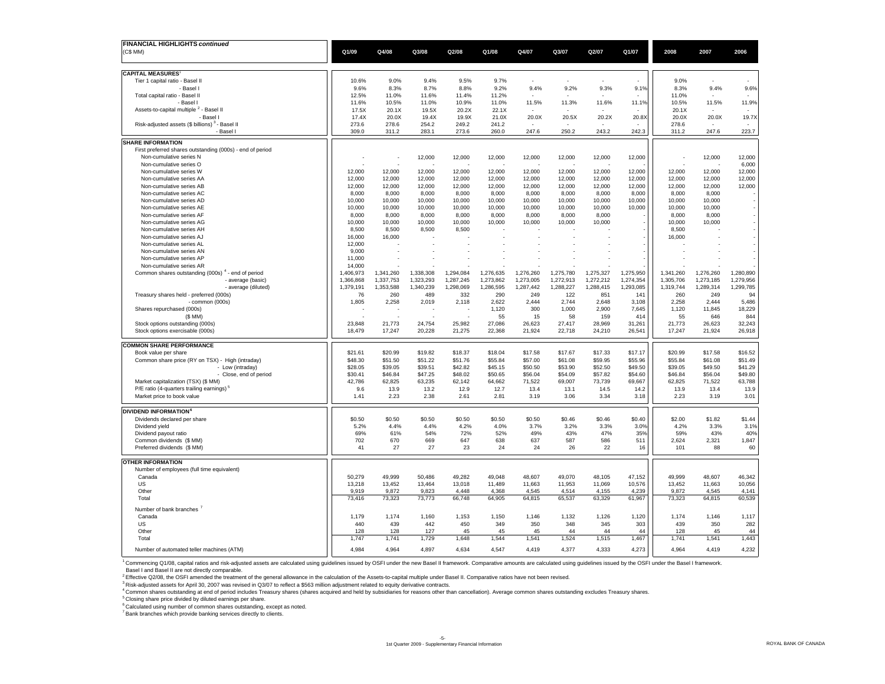| FINANCIAL HIGHLIGHTS continued                                                       |                 |                  |                  |                  |                  |                          |                  |                  |                  |                  |                          |                 |
|--------------------------------------------------------------------------------------|-----------------|------------------|------------------|------------------|------------------|--------------------------|------------------|------------------|------------------|------------------|--------------------------|-----------------|
| (C\$ MM)                                                                             | Q1/09           | Q4/08            | Q3/08            | Q2/08            | Q1/08            | Q4/07                    | Q3/07            | Q2/07            | Q1/07            | 2008             | 2007                     | 2006            |
|                                                                                      |                 |                  |                  |                  |                  |                          |                  |                  |                  |                  |                          |                 |
| <b>CAPITAL MEASURES</b>                                                              |                 |                  |                  |                  |                  |                          |                  |                  |                  |                  |                          |                 |
| Tier 1 capital ratio - Basel II                                                      | 10.6%           | 9.0%             | 9.4%             | 9.5%             | 9.7%             |                          |                  |                  |                  | 9.0%             |                          |                 |
| - Basel                                                                              | 9.6%            | 8.3%             | 8.7%             | 8.8%             | 9.2%             | 9.4%                     | 9.2%             | 9.3%             | 9.1%             | 8.3%             | 9.4%                     | 9.6%            |
| Total capital ratio - Basel II                                                       | 12.5%           | 11.0%            | 11.6%            | 11.4%            | 11.2%            |                          |                  |                  |                  | 11.0%            |                          |                 |
| - Basel                                                                              | 11.6%           | 10.5%            | 11.0%            | 10.9%            | 11.0%            | 11.5%                    | 11.3%            | 11.6%            | 11.1%            | 10.5%            | 11.5%                    | 11.9%           |
| Assets-to-capital multiple <sup>2</sup> - Basel II                                   | 17.5X           | 20.1X            | 19.5X            | 20.2X            | 22.1X            | $\overline{\phantom{a}}$ |                  |                  |                  | 20.1X            | $\overline{\phantom{a}}$ |                 |
| Basel I                                                                              | 17.4X           | 20.0X            | 19.4X            | 19.9X<br>249.2   | 21.0X            | 20.0X                    | 20.5X            | 20.2X            | 20.8X            | 20.0X            | 20.0X                    | 19.7X           |
| Risk-adjusted assets (\$ billions) 3 - Basel II<br>- Basel I                         | 273.6<br>309.0  | 278.6<br>311.2   | 254.2<br>283.1   | 273.6            | 241.2<br>260.0   | 247.6                    | 250.2            | 243.2            | 242.3            | 278.6<br>311.2   | 247.6                    | 223.7           |
|                                                                                      |                 |                  |                  |                  |                  |                          |                  |                  |                  |                  |                          |                 |
| <b>SHARE INFORMATION</b>                                                             |                 |                  |                  |                  |                  |                          |                  |                  |                  |                  |                          |                 |
| First preferred shares outstanding (000s) - end of period<br>Non-cumulative series N |                 |                  | 12,000           | 12,000           | 12,000           | 12,000                   | 12,000           | 12,000           | 12,000           |                  | 12,000                   | 12,000          |
| Non-cumulative series O                                                              |                 |                  |                  |                  |                  |                          |                  |                  |                  |                  |                          | 6,000           |
| Non-cumulative series W                                                              | 12.000          | 12.000           | 12,000           | 12,000           | 12,000           | 12,000                   | 12.000           | 12,000           | 12.000           | 12,000           | 12.000                   | 12,000          |
| Non-cumulative series AA                                                             | 12,000          | 12,000           | 12,000           | 12,000           | 12,000           | 12,000                   | 12,000           | 12,000           | 12,000           | 12,000           | 12,000                   | 12,000          |
| Non-cumulative series AB                                                             | 12,000          | 12,000           | 12,000           | 12,000           | 12,000           | 12,000                   | 12,000           | 12,000           | 12,000           | 12,000           | 12,000                   | 12,000          |
| Non-cumulative series AC                                                             | 8,000           | 8,000            | 8,000            | 8,000            | 8,000            | 8,000                    | 8,000            | 8,000            | 8,000            | 8,000            | 8,000                    |                 |
| Non-cumulative series AD                                                             | 10,000          | 10,000           | 10,000           | 10,000           | 10,000           | 10,000                   | 10,000           | 10,000           | 10,000           | 10,000           | 10,000                   |                 |
| Non-cumulative series AE                                                             | 10,000          | 10,000           | 10,000           | 10,000           | 10,000           | 10,000                   | 10,000           | 10,000           | 10,000           | 10,000           | 10,000                   |                 |
| Non-cumulative series AF<br>Non-cumulative series AG                                 | 8,000<br>10,000 | 8,000            | 8,000<br>10,000  | 8,000            | 8,000            | 8,000                    | 8,000<br>10,000  | 8,000<br>10,000  |                  | 8,000            | 8,000                    |                 |
| Non-cumulative series AH                                                             | 8,500           | 10,000<br>8,500  | 8,500            | 10,000<br>8,500  | 10,000           | 10,000                   |                  |                  |                  | 10,000<br>8,500  | 10,000                   |                 |
| Non-cumulative series AJ                                                             | 16,000          | 16,000           |                  |                  |                  |                          |                  |                  |                  | 16,000           |                          |                 |
| Non-cumulative series AL                                                             | 12,000          |                  |                  |                  |                  |                          |                  |                  |                  |                  |                          |                 |
| Non-cumulative series AN                                                             | 9,000           |                  |                  |                  |                  |                          |                  |                  |                  |                  |                          |                 |
| Non-cumulative series AP                                                             | 11,000          |                  |                  |                  |                  |                          |                  |                  |                  |                  |                          |                 |
| Non-cumulative series AR                                                             | 14,000          |                  |                  |                  |                  |                          |                  |                  |                  |                  |                          |                 |
| Common shares outstanding (000s) <sup>4</sup> - end of period                        | 1,406,973       | 1,341,260        | 1,338,308        | 1,294,084        | 1,276,635        | 1,276,260                | 1,275,780        | 1,275,327        | 1,275,950        | 1,341,260        | 1,276,260                | 1,280,890       |
| - average (basic)                                                                    | 1,366,868       | 1,337,753        | 1,323,293        | 1,287,245        | 1,273,862        | 1,273,005                | 1,272,913        | 1,272,212        | 1,274,354        | 1,305,706        | 1,273,185                | 1,279,956       |
| - average (diluted)<br>Treasury shares held - preferred (000s)                       | 1,379,191<br>76 | 1,353,588<br>260 | 1,340,239<br>489 | 1,298,069<br>332 | 1,286,595<br>290 | 1,287,442<br>249         | 1,288,227<br>122 | 1,288,415<br>851 | 1,293,085<br>141 | 1,319,744<br>260 | 1,289,314<br>249         | 1,299,785<br>94 |
| - common (000s)                                                                      | 1,805           | 2,258            | 2,019            | 2,118            | 2,622            | 2,444                    | 2,744            | 2,648            | 3,108            | 2,258            | 2,444                    | 5,486           |
| Shares repurchased (000s)                                                            |                 |                  |                  |                  | 1,120            | 300                      | 1,000            | 2.900            | 7,645            | 1,120            | 11,845                   | 18,229          |
| (\$ MM)                                                                              |                 |                  |                  |                  | 55               | 15                       | 58               | 159              | 414              | 55               | 646                      | 844             |
| Stock options outstanding (000s)                                                     | 23,848          | 21,773           | 24,754           | 25,982           | 27,086           | 26,623                   | 27,417           | 28,969           | 31,261           | 21,773           | 26,623                   | 32,243          |
| Stock options exercisable (000s)                                                     | 18,479          | 17,247           | 20,228           | 21,275           | 22,368           | 21,924                   | 22,718           | 24,210           | 26,541           | 17,247           | 21,924                   | 26,918          |
| <b>COMMON SHARE PERFORMANCE</b>                                                      |                 |                  |                  |                  |                  |                          |                  |                  |                  |                  |                          |                 |
| Book value per share                                                                 | \$21.61         | \$20.99          | \$19.82          | \$18.37          | \$18.04          | \$17.58                  | \$17.67          | \$17.33          | \$17.17          | \$20.99          | \$17.58                  | \$16.52         |
| Common share price (RY on TSX) - High (intraday)                                     | \$48.30         | \$51.50          | \$51.22          | \$51.76          | \$55.84          | \$57.00                  | \$61.08          | \$59.95          | \$55.96          | \$55.84          | \$61.08                  | \$51.49         |
| - Low (intraday)                                                                     | \$28.05         | \$39.05          | \$39.51          | \$42.82          | \$45.15          | \$50.50                  | \$53.90          | \$52.50          | \$49.50          | \$39.05          | \$49.50                  | \$41.29         |
| - Close, end of period                                                               | \$30.41         | \$46.84          | \$47.25          | \$48.02          | \$50.65          | \$56.04                  | \$54.09          | \$57.82          | \$54.60          | \$46.84          | \$56.04                  | \$49.80         |
| Market capitalization (TSX) (\$ MM)                                                  | 42,786          | 62,825           | 63,235           | 62,142           | 64,662           | 71,522                   | 69,007           | 73,739           | 69,667           | 62,825           | 71,522                   | 63,788          |
| P/E ratio (4-quarters trailing earnings) <sup>5</sup>                                | 9.6             | 13.9             | 13.2             | 12.9             | 12.7             | 13.4                     | 13.1             | 14.5             | 14.2             | 13.9             | 13.4                     | 13.9            |
| Market price to book value                                                           | 1.41            | 2.23             | 2.38             | 2.61             | 2.81             | 3.19                     | 3.06             | 3.34             | 3.18             | 2.23             | 3.19                     | 3.01            |
| <b>DIVIDEND INFORMATION</b>                                                          |                 |                  |                  |                  |                  |                          |                  |                  |                  |                  |                          |                 |
| Dividends declared per share                                                         | \$0.50          | \$0.50           | \$0.50           | \$0.50           | \$0.50           | \$0.50                   | \$0.46           | \$0.46           | \$0.40           | \$2.00           | \$1.82                   | \$1.44          |
| Dividend yield                                                                       | 5.2%            | 4.4%             | 4.4%             | 4.2%             | 4.0%             | 3.7%                     | 3.2%             | 3.3%             | 3.0%             | 4.2%             | 3.3%                     | 3.1%            |
| Dividend payout ratio                                                                | 69%             | 61%              | 54%              | 72%              | 52%              | 49%                      | 43%              | 47%              | 35%              | 59%              | 43%                      | 40%             |
| Common dividends (\$ MM)                                                             | 702             | 670              | 669              | 647              | 638              | 637                      | 587              | 586              | 511              | 2,624            | 2,321                    | 1,847           |
| Preferred dividends (\$ MM)                                                          | 41              | 27               | 27               | 23               | 24               | 24                       | 26               | 22               | 16               | 101              | 88                       | 60              |
| <b>OTHER INFORMATION</b>                                                             |                 |                  |                  |                  |                  |                          |                  |                  |                  |                  |                          |                 |
| Number of employees (full time equivalent)                                           |                 |                  |                  |                  |                  |                          |                  |                  |                  |                  |                          |                 |
| Canada                                                                               | 50.279          | 49.999           | 50.486           | 49.282           | 49.048           | 48.607                   | 49.070           | 48.105           | 47.152           | 49.999           | 48.607                   | 46,342          |
| US                                                                                   | 13,218          | 13,452           | 13,464           | 13,018           | 11,489           | 11,663                   | 11,953           | 11,069           | 10,576           | 13,452           | 11,663                   | 10,056          |
| Other                                                                                | 9,919           | 9,872            | 9,823            | 4,448            | 4,368            | 4,545                    | 4,514            | 4,155            | 4,239            | 9,872            | 4,545                    | 4,141           |
| Total                                                                                | 73,416          | 73,323           | 73,773           | 66,748           | 64,905           | 64,815                   | 65,537           | 63,329           | 61,967           | 73,323           | 64,815                   | 60,539          |
| Number of bank branches <sup>7</sup>                                                 |                 |                  |                  |                  |                  |                          |                  |                  |                  |                  |                          |                 |
| Canada                                                                               | 1.179           | 1.174            | 1,160            | 1,153            | 1,150            | 1,146                    | 1,132            | 1,126            | 1,120            | 1,174            | 1,146                    | 1,117           |
| US                                                                                   | 440             | 439              | 442              | 450              | 349              | 350                      | 348              | 345              | 303              | 439              | 350                      | 282             |
| Other                                                                                | 128             | 128              | 127              | 45               | 45               | 45                       | 44               | 44               | 44               | 128              | 45                       | 44              |
| Total                                                                                | 1,747           | 1,741            | 1,729            | 1,648            | 1,544            | 1,541                    | 1,524            | 1,515            | 1,467            | 1,741            | 1,541                    | 1,443           |
| Number of automated teller machines (ATM)                                            | 4,984           | 4,964            | 4,897            | 4,634            | 4,547            | 4,419                    | 4,377            | 4,333            | 4,273            | 4.964            | 4,419                    | 4,232           |
|                                                                                      |                 |                  |                  |                  |                  |                          |                  |                  |                  |                  |                          |                 |

<sup>1</sup> Commencing Q1/08, capital ratios and risk-adjusted assets are calculated using guidelines issued by OSFI under the new Basel II framework. Comparative amounts are calculated using guidelines issued by the OSFI under th

. Basel I and Basel II are not directly comparable.<br><sup>2</sup> Effective Q208, the OSFI amended the treatment of the general allowance in the calculation of the Assets-to-capital multiple under Basel II. Comparative ratios have

<sup>5</sup> Closing share price divided by diluted earnings per share.

 $^6$  Calculated using number of common shares outstanding, except as noted.<br><sup>7</sup> Bank branches which provide banking services directly to clients.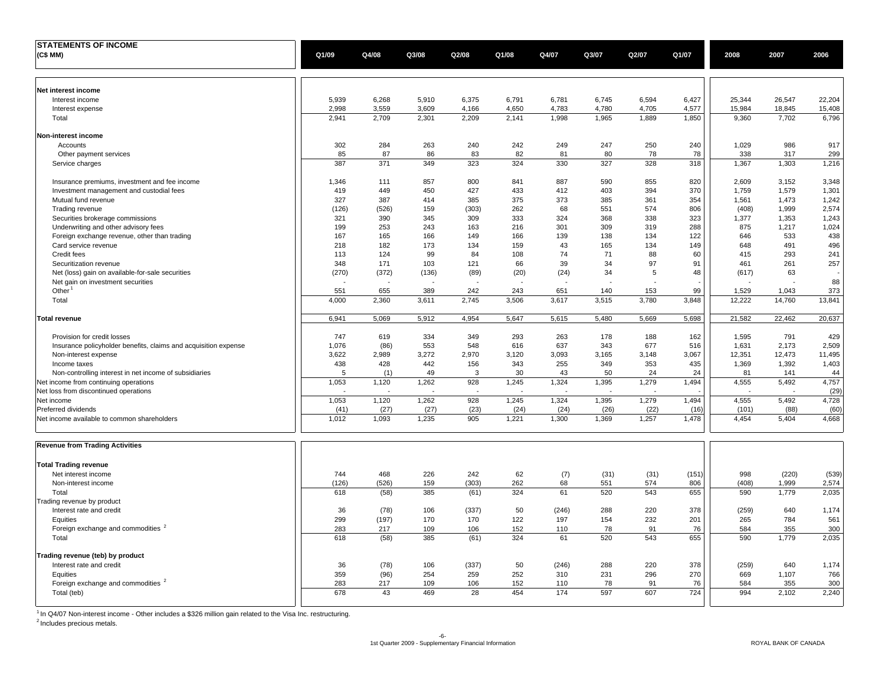| <b>STATEMENTS OF INCOME</b>                                                          |            |              |            |            |            |            |            |            |            |            |              |               |
|--------------------------------------------------------------------------------------|------------|--------------|------------|------------|------------|------------|------------|------------|------------|------------|--------------|---------------|
| (C\$ MM)                                                                             | Q1/09      | Q4/08        | Q3/08      | Q2/08      | Q1/08      | Q4/07      | Q3/07      | Q2/07      | Q1/07      | 2008       | 2007         | 2006          |
|                                                                                      |            |              |            |            |            |            |            |            |            |            |              |               |
| Net interest income                                                                  |            |              |            |            |            |            |            |            |            |            |              |               |
| Interest income                                                                      | 5,939      | 6,268        | 5,910      | 6,375      | 6,791      | 6,781      | 6,745      | 6,594      | 6,427      | 25,344     | 26,547       | 22,204        |
| Interest expense                                                                     | 2,998      | 3,559        | 3,609      | 4,166      | 4,650      | 4,783      | 4,780      | 4,705      | 4,577      | 15,984     | 18,845       | 15,408        |
| Total                                                                                | 2,941      | 2,709        | 2,301      | 2,209      | 2,141      | 1,998      | 1,965      | 1,889      | 1,850      | 9,360      | 7,702        | 6,796         |
| Non-interest income                                                                  |            |              |            |            |            |            |            |            |            |            |              |               |
| Accounts                                                                             | 302        | 284          | 263        | 240        | 242        | 249        | 247        | 250        | 240        | 1,029      | 986          | 917           |
| Other payment services                                                               | 85         | 87           | 86         | 83         | 82         | 81         | 80         | 78         | 78         | 338        | 317          | 299           |
| Service charges                                                                      | 387        | 371          | 349        | 323        | 324        | 330        | 327        | 328        | 318        | 1,367      | 1,303        | 1,216         |
| Insurance premiums, investment and fee income                                        | 1,346      | 111          | 857        | 800        | 841        | 887        | 590        | 855        | 820        | 2,609      | 3,152        | 3,348         |
| Investment management and custodial fees                                             | 419        | 449          | 450        | 427        | 433        | 412        | 403        | 394        | 370        | 1,759      | 1,579        | 1,301         |
| Mutual fund revenue                                                                  | 327        | 387          | 414        | 385        | 375        | 373        | 385        | 361        | 354        | 1,561      | 1,473        | 1,242         |
| Trading revenue                                                                      | (126)      | (526)        | 159        | (303)      | 262        | 68         | 551        | 574        | 806        | (408)      | 1,999        | 2,574         |
| Securities brokerage commissions                                                     | 321        | 390          | 345        | 309        | 333        | 324        | 368        | 338        | 323        | 1,377      | 1,353        | 1,243         |
| Underwriting and other advisory fees<br>Foreign exchange revenue, other than trading | 199<br>167 | 253<br>165   | 243<br>166 | 163<br>149 | 216<br>166 | 301<br>139 | 309<br>138 | 319<br>134 | 288<br>122 | 875<br>646 | 1,217<br>533 | 1,024<br>438  |
| Card service revenue                                                                 | 218        | 182          | 173        | 134        | 159        | 43         | 165        | 134        | 149        | 648        | 491          | 496           |
| Credit fees                                                                          | 113        | 124          | 99         | 84         | 108        | 74         | 71         | 88         | 60         | 415        | 293          | 241           |
| Securitization revenue                                                               | 348        | 171          | 103        | 121        | 66         | 39         | 34         | 97         | 91         | 461        | 261          | 257           |
| Net (loss) gain on available-for-sale securities                                     | (270)      | (372)        | (136)      | (89)       | (20)       | (24)       | 34         | 5          | 48         | (617)      | 63           |               |
| Net gain on investment securities                                                    |            |              |            |            |            |            |            |            |            |            |              | 88            |
| Other                                                                                | 551        | 655          | 389        | 242        | 243        | 651        | 140        | 153        | 99         | 1,529      | 1,043        | 373           |
| Total                                                                                | 4,000      | 2,360        | 3,611      | 2,745      | 3,506      | 3,617      | 3,515      | 3,780      | 3,848      | 12,222     | 14,760       | 13,841        |
| <b>Total revenue</b>                                                                 | 6,941      | 5,069        | 5,912      | 4,954      | 5,647      | 5,615      | 5,480      | 5,669      | 5,698      | 21,582     | 22,462       | 20,637        |
| Provision for credit losses                                                          | 747        | 619          | 334        | 349        | 293        | 263        | 178        | 188        | 162        | 1,595      | 791          | 429           |
| Insurance policyholder benefits, claims and acquisition expense                      | 1.076      | (86)         | 553        | 548        | 616        | 637        | 343        | 677        | 516        | 1,631      | 2,173        | 2,509         |
| Non-interest expense                                                                 | 3,622      | 2,989        | 3,272      | 2,970      | 3,120      | 3,093      | 3,165      | 3,148      | 3,067      | 12,351     | 12,473       | 11,495        |
| Income taxes                                                                         | 438        | 428          | 442        | 156        | 343        | 255        | 349        | 353        | 435        | 1,369      | 1,392        | 1,403         |
| Non-controlling interest in net income of subsidiaries                               | 5          | (1)          | 49         | 3          | 30         | 43         | 50         | 24         | 24         | 81         | 141          | 44            |
| Net income from continuing operations                                                | 1,053      | 1,120        | 1,262      | 928        | 1,245      | 1,324      | 1,395      | 1,279      | 1,494      | 4,555      | 5,492        | 4,757         |
| Net loss from discontinued operations                                                | 1,053      | 1,120        | 1,262      | 928        | 1,245      | 1,324      | 1,395      | 1,279      | 1,494      | 4,555      | 5,492        | (29)<br>4,728 |
| Net income<br><b>Preferred dividends</b>                                             | (41)       | (27)         | (27)       | (23)       | (24)       | (24)       | (26)       | (22)       | (16)       | (101)      | (88)         | (60)          |
| Net income available to common shareholders                                          | 1,012      | 1,093        | 1,235      | 905        | 1,221      | 1,300      | 1,369      | 1,257      | 1,478      | 4,454      | 5,404        | 4,668         |
|                                                                                      |            |              |            |            |            |            |            |            |            |            |              |               |
| <b>Revenue from Trading Activities</b>                                               |            |              |            |            |            |            |            |            |            |            |              |               |
| <b>Total Trading revenue</b>                                                         |            |              |            |            |            |            |            |            |            |            |              |               |
| Net interest income                                                                  | 744        | 468          | 226        | 242        | 62         | (7)        | (31)       | (31)       | (151)      | 998        | (220)        | (539)         |
| Non-interest income                                                                  | (126)      | (526)        | 159        | (303)      | 262        | 68         | 551        | 574        | 806        | (408)      | 1,999        | 2,574         |
| Total                                                                                | 618        | (58)         | 385        | (61)       | 324        | 61         | 520        | 543        | 655        | 590        | 1,779        | 2,035         |
| Trading revenue by product                                                           |            |              |            |            |            |            |            |            |            |            |              |               |
| Interest rate and credit                                                             | 36         | (78)         | 106        | (337)      | 50         | (246)      | 288        | 220        | 378        | (259)      | 640          | 1,174         |
| Equities<br>Foreign exchange and commodities <sup>2</sup>                            | 299<br>283 | (197)<br>217 | 170<br>109 | 170<br>106 | 122<br>152 | 197<br>110 | 154<br>78  | 232<br>91  | 201<br>76  | 265<br>584 | 784<br>355   | 561<br>300    |
| Total                                                                                | 618        | (58)         | 385        | (61)       | 324        | 61         | 520        | 543        | 655        | 590        | 1,779        | 2,035         |
|                                                                                      |            |              |            |            |            |            |            |            |            |            |              |               |
| Trading revenue (teb) by product                                                     |            |              |            |            |            |            |            |            |            |            |              |               |
| Interest rate and credit                                                             | 36         | (78)         | 106        | (337)      | 50         | (246)      | 288        | 220        | 378        | (259)      | 640          | 1,174         |
| Equities<br>Foreign exchange and commodities <sup>2</sup>                            | 359<br>283 | (96)<br>217  | 254<br>109 | 259<br>106 | 252<br>152 | 310<br>110 | 231<br>78  | 296<br>91  | 270<br>76  | 669<br>584 | 1,107<br>355 | 766<br>300    |
| Total (teb)                                                                          | 678        | 43           | 469        | 28         | 454        | 174        | 597        | 607        | 724        | 994        | 2,102        | 2,240         |
|                                                                                      |            |              |            |            |            |            |            |            |            |            |              |               |

<sup>1</sup> In Q4/07 Non-interest income - Other includes a \$326 million gain related to the Visa Inc. restructuring.

<sup>2</sup> Includes precious metals.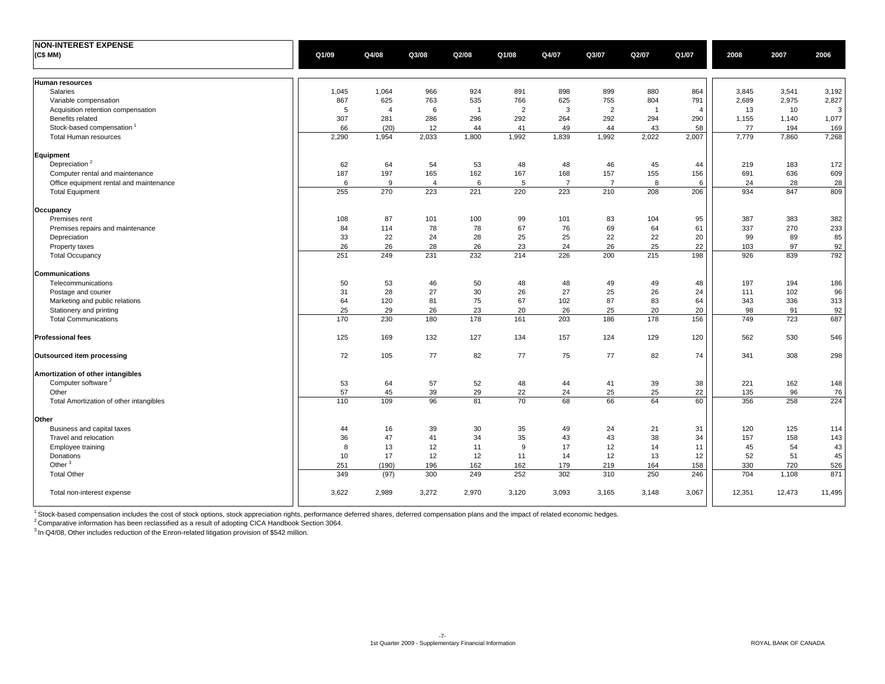| <b>NON-INTEREST EXPENSE</b>             |              |                |                |                |                |                |                |            |                |                |                |                |
|-----------------------------------------|--------------|----------------|----------------|----------------|----------------|----------------|----------------|------------|----------------|----------------|----------------|----------------|
| (C\$ MM)                                | Q1/09        | Q4/08          | Q3/08          | Q2/08          | Q1/08          | Q4/07          | Q3/07          | Q2/07      | Q1/07          | 2008           | 2007           | 2006           |
|                                         |              |                |                |                |                |                |                |            |                |                |                |                |
|                                         |              |                |                |                |                |                |                |            |                |                |                |                |
| <b>Human resources</b>                  |              |                |                |                |                |                |                |            |                |                |                |                |
| Salaries                                | 1,045<br>867 | 1,064<br>625   | 966<br>763     | 924<br>535     | 891<br>766     | 898<br>625     | 899<br>755     | 880<br>804 | 864<br>791     | 3,845<br>2,689 | 3,541<br>2,975 | 3,192<br>2,827 |
| Variable compensation                   |              |                |                |                |                |                |                |            |                |                |                |                |
| Acquisition retention compensation      | 5            | $\overline{4}$ | 6              | $\overline{1}$ | $\overline{2}$ | 3              | $\overline{2}$ | -1         | $\overline{4}$ | 13             | 10             | 3              |
| Benefits related                        | 307          | 281            | 286            | 296            | 292            | 264            | 292            | 294        | 290            | 1,155          | 1,140          | 1,077          |
| Stock-based compensation <sup>1</sup>   | 66           | (20)           | 12             | 44             | 41             | 49             | 44             | 43         | 58             | 77             | 194            | 169            |
| <b>Total Human resources</b>            | 2,290        | 1,954          | 2,033          | 1,800          | 1,992          | 1,839          | 1,992          | 2,022      | 2,007          | 7,779          | 7,860          | 7,268          |
| Equipment                               |              |                |                |                |                |                |                |            |                |                |                |                |
| Depreciation <sup>2</sup>               | 62           | 64             | 54             | 53             | 48             | 48             | 46             | 45         | 44             | 219            | 183            | 172            |
| Computer rental and maintenance         | 187          | 197            | 165            | 162            | 167            | 168            | 157            | 155        | 156            | 691            | 636            | 609            |
| Office equipment rental and maintenance | 6            | 9              | $\overline{4}$ | 6              | 5              | $\overline{7}$ | $\overline{7}$ | 8          | 6              | 24             | 28             | 28             |
| <b>Total Equipment</b>                  | 255          | 270            | 223            | 221            | 220            | 223            | 210            | 208        | 206            | 934            | 847            | 809            |
|                                         |              |                |                |                |                |                |                |            |                |                |                |                |
| Occupancy                               |              |                |                |                |                |                |                |            |                |                |                |                |
| Premises rent                           | 108          | 87             | 101            | 100            | 99             | 101            | 83             | 104        | 95             | 387            | 383            | 382            |
| Premises repairs and maintenance        | 84           | 114            | 78             | 78             | 67             | 76             | 69             | 64         | 61             | 337            | 270            | 233            |
| Depreciation                            | 33           | 22             | 24             | 28             | 25             | 25             | 22             | 22         | 20             | 99             | 89             | 85             |
| Property taxes                          | 26           | 26             | 28             | 26             | 23             | 24             | 26             | 25         | 22             | 103            | 97             | 92             |
| <b>Total Occupancy</b>                  | 251          | 249            | 231            | 232            | 214            | 226            | 200            | 215        | 198            | 926            | 839            | 792            |
| Communications                          |              |                |                |                |                |                |                |            |                |                |                |                |
|                                         |              |                |                |                |                |                |                |            |                |                |                |                |
| Telecommunications                      | 50<br>31     | 53<br>28       | 46<br>27       | 50<br>30       | 48<br>26       | 48<br>27       | 49             | 49<br>26   | 48<br>24       | 197<br>111     | 194<br>102     | 186            |
| Postage and courier                     |              |                |                |                |                |                | 25             |            |                |                |                | 96             |
| Marketing and public relations          | 64           | 120            | 81             | 75             | 67             | 102            | 87             | 83         | 64             | 343            | 336            | 313            |
| Stationery and printing                 | 25           | 29             | 26             | 23             | 20             | 26             | 25             | 20         | 20             | 98             | 91             | 92             |
| <b>Total Communications</b>             | 170          | 230            | 180            | 178            | 161            | 203            | 186            | 178        | 156            | 749            | 723            | 687            |
| <b>Professional fees</b>                | 125          | 169            | 132            | 127            | 134            | 157            | 124            | 129        | 120            | 562            | 530            | 546            |
|                                         |              |                |                |                |                |                |                |            |                |                |                |                |
| Outsourced item processing              | 72           | 105            | 77             | 82             | 77             | 75             | 77             | 82         | 74             | 341            | 308            | 298            |
| Amortization of other intangibles       |              |                |                |                |                |                |                |            |                |                |                |                |
| Computer software <sup>2</sup>          | 53           | 64             | 57             | 52             | 48             | 44             | 41             | 39         | 38             | 221            | 162            | 148            |
| Other                                   | 57           | 45             | 39             | 29             | 22             | 24             | 25             | 25         | 22             | 135            | 96             | 76             |
| Total Amortization of other intangibles | 110          | 109            | 96             | 81             | 70             | 68             | 66             | 64         | 60             | 356            | 258            | 224            |
|                                         |              |                |                |                |                |                |                |            |                |                |                |                |
| Other                                   |              |                |                |                |                |                |                |            |                |                |                |                |
| Business and capital taxes              | 44           | 16             | 39             | 30             | 35             | 49             | 24             | 21         | 31             | 120            | 125            | 114            |
| Travel and relocation                   | 36           | 47             | 41             | 34             | 35             | 43             | 43             | 38         | 34             | 157            | 158            | 143            |
| Employee training                       | 8            | 13             | 12             | 11             | 9              | 17             | 12             | 14         | 11             | 45             | 54             | 43             |
| Donations                               | 10           | 17             | 12             | 12             | 11             | 14             | 12             | 13         | 12             | 52             | 51             | 45             |
| Other $3$                               | 251          | (190)          | 196            | 162            | 162            | 179            | 219            | 164        | 158            | 330            | 720            | 526            |
| <b>Total Other</b>                      | 349          | (97)           | 300            | 249            | 252            | 302            | 310            | 250        | 246            | 704            | 1,108          | 871            |
|                                         |              |                |                |                |                |                |                |            |                |                |                |                |
| Total non-interest expense              | 3,622        | 2,989          | 3,272          | 2,970          | 3,120          | 3,093          | 3,165          | 3,148      | 3,067          | 12,351         | 12,473         | 11,495         |
|                                         |              |                |                |                |                |                |                |            |                |                |                |                |

<sup>1</sup> Stock-based compensation includes the cost of stock options, stock appreciation rights, performance deferred shares, deferred compensation plans and the impact of related economic hedges.

 $^2$ Comparative information has been reclassified as a result of adopting CICA Handbook Section 3064.

 $3$  In Q4/08, Other includes reduction of the Enron-related litigation provision of \$542 million.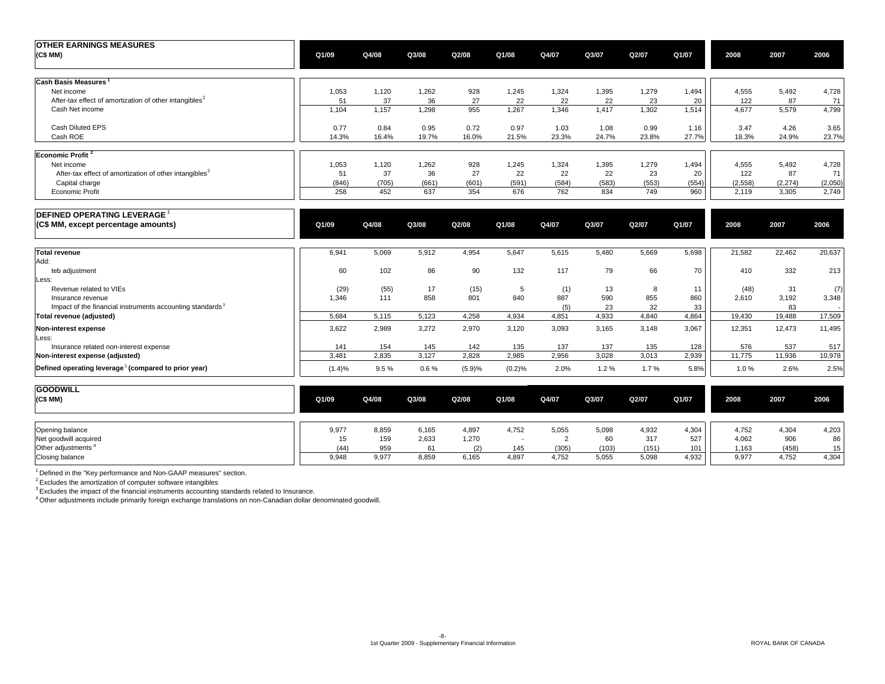| <b>OTHER EARNINGS MEASURES</b><br>(C\$ MM)                         | Q1/09 | Q4/08 | Q3/08 | Q2/08 | Q1/08 | Q4/07 | Q3/07 | Q2/07 | Q1/07 | 2008    | 2007    | 2006    |
|--------------------------------------------------------------------|-------|-------|-------|-------|-------|-------|-------|-------|-------|---------|---------|---------|
| <b>Cash Basis Measures</b>                                         |       |       |       |       |       |       |       |       |       |         |         |         |
| Net income                                                         | 1,053 | 1,120 | 1,262 | 928   | 1,245 | 1,324 | 1,395 | 1,279 | 1,494 | 4,555   | 5,492   | 4,728   |
| After-tax effect of amortization of other intangibles <sup>2</sup> | 51    | 37    | 36    | 27    | 22    | 22    | 22    | 23    | 20    | 122     | 87      | 71      |
| Cash Net income                                                    | 1,104 | 1,157 | 1,298 | 955   | 1,267 | 1,346 | 1,417 | 1,302 | 1,514 | 4,677   | 5,579   | 4,799   |
| Cash Diluted EPS                                                   | 0.77  | 0.84  | 0.95  | 0.72  | 0.97  | 1.03  | 1.08  | 0.99  | 1.16  | 3.47    | 4.26    | 3.65    |
| Cash ROE                                                           | 14.3% | 16.4% | 19.7% | 16.0% | 21.5% | 23.3% | 24.7% | 23.8% | 27.7% | 18.3%   | 24.9%   | 23.7%   |
| Economic Profit <sup>2</sup>                                       |       |       |       |       |       |       |       |       |       |         |         |         |
| Net income                                                         | 1,053 | 1,120 | 1,262 | 928   | 1,245 | 1,324 | 1,395 | 1,279 | 1.494 | 4,555   | 5,492   | 4,728   |
| After-tax effect of amortization of other intangibles <sup>2</sup> | 51    | 37    | 36    | 27    | 22    | 22    | 22    | 23    | 20    | 122     | 87      | 71      |
| Capital charge                                                     | (846) | (705) | (661) | (601) | (591) | (584) | (583) | (553) | (554) | (2,558) | (2,274) | (2,050) |
| <b>Economic Profit</b>                                             | 258   | 452   | 637   | 354   | 676   | 762   | 834   | 749   | 960   | 2,119   | 3,305   | 2,749   |

| <b>DEFINED OPERATING LEVERAGE</b><br>(C\$ MM, except percentage amounts) | Q1/09  | Q4/08 | Q3/08 | Q2/08  | Q1/08  | Q4/07 | Q3/07 | Q2/07 | Q1/07 | 2008   | 2007   | 2006   |
|--------------------------------------------------------------------------|--------|-------|-------|--------|--------|-------|-------|-------|-------|--------|--------|--------|
| Total revenue                                                            | 6,941  | 5,069 | 5,912 | 4,954  | 5,647  | 5,615 | 5,480 | 5,669 | 5,698 | 21,582 | 22,462 | 20,637 |
| Add:                                                                     |        |       |       |        |        |       |       |       |       |        |        |        |
| teb adjustment                                                           | 60     | 102   | 86    | 90     | 132    | 117   | 79    | 66    | 70    | 410    | 332    | 213    |
| Less:                                                                    |        |       |       |        |        |       |       |       |       |        |        |        |
| Revenue related to VIEs                                                  | (29)   | (55)  | 17    | (15)   |        | (1)   | 13    | 8     | 11    | (48)   | 31     | (7)    |
| Insurance revenue                                                        | 1,346  | 111   | 858   | 801    | 840    | 887   | 590   | 855   | 860   | 2,610  | 3,192  | 3,348  |
| Impact of the financial instruments accounting standards <sup>3</sup>    |        |       |       |        |        | (5)   | 23    | 32    | 33    |        | 83     |        |
| Total revenue (adjusted)                                                 | 5,684  | 5,115 | 5,123 | 4,258  | 4,934  | 4,851 | 4,933 | 4,840 | 4.864 | 19,430 | 19,488 | 17,509 |
| Non-interest expense<br>Less:                                            | 3,622  | 2,989 | 3,272 | 2,970  | 3,120  | 3,093 | 3,165 | 3,148 | 3,067 | 12,351 | 12,473 | 11,495 |
| Insurance related non-interest expense                                   | 141    | 154   | 145   | 142    | 135    | 137   | 137   | 135   | 128   | 576    | 537    | 517    |
| Non-interest expense (adjusted)                                          | 3,481  | 2,835 | 3,127 | 2,828  | 2,985  | 2,956 | 3,028 | 3,013 | 2,939 | 11,775 | 11,936 | 10,978 |
| Defined operating leverage <sup>1</sup> (compared to prior year)         | (1.4)% | 9.5%  | 0.6%  | (5.9)% | (0.2)% | 2.0%  | 1.2%  | 1.7%  | 5.8%  | 1.0%   | 2.6%   | 2.5%   |

| <b>GOODWILL</b><br>(C\$MM)     | Q1/09 | Q4/08 | Q3/08 | Q2/08 | Q1/08 | Q4/07 | Q3/07 | Q2/07 | Q1/07 | 2008  | 2007  | 2006            |
|--------------------------------|-------|-------|-------|-------|-------|-------|-------|-------|-------|-------|-------|-----------------|
| Opening balance                | 9,977 | 8,859 | 6,165 | 4,897 | 4,752 | 5,055 | 5,098 | 4,932 | 4,304 | 4,752 | 4,304 | 4,203           |
| Net goodwill acquired          | 15    | 159   | 2,633 | 1,270 |       |       |       | 317   | 527   | 4,062 | 906   | 86              |
| Other adjustments <sup>4</sup> | (44)  | 959   | 61    | (2)   | 145   | (305) | (103) | (151) |       | 1,163 | (458) | 15 <sub>1</sub> |
| Closing balance                | 9,948 | 9,977 | 8,859 | 6,165 | 4,897 | 4,752 | 5,055 | 5,098 | 4,932 | 9,977 | 4,752 | 4,304           |

<sup>1</sup> Defined in the "Key performance and Non-GAAP measures" section.

<sup>2</sup> Excludes the amortization of computer software intangibles

 $3$  Excludes the impact of the financial instruments accounting standards related to Insurance.

<sup>4</sup> Other adjustments include primarily foreign exchange translations on non-Canadian dollar denominated goodwill.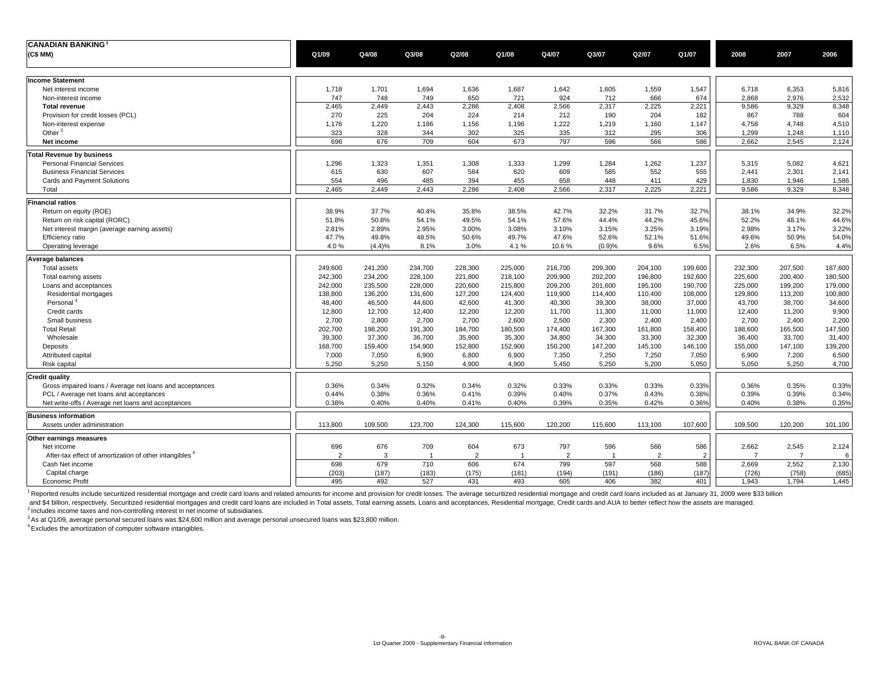| <b>CANADIAN BANKING</b>                                            |                |         |                |                |                |                |                |                |                |                |                |         |
|--------------------------------------------------------------------|----------------|---------|----------------|----------------|----------------|----------------|----------------|----------------|----------------|----------------|----------------|---------|
| (C\$MM)                                                            | Q1/09          | Q4/08   | Q3/08          | Q2/08          | Q1/08          | Q4/07          | Q3/07          | Q2/07          | Q1/07          | 2008           | 2007           | 2006    |
|                                                                    |                |         |                |                |                |                |                |                |                |                |                |         |
|                                                                    |                |         |                |                |                |                |                |                |                |                |                |         |
| <b>Income Statement</b>                                            |                |         |                |                |                |                |                |                |                |                |                |         |
| Net interest income                                                | 1,718          | 1,701   | 1,694          | 1,636          | 1,687          | 1,642          | 1,605          | 1,559          | 1,547          | 6,718          | 6,353          | 5,816   |
| Non-interest income                                                | 747            | 748     | 749            | 650            | 721            | 924            | 712            | 666            | 674            | 2,868          | 2,976          | 2,532   |
| <b>Total revenue</b>                                               | 2,465          | 2,449   | 2,443          | 2,286          | 2,408          | 2,566          | 2,317          | 2,225          | 2,221          | 9,586          | 9,329          | 8,348   |
| Provision for credit losses (PCL)                                  | 270            | 225     | 204            | 224            | 214            | 212            | 190            | 204            | 182            | 867            | 788            | 604     |
| Non-interest expense                                               | 1,176          | 1,220   | 1,186          | 1,156          | 1,196          | 1,222          | 1,219          | 1,160          | 1,147          | 4,758          | 4,748          | 4,510   |
| Other <sup>2</sup>                                                 | 323            | 328     | 344            | 302            | 325            | 335            | 312            | 295            | 306            | 1,299          | 1,248          | 1,110   |
| Net income                                                         | 696            | 676     | 709            | 604            | 673            | 797            | 596            | 566            | 586            | 2.662          | 2.545          | 2,124   |
| <b>Total Revenue by business</b>                                   |                |         |                |                |                |                |                |                |                |                |                |         |
| <b>Personal Financial Services</b>                                 | 1,296          | 1,323   | 1,351          | 1,308          | 1,333          | 1,299          | 1,284          | 1,262          | 1,237          | 5,315          | 5,082          | 4,621   |
| <b>Business Financial Services</b>                                 | 615            | 630     | 607            | 584            | 620            | 609            | 585            | 552            | 555            | 2,441          | 2,301          | 2,141   |
| Cards and Payment Solutions                                        | 554            | 496     | 485            | 394            | 455            | 658            | 448            | 411            | 429            | 1,830          | 1,946          | 1,586   |
| Total                                                              | 2.465          | 2.449   | 2.443          | 2.286          | 2,408          | 2,566          | 2,317          | 2,225          | 2,221          | 9.586          | 9.329          | 8,348   |
| <b>Financial ratios</b>                                            |                |         |                |                |                |                |                |                |                |                |                |         |
| Return on equity (ROE)                                             | 38.9%          | 37.7%   | 40.4%          | 35.8%          | 38.5%          | 42.7%          | 32.2%          | 31.7%          | 32.7%          | 38.1%          | 34.9%          | 32.2%   |
| Return on risk capital (RORC)                                      | 51.8%          | 50.8%   | 54.1%          | 49.5%          | 54.1%          | 57.6%          | 44.4%          | 44.2%          | 45.6%          | 52.2%          | 48.1%          | 44.6%   |
| Net interest margin (average earning assets)                       | 2.81%          | 2.89%   | 2.95%          | 3.00%          | 3.08%          | 3.10%          | 3.15%          | 3.25%          | 3.19%          | 2.98%          | 3.17%          | 3.22%   |
| Efficiency ratio                                                   | 47.7%          | 49.8%   | 48.5%          | 50.6%          | 49.7%          | 47.6%          | 52.6%          | 52.1%          | 51.6%          | 49.6%          | 50.9%          | 54.0%   |
| Operating leverage                                                 | 4.0%           | (4.4)%  | 8.1%           | 3.0%           | 4.1%           | 10.6%          | (0.9)%         | 9.6%           | 6.5%           | 2.6%           | 6.5%           | 4.4%    |
|                                                                    |                |         |                |                |                |                |                |                |                |                |                |         |
| <b>Average balances</b>                                            |                |         |                |                |                |                |                |                |                |                |                |         |
| Total assets                                                       | 249,600        | 241,200 | 234,700        | 228,300        | 225,000        | 216,700        | 209,300        | 204,100        | 199,600        | 232,300        | 207,500        | 187,600 |
| Total earning assets                                               | 242,300        | 234,200 | 228,100        | 221,800        | 218,100        | 209,900        | 202,200        | 196,800        | 192,600        | 225,600        | 200,400        | 180,500 |
| Loans and acceptances                                              | 242,000        | 235,500 | 228,000        | 220,600        | 215,800        | 209,200        | 201,600        | 195,100        | 190,700        | 225,000        | 199,200        | 179,000 |
| Residential mortgages                                              | 138,800        | 136,200 | 131,600        | 127,200        | 124,400        | 119,900        | 114,400        | 110,400        | 108,000        | 129,800        | 113,200        | 100,800 |
| Personal <sup>3</sup>                                              | 48,400         | 46,500  | 44,600         | 42,600         | 41,300         | 40,300         | 39,300         | 38,000         | 37,000         | 43,700         | 38,700         | 34,600  |
| Credit cards                                                       | 12,800         | 12,700  | 12,400         | 12,200         | 12,200         | 11,700         | 11,300         | 11,000         | 11,000         | 12,400         | 11,200         | 9,900   |
| Small business                                                     | 2,700          | 2,800   | 2,700          | 2,700          | 2,600          | 2,500          | 2,300          | 2,400          | 2,400          | 2,700          | 2,400          | 2,200   |
| <b>Total Retail</b>                                                | 202,700        | 198,200 | 191,300        | 184,700        | 180,500        | 174,400        | 167,300        | 161,800        | 158,400        | 188,600        | 165,500        | 147,500 |
| Wholesale                                                          | 39,300         | 37,300  | 36,700         | 35,900         | 35,300         | 34,800         | 34,300         | 33,300         | 32,300         | 36,400         | 33,700         | 31,400  |
| Deposits                                                           | 168,700        | 159,400 | 154,900        | 152,800        | 152,900        | 150,200        | 147,200        | 145,100        | 146,100        | 155,000        | 147,100        | 139,200 |
| Attributed capital                                                 | 7,000          | 7,050   | 6,900          | 6,800          | 6,900          | 7,350          | 7,250          | 7,250          | 7,050          | 6,900          | 7,200          | 6,500   |
| Risk capital                                                       | 5,250          | 5,250   | 5,150          | 4,900          | 4,900          | 5,450          | 5,250          | 5,200          | 5,050          | 5,050          | 5,250          | 4,700   |
| <b>Credit quality</b>                                              |                |         |                |                |                |                |                |                |                |                |                |         |
| Gross impaired loans / Average net loans and acceptances           | 0.36%          | 0.34%   | 0.32%          | 0.34%          | 0.32%          | 0.33%          | 0.33%          | 0.33%          | 0.33%          | 0.36%          | 0.35%          | 0.33%   |
| PCL / Average net loans and acceptances                            | 0.44%          | 0.38%   | 0.36%          | 0.41%          | 0.39%          | 0.40%          | 0.37%          | 0.43%          | 0.38%          | 0.39%          | 0.39%          | 0.34%   |
| Net write-offs / Average net loans and acceptances                 | 0.38%          | 0.40%   | 0.40%          | 0.41%          | 0.40%          | 0.39%          | 0.35%          | 0.42%          | 0.36%          | 0.40%          | 0.38%          | 0.35%   |
| <b>Business information</b>                                        |                |         |                |                |                |                |                |                |                |                |                |         |
| Assets under administration                                        | 113,800        | 109,500 | 123,700        | 124,300        | 115,600        | 120,200        | 115,600        | 113,100        | 107,600        | 109,500        | 120,200        | 101,100 |
|                                                                    |                |         |                |                |                |                |                |                |                |                |                |         |
| Other earnings measures                                            |                |         |                |                |                |                |                |                |                |                |                |         |
| Net income                                                         | 696            | 676     | 709            | 604            | 673            | 797            | 596            | 566            | 586            | 2,662          | 2,545          | 2,124   |
| After-tax effect of amortization of other intangibles <sup>4</sup> | $\overline{2}$ | 3       | $\overline{1}$ | $\overline{2}$ | $\overline{1}$ | $\overline{2}$ | $\overline{1}$ | $\overline{2}$ | $\overline{2}$ | $\overline{7}$ | $\overline{7}$ | 6       |
| Cash Net income                                                    | 698            | 679     | 710            | 606            | 674            | 799            | 597            | 568            | 588            | 2.669          | 2.552          | 2,130   |
| Capital charge                                                     | (203)          | (187)   | (183)          | (175)          | (181)          | (194)          | (191)          | (186)          | (187)          | (726)          | (758)          | (685)   |
| <b>Economic Profit</b>                                             | 495            | 492     | 527            | 431            | 493            | 605            | 406            | 382            | 401            | 1,943          | 1,794          | 1,445   |

1 Reported results include securitized residential mortgage and credit card loans and related amounts for income and provision for credit losses. The average securitized residential mortgage and credit card loans included

and \$4 billion, respectively. Securitized residential mortgages and credit card loans are included in Total assets, Total earning assets, Loans and acceptances, Residential mortgage, Credit cards and AUA to better reflect

<sup>3</sup> As at Q1/09, average personal secured loans was \$24,600 million and average personal unsecured loans was \$23,800 million.

4 Excludes the amortization of computer software intangibles.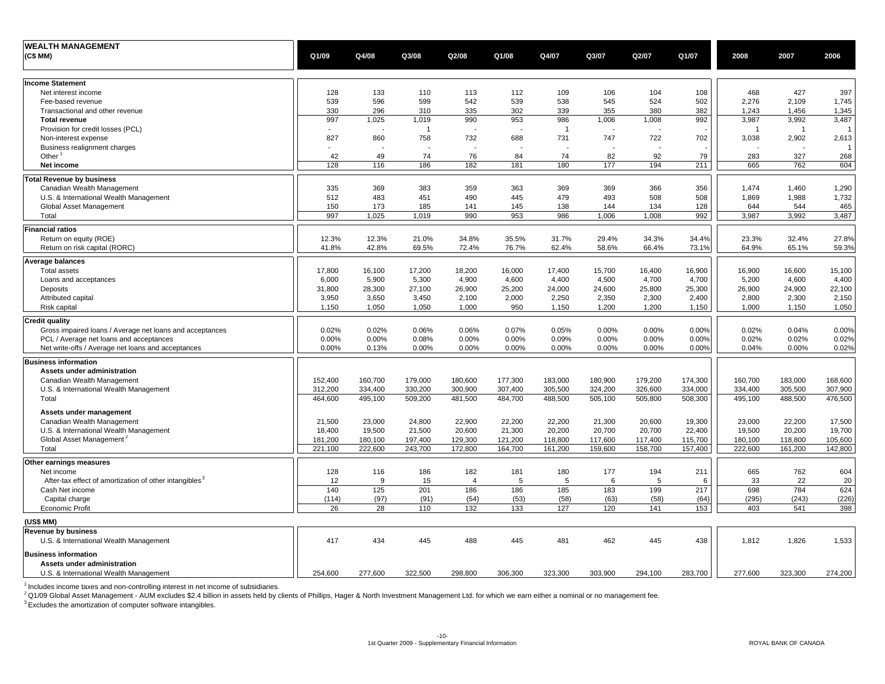| <b>WEALTH MANAGEMENT</b>                                           |                          |         |                |                          |                          |                |         |         |         |                         |                          |                |
|--------------------------------------------------------------------|--------------------------|---------|----------------|--------------------------|--------------------------|----------------|---------|---------|---------|-------------------------|--------------------------|----------------|
| (C\$MM)                                                            | Q1/09                    | Q4/08   | Q3/08          | Q2/08                    | Q1/08                    | Q4/07          | Q3/07   | Q2/07   | Q1/07   | 2008                    | 2007                     | 2006           |
|                                                                    |                          |         |                |                          |                          |                |         |         |         |                         |                          |                |
| <b>Income Statement</b>                                            |                          |         |                |                          |                          |                |         |         |         |                         |                          |                |
| Net interest income                                                | 128                      | 133     | 110            | 113                      | 112                      | 109            | 106     | 104     | 108     | 468                     | 427                      | 397            |
| Fee-based revenue                                                  | 539                      | 596     | 599            | 542                      | 539                      | 538            | 545     | 524     | 502     | 2,276                   | 2,109                    | 1,745          |
| Transactional and other revenue                                    | 330                      | 296     | 310            | 335                      | 302                      | 339            | 355     | 380     | 382     | 1,243                   | 1,456                    | 1,345          |
| <b>Total revenue</b>                                               | 997                      | 1,025   | 1,019          | 990                      | 953                      | 986            | 1,006   | 1,008   | 992     | 3,987                   | 3,992                    | 3,487          |
| Provision for credit losses (PCL)                                  | $\overline{\phantom{a}}$ |         | $\overline{1}$ | - 2                      | $\overline{\phantom{a}}$ | $\overline{1}$ |         |         |         | $\overline{\mathbf{1}}$ | $\overline{1}$           | $\overline{1}$ |
| Non-interest expense                                               | 827                      | 860     | 758            | 732                      | 688                      | 731            | 747     | 722     | 702     | 3,038                   | 2,902                    | 2,613          |
| Business realignment charges                                       | $\sim$                   |         |                | $\overline{\phantom{a}}$ | $\overline{\phantom{a}}$ |                |         |         |         |                         | $\overline{\phantom{a}}$ | 1              |
| Other $1$                                                          | 42                       | 49      | 74             | 76                       | 84                       | 74             | 82      | 92      | 79      | 283                     | 327                      | 268            |
| Net income                                                         | 128                      | 116     | 186            | 182                      | 181                      | 180            | 177     | 194     | 211     | 665                     | 762                      | 604            |
| <b>Total Revenue by business</b>                                   |                          |         |                |                          |                          |                |         |         |         |                         |                          |                |
| Canadian Wealth Management                                         | 335                      | 369     | 383            | 359                      | 363                      | 369            | 369     | 366     | 356     | 1,474                   | 1,460                    | 1,290          |
| U.S. & International Wealth Management                             | 512                      | 483     | 451            | 490                      | 445                      | 479            | 493     | 508     | 508     | 1,869                   | 1,988                    | 1,732          |
|                                                                    | 150                      | 173     | 185            | 141                      | 145                      | 138            | 144     | 134     | 128     | 644                     | 544                      | 465            |
| Global Asset Management<br>Total                                   | 997                      | 1,025   | 1,019          | 990                      | 953                      | 986            | 1,006   | 1,008   | 992     | 3,987                   | 3,992                    | 3,487          |
|                                                                    |                          |         |                |                          |                          |                |         |         |         |                         |                          |                |
| <b>Financial ratios</b>                                            |                          |         |                |                          |                          |                |         |         |         |                         |                          |                |
| Return on equity (ROE)                                             | 12.3%                    | 12.3%   | 21.0%          | 34.8%                    | 35.5%                    | 31.7%          | 29.4%   | 34.3%   | 34.4%   | 23.3%                   | 32.4%                    | 27.8%          |
| Return on risk capital (RORC)                                      | 41.8%                    | 42.8%   | 69.5%          | 72.4%                    | 76.7%                    | 62.4%          | 58.6%   | 66.4%   | 73.1%   | 64.9%                   | 65.1%                    | 59.3%          |
| <b>Average balances</b>                                            |                          |         |                |                          |                          |                |         |         |         |                         |                          |                |
| <b>Total assets</b>                                                | 17,800                   | 16,100  | 17,200         | 18,200                   | 16,000                   | 17,400         | 15,700  | 16,400  | 16,900  | 16,900                  | 16,600                   | 15,100         |
| Loans and acceptances                                              | 6,000                    | 5,900   | 5,300          | 4,900                    | 4,600                    | 4,400          | 4,500   | 4,700   | 4,700   | 5,200                   | 4,600                    | 4,400          |
| Deposits                                                           | 31,800                   | 28,300  | 27,100         | 26,900                   | 25,200                   | 24,000         | 24,600  | 25,800  | 25,300  | 26,900                  | 24,900                   | 22,100         |
| Attributed capital                                                 | 3,950                    | 3,650   | 3,450          | 2,100                    | 2,000                    | 2,250          | 2,350   | 2,300   | 2,400   | 2,800                   | 2,300                    | 2,150          |
| Risk capital                                                       | 1,150                    | 1,050   | 1,050          | 1.000                    | 950                      | 1,150          | 1,200   | 1,200   | 1,150   | 1.000                   | 1,150                    | 1,050          |
| <b>Credit quality</b>                                              |                          |         |                |                          |                          |                |         |         |         |                         |                          |                |
| Gross impaired loans / Average net loans and acceptances           | 0.02%                    | 0.02%   | 0.06%          | 0.06%                    | 0.07%                    | 0.05%          | 0.00%   | 0.00%   | 0.00%   | 0.02%                   | 0.04%                    | 0.00%          |
| PCL / Average net loans and acceptances                            | 0.00%                    | 0.00%   | 0.08%          | 0.00%                    | 0.00%                    | 0.09%          | 0.00%   | 0.00%   | 0.00%   | 0.02%                   | 0.02%                    | 0.02%          |
| Net write-offs / Average net loans and acceptances                 | 0.00%                    | 0.13%   | 0.00%          | 0.00%                    | 0.00%                    | 0.00%          | 0.00%   | 0.00%   | 0.00%   | 0.04%                   | 0.00%                    | 0.02%          |
| <b>Business information</b>                                        |                          |         |                |                          |                          |                |         |         |         |                         |                          |                |
| Assets under administration                                        |                          |         |                |                          |                          |                |         |         |         |                         |                          |                |
| Canadian Wealth Management                                         | 152,400                  | 160,700 | 179,000        | 180,600                  | 177,300                  | 183,000        | 180,900 | 179,200 | 174,300 | 160,700                 | 183,000                  | 168,600        |
| U.S. & International Wealth Management                             | 312,200                  | 334,400 | 330,200        | 300,900                  | 307,400                  | 305,500        | 324,200 | 326,600 | 334,000 | 334,400                 | 305,500                  | 307,900        |
| Total                                                              | 464,600                  | 495,100 | 509,200        | 481,500                  | 484,700                  | 488,500        | 505,100 | 505,800 | 508,300 | 495,100                 | 488,500                  | 476,500        |
|                                                                    |                          |         |                |                          |                          |                |         |         |         |                         |                          |                |
| Assets under management                                            |                          |         |                |                          |                          |                |         |         |         |                         |                          |                |
| Canadian Wealth Management                                         | 21,500                   | 23,000  | 24,800         | 22,900                   | 22,200                   | 22,200         | 21,300  | 20,600  | 19,300  | 23,000                  | 22,200                   | 17,500         |
| U.S. & International Wealth Management                             | 18,400                   | 19,500  | 21,500         | 20,600                   | 21,300                   | 20,200         | 20,700  | 20,700  | 22,400  | 19,500                  | 20,200                   | 19,700         |
| Global Asset Management <sup>2</sup>                               | 181,200                  | 180,100 | 197,400        | 129,300                  | 121,200                  | 118,800        | 117,600 | 117,400 | 115,700 | 180,100                 | 118,800                  | 105,600        |
| Total                                                              | 221,100                  | 222,600 | 243,700        | 172,800                  | 164,700                  | 161,200        | 159,600 | 158,700 | 157,400 | 222,600                 | 161,200                  | 142,800        |
| Other earnings measures                                            |                          |         |                |                          |                          |                |         |         |         |                         |                          |                |
| Net income                                                         | 128                      | 116     | 186            | 182                      | 181                      | 180            | 177     | 194     | 211     | 665                     | 762                      | 604            |
| After-tax effect of amortization of other intangibles <sup>3</sup> | 12                       | 9       | 15             | 4                        | 5                        | 5              | 6       | 5       | 6       | 33                      | 22                       | 20             |
| Cash Net income                                                    | 140                      | 125     | 201            | 186                      | 186                      | 185            | 183     | 199     | 217     | 698                     | 784                      | 624            |
| Capital charge                                                     | (114)                    | (97)    | (91)           | (54)                     | (53)                     | (58)           | (63)    | (58)    | (64)    | (295)                   | (243)                    | (226)          |
| <b>Economic Profit</b>                                             | 26                       | 28      | 110            | 132                      | 133                      | 127            | 120     | 141     | 153     | 403                     | 541                      | 398            |
| (US\$ MM)                                                          |                          |         |                |                          |                          |                |         |         |         |                         |                          |                |
| <b>Revenue by business</b>                                         |                          |         |                |                          |                          |                |         |         |         |                         |                          |                |
| U.S. & International Wealth Management                             | 417                      | 434     | 445            | 488                      | 445                      | 481            | 462     | 445     | 438     | 1,812                   | 1,826                    | 1,533          |
| <b>Business information</b>                                        |                          |         |                |                          |                          |                |         |         |         |                         |                          |                |
| Assets under administration                                        |                          |         |                |                          |                          |                |         |         |         |                         |                          |                |
| U.S. & International Wealth Management                             | 254,600                  | 277,600 | 322,500        | 298,800                  | 306,300                  | 323,300        | 303,900 | 294,100 | 283,700 | 277,600                 | 323,300                  | 274,200        |
|                                                                    |                          |         |                |                          |                          |                |         |         |         |                         |                          |                |

<sup>1</sup> Includes income taxes and non-controlling interest in net income of subsidiaries.<br><sup>2</sup> Q1/09 Global Asset Management - AUM excludes \$2.4 billion in assets held by clients of Phillips, Hager & North Investment Management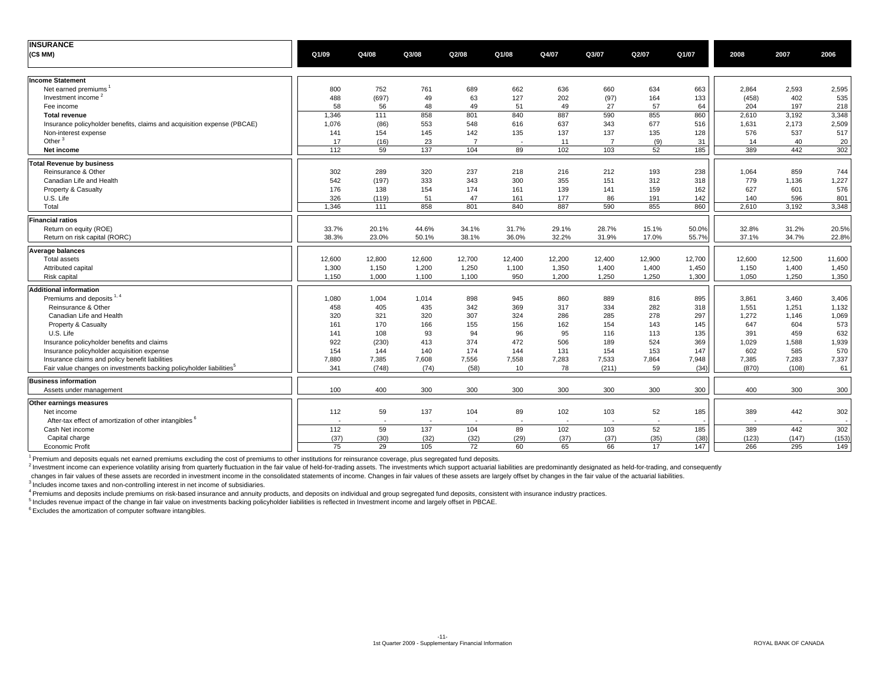| <b>INSURANCE</b>                                                                                                                   |                          |                          |                          |                          |                          |             |                          |             |               |                |                          |        |
|------------------------------------------------------------------------------------------------------------------------------------|--------------------------|--------------------------|--------------------------|--------------------------|--------------------------|-------------|--------------------------|-------------|---------------|----------------|--------------------------|--------|
| (C\$MM)                                                                                                                            | Q1/09                    | Q4/08                    | Q3/08                    | Q2/08                    | Q1/08                    | Q4/07       | Q3/07                    | Q2/07       | Q1/07         | 2008           | 2007                     | 2006   |
|                                                                                                                                    |                          |                          |                          |                          |                          |             |                          |             |               |                |                          |        |
| <b>Income Statement</b>                                                                                                            |                          |                          |                          |                          |                          |             |                          |             |               |                |                          |        |
| Net earned premiums                                                                                                                | 800                      | 752                      | 761                      | 689                      | 662                      | 636         | 660                      | 634         | 663           | 2,864          | 2,593                    | 2,595  |
| Investment income <sup>2</sup>                                                                                                     | 488                      | (697)                    | 49                       | 63                       | 127                      | 202         | (97)                     | 164         | 133           | (458)          | 402                      | 535    |
| Fee income                                                                                                                         | 58                       | 56                       | 48                       | 49                       | 51                       | 49          | 27                       | 57          | 64            | 204            | 197                      | 218    |
| <b>Total revenue</b>                                                                                                               | 1,346                    | 111                      | 858                      | 801                      | 840                      | 887         | 590                      | 855         | 860           | 2,610          | 3,192                    | 3,348  |
| Insurance policyholder benefits, claims and acquisition expense (PBCAE)                                                            | 1,076                    | (86)                     | 553                      | 548                      | 616                      | 637         | 343                      | 677         | 516           | 1,631          | 2,173                    | 2,509  |
| Non-interest expense                                                                                                               | 141                      | 154                      | 145                      | 142                      | 135                      | 137         | 137                      | 135         | 128           | 576            | 537                      | 517    |
| Other $3$                                                                                                                          | 17                       | (16)                     | 23                       | $\overline{7}$           | $\overline{\phantom{a}}$ | 11          | $\overline{7}$           | (9)         | 31            | 14             | 40                       | 20     |
| Net income                                                                                                                         | 112                      | 59                       | 137                      | 104                      | 89                       | 102         | 103                      | 52          | 185           | 389            | 442                      | 302    |
| <b>Total Revenue by business</b>                                                                                                   |                          |                          |                          |                          |                          |             |                          |             |               |                |                          |        |
| Reinsurance & Other                                                                                                                | 302                      | 289                      | 320                      | 237                      | 218                      | 216         | 212                      | 193         | 238           | 1,064          | 859                      | 744    |
| Canadian Life and Health                                                                                                           | 542                      | (197)                    | 333                      | 343                      | 300                      | 355         | 151                      | 312         | 318           | 779            | 1,136                    | 1,227  |
| Property & Casualty                                                                                                                | 176                      | 138                      | 154                      | 174                      | 161                      | 139         | 141                      | 159         | 162           | 627            | 601                      | 576    |
| U.S. Life                                                                                                                          | 326                      | (119)                    | 51                       | 47                       | 161                      | 177         | 86                       | 191         | 142           | 140            | 596                      | 801    |
| Total                                                                                                                              | 1,346                    | 111                      | 858                      | 801                      | 840                      | 887         | 590                      | 855         | 860           | 2.610          | 3.192                    | 3,348  |
| <b>Financial ratios</b>                                                                                                            |                          |                          |                          |                          |                          |             |                          |             |               |                |                          |        |
| Return on equity (ROE)                                                                                                             | 33.7%                    | 20.1%                    | 44.6%                    | 34.1%                    | 31.7%                    | 29.1%       | 28.7%                    | 15.1%       | 50.0%         | 32.8%          | 31.2%                    | 20.5%  |
| Return on risk capital (RORC)                                                                                                      | 38.3%                    | 23.0%                    | 50.1%                    | 38.1%                    | 36.0%                    | 32.2%       | 31.9%                    | 17.0%       | 55.7%         | 37.1%          | 34.7%                    | 22.8%  |
| <b>Average balances</b>                                                                                                            |                          |                          |                          |                          |                          |             |                          |             |               |                |                          |        |
| Total assets                                                                                                                       | 12,600                   | 12,800                   | 12,600                   | 12,700                   | 12,400                   | 12,200      | 12,400                   | 12,900      | 12,700        | 12,600         | 12,500                   | 11,600 |
| Attributed capital                                                                                                                 | 1,300                    | 1,150                    | 1,200                    | 1,250                    | 1,100                    | 1,350       | 1,400                    | 1,400       | 1,450         | 1,150          | 1,400                    | 1,450  |
| Risk capital                                                                                                                       | 1.150                    | 1,000                    | 1,100                    | 1,100                    | 950                      | 1,200       | 1,250                    | 1,250       | 1,300         | 1.050          | 1.250                    | 1,350  |
|                                                                                                                                    |                          |                          |                          |                          |                          |             |                          |             |               |                |                          |        |
| <b>Additional information</b>                                                                                                      |                          |                          |                          |                          |                          |             |                          |             |               |                |                          |        |
| Premiums and deposits 1, 4                                                                                                         | 1,080                    | 1,004                    | 1,014                    | 898                      | 945                      | 860         | 889                      | 816         | 895           | 3.861          | 3.460                    | 3,406  |
| Reinsurance & Other                                                                                                                | 458                      | 405                      | 435                      | 342                      | 369                      | 317         | 334                      | 282         | 318           | 1,551          | 1,251                    | 1,132  |
| Canadian Life and Health                                                                                                           | 320                      | 321                      | 320                      | 307                      | 324                      | 286         | 285                      | 278         | 297           | 1,272          | 1,146                    | 1,069  |
| Property & Casualty                                                                                                                | 161                      | 170                      | 166                      | 155                      | 156                      | 162         | 154                      | 143         | 145           | 647            | 604                      | 573    |
| U.S. Life                                                                                                                          | 141                      | 108                      | 93                       | 94                       | 96                       | 95          | 116                      | 113         | 135           | 391            | 459                      | 632    |
| Insurance policyholder benefits and claims                                                                                         | 922                      | (230)                    | 413                      | 374                      | 472                      | 506         | 189                      | 524         | 369           | 1,029          | 1,588                    | 1,939  |
| Insurance policyholder acquisition expense                                                                                         | 154                      | 144                      | 140                      | 174<br>7,556             | 144<br>7,558             | 131         | 154                      | 153         | 147           | 602            | 585                      | 570    |
| Insurance claims and policy benefit liabilities<br>Fair value changes on investments backing policyholder liabilities <sup>5</sup> | 7,880<br>341             | 7,385<br>(748)           | 7,608                    | (58)                     | 10                       | 7,283<br>78 | 7,533                    | 7,864<br>59 | 7,948<br>(34) | 7,385<br>(870) | 7,283<br>(108)           | 7,337  |
|                                                                                                                                    |                          |                          | (74)                     |                          |                          |             | (211)                    |             |               |                |                          | 61     |
| <b>Business information</b>                                                                                                        |                          |                          |                          |                          |                          |             |                          |             |               |                |                          |        |
| Assets under management                                                                                                            | 100                      | 400                      | 300                      | 300                      | 300                      | 300         | 300                      | 300         | 300           | 400            | 300                      | 300    |
| Other earnings measures                                                                                                            |                          |                          |                          |                          |                          |             |                          |             |               |                |                          |        |
| Net income                                                                                                                         | 112                      | 59                       | 137                      | 104                      | 89                       | 102         | 103                      | 52          | 185           | 389            | 442                      | 302    |
| After-tax effect of amortization of other intangibles <sup>6</sup>                                                                 | $\overline{\phantom{a}}$ | $\overline{\phantom{a}}$ | $\overline{\phantom{a}}$ | $\overline{\phantom{a}}$ | $\overline{\phantom{a}}$ | $\sim$      | $\overline{\phantom{a}}$ | $\sim$      |               |                | $\overline{\phantom{a}}$ |        |
| Cash Net income                                                                                                                    | 112                      | 59                       | 137                      | 104                      | 89                       | 102         | 103                      | 52          | 185           | 389            | 442                      | 302    |
| Capital charge                                                                                                                     | (37)                     | (30)                     | (32)                     | (32)                     | (29)                     | (37)        | (37)                     | (35)        | (38)          | (123)          | (147)                    | (153)  |
| <b>Economic Profit</b>                                                                                                             | 75                       | 29                       | 105                      | 72                       | 60                       | 65          | 66                       | 17          | 147           | 266            | 295                      | 149    |

<sup>1</sup> Premium and deposits equals net earned premiums excluding the cost of premiums to other institutions for reinsurance coverage, plus segregated fund deposits.

<sup>2</sup> Investment income can experience volatility arising from quarterly fluctuation in the fair value of held-for-trading assets. The investments which support actuarial liabilities are predominantly designated as held-for-

changes in fair values of these assets are recorded in investment income in the consolidated statements of income. Changes in fair values of these assets are largely offset by changes in the fair values of these assets are

<sup>3</sup> Includes income taxes and non-controlling interest in net income of subsidiaries.

4 Premiums and deposits include premiums on risk-based insurance and annuity products, and deposits on individual and group segregated fund deposits, consistent with insurance industry practices.

5 Includes revenue impact of the change in fair value on investments backing policyholder liabilities is reflected in Investment income and largely offset in PBCAE.

 $6$  Excludes the amortization of computer software intangibles.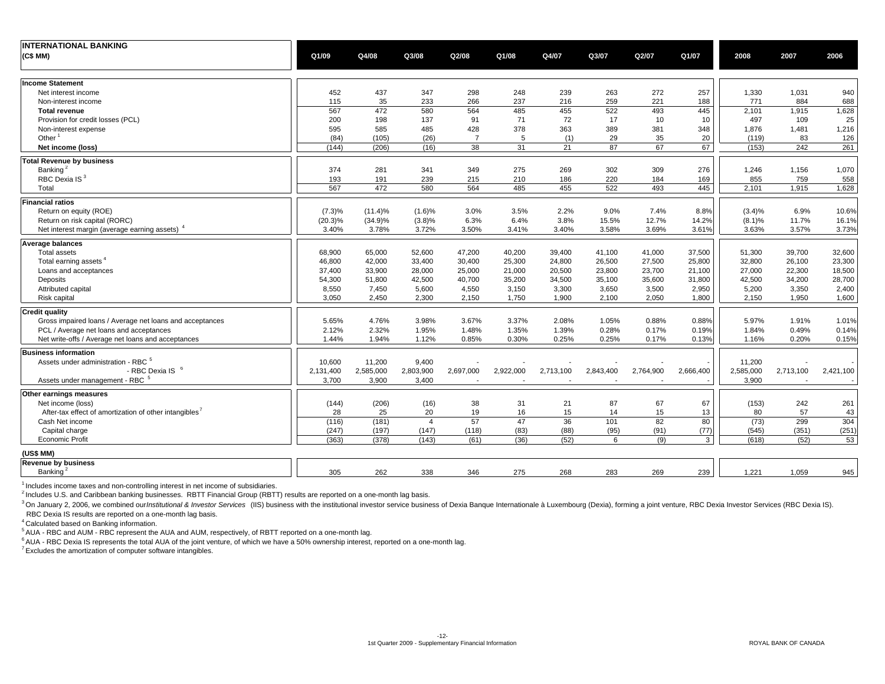| <b>INTERNATIONAL BANKING</b><br>(C\$MM)                   | Q1/09      | Q4/08      | Q3/08          | Q2/08          | Q1/08     | Q4/07     | Q3/07          | Q2/07     | Q1/07     | 2008      | 2007                     | 2006      |
|-----------------------------------------------------------|------------|------------|----------------|----------------|-----------|-----------|----------------|-----------|-----------|-----------|--------------------------|-----------|
|                                                           |            |            |                |                |           |           |                |           |           |           |                          |           |
| <b>Income Statement</b>                                   |            |            |                |                |           |           |                |           |           |           |                          |           |
| Net interest income                                       | 452        | 437        | 347            | 298            | 248       | 239       | 263            | 272       | 257       | 1,330     | 1,031                    | 940       |
| Non-interest income                                       | 115        | 35         | 233            | 266            | 237       | 216       | 259            | 221       | 188       | 771       | 884                      | 688       |
| <b>Total revenue</b>                                      | 567        | 472        | 580            | 564            | 485       | 455       | 522            | 493       | 445       | 2,101     | 1,915                    | 1,628     |
| Provision for credit losses (PCL)                         | 200        | 198        | 137            | 91             | 71        | 72        | 17             | 10        | 10        | 497       | 109                      | 25        |
| Non-interest expense                                      | 595        | 585        | 485            | 428            | 378       | 363       | 389            | 381       | 348       | 1,876     | 1,481                    | 1,216     |
| Other $1$                                                 | (84)       | (105)      | (26)           | $\overline{7}$ | 5         | (1)       | 29             | 35        | 20        | (119)     | 83                       | 126       |
| Net income (loss)                                         | (144)      | (206)      | (16)           | 38             | 31        | 21        | 87             | 67        | 67        | (153)     | 242                      | 261       |
| <b>Total Revenue by business</b>                          |            |            |                |                |           |           |                |           |           |           |                          |           |
| Banking <sup>2</sup>                                      | 374        | 281        | 341            | 349            | 275       | 269       | 302            | 309       | 276       | 1,246     | 1,156                    | 1,070     |
| RBC Dexia IS <sup>3</sup>                                 | 193        | 191        | 239            | 215            | 210       | 186       | 220            | 184       | 169       | 855       | 759                      | 558       |
| Total                                                     | 567        | 472        | 580            | 564            | 485       | 455       | 522            | 493       | 445       | 2,101     | 1,915                    | 1,628     |
| <b>Financial ratios</b>                                   |            |            |                |                |           |           |                |           |           |           |                          |           |
| Return on equity (ROE)                                    | (7.3)%     | $(11.4)\%$ | (1.6)%         | 3.0%           | 3.5%      | 2.2%      | 9.0%           | 7.4%      | 8.8%      | (3.4)%    | 6.9%                     | 10.6%     |
| Return on risk capital (RORC)                             | $(20.3)\%$ | (34.9)%    | (3.8)%         | 6.3%           | 6.4%      | 3.8%      | 15.5%          | 12.7%     | 14.2%     | $(8.1)\%$ | 11.7%                    | 16.1%     |
| Net interest margin (average earning assets) <sup>4</sup> | 3.40%      | 3.78%      | 3.72%          | 3.50%          | 3.41%     | 3.40%     | 3.58%          | 3.69%     | 3.61%     | 3.63%     | 3.57%                    | 3.73%     |
|                                                           |            |            |                |                |           |           |                |           |           |           |                          |           |
| Average balances                                          |            |            |                |                |           |           |                |           |           |           |                          |           |
| <b>Total assets</b>                                       | 68,900     | 65,000     | 52,600         | 47,200         | 40,200    | 39,400    | 41,100         | 41,000    | 37,500    | 51,300    | 39,700                   | 32,600    |
| Total earning assets <sup>4</sup>                         | 46,800     | 42,000     | 33,400         | 30,400         | 25,300    | 24,800    | 26,500         | 27,500    | 25,800    | 32,800    | 26,100                   | 23,300    |
| Loans and acceptances                                     | 37,400     | 33,900     | 28,000         | 25,000         | 21,000    | 20,500    | 23,800         | 23,700    | 21,100    | 27,000    | 22,300                   | 18,500    |
| Deposits                                                  | 54,300     | 51,800     | 42,500         | 40,700         | 35,200    | 34,500    | 35,100         | 35,600    | 31,800    | 42,500    | 34,200                   | 28,700    |
| Attributed capital                                        | 8,550      | 7,450      | 5,600          | 4,550          | 3,150     | 3,300     | 3,650          | 3,500     | 2,950     | 5,200     | 3,350                    | 2,400     |
| Risk capital                                              | 3,050      | 2,450      | 2,300          | 2,150          | 1,750     | 1,900     | 2,100          | 2,050     | 1,800     | 2,150     | 1,950                    | 1,600     |
| <b>Credit quality</b>                                     |            |            |                |                |           |           |                |           |           |           |                          |           |
| Gross impaired loans / Average net loans and acceptances  | 5.65%      | 4.76%      | 3.98%          | 3.67%          | 3.37%     | 2.08%     | 1.05%          | 0.88%     | 0.88%     | 5.97%     | 1.91%                    | 1.01%     |
| PCL / Average net loans and acceptances                   | 2.12%      | 2.32%      | 1.95%          | 1.48%          | 1.35%     | 1.39%     | 0.28%          | 0.17%     | 0.19%     | 1.84%     | 0.49%                    | 0.14%     |
| Net write-offs / Average net loans and acceptances        | 1.44%      | 1.94%      | 1.12%          | 0.85%          | 0.30%     | 0.25%     | 0.25%          | 0.17%     | 0.13%     | 1.16%     | 0.20%                    | 0.15%     |
| <b>Business information</b>                               |            |            |                |                |           |           |                |           |           |           |                          |           |
| Assets under administration - RBC 5                       | 10,600     | 11,200     | 9,400          |                |           |           |                |           |           | 11,200    |                          |           |
| - RBC Dexia IS                                            | 2,131,400  | 2,585,000  | 2,803,900      | 2,697,000      | 2,922,000 | 2,713,100 | 2,843,400      | 2,764,900 | 2,666,400 | 2,585,000 | 2,713,100                | 2,421,100 |
| Assets under management - RBC 5                           | 3.700      | 3.900      | 3,400          |                |           |           | $\overline{a}$ |           |           | 3.900     | $\overline{\phantom{a}}$ |           |
| Other earnings measures                                   |            |            |                |                |           |           |                |           |           |           |                          |           |
| Net income (loss)                                         | (144)      | (206)      | (16)           | 38             | 31        | 21        | 87             | 67        | 67        | (153)     | 242                      | 261       |
| After-tax effect of amortization of other intangibles     | 28         | 25         | 20             | 19             | 16        | 15        | 14             | 15        | 13        | 80        | 57                       | 43        |
| Cash Net income                                           | (116)      | (181)      | $\overline{4}$ | 57             | 47        | 36        | 101            | 82        | 80        | (73)      | 299                      | 304       |
| Capital charge                                            | (247)      | (197)      | (147)          | (118)          | (83)      | (88)      | (95)           | (91)      | (77)      | (545)     | (351)                    | (251)     |
| <b>Economic Profit</b>                                    | (363)      | (378)      | (143)          | (61)           | (36)      | (52)      | 6              | (9)       | 3         | (618)     | (52)                     | 53        |
| (US\$ MM)                                                 |            |            |                |                |           |           |                |           |           |           |                          |           |
| <b>Revenue by business</b>                                |            |            |                |                |           |           |                |           |           |           |                          |           |
| Banking <sup>2</sup>                                      | 305        | 262        | 338            | 346            | 275       | 268       | 283            | 269       | 239       | 1,221     | 1,059                    | 945       |

 $<sup>1</sup>$  Includes income taxes and non-controlling interest in net income of subsidiaries.</sup>

<sup>2</sup> Includes U.S. and Caribbean banking businesses. RBTT Financial Group (RBTT) results are reported on a one-month lag basis.

<sup>3</sup> On January 2, 2006, we combined our Institutional & Investor Services (IIS) business with the institutional investor service business with the institutional investor service business of Dexia Banque Internationale à Lu RBC Dexia IS results are reported on a one-month lag basis.

<sup>4</sup> Calculated based on Banking information.

<sup>5</sup> AUA - RBC and AUM - RBC represent the AUA and AUM, respectively, of RBTT reported on a one-month lag.

<sup>6</sup> AUA - RBC Dexia IS represents the total AUA of the joint venture, of which we have a 50% ownership interest, reported on a one-month lag.

7 Excludes the amortization of computer software intangibles.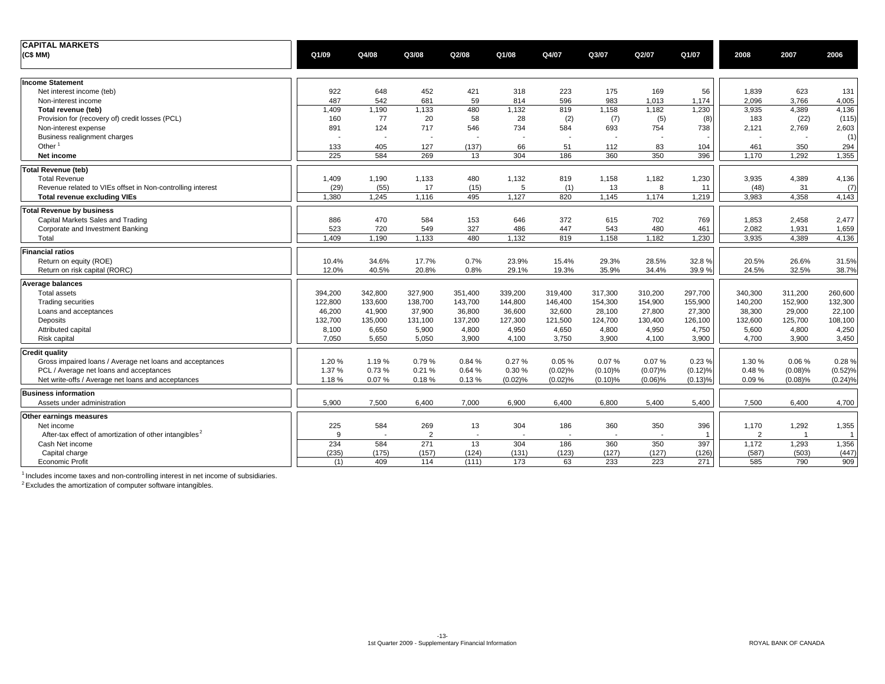| <b>CAPITAL MARKETS</b>                                             |         |                          |                          |         |         |         |         |            |                |                |                |              |
|--------------------------------------------------------------------|---------|--------------------------|--------------------------|---------|---------|---------|---------|------------|----------------|----------------|----------------|--------------|
| (C\$MM)                                                            | Q1/09   | Q4/08                    | Q3/08                    | Q2/08   | Q1/08   | Q4/07   | Q3/07   | Q2/07      | Q1/07          | 2008           | 2007           | 2006         |
| <b>Income Statement</b>                                            |         |                          |                          |         |         |         |         |            |                |                |                |              |
| Net interest income (teb)                                          | 922     | 648                      | 452                      | 421     | 318     | 223     | 175     | 169        | 56             | 1,839          | 623            | 131          |
| Non-interest income                                                | 487     | 542                      | 681                      | 59      | 814     | 596     | 983     | 1,013      | 1,174          | 2,096          | 3,766          | 4,005        |
| Total revenue (teb)                                                | 1,409   | 1,190                    | 1,133                    | 480     | 1,132   | 819     | 1,158   | 1,182      | 1,230          | 3,935          | 4,389          | 4,136        |
| Provision for (recovery of) credit losses (PCL)                    | 160     | 77                       | 20                       | 58      | 28      | (2)     | (7)     | (5)        | (8)            | 183            | (22)           | (115)        |
| Non-interest expense                                               | 891     | 124                      | 717                      | 546     | 734     | 584     | 693     | 754        | 738            | 2,121          | 2,769          | 2,603        |
| Business realignment charges                                       |         | $\blacksquare$           | $\overline{\phantom{a}}$ |         |         |         |         |            |                |                |                | (1)          |
| Other $1$                                                          | 133     | 405                      | 127                      | (137)   | 66      | 51      | 112     | 83         | 104            | 461            | 350            | 294          |
| Net income                                                         | 225     | 584                      | 269                      | 13      | 304     | 186     | 360     | 350        | 396            | 1,170          | 1.292          | 1,355        |
| Total Revenue (teb)                                                |         |                          |                          |         |         |         |         |            |                |                |                |              |
| <b>Total Revenue</b>                                               | 1,409   | 1,190                    | 1,133                    | 480     | 1,132   | 819     | 1,158   | 1,182      | 1,230          | 3,935          | 4,389          | 4,136        |
| Revenue related to VIEs offset in Non-controlling interest         | (29)    | (55)                     | 17                       | (15)    | 5       | (1)     | 13      | 8          | 11             | (48)           | 31             | (7)          |
| <b>Total revenue excluding VIEs</b>                                | 1.380   | 1.245                    | 1,116                    | 495     | 1,127   | 820     | 1,145   | 1,174      | 1,219          | 3,983          | 4,358          | 4,143        |
| <b>Total Revenue by business</b>                                   |         |                          |                          |         |         |         |         |            |                |                |                |              |
| Capital Markets Sales and Trading                                  | 886     | 470                      | 584                      | 153     | 646     | 372     | 615     | 702        | 769            | 1,853          | 2,458          | 2,477        |
| Corporate and Investment Banking                                   | 523     | 720                      | 549                      | 327     | 486     | 447     | 543     | 480        | 461            | 2,082          | 1,931          | 1,659        |
| Total                                                              | 1,409   | 1,190                    | 1,133                    | 480     | 1,132   | 819     | 1,158   | 1,182      | 1,230          | 3,935          | 4,389          | 4,136        |
| <b>Financial ratios</b>                                            |         |                          |                          |         |         |         |         |            |                |                |                |              |
| Return on equity (ROE)                                             | 10.4%   | 34.6%                    | 17.7%                    | 0.7%    | 23.9%   | 15.4%   | 29.3%   | 28.5%      | 32.8%          | 20.5%          | 26.6%          | 31.5%        |
| Return on risk capital (RORC)                                      | 12.0%   | 40.5%                    | 20.8%                    | 0.8%    | 29.1%   | 19.3%   | 35.9%   | 34.4%      | 39.9%          | 24.5%          | 32.5%          | 38.7%        |
| Average balances                                                   |         |                          |                          |         |         |         |         |            |                |                |                |              |
| <b>Total assets</b>                                                | 394,200 | 342,800                  | 327,900                  | 351,400 | 339,200 | 319,400 | 317,300 | 310,200    | 297,700        | 340,300        | 311,200        | 260,600      |
| <b>Trading securities</b>                                          | 122,800 | 133,600                  | 138,700                  | 143,700 | 144,800 | 146,400 | 154,300 | 154,900    | 155,900        | 140,200        | 152,900        | 132,300      |
| Loans and acceptances                                              | 46,200  | 41,900                   | 37,900                   | 36,800  | 36,600  | 32,600  | 28,100  | 27,800     | 27,300         | 38,300         | 29,000         | 22,100       |
| Deposits                                                           | 132,700 | 135,000                  | 131,100                  | 137,200 | 127,300 | 121,500 | 124,700 | 130,400    | 126,100        | 132,600        | 125,700        | 108,100      |
| Attributed capital                                                 | 8,100   | 6,650                    | 5,900                    | 4,800   | 4,950   | 4,650   | 4,800   | 4,950      | 4,750          | 5,600          | 4,800          | 4,250        |
| Risk capital                                                       | 7,050   | 5,650                    | 5,050                    | 3,900   | 4,100   | 3,750   | 3,900   | 4,100      | 3,900          | 4,700          | 3,900          | 3,450        |
| <b>Credit quality</b>                                              |         |                          |                          |         |         |         |         |            |                |                |                |              |
| Gross impaired loans / Average net loans and acceptances           | 1.20%   | 1.19%                    | 0.79%                    | 0.84 %  | 0.27%   | 0.05%   | 0.07%   | 0.07%      | 0.23%          | 1.30%          | 0.06%          | 0.28%        |
| PCL / Average net loans and acceptances                            | 1.37 %  | 0.73%                    | 0.21%                    | 0.64%   | 0.30%   | (0.02)% | (0.10)% | (0.07)%    | (0.12)%        | 0.48%          | (0.08)%        | (0.52)%      |
| Net write-offs / Average net loans and acceptances                 | 1.18%   | 0.07%                    | 0.18%                    | 0.13%   | (0.02)% | (0.02)% | (0.10)% | $(0.06)\%$ | (0.13)%        | 0.09%          | (0.08)%        | (0.24)%      |
| <b>Business information</b>                                        |         |                          |                          |         |         |         |         |            |                |                |                |              |
| Assets under administration                                        | 5,900   | 7,500                    | 6,400                    | 7,000   | 6,900   | 6,400   | 6,800   | 5,400      | 5,400          | 7,500          | 6,400          | 4,700        |
| Other earnings measures                                            |         |                          |                          |         |         |         |         |            |                |                |                |              |
| Net income                                                         | 225     | 584                      | 269                      | 13      | 304     | 186     | 360     | 350        | 396            | 1,170          | 1,292          | 1,355        |
| After-tax effect of amortization of other intangibles <sup>2</sup> | 9       | $\overline{\phantom{a}}$ | $\overline{2}$           |         |         |         |         |            | $\overline{1}$ | $\overline{2}$ | $\overline{1}$ | $\mathbf{1}$ |
| Cash Net income                                                    | 234     | 584                      | 271                      | 13      | 304     | 186     | 360     | 350        | 397            | 1,172          | 1,293          | 1,356        |
| Capital charge                                                     | (235)   | (175)                    | (157)                    | (124)   | (131)   | (123)   | (127)   | (127)      | (126)          | (587)          | (503)          | (447)        |
| <b>Economic Profit</b>                                             | (1)     | 409                      | 114                      | (111)   | 173     | 63      | 233     | 223        | 271            | 585            | 790            | 909          |

 $1$  Includes income taxes and non-controlling interest in net income of subsidiaries.

<sup>2</sup> Excludes the amortization of computer software intangibles.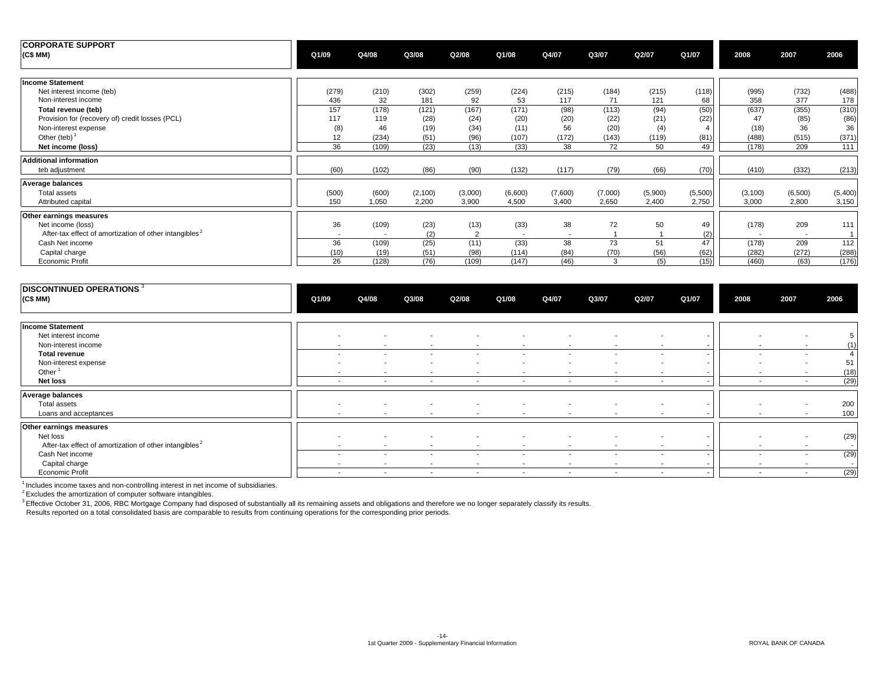| <b>CORPORATE SUPPORT</b><br>(C\$MM)                                | Q1/09        | Q4/08                    | Q3/08        | Q2/08          | Q1/08       | Q4/07                    | Q3/07       | Q2/07        | Q1/07       | 2008         | 2007                     | 2006           |
|--------------------------------------------------------------------|--------------|--------------------------|--------------|----------------|-------------|--------------------------|-------------|--------------|-------------|--------------|--------------------------|----------------|
| <b>Income Statement</b>                                            |              |                          |              |                |             |                          |             |              |             |              |                          |                |
| Net interest income (teb)<br>Non-interest income                   | (279)<br>436 | (210)<br>32              | (302)<br>181 | (259)<br>92    | (224)<br>53 | (215)<br>117             | (184)<br>71 | (215)<br>121 | (118)<br>68 | (995)<br>358 | (732)<br>377             | (488)<br>178   |
| Total revenue (teb)                                                | 157          | (178)                    | (121)        | (167)          | (171)       | (98)                     | (113)       | (94)         | (50)        | (637)        | (355)                    | (310)          |
| Provision for (recovery of) credit losses (PCL)                    | 117          | 119                      | (28)         | (24)           | (20)        | (20)                     | (22)        | (21)         | (22)        | 47           | (85)                     | (86)           |
| Non-interest expense                                               | (8)          | 46                       | (19)         | (34)           | (11)        | 56                       | (20)        | (4)          |             | (18)         | 36                       | 36             |
| Other (teb) $1$                                                    | 12           | (234)                    | (51)         | (96)           | (107)       | (172)                    | (143)       | (119)        | (81)        | (488)        | (515)                    | (371)          |
| Net income (loss)                                                  | 36           | (109)                    | (23)         | (13)           | (33)        | 38                       | 72          | 50           | 49          | (178)        | 209                      | 111            |
| <b>Additional information</b>                                      |              |                          |              |                |             |                          |             |              |             |              |                          |                |
| teb adjustment                                                     | (60)         | (102)                    | (86)         | (90)           | (132)       | (117)                    | (79)        | (66)         | (70)        | (410)        | (332)                    | (213)          |
| <b>Average balances</b>                                            |              |                          |              |                |             |                          |             |              |             |              |                          |                |
| Total assets                                                       | (500)        | (600)                    | (2,100)      | (3,000)        | (6,600)     | (7,600)                  | (7,000)     | (5,900)      | (5,500)     | (3, 100)     | (6,500)                  | (5,400)        |
| Attributed capital                                                 | 150          | 1,050                    | 2,200        | 3,900          | 4,500       | 3,400                    | 2,650       | 2,400        | 2,750       | 3,000        | 2,800                    | 3,150          |
| Other earnings measures                                            |              |                          |              |                |             |                          |             |              |             |              |                          |                |
| Net income (loss)                                                  | 36           | (109)                    | (23)         | (13)           | (33)        | 38                       | 72          | 50           | 49          | (178)        | 209                      | 111            |
| After-tax effect of amortization of other intangibles <sup>2</sup> | $\sim$       | $\overline{\phantom{a}}$ | (2)          | $\overline{2}$ |             | $\overline{\phantom{a}}$ |             |              | (2)         |              | $\overline{\phantom{a}}$ | $\overline{1}$ |
| Cash Net income                                                    | 36           | (109)                    | (25)         | (11)           | (33)        | 38                       | 73          | 51           | 47          | (178)        | 209                      | 112            |
| Capital charge                                                     | (10)         | (19)                     | (51)         | (98)           | (114)       | (84)                     | (70)        | (56)         | (62)        | (282)        | (272)                    | (288)          |
| Economic Profit                                                    | 26           | (128)                    | (76)         | (109)          | (147)       | (46)                     | 3           | (5)          | (15)        | (460)        | (63)                     | (176)          |

| DISCONTINUED OPERATIONS <sup>3</sup><br>(C\$ MM)                   | Q1/09                    | Q4/08                    | Q3/08                    | Q2/08                    | Q1/08                    | Q4/07                    | Q3/07                    | Q2/07                    | Q1/07 | 2008                     | 2007                     | 2006     |
|--------------------------------------------------------------------|--------------------------|--------------------------|--------------------------|--------------------------|--------------------------|--------------------------|--------------------------|--------------------------|-------|--------------------------|--------------------------|----------|
| <b>Income Statement</b>                                            |                          |                          |                          |                          |                          |                          |                          |                          |       |                          |                          |          |
| Net interest income                                                | $\overline{\phantom{a}}$ | $\overline{\phantom{a}}$ |                          |                          |                          |                          |                          |                          |       |                          | $\overline{\phantom{a}}$ |          |
| Non-interest income                                                | $\sim$                   | $\sim$                   | $\overline{\phantom{a}}$ | $\overline{\phantom{a}}$ | $\sim$                   | $\overline{\phantom{a}}$ | $\sim$                   | $\overline{\phantom{a}}$ |       | $\sim$                   | $\sim$                   | (1)      |
| <b>Total revenue</b>                                               | $\sim$                   | $\overline{\phantom{a}}$ | $\overline{\phantom{a}}$ | $\overline{\phantom{a}}$ | $\sim$                   | $\overline{\phantom{a}}$ | $\overline{\phantom{a}}$ | $\overline{\phantom{a}}$ |       | $\sim$                   | $\sim$                   |          |
| Non-interest expense                                               | $\overline{\phantom{a}}$ | $\overline{\phantom{a}}$ | $\overline{\phantom{a}}$ | $\overline{\phantom{a}}$ |                          | $\overline{\phantom{a}}$ |                          | $\overline{\phantom{a}}$ |       |                          | $\overline{\phantom{a}}$ | 51       |
| Other <sup>1</sup>                                                 | $\sim$                   | $\overline{\phantom{a}}$ | $\overline{\phantom{a}}$ | $\overline{\phantom{a}}$ | $\sim$                   | $\overline{\phantom{a}}$ | $\sim$                   | $\overline{\phantom{a}}$ |       | $\sim$                   | $\sim$                   | (18)     |
| Net loss                                                           | $\sim$                   | $\sim$                   | $\sim$                   | $\overline{\phantom{a}}$ | $\overline{\phantom{a}}$ | $\sim$                   | $\sim$                   | $\overline{\phantom{a}}$ |       | $\sim$                   | $\sim$                   | (29)     |
| Average balances                                                   |                          |                          |                          |                          |                          |                          |                          |                          |       |                          |                          |          |
| Total assets                                                       | $\sim$                   | $\overline{\phantom{a}}$ | $\overline{\phantom{a}}$ | $\overline{\phantom{a}}$ | $\overline{\phantom{a}}$ | $\overline{\phantom{a}}$ |                          | $\overline{\phantom{a}}$ |       | $\overline{\phantom{a}}$ | $\sim$                   | 200      |
| Loans and acceptances                                              | $\sim$                   | $\sim$                   | $\overline{\phantom{a}}$ | $\overline{\phantom{a}}$ | $\overline{\phantom{a}}$ | $\sim$                   | $\sim$                   | $\overline{\phantom{a}}$ |       | $\sim$                   | $\sim$                   | 100      |
| Other earnings measures                                            |                          |                          |                          |                          |                          |                          |                          |                          |       |                          |                          |          |
| Net loss                                                           | $\overline{\phantom{a}}$ | $\overline{\phantom{a}}$ | $\overline{\phantom{a}}$ |                          |                          |                          |                          |                          |       |                          | $\overline{\phantom{a}}$ | (29)     |
| After-tax effect of amortization of other intangibles <sup>2</sup> | $\sim$                   | $\overline{\phantom{a}}$ | $\overline{\phantom{a}}$ | $\overline{\phantom{a}}$ | $\overline{\phantom{a}}$ | $\overline{\phantom{a}}$ | $\overline{\phantom{a}}$ | $\overline{\phantom{a}}$ |       | $\overline{\phantom{0}}$ | $\sim$                   | $\sim$ 1 |
| Cash Net income                                                    | $\overline{\phantom{a}}$ | $\overline{\phantom{a}}$ | $\overline{\phantom{a}}$ | $\overline{\phantom{a}}$ | $\sim$                   | $\overline{\phantom{a}}$ | $\overline{\phantom{a}}$ | $\overline{\phantom{a}}$ |       | $\sim$                   | $\sim$                   | (29)     |
| Capital charge                                                     | $\sim$                   | $\sim$                   | $\sim$                   | $\overline{\phantom{a}}$ | $\sim$                   | $\sim$                   | $\sim$                   | $\overline{\phantom{a}}$ |       | $\sim$                   | $\sim$                   | $\sim$ 1 |
| <b>Economic Profit</b>                                             | $\sim$                   | $\overline{\phantom{a}}$ | $\sim$                   | $\overline{\phantom{a}}$ | $\sim$                   | $\overline{\phantom{a}}$ | $\overline{\phantom{a}}$ | $\overline{\phantom{a}}$ |       | $\sim$                   | $\overline{\phantom{a}}$ | (29)     |

 $<sup>1</sup>$  Includes income taxes and non-controlling interest in net income of subsidiaries.</sup>

 $2$  Excludes the amortization of computer software intangibles.

<sup>3</sup> Effective October 31, 2006, RBC Mortgage Company had disposed of substantially all its remaining assets and obligations and therefore we no longer separately classify its results.

Results reported on a total consolidated basis are comparable to results from continuing operations for the corresponding prior periods.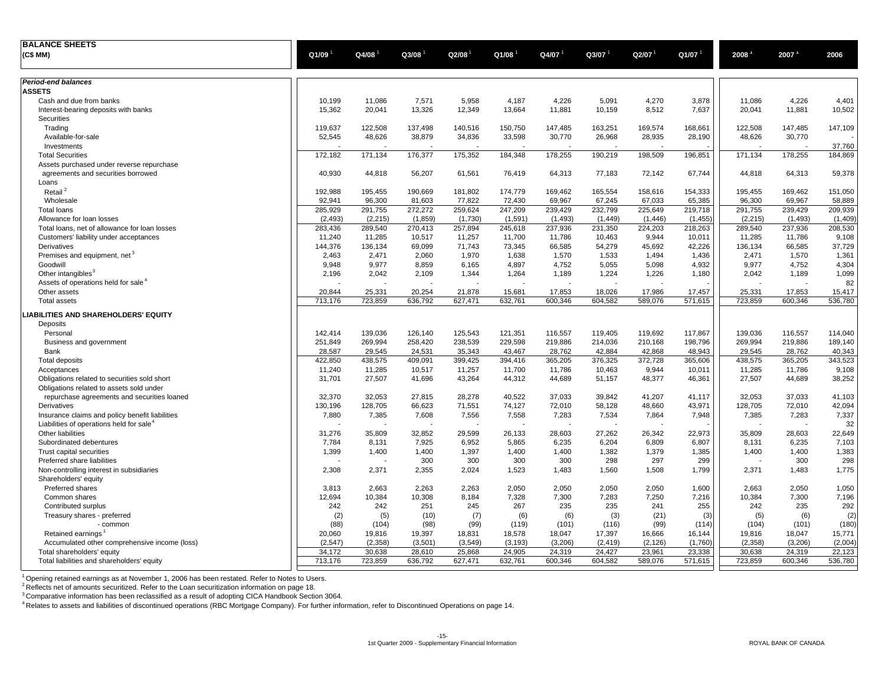| <b>BALANCE SHEETS</b>                                |                      |                      |         |                    |                    |                      |          |                     |          |                   |          |         |
|------------------------------------------------------|----------------------|----------------------|---------|--------------------|--------------------|----------------------|----------|---------------------|----------|-------------------|----------|---------|
| (C\$ MM)                                             | $Q1/09$ <sup>1</sup> | $Q4/08$ <sup>1</sup> | Q3/08   | Q2/08              | Q1/08              | $Q4/07$ <sup>1</sup> | Q3/07    | $Q$ 2/07 $^{\circ}$ | Q1/07    | 2008 <sup>1</sup> | 2007     | 2006    |
|                                                      |                      |                      |         |                    |                    |                      |          |                     |          |                   |          |         |
| Period-end balances                                  |                      |                      |         |                    |                    |                      |          |                     |          |                   |          |         |
| <b>ASSETS</b>                                        |                      |                      |         |                    |                    |                      |          |                     |          |                   |          |         |
| Cash and due from banks                              | 10,199               | 11,086               | 7,571   | 5,958              | 4,187              | 4,226                | 5,091    | 4,270               | 3,878    | 11,086            | 4,226    | 4,401   |
| Interest-bearing deposits with banks                 | 15,362               | 20,041               | 13,326  | 12,349             | 13,664             | 11,881               | 10,159   | 8,512               | 7,637    | 20,041            | 11,881   | 10,502  |
| Securities                                           |                      |                      |         |                    |                    |                      |          |                     |          |                   |          |         |
| Trading                                              | 119,637              | 122,508              | 137,498 | 140,516            | 150,750            | 147,485              | 163,251  | 169,574             | 168,661  | 122,508           | 147,485  | 147,109 |
| Available-for-sale                                   | 52,545               | 48,626               | 38,879  | 34,836             | 33,598             | 30,770               | 26,968   | 28,935              | 28,190   | 48,626            | 30,770   |         |
| Investments                                          |                      |                      |         |                    |                    |                      |          |                     |          |                   |          | 37,760  |
| <b>Total Securities</b>                              | 172,182              | 171,134              | 176,377 | 175,352            | 184,348            | 178,255              | 190,219  | 198,509             | 196,851  | 171,134           | 178,255  | 184,869 |
| Assets purchased under reverse repurchase            |                      |                      |         |                    |                    |                      |          |                     |          |                   |          |         |
| agreements and securities borrowed                   | 40,930               | 44,818               | 56,207  | 61,561             | 76,419             | 64,313               | 77,183   | 72,142              | 67,744   | 44,818            | 64,313   | 59,378  |
| Loans                                                |                      |                      |         |                    |                    |                      |          |                     |          |                   |          |         |
| Retail <sup>2</sup>                                  | 192,988              | 195,455              | 190,669 | 181,802            | 174,779            | 169,462              | 165,554  | 158,616             | 154,333  | 195,455           | 169,462  | 151,050 |
| Wholesale                                            | 92,941               | 96,300               | 81,603  | 77,822             | 72,430             | 69,967               | 67,245   | 67,033              | 65,385   | 96,300            | 69,967   | 58,889  |
| <b>Total loans</b>                                   | 285,929              | 291,755              | 272,272 | 259,624            | 247,209            | 239,429              | 232,799  | 225,649             | 219,718  | 291,755           | 239,429  | 209,939 |
| Allowance for loan losses                            | (2, 493)             | (2, 215)             | (1,859) | (1,730)            | (1,591)            | (1, 493)             | (1, 449) | (1, 446)            | (1, 455) | (2, 215)          | (1, 493) | (1,409) |
| Total loans, net of allowance for loan losses        | 283,436              | 289,540              | 270,413 | 257,894            | 245,618            | 237,936              | 231,350  | 224,203             | 218,263  | 289,540           | 237,936  | 208,530 |
| Customers' liability under acceptances               | 11,240               | 11,285               | 10,517  | 11,257             | 11,700             | 11,786               | 10,463   | 9,944               | 10,011   | 11,285            | 11,786   | 9,108   |
| Derivatives                                          | 144,376              | 136,134              | 69.099  | 71,743             | 73,345             | 66.585               | 54,279   | 45.692              | 42,226   | 136,134           | 66,585   | 37,729  |
| Premises and equipment, net <sup>3</sup>             | 2,463                | 2,471                | 2,060   | 1,970              | 1,638              | 1,570                | 1,533    | 1,494               | 1,436    | 2,471             | 1,570    | 1,361   |
| Goodwill                                             | 9,948                | 9,977                | 8,859   | 6,165              | 4,897              | 4,752                | 5,055    | 5,098               | 4,932    | 9,977             | 4,752    | 4,304   |
| Other intangibles <sup>3</sup>                       | 2,196                | 2,042                | 2,109   | 1,344              | 1,264              | 1,189                | 1,224    | 1,226               | 1,180    | 2,042             | 1,189    | 1,099   |
| Assets of operations held for sale <sup>4</sup>      |                      |                      |         |                    |                    | Ĭ.                   |          | $\overline{a}$      |          |                   |          | 82      |
| Other assets                                         | 20,844               | 25,331               | 20,254  | 21,878             | 15,681             | 17,853               | 18,026   | 17,986              | 17,457   | 25,331            | 17,853   | 15,417  |
| <b>Total assets</b>                                  | 713,176              | 723,859              | 636,792 | 627,471            | 632,761            | 600,346              | 604,582  | 589,076             | 571,615  | 723,859           | 600,346  | 536,780 |
| LIABILITIES AND SHAREHOLDERS' EQUITY                 |                      |                      |         |                    |                    |                      |          |                     |          |                   |          |         |
|                                                      |                      |                      |         |                    |                    |                      |          |                     |          |                   |          |         |
| Deposits                                             |                      |                      |         |                    |                    |                      |          |                     |          |                   |          |         |
| Personal                                             | 142,414              | 139,036              | 126,140 | 125,543<br>238,539 | 121,351<br>229,598 | 116,557              | 119,405  | 119,692             | 117,867  | 139,036           | 116,557  | 114,040 |
| Business and government                              | 251,849              | 269,994              | 258,420 |                    |                    | 219,886              | 214,036  | 210,168             | 198,796  | 269,994           | 219,886  | 189,140 |
| Bank                                                 | 28,587               | 29,545               | 24,531  | 35,343             | 43,467             | 28,762               | 42,884   | 42,868              | 48,943   | 29,545            | 28,762   | 40,343  |
| <b>Total deposits</b>                                | 422,850              | 438,575              | 409,091 | 399,425            | 394,416            | 365,205              | 376,325  | 372,728             | 365,606  | 438,575           | 365,205  | 343,523 |
| Acceptances                                          | 11,240               | 11,285               | 10,517  | 11,257             | 11,700             | 11,786               | 10,463   | 9,944               | 10,011   | 11,285            | 11,786   | 9,108   |
| Obligations related to securities sold short         | 31,701               | 27,507               | 41,696  | 43,264             | 44,312             | 44,689               | 51,157   | 48,377              | 46,361   | 27,507            | 44,689   | 38,252  |
| Obligations related to assets sold under             |                      |                      |         |                    |                    |                      |          |                     |          |                   |          |         |
| repurchase agreements and securities loaned          | 32,370               | 32,053               | 27,815  | 28,278             | 40,522             | 37,033               | 39,842   | 41,207              | 41,117   | 32,053            | 37,033   | 41,103  |
| Derivatives                                          | 130,196              | 128,705              | 66,623  | 71,551             | 74,127             | 72,010               | 58,128   | 48,660              | 43,971   | 128,705           | 72,010   | 42,094  |
| Insurance claims and policy benefit liabilities      | 7,880                | 7,385                | 7,608   | 7,556              | 7,558              | 7,283                | 7,534    | 7,864               | 7,948    | 7,385             | 7,283    | 7,337   |
| Liabilities of operations held for sale <sup>4</sup> |                      |                      |         |                    |                    |                      |          |                     |          |                   |          | 32      |
| Other liabilities                                    | 31,276               | 35,809               | 32,852  | 29,599             | 26,133             | 28,603               | 27,262   | 26,342              | 22,973   | 35,809            | 28,603   | 22,649  |
| Subordinated debentures                              | 7,784                | 8,131                | 7,925   | 6,952              | 5,865              | 6,235                | 6,204    | 6,809               | 6,807    | 8,131             | 6,235    | 7,103   |
| Trust capital securities                             | 1,399                | 1,400                | 1,400   | 1,397              | 1,400              | 1,400                | 1,382    | 1,379               | 1,385    | 1,400             | 1,400    | 1,383   |
| Preferred share liabilities                          |                      |                      | 300     | 300                | 300                | 300                  | 298      | 297                 | 299      |                   | 300      | 298     |
| Non-controlling interest in subsidiaries             | 2,308                | 2,371                | 2,355   | 2,024              | 1,523              | 1,483                | 1,560    | 1,508               | 1,799    | 2,371             | 1,483    | 1,775   |
| Shareholders' equity                                 |                      |                      |         |                    |                    |                      |          |                     |          |                   |          |         |
| Preferred shares                                     | 3,813                | 2,663                | 2,263   | 2,263              | 2,050              | 2,050                | 2,050    | 2,050               | 1,600    | 2,663             | 2,050    | 1,050   |
| Common shares                                        | 12,694               | 10,384               | 10.308  | 8.184              | 7,328              | 7,300                | 7,283    | 7,250               | 7,216    | 10,384            | 7.300    | 7,196   |
| Contributed surplus                                  | 242                  | 242                  | 251     | 245                | 267                | 235                  | 235      | 241                 | 255      | 242               | 235      | 292     |
| Treasury shares - preferred                          | (2)                  | (5)                  | (10)    | (7)                | (6)                | (6)                  | (3)      | (21)                | (3)      | (5)               | (6)      | (2)     |
| - common                                             | (88)                 | (104)                | (98)    | (99)               | (119)              | (101)                | (116)    | (99)                | (114)    | (104)             | (101)    | (180)   |
| Retained earnings                                    | 20,060               | 19,816               | 19,397  | 18,831             | 18,578             | 18,047               | 17,397   | 16,666              | 16,144   | 19,816            | 18,047   | 15,771  |
| Accumulated other comprehensive income (loss)        | (2,547)              | (2,358)              | (3,501) | (3,549)            | (3, 193)           | (3,206)              | (2, 419) | (2, 126)            | (1,760)  | (2,358)           | (3,206)  | (2,004) |
| Total shareholders' equity                           | 34,172               | 30,638               | 28,610  | 25,868             | 24,905             | 24,319               | 24,427   | 23,961              | 23,338   | 30,638            | 24,319   | 22,123  |
| Total liabilities and shareholders' equity           | 713,176              | 723,859              | 636,792 | 627,471            | 632,761            | 600,346              | 604,582  | 589,076             | 571,615  | 723,859           | 600,346  | 536,780 |

 $1$  Opening retained earnings as at November 1, 2006 has been restated. Refer to Notes to Users.

 $2$  Reflects net of amounts securitized. Refer to the Loan securitization information on page 18.

 ${}^{3}$ Comparative information has been reclassified as a result of adopting CICA Handbook Section 3064.

<sup>4</sup> Relates to assets and liabilities of discontinued operations (RBC Mortgage Company). For further information, refer to Discontinued Operations on page 14.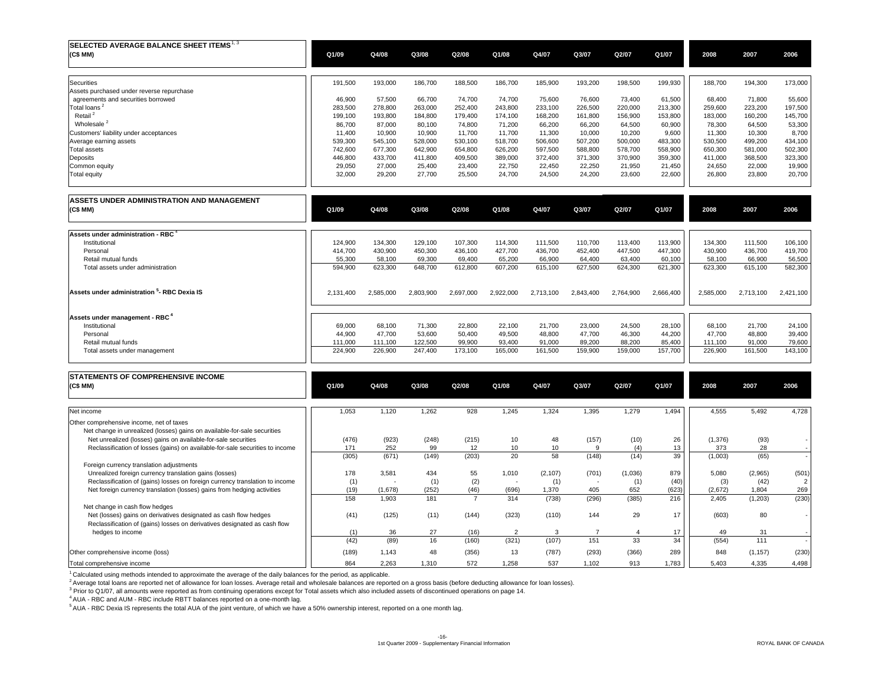| $\sf{ISELECTED}$ AVERAGE BALANCE SHEET ITEMS $^{1,3}$<br>(C\$MM) | Q1/09   | Q4/08   | Q3/08   | Q2/08   | Q1/08   | Q4/07   | Q3/07   | Q2/07   | Q1/07   | 2008    | 2007    | 2006    |
|------------------------------------------------------------------|---------|---------|---------|---------|---------|---------|---------|---------|---------|---------|---------|---------|
| Securities                                                       | 191,500 | 193,000 | 186,700 | 188,500 | 186,700 | 185,900 | 193,200 | 198,500 | 199,930 | 188,700 | 194,300 | 173,000 |
| Assets purchased under reverse repurchase                        |         |         |         |         |         |         |         |         |         |         |         |         |
| agreements and securities borrowed                               | 46,900  | 57,500  | 66.700  | 74,700  | 74,700  | 75,600  | 76,600  | 73,400  | 61,500  | 68,400  | 71,800  | 55,600  |
| Total loans <sup>2</sup>                                         | 283,500 | 278.800 | 263,000 | 252,400 | 243,800 | 233,100 | 226,500 | 220,000 | 213,300 | 259,600 | 223,200 | 197,500 |
| Retail <sup>2</sup>                                              | 199,100 | 193,800 | 184,800 | 179,400 | 174,100 | 168,200 | 161,800 | 156,900 | 153,800 | 183,000 | 160,200 | 145,700 |
| Wholesale <sup>2</sup>                                           | 86,700  | 87,000  | 80,100  | 74,800  | 71,200  | 66,200  | 66,200  | 64,500  | 60.900  | 78.300  | 64,500  | 53,300  |
| Customers' liability under acceptances                           | 11.400  | 10,900  | 10,900  | 11,700  | 11,700  | 11,300  | 10,000  | 10,200  | 9,600   | 11,300  | 10,300  | 8,700   |
| Average earning assets                                           | 539,300 | 545,100 | 528,000 | 530,100 | 518,700 | 506,600 | 507,200 | 500,000 | 483,300 | 530,500 | 499,200 | 434,100 |
| <b>Total assets</b>                                              | 742,600 | 677,300 | 642,900 | 654,800 | 626,200 | 597,500 | 588,800 | 578,700 | 558,900 | 650,300 | 581,000 | 502,300 |
| Deposits                                                         | 446,800 | 433,700 | 411,800 | 409,500 | 389,000 | 372,400 | 371,300 | 370,900 | 359,300 | 411.000 | 368,500 | 323,300 |
| Common equity                                                    | 29,050  | 27,000  | 25.400  | 23,400  | 22,750  | 22.450  | 22.250  | 21,950  | 21.450  | 24,650  | 22,000  | 19,900  |
| Total equity                                                     | 32,000  | 29,200  | 27,700  | 25,500  | 24,700  | 24,500  | 24,200  | 23,600  | 22,600  | 26,800  | 23,800  | 20,700  |
|                                                                  |         |         |         |         |         |         |         |         |         |         |         |         |

| <b>ASSETS UNDER ADMINISTRATION AND MANAGEMENT</b><br>(C\$ MM) | Q1/09     | Q4/08     | Q3/08     | Q2/08     | Q1/08     | Q4/07     | Q3/07     | Q2/07     | Q1/07     | 2008      | 2007      | 2006      |
|---------------------------------------------------------------|-----------|-----------|-----------|-----------|-----------|-----------|-----------|-----------|-----------|-----------|-----------|-----------|
| Assets under administration - RBC <sup>4</sup>                |           |           |           |           |           |           |           |           |           |           |           |           |
| Institutional                                                 | 124.900   | 134.300   | 129,100   | 107,300   | 114,300   | 111,500   | 110,700   | 113,400   | 113,900   | 134,300   | 111,500   | 106,100   |
| Personal                                                      | 414.700   | 430,900   | 450,300   | 436,100   | 427,700   | 436,700   | 452,400   | 447,500   | 447,300   | 430,900   | 436,700   | 419,700   |
| Retail mutual funds                                           | 55,300    | 58,100    | 69,300    | 69,400    | 65,200    | 66,900    | 64,400    | 63,400    | 60,100    | 58,100    | 66,900    | 56,500    |
| Total assets under administration                             | 594,900   | 623,300   | 648,700   | 612,800   | 607,200   | 615,100   | 627,500   | 624,300   | 621,300   | 623,300   | 615,100   | 582,300   |
| Assets under administration <sup>5</sup> - RBC Dexia IS       | 2.131.400 | 2,585,000 | 2,803,900 | 2,697,000 | 2,922,000 | 2.713.100 | 2,843,400 | 2,764,900 | 2,666,400 | 2,585,000 | 2,713,100 | 2,421,100 |
| Assets under management - RBC <sup>4</sup>                    |           |           |           |           |           |           |           |           |           |           |           |           |
| Institutional                                                 | 69,000    | 68,100    | 71,300    | 22,800    | 22,100    | 21,700    | 23,000    | 24,500    | 28,100    | 68,100    | 21,700    | 24,100    |
| Personal                                                      | 44,900    | 47,700    | 53,600    | 50,400    | 49,500    | 48,800    | 47,700    | 46,300    | 44,200    | 47,700    | 48,800    | 39,400    |
| Retail mutual funds                                           | 111,000   | 111,100   | 122,500   | 99,900    | 93,400    | 91,000    | 89,200    | 88,200    | 85,400    | 111,100   | 91,000    | 79,600    |
| Total assets under management                                 | 224,900   | 226,900   | 247,400   | 173,100   | 165,000   | 161,500   | 159,900   | 159,000   | 157,700   | 226,900   | 161,500   | 143,100   |
|                                                               |           |           |           |           |           |           |           |           |           |           |           |           |

| <b>STATEMENTS OF COMPREHENSIVE INCOME</b><br>(C\$ MM)                         | Q1/09 | Q4/08                    | Q3/08 | Q2/08 | Q1/08          | Q4/07    | Q3/07                    | Q2/07   | Q1/07 | 2008     | 2007     | 2006                     |
|-------------------------------------------------------------------------------|-------|--------------------------|-------|-------|----------------|----------|--------------------------|---------|-------|----------|----------|--------------------------|
| Net income                                                                    | 1,053 | 1,120                    | 1,262 | 928   | 1,245          | 1,324    | 1,395                    | 1.279   | 1,494 | 4,555    | 5,492    | 4,728                    |
| Other comprehensive income, net of taxes                                      |       |                          |       |       |                |          |                          |         |       |          |          |                          |
| Net change in unrealized (losses) gains on available-for-sale securities      |       |                          |       |       |                |          |                          |         |       |          |          |                          |
| Net unrealized (losses) gains on available-for-sale securities                | (476) | (923)                    | (248) | (215) | 10             | 48       | (157)                    | (10)    | 26    | (1, 376) | (93)     |                          |
| Reclassification of losses (gains) on available-for-sale securities to income | 171   | 252                      | 99    | 12    | 10             | 10       |                          | (4)     | 13    | 373      | 28       | $\overline{\phantom{a}}$ |
|                                                                               | (305) | (671)                    | (149) | (203) | 20             | 58       | (148)                    | (14)    | 39    | (1,003)  | (65)     | $\sim$                   |
| Foreign currency translation adjustments                                      |       |                          |       |       |                |          |                          |         |       |          |          |                          |
| Unrealized foreign currency translation gains (losses)                        | 178   | 3,581                    | 434   | 55    | 1,010          | (2, 107) | (701)                    | (1,036) | 879   | 5,080    | (2,965)  | (501)                    |
| Reclassification of (gains) losses on foreign currency translation to income  | (1)   | $\overline{\phantom{a}}$ | (1)   | (2)   |                | (1)      | $\overline{\phantom{a}}$ | (1)     | (40)  | (3)      | (42)     |                          |
| Net foreign currency translation (losses) gains from hedging activities       | (19)  | (1,678)                  | (252) | (46)  | (696)          | 1,370    | 405                      | 652     | (623) | (2,672)  | 1,804    | 269                      |
|                                                                               | 158   | 1,903                    | 181   |       | 314            | (738)    | (296)                    | (385)   | 216   | 2,405    | (1,203)  | (230)                    |
| Net change in cash flow hedges                                                |       |                          |       |       |                |          |                          |         |       |          |          |                          |
| Net (losses) gains on derivatives designated as cash flow hedges              | (41)  | (125)                    | (11)  | (144) | (323)          | (110)    | 144                      | 29      | 17    | (603)    | 80       |                          |
| Reclassification of (gains) losses on derivatives designated as cash flow     |       |                          |       |       |                |          |                          |         |       |          |          |                          |
| hedges to income                                                              | (1)   | 36                       | 27    | (16)  | $\overline{2}$ | 3        |                          |         | 17    | 49       | 31       | $\overline{\phantom{a}}$ |
|                                                                               | (42)  | (89)                     | 16    | (160) | (321)          | (107)    | 151                      | 33      | 34    | (554)    | 111      | $\sim$                   |
| Other comprehensive income (loss)                                             | (189) | 1,143                    | 48    | (356) | 13             | (787)    | (293)                    | (366)   | 289   | 848      | (1, 157) | (230)                    |
| Total comprehensive income                                                    | 864   | 2,263                    | 1.310 | 572   | 1.258          | 537      | 1.102                    | 913     | 1.783 | 5,403    | 4,335    | 4,498                    |

 $1$  Calculated using methods intended to approximate the average of the daily balances for the period, as applicable.

<sup>2</sup> Average total loans are reported net of allowance for loan losses. Average retail and wholesale balances are reported on a gross basis (before deducting allowance for loan losses).

3 Prior to Q1/07, all amounts were reported as from continuing operations except for Total assets which also included assets of discontinued operations on page 14.

<sup>4</sup> AUA - RBC and AUM - RBC include RBTT balances reported on a one-month lag.

5 AUA - RBC Dexia IS represents the total AUA of the joint venture, of which we have a 50% ownership interest, reported on a one month lag.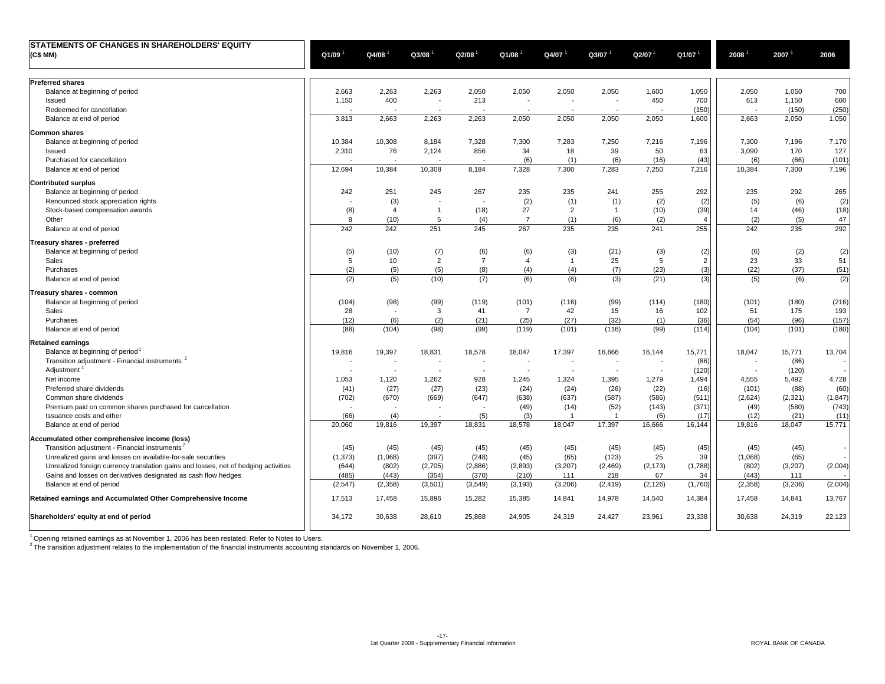| STATEMENTS OF CHANGES IN SHAREHOLDERS' EQUITY                                       |          |                          |                          |                          |                          |                |                          |                      |                |         |          |          |
|-------------------------------------------------------------------------------------|----------|--------------------------|--------------------------|--------------------------|--------------------------|----------------|--------------------------|----------------------|----------------|---------|----------|----------|
| (C\$ MM)                                                                            | Q1/09    | $Q4/08$ <sup>1</sup>     | Q3/08                    | Q2/08                    | $Q1/08$ <sup>1</sup>     | Q4/07          | Q3/07                    | $Q2/07$ <sup>1</sup> | Q1/07          | 2008    | 2007     | 2006     |
|                                                                                     |          |                          |                          |                          |                          |                |                          |                      |                |         |          |          |
| <b>Preferred shares</b>                                                             |          |                          |                          |                          |                          |                |                          |                      |                |         |          |          |
| Balance at beginning of period                                                      | 2,663    | 2,263                    | 2,263                    | 2,050                    | 2,050                    | 2,050          | 2,050                    | 1,600                | 1,050          | 2,050   | 1,050    | 700      |
| Issued                                                                              | 1,150    | 400                      | $\overline{\phantom{a}}$ | 213                      | $\overline{\phantom{a}}$ |                | $\overline{\phantom{a}}$ | 450                  | 700            | 613     | 1,150    | 600      |
| Redeemed for cancellation                                                           |          |                          |                          |                          |                          |                |                          |                      | (150)          |         | (150)    | (250)    |
| Balance at end of period                                                            | 3,813    | 2,663                    | 2,263                    | 2,263                    | 2,050                    | 2,050          | 2,050                    | 2,050                | 1,600          | 2,663   | 2,050    | 1,050    |
| <b>Common shares</b>                                                                |          |                          |                          |                          |                          |                |                          |                      |                |         |          |          |
| Balance at beginning of period                                                      | 10,384   | 10,308                   | 8,184                    | 7,328                    | 7,300                    | 7,283          | 7,250                    | 7,216                | 7,196          | 7,300   | 7,196    | 7,170    |
| Issued                                                                              | 2,310    | 76                       | 2,124                    | 856                      | 34                       | 18             | 39                       | 50                   | 63             | 3,090   | 170      | 127      |
| Purchased for cancellation                                                          |          |                          | $\overline{\phantom{a}}$ | $\overline{\phantom{a}}$ | (6)                      | (1)            | (6)                      | (16)                 | (43)           | (6)     | (66)     | (101)    |
| Balance at end of period                                                            | 12,694   | 10,384                   | 10,308                   | 8,184                    | 7,328                    | 7,300          | 7,283                    | 7,250                | 7,216          | 10,384  | 7,300    | 7,196    |
| <b>Contributed surplus</b>                                                          |          |                          |                          |                          |                          |                |                          |                      |                |         |          |          |
| Balance at beginning of period                                                      | 242      | 251                      | 245                      | 267                      | 235                      | 235            | 241                      | 255                  | 292            | 235     | 292      | 265      |
| Renounced stock appreciation rights                                                 |          | (3)                      |                          |                          | (2)                      | (1)            | (1)                      | (2)                  | (2)            | (5)     | (6)      | (2)      |
| Stock-based compensation awards                                                     | (8)      | $\overline{4}$           | $\mathbf{1}$             | (18)                     | 27                       | $\overline{2}$ | $\mathbf{1}$             | (10)                 | (39)           | 14      | (46)     | (18)     |
| Other                                                                               | 8        | (10)                     | 5                        | (4)                      | $\overline{7}$           | (1)            | (6)                      | (2)                  | $\overline{4}$ | (2)     | (5)      | 47       |
| Balance at end of period                                                            | 242      | 242                      | 251                      | 245                      | 267                      | 235            | 235                      | 241                  | 255            | 242     | 235      | 292      |
| Treasury shares - preferred                                                         |          |                          |                          |                          |                          |                |                          |                      |                |         |          |          |
| Balance at beginning of period                                                      | (5)      | (10)                     | (7)                      | (6)                      | (6)                      | (3)            | (21)                     | (3)                  | (2)            | (6)     | (2)      | (2)      |
| Sales                                                                               | 5        | 10                       | $\overline{2}$           | $\overline{7}$           | 4                        | $\mathbf{1}$   | 25                       | 5                    | $\overline{2}$ | 23      | 33       | 51       |
| Purchases                                                                           | (2)      | (5)                      | (5)                      | (8)                      | (4)                      | (4)            | (7)                      | (23)                 | (3)            | (22)    | (37)     | (51)     |
| Balance at end of period                                                            | (2)      | (5)                      | (10)                     | (7)                      | (6)                      | (6)            | (3)                      | (21)                 | (3)            | (5)     | (6)      | (2)      |
| Treasury shares - common                                                            |          |                          |                          |                          |                          |                |                          |                      |                |         |          |          |
| Balance at beginning of period                                                      | (104)    | (98)                     | (99)                     | (119)                    | (101)                    | (116)          | (99)                     | (114)                | (180)          | (101)   | (180)    | (216)    |
| Sales                                                                               | 28       | $\overline{\phantom{a}}$ | 3                        | 41                       | $\overline{7}$           | 42             | 15                       | 16                   | 102            | 51      | 175      | 193      |
| Purchases                                                                           | (12)     | (6)                      | (2)                      | (21)                     | (25)                     | (27)           | (32)                     | (1)                  | (36)           | (54)    | (96)     | (157)    |
| Balance at end of period                                                            | (88)     | (104)                    | (98)                     | (99)                     | (119)                    | (101)          | (116)                    | (99)                 | (114)          | (104)   | (101)    | (180)    |
| <b>Retained earnings</b>                                                            |          |                          |                          |                          |                          |                |                          |                      |                |         |          |          |
| Balance at beginning of period                                                      | 19,816   | 19,397                   | 18,831                   | 18,578                   | 18,047                   | 17,397         | 16,666                   | 16,144               | 15,771         | 18,047  | 15,771   | 13,704   |
| Transition adjustment - Financial instruments <sup>2</sup>                          |          |                          |                          |                          |                          |                |                          |                      | (86)           |         | (86)     |          |
| Adjustment                                                                          |          |                          |                          |                          |                          |                |                          |                      | (120)          |         | (120)    |          |
| Net income                                                                          | 1,053    | 1,120                    | 1,262                    | 928                      | 1,245                    | 1,324          | 1,395                    | 1,279                | 1,494          | 4.555   | 5,492    | 4,728    |
| Preferred share dividends                                                           | (41)     | (27)                     | (27)                     | (23)                     | (24)                     | (24)           | (26)                     | (22)                 | (16)           | (101)   | (88)     | (60)     |
| Common share dividends                                                              | (702)    | (670)                    | (669)                    | (647)                    | (638)                    | (637)          | (587)                    | (586)                | (511)          | (2,624) | (2, 321) | (1, 847) |
| Premium paid on common shares purchased for cancellation                            |          |                          |                          |                          | (49)                     | (14)           | (52)                     | (143)                | (371)          | (49)    | (580)    | (743)    |
| Issuance costs and other                                                            | (66)     | (4)                      |                          | (5)                      | (3)                      | -1             | -1                       | (6)                  | (17)           | (12)    | (21)     | (11)     |
| Balance at end of period                                                            | 20,060   | 19,816                   | 19,397                   | 18,831                   | 18,578                   | 18,047         | 17,397                   | 16,666               | 16,144         | 19,816  | 18,047   | 15,771   |
| Accumulated other comprehensive income (loss)                                       |          |                          |                          |                          |                          |                |                          |                      |                |         |          |          |
| Transition adjustment - Financial instruments <sup>2</sup>                          | (45)     | (45)                     | (45)                     | (45)                     | (45)                     | (45)           | (45)                     | (45)                 | (45)           | (45)    | (45)     |          |
| Unrealized gains and losses on available-for-sale securities                        | (1, 373) | (1,068)                  | (397)                    | (248)                    | (45)                     | (65)           | (123)                    | 25                   | 39             | (1,068) | (65)     |          |
| Unrealized foreign currency translation gains and losses, net of hedging activities | (644)    | (802)                    | (2,705)                  | (2,886)                  | (2,893)                  | (3,207)        | (2, 469)                 | (2, 173)             | (1,788)        | (802)   | (3,207)  | (2,004)  |
| Gains and losses on derivatives designated as cash flow hedges                      | (485)    | (443)                    | (354)                    | (370)                    | (210)                    | 111            | 218                      | 67                   | 34             | (443)   | 111      |          |
| Balance at end of period                                                            | (2, 547) | (2,358)                  | (3,501)                  | (3, 549)                 | (3, 193)                 | (3,206)        | (2, 419)                 | (2, 126)             | (1,760)        | (2,358) | (3,206)  | (2,004)  |
| Retained earnings and Accumulated Other Comprehensive Income                        | 17,513   | 17,458                   | 15,896                   | 15,282                   | 15,385                   | 14,841         | 14,978                   | 14,540               | 14,384         | 17,458  | 14,841   | 13,767   |
|                                                                                     |          |                          |                          |                          |                          |                |                          |                      |                |         |          |          |
| Shareholders' equity at end of period                                               | 34,172   | 30,638                   | 28,610                   | 25,868                   | 24,905                   | 24,319         | 24,427                   | 23,961               | 23,338         | 30,638  | 24,319   | 22,123   |

 $1$  Opening retained earnings as at November 1, 2006 has been restated. Refer to Notes to Users.

 $2$  The transition adjustment relates to the implementation of the financial instruments accounting standards on November 1, 2006.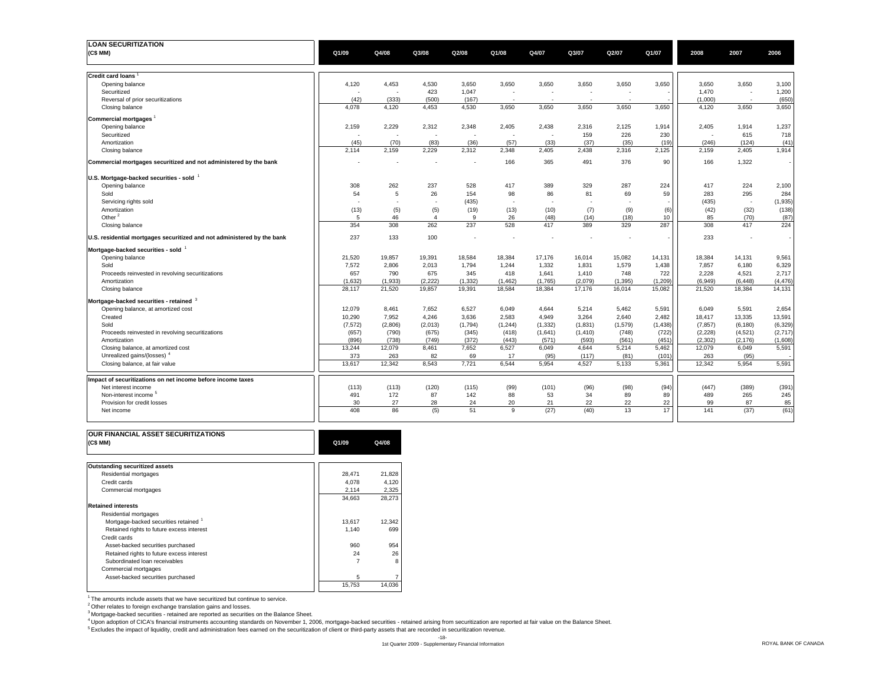| <b>LOAN SECURITIZATION</b>                                              |          |                          |                          |                          |          |                          |          |          |          |          |                          |          |
|-------------------------------------------------------------------------|----------|--------------------------|--------------------------|--------------------------|----------|--------------------------|----------|----------|----------|----------|--------------------------|----------|
| (C\$MM)                                                                 | Q1/09    | Q4/08                    | Q3/08                    | Q2/08                    | Q1/08    | Q4/07                    | Q3/07    | Q2/07    | Q1/07    | 2008     | 2007                     | 2006     |
|                                                                         |          |                          |                          |                          |          |                          |          |          |          |          |                          |          |
|                                                                         |          |                          |                          |                          |          |                          |          |          |          |          |                          |          |
| <b>Credit card loans</b>                                                |          |                          |                          |                          |          |                          |          |          |          |          |                          |          |
| Opening balance                                                         | 4,120    | 4,453                    | 4,530                    | 3,650                    | 3,650    | 3,650                    | 3,650    | 3,650    | 3,650    | 3,650    | 3,650                    | 3,100    |
| Securitized                                                             |          |                          | 423                      | 1,047                    |          | $\overline{a}$           |          |          |          | 1.470    | ٠.                       | 1,200    |
| Reversal of prior securitizations                                       | (42)     | (333)                    | (500)                    | (167)                    |          | $\overline{\phantom{a}}$ |          |          |          | (1,000)  | $\overline{\phantom{a}}$ | (650)    |
| Closing balance                                                         | 4,078    | 4,120                    | 4,453                    | 4,530                    | 3,650    | 3,650                    | 3,650    | 3,650    | 3,650    | 4,120    | 3,650                    | 3,650    |
| Commercial mortgages                                                    |          |                          |                          |                          |          |                          |          |          |          |          |                          |          |
| Opening balance                                                         | 2,159    | 2,229                    | 2,312                    | 2,348                    | 2,405    | 2,438                    | 2,316    | 2,125    | 1,914    | 2,405    | 1,914                    | 1,237    |
| Securitized                                                             |          |                          | Ĭ.                       | $\overline{\phantom{a}}$ |          | $\overline{\phantom{a}}$ | 159      | 226      | 230      |          | 615                      | 718      |
| Amortization                                                            | (45)     | (70)                     | (83)                     | (36)                     | (57)     | (33)                     | (37)     | (35)     | (19)     | (246)    | (124)                    | (41)     |
| Closing balance                                                         | 2,114    | 2,159                    | 2,229                    | 2,312                    | 2,348    | 2,405                    | 2,438    | 2,316    | 2,125    | 2,159    | 2,405                    | 1,914    |
|                                                                         |          |                          |                          |                          |          |                          |          |          |          |          |                          |          |
| Commercial mortgages securitized and not administered by the bank       |          |                          |                          |                          | 166      | 365                      | 491      | 376      | 90       | 166      | 1,322                    |          |
|                                                                         |          |                          |                          |                          |          |                          |          |          |          |          |                          |          |
| U.S. Mortgage-backed securities - sold                                  |          |                          |                          |                          |          |                          |          |          |          |          |                          |          |
| Opening balance                                                         | 308      | 262                      | 237                      | 528                      | 417      | 389                      | 329      | 287      | 224      | 417      | 224                      | 2,100    |
| Sold                                                                    | 54       | 5                        | 26                       | 154                      | 98       | 86                       | 81       | 69       | 59       | 283      | 295                      | 284      |
| Servicing rights sold                                                   |          | $\overline{\phantom{a}}$ | $\overline{\phantom{a}}$ | (435)                    |          |                          |          |          |          | (435)    | $\sim$                   | (1,935)  |
| Amortization                                                            | (13)     | (5)                      | (5)                      | (19)                     | (13)     | (10)                     | (7)      | (9)      | (6)      | (42)     | (32)                     | (138)    |
| Other <sup>2</sup>                                                      | 5        | 46                       | $\overline{4}$           | 9                        | 26       | (48)                     | (14)     | (18)     | 10       | 85       | (70)                     | (87)     |
| Closing balance                                                         | 354      | 308                      | 262                      | 237                      | 528      | 417                      | 389      | 329      | 287      | 308      | 417                      | 224      |
| U.S. residential mortgages securitized and not administered by the bank | 237      | 133                      | 100                      |                          |          |                          |          |          |          | 233      | $\overline{\phantom{a}}$ |          |
| Mortgage-backed securities - sold                                       |          |                          |                          |                          |          |                          |          |          |          |          |                          |          |
| Opening balance                                                         | 21,520   | 19,857                   | 19,391                   | 18,584                   | 18,384   | 17,176                   | 16,014   | 15,082   | 14,131   | 18,384   | 14,131                   | 9,561    |
| Sold                                                                    | 7,572    | 2,806                    | 2,013                    | 1,794                    | 1,244    | 1,332                    | 1,831    | 1,579    | 1,438    | 7,857    | 6,180                    | 6,329    |
| Proceeds reinvested in revolving securitizations                        | 657      | 790                      | 675                      | 345                      | 418      | 1,641                    | 1,410    | 748      | 722      | 2,228    | 4,521                    | 2,717    |
| Amortization                                                            | (1,632)  | (1,933)                  | (2,222)                  | (1, 332)                 | (1, 462) | (1,765)                  | (2,079)  | (1, 395) | (1, 209) | (6,949)  | (6, 448)                 | (4, 476) |
| Closing balance                                                         | 28,117   | 21,520                   | 19,857                   | 19,391                   | 18,584   | 18,384                   | 17,176   | 16,014   | 15,082   | 21,520   | 18,384                   | 14,131   |
|                                                                         |          |                          |                          |                          |          |                          |          |          |          |          |                          |          |
| Mortgage-backed securities - retained 3                                 |          |                          |                          |                          |          |                          |          |          |          |          |                          |          |
| Opening balance, at amortized cost                                      | 12,079   | 8,461                    | 7.652                    | 6,527                    | 6.049    | 4,644                    | 5,214    | 5,462    | 5,591    | 6.049    | 5,591                    | 2,654    |
| Created                                                                 | 10,290   | 7,952                    | 4,246                    | 3,636                    | 2,583    | 4,949                    | 3,264    | 2,640    | 2,482    | 18,417   | 13,335                   | 13,591   |
| Sold                                                                    | (7, 572) | (2,806)                  | (2,013)                  | (1,794)                  | (1, 244) | (1, 332)                 | (1,831)  | (1,579)  | (1, 438) | (7, 857) | (6, 180)                 | (6, 329) |
| Proceeds reinvested in revolving securitizations                        | (657)    | (790)                    | (675)                    | (345)                    | (418)    | (1,641)                  | (1, 410) | (748)    | (722)    | (2, 228) | (4,521)                  | (2,717)  |
| Amortization                                                            | (896)    | (738)                    | (749)                    | (372)                    | (443)    | (571)                    | (593)    | (561)    | (451)    | (2, 302) | (2, 176)                 | (1,608)  |
| Closing balance, at amortized cost                                      | 13,244   | 12,079                   | 8,461                    | 7,652                    | 6,527    | 6,049                    | 4,644    | 5,214    | 5,462    | 12,079   | 6,049                    | 5,591    |
| Unrealized gains/(losses) <sup>4</sup>                                  | 373      | 263                      | 82                       | 69                       | 17       | (95)                     | (117)    | (81)     | (101)    | 263      | (95)                     |          |
| Closing balance, at fair value                                          | 13,617   | 12,342                   | 8,543                    | 7,721                    | 6,544    | 5,954                    | 4,527    | 5,133    | 5,361    | 12,342   | 5,954                    | 5,591    |
| Impact of securitizations on net income before income taxes             |          |                          |                          |                          |          |                          |          |          |          |          |                          |          |
| Net interest income                                                     | (113)    | (113)                    | (120)                    | (115)                    | (99)     | (101)                    | (96)     | (98)     | (94)     | (447)    | (389)                    | (391)    |
| Non-interest income <sup>5</sup>                                        | 491      | 172                      | 87                       | 142                      | 88       | 53                       | 34       | 89       | 89       | 489      | 265                      | 245      |
| Provision for credit losses                                             | 30       | 27                       | 28                       | 24                       | 20       | 21                       | 22       | 22       | 22       | 99       | 87                       | 85       |
| Net income                                                              | 408      | 86                       | (5)                      | 51                       | 9        | (27)                     | (40)     | 13       | 17       | 141      | (37)                     | (61)     |
|                                                                         |          |                          |                          |                          |          |                          |          |          |          |          |                          |          |

| <b>OUR FINANCIAL ASSET SECURITIZATIONS</b><br>(C\$MM) | Q1/09  | Q4/08  |
|-------------------------------------------------------|--------|--------|
|                                                       |        |        |
| <b>Outstanding securitized assets</b>                 |        |        |
| Residential mortgages                                 | 28,471 | 21,828 |
| Credit cards                                          | 4.078  | 4,120  |
| Commercial mortgages                                  | 2,114  | 2,325  |
|                                                       | 34.663 | 28,273 |
| <b>Retained interests</b>                             |        |        |
| Residential mortgages                                 |        |        |
| Mortgage-backed securities retained <sup>1</sup>      | 13.617 | 12.342 |
| Retained rights to future excess interest             | 1.140  | 699    |
| Credit cards                                          |        |        |
| Asset-backed securities purchased                     | 960    | 954    |
| Retained rights to future excess interest             | 24     | 26     |
| Subordinated loan receivables                         |        | 8      |
| Commercial mortgages                                  |        |        |
| Asset-backed securities purchased                     | 5      |        |
|                                                       | 15,753 | 14,036 |

 $1$ <sup>1</sup> The amounts include assets that we have securitized but continue to service.

<sup>2</sup> Other relates to foreign exchange translation gains and losses.<br><sup>3</sup> Mortgage-backed securities - retained are reported as securities on the Balance Sheet.

4 Upon adoption of CICA's financial instruments accounting standards on November 1, 2006, mortgage-backed securities - retained arising from securitization are reported at fair value on the Balance Sheet.

5 Excludes the impact of liquidity, credit and administration fees earned on the securitization of client or third-party assets that are recorded in securitization revenue.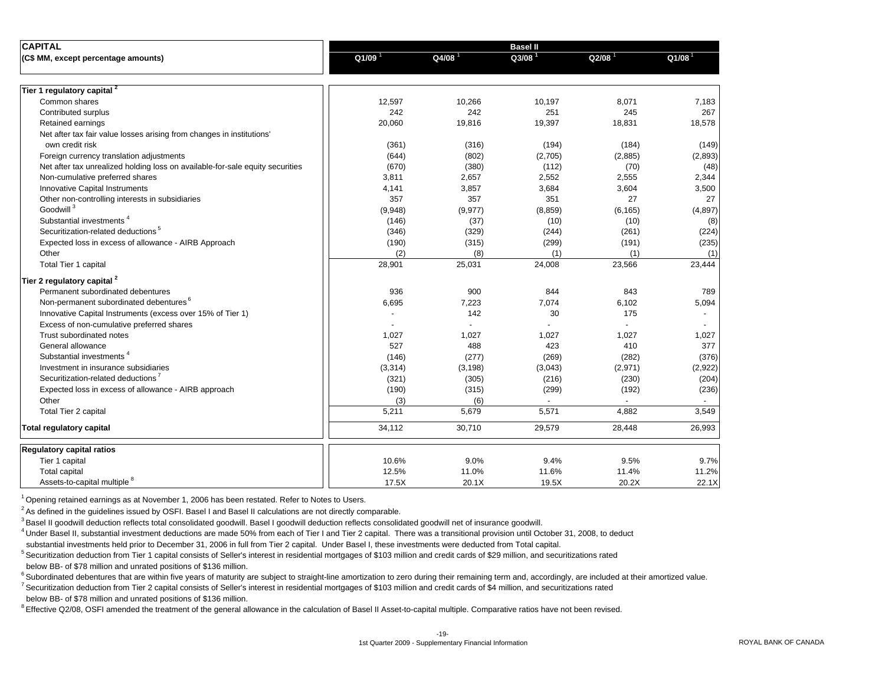| <b>CAPITAL</b>                                                                |                      |                      | <b>Basel II</b>    |                      |          |
|-------------------------------------------------------------------------------|----------------------|----------------------|--------------------|----------------------|----------|
| (C\$ MM, except percentage amounts)                                           | $Q1/09$ <sup>1</sup> | $Q4/08$ <sup>1</sup> | Q3/08 <sup>1</sup> | $Q2/08$ <sup>1</sup> | Q1/08    |
| Tier 1 regulatory capital <sup>2</sup>                                        |                      |                      |                    |                      |          |
| Common shares                                                                 | 12,597               | 10,266               | 10,197             | 8,071                | 7,183    |
| Contributed surplus                                                           | 242                  | 242                  | 251                | 245                  | 267      |
| Retained earnings                                                             | 20,060               | 19,816               | 19,397             | 18,831               | 18,578   |
| Net after tax fair value losses arising from changes in institutions'         |                      |                      |                    |                      |          |
| own credit risk                                                               | (361)                | (316)                | (194)              | (184)                | (149)    |
| Foreign currency translation adjustments                                      | (644)                | (802)                | (2,705)            | (2,885)              | (2,893)  |
| Net after tax unrealized holding loss on available-for-sale equity securities | (670)                | (380)                | (112)              | (70)                 | (48)     |
| Non-cumulative preferred shares                                               | 3,811                | 2,657                | 2,552              | 2,555                | 2,344    |
| <b>Innovative Capital Instruments</b>                                         | 4,141                | 3,857                | 3,684              | 3,604                | 3,500    |
| Other non-controlling interests in subsidiaries                               | 357                  | 357                  | 351                | 27                   | 27       |
| Goodwill <sup>3</sup>                                                         | (9,948)              | (9, 977)             | (8, 859)           | (6, 165)             | (4, 897) |
| Substantial investments <sup>4</sup>                                          | (146)                | (37)                 | (10)               | (10)                 | (8)      |
| Securitization-related deductions <sup>5</sup>                                | (346)                | (329)                | (244)              | (261)                | (224)    |
| Expected loss in excess of allowance - AIRB Approach                          | (190)                | (315)                | (299)              | (191)                | (235)    |
| Other                                                                         | (2)                  | (8)                  | (1)                | (1)                  | (1)      |
| Total Tier 1 capital                                                          | 28,901               | 25,031               | 24,008             | 23,566               | 23,444   |
| Tier 2 regulatory capital <sup>2</sup>                                        |                      |                      |                    |                      |          |
| Permanent subordinated debentures                                             | 936                  | 900                  | 844                | 843                  | 789      |
| Non-permanent subordinated debentures <sup>6</sup>                            | 6,695                | 7,223                | 7,074              | 6,102                | 5,094    |
| Innovative Capital Instruments (excess over 15% of Tier 1)                    |                      | 142                  | 30                 | 175                  |          |
| Excess of non-cumulative preferred shares                                     |                      |                      |                    |                      |          |
| Trust subordinated notes                                                      | 1,027                | 1,027                | 1,027              | 1,027                | 1,027    |
| General allowance                                                             | 527                  | 488                  | 423                | 410                  | 377      |
| Substantial investments                                                       | (146)                | (277)                | (269)              | (282)                | (376)    |
| Investment in insurance subsidiaries                                          | (3,314)              | (3, 198)             | (3,043)            | (2,971)              | (2,922)  |
| Securitization-related deductions <sup>7</sup>                                | (321)                | (305)                | (216)              | (230)                | (204)    |
| Expected loss in excess of allowance - AIRB approach                          | (190)                | (315)                | (299)              | (192)                | (236)    |
| Other                                                                         | (3)                  | (6)                  |                    |                      |          |
| <b>Total Tier 2 capital</b>                                                   | 5,211                | 5,679                | 5,571              | 4,882                | 3,549    |
| <b>Total regulatory capital</b>                                               | 34,112               | 30,710               | 29,579             | 28,448               | 26,993   |
| <b>Regulatory capital ratios</b>                                              |                      |                      |                    |                      |          |
| Tier 1 capital                                                                | 10.6%                | 9.0%                 | 9.4%               | 9.5%                 | 9.7%     |
| <b>Total capital</b>                                                          | 12.5%                | 11.0%                | 11.6%              | 11.4%                | 11.2%    |
| Assets-to-capital multiple <sup>8</sup>                                       | 17.5X                | 20.1X                | 19.5X              | 20.2X                | 22.1X    |
|                                                                               |                      |                      |                    |                      |          |

1 Opening retained earnings as at November 1, 2006 has been restated. Refer to Notes to Users.

 $<sup>2</sup>$  As defined in the guidelines issued by OSFI. Basel I and Basel II calculations are not directly comparable.</sup>

<sup>3</sup> Basel II goodwill deduction reflects total consolidated goodwill. Basel I goodwill deduction reflects consolidated goodwill net of insurance goodwill.

<sup>4</sup> Under Basel II, substantial investment deductions are made 50% from each of Tier I and Tier 2 capital. There was a transitional provision until October 31, 2008, to deduct

substantial investments held prior to December 31, 2006 in full from Tier 2 capital. Under Basel I, these investments were deducted from Total capital.

5 Securitization deduction from Tier 1 capital consists of Seller's interest in residential mortgages of \$103 million and credit cards of \$29 million, and securitizations rated

below BB- of \$78 million and unrated positions of \$136 million.

<sup>6</sup> Subordinated debentures that are within five years of maturity are subject to straight-line amortization to zero during their remaining term and, accordingly, are included at their amortized value.

<sup>7</sup> Securitization deduction from Tier 2 capital consists of Seller's interest in residential mortgages of \$103 million and credit cards of \$4 million, and securitizations rated below BB- of \$78 million and unrated positions of \$136 million.

<sup>8</sup> Effective Q2/08, OSFI amended the treatment of the general allowance in the calculation of Basel II Asset-to-capital multiple. Comparative ratios have not been revised.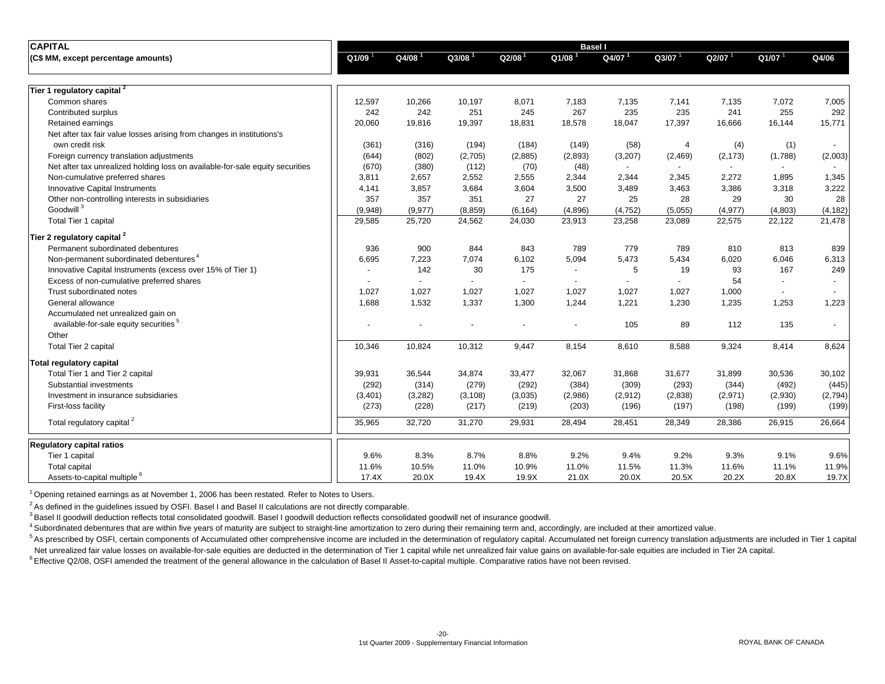| <b>CAPITAL</b>                                                                |         |                      |                      |                          | <b>Basel I</b>       |                          |                          |                |                          |          |
|-------------------------------------------------------------------------------|---------|----------------------|----------------------|--------------------------|----------------------|--------------------------|--------------------------|----------------|--------------------------|----------|
| (C\$ MM, except percentage amounts)                                           | Q1/09   | $Q4/08$ <sup>1</sup> | $Q3/08$ <sup>1</sup> | Q2/08 <sup>1</sup>       | $Q1/08$ <sup>1</sup> | Q4/07 <sup>1</sup>       | Q3/07                    | Q2/07          | $Q1/07$ <sup>1</sup>     | Q4/06    |
| Tier 1 regulatory capital 2                                                   |         |                      |                      |                          |                      |                          |                          |                |                          |          |
| Common shares                                                                 | 12,597  | 10,266               | 10,197               | 8,071                    | 7,183                | 7,135                    | 7,141                    | 7,135          | 7,072                    | 7,005    |
| Contributed surplus                                                           | 242     | 242                  | 251                  | 245                      | 267                  | 235                      | 235                      | 241            | 255                      | 292      |
| Retained earnings                                                             | 20,060  | 19,816               | 19,397               | 18,831                   | 18,578               | 18,047                   | 17,397                   | 16,666         | 16,144                   | 15,771   |
| Net after tax fair value losses arising from changes in institutions's        |         |                      |                      |                          |                      |                          |                          |                |                          |          |
| own credit risk                                                               | (361)   | (316)                | (194)                | (184)                    | (149)                | (58)                     | $\overline{4}$           | (4)            | (1)                      |          |
| Foreign currency translation adjustments                                      | (644)   | (802)                | (2,705)              | (2,885)                  | (2,893)              | (3,207)                  | (2,469)                  | (2, 173)       | (1,788)                  | (2,003)  |
| Net after tax unrealized holding loss on available-for-sale equity securities | (670)   | (380)                | (112)                | (70)                     | (48)                 | $\overline{\phantom{a}}$ | $\overline{a}$           | $\overline{a}$ | $\sim$                   |          |
| Non-cumulative preferred shares                                               | 3,811   | 2,657                | 2,552                | 2,555                    | 2,344                | 2,344                    | 2,345                    | 2,272          | 1,895                    | 1,345    |
| <b>Innovative Capital Instruments</b>                                         | 4,141   | 3,857                | 3,684                | 3,604                    | 3,500                | 3,489                    | 3,463                    | 3,386          | 3,318                    | 3,222    |
| Other non-controlling interests in subsidiaries                               | 357     | 357                  | 351                  | 27                       | 27                   | 25                       | 28                       | 29             | 30                       | 28       |
| Goodwill <sup>3</sup>                                                         | (9,948) | (9, 977)             | (8, 859)             | (6, 164)                 | (4,896)              | (4, 752)                 | (5,055)                  | (4, 977)       | (4,803)                  | (4, 182) |
| <b>Total Tier 1 capital</b>                                                   | 29,585  | 25,720               | 24,562               | 24,030                   | 23,913               | 23,258                   | 23,089                   | 22,575         | 22,122                   | 21,478   |
| Tier 2 regulatory capital 2                                                   |         |                      |                      |                          |                      |                          |                          |                |                          |          |
| Permanent subordinated debentures                                             | 936     | 900                  | 844                  | 843                      | 789                  | 779                      | 789                      | 810            | 813                      | 839      |
| Non-permanent subordinated debentures <sup>4</sup>                            | 6,695   | 7,223                | 7,074                | 6,102                    | 5,094                | 5,473                    | 5,434                    | 6,020          | 6,046                    | 6,313    |
| Innovative Capital Instruments (excess over 15% of Tier 1)                    |         | 142                  | 30                   | 175                      |                      | 5                        | 19                       | 93             | 167                      | 249      |
| Excess of non-cumulative preferred shares                                     |         |                      | $\blacksquare$       | $\overline{\phantom{a}}$ |                      | $\overline{\phantom{a}}$ | $\overline{\phantom{a}}$ | 54             | $\blacksquare$           |          |
| Trust subordinated notes                                                      | 1,027   | 1,027                | 1,027                | 1,027                    | 1,027                | 1,027                    | 1,027                    | 1,000          | $\overline{\phantom{a}}$ |          |
| General allowance                                                             | 1,688   | 1,532                | 1,337                | 1,300                    | 1,244                | 1,221                    | 1,230                    | 1,235          | 1,253                    | 1,223    |
| Accumulated net unrealized gain on                                            |         |                      |                      |                          |                      |                          |                          |                |                          |          |
| available-for-sale equity securities <sup>5</sup>                             |         |                      |                      |                          |                      | 105                      | 89                       | 112            | 135                      |          |
| Other                                                                         |         |                      |                      |                          |                      |                          |                          |                |                          |          |
| Total Tier 2 capital                                                          | 10,346  | 10,824               | 10,312               | 9,447                    | 8,154                | 8,610                    | 8,588                    | 9,324          | 8,414                    | 8,624    |
| <b>Total regulatory capital</b>                                               |         |                      |                      |                          |                      |                          |                          |                |                          |          |
| Total Tier 1 and Tier 2 capital                                               | 39,931  | 36,544               | 34,874               | 33,477                   | 32,067               | 31,868                   | 31,677                   | 31,899         | 30,536                   | 30,102   |
| Substantial investments                                                       | (292)   | (314)                | (279)                | (292)                    | (384)                | (309)                    | (293)                    | (344)          | (492)                    | (445)    |
| Investment in insurance subsidiaries                                          | (3,401) | (3,282)              | (3, 108)             | (3,035)                  | (2,986)              | (2,912)                  | (2,838)                  | (2,971)        | (2,930)                  | (2,794)  |
| First-loss facility                                                           | (273)   | (228)                | (217)                | (219)                    | (203)                | (196)                    | (197)                    | (198)          | (199)                    | (199)    |
| Total regulatory capital <sup>2</sup>                                         | 35,965  | 32,720               | 31,270               | 29,931                   | 28,494               | 28,451                   | 28,349                   | 28,386         | 26,915                   | 26,664   |
| <b>Regulatory capital ratios</b>                                              |         |                      |                      |                          |                      |                          |                          |                |                          |          |
| Tier 1 capital                                                                | 9.6%    | 8.3%                 | 8.7%                 | 8.8%                     | 9.2%                 | 9.4%                     | 9.2%                     | 9.3%           | 9.1%                     | 9.6%     |
| Total capital                                                                 | 11.6%   | 10.5%                | 11.0%                | 10.9%                    | 11.0%                | 11.5%                    | 11.3%                    | 11.6%          | 11.1%                    | 11.9%    |
| Assets-to-capital multiple <sup>6</sup>                                       | 17.4X   | 20.0X                | 19.4X                | 19.9X                    | 21.0X                | 20.0X                    | 20.5X                    | 20.2X          | 20.8X                    | 19.7X    |

 $1$  Opening retained earnings as at November 1, 2006 has been restated. Refer to Notes to Users.

 $<sup>2</sup>$  As defined in the quidelines issued by OSFI. Basel I and Basel II calculations are not directly comparable.</sup>

<sup>3</sup> Basel II goodwill deduction reflects total consolidated goodwill. Basel I goodwill deduction reflects consolidated goodwill net of insurance goodwill.

4 Subordinated debentures that are within five years of maturity are subject to straight-line amortization to zero during their remaining term and, accordingly, are included at their amortized value.

<sup>5</sup> As prescribed by OSFI, certain components of Accumulated other comprehensive income are included in the determination of regulatory capital. Accumulated net foreign currency translation adjustments are included in Tier Net unrealized fair value losses on available-for-sale equities are deducted in the determination of Tier 1 capital while net unrealized fair value gains on available-for-sale equities are included in Tier 2A capital.

<sup>6</sup> Effective Q2/08, OSFI amended the treatment of the general allowance in the calculation of Basel II Asset-to-capital multiple. Comparative ratios have not been revised.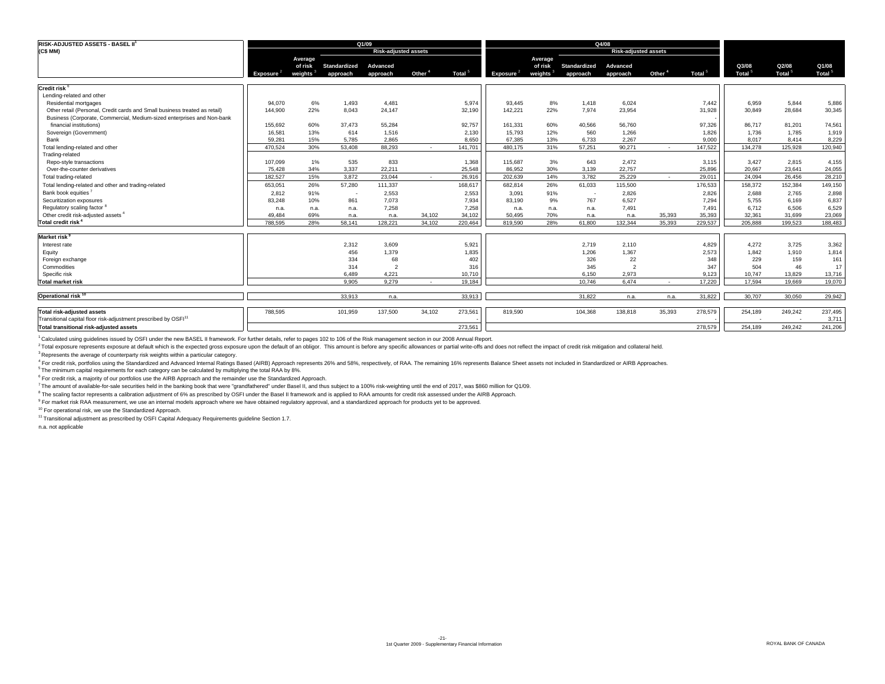| <b>RISK-ADJUSTED ASSETS - BASEL II</b>                                     |               |                                 |                          | Q1/09                       |                          |         |                       |                    |                          | Q4/08                       |                    |                    |                             |                             |                             |
|----------------------------------------------------------------------------|---------------|---------------------------------|--------------------------|-----------------------------|--------------------------|---------|-----------------------|--------------------|--------------------------|-----------------------------|--------------------|--------------------|-----------------------------|-----------------------------|-----------------------------|
| (C\$ MM)                                                                   |               |                                 |                          | <b>Risk-adjusted assets</b> |                          |         |                       |                    |                          | <b>Risk-adjusted assets</b> |                    |                    |                             |                             |                             |
|                                                                            |               | Average                         |                          |                             |                          |         |                       | Average            |                          |                             |                    |                    |                             |                             |                             |
|                                                                            | Exposure $^2$ | of risk<br>weights <sup>3</sup> | Standardized<br>approach | Advanced<br>approach        | Other <sup>4</sup>       | Total   | Exposure <sup>2</sup> | of risk<br>weights | Standardized<br>approach | Advanced<br>approach        | Other <sup>4</sup> | Total <sup>5</sup> | Q3/08<br>Total <sup>5</sup> | Q2/08<br>Total <sup>5</sup> | Q1/08<br>Total <sup>5</sup> |
| Credit risk <sup>6</sup>                                                   |               |                                 |                          |                             |                          |         |                       |                    |                          |                             |                    |                    |                             |                             |                             |
| Lending-related and other                                                  |               |                                 |                          |                             |                          |         |                       |                    |                          |                             |                    |                    |                             |                             |                             |
| Residential mortgages                                                      | 94,070        | 6%                              | 1,493                    | 4,481                       |                          | 5,974   | 93,445                | 8%                 | 1,418                    | 6,024                       |                    | 7,442              | 6,959                       | 5,844                       | 5,886                       |
| Other retail (Personal, Credit cards and Small business treated as retail) | 144,900       | 22%                             | 8,043                    | 24,147                      |                          | 32,190  | 142,221               | 22%                | 7,974                    | 23,954                      |                    | 31,928             | 30,849                      | 28,684                      | 30,345                      |
| Business (Corporate, Commercial, Medium-sized enterprises and Non-bank     |               |                                 |                          |                             |                          |         |                       |                    |                          |                             |                    |                    |                             |                             |                             |
| financial institutions)                                                    | 155,692       | 60%                             | 37.473                   | 55,284                      |                          | 92,757  | 161,331               | 60%                | 40,566                   | 56,760                      |                    | 97,326             | 86,717                      | 81,201                      | 74,561                      |
| Sovereign (Government)                                                     | 16,581        | 13%                             | 614                      | 1,516                       |                          | 2,130   | 15,793                | 12%                | 560                      | 1,266                       |                    | 1,826              | 1,736                       | 1,785                       | 1,919                       |
| Bank                                                                       | 59.281        | 15%                             | 5.785                    | 2.865                       |                          | 8,650   | 67,385                | 13%                | 6.733                    | 2.267                       |                    | 9.000              | 8.017                       | 8.414                       | 8,229                       |
| Total lending-related and other                                            | 470.524       | 30%                             | 53,408                   | 88,293                      | $\overline{\phantom{a}}$ | 141,701 | 480,175               | 31%                | 57,251                   | 90,271                      | $\sim$             | 147,522            | 134,278                     | 125,928                     | 120,940                     |
| Trading-related                                                            |               |                                 |                          |                             |                          |         |                       |                    |                          |                             |                    |                    |                             |                             |                             |
| Repo-style transactions                                                    | 107.099       | 1%                              | 535                      | 833                         |                          | 1,368   | 115,687               | 3%                 | 643                      | 2.472                       |                    | 3,115              | 3.427                       | 2,815                       | 4,155                       |
| Over-the-counter derivatives                                               | 75,428        | 34%                             | 3,337                    | 22.211                      |                          | 25,548  | 86,952                | 30%                | 3,139                    | 22,757                      |                    | 25,896             | 20,667                      | 23,641                      | 24,055                      |
| Total trading-related                                                      | 182.527       | 15%                             | 3.872                    | 23.044                      | $\overline{\phantom{a}}$ | 26,916  | 202,639               | 14%                | 3.782                    | 25.229                      | $\sim$             | 29.011             | 24.094                      | 26,456                      | 28,210                      |
| Total lending-related and other and trading-related                        | 653,051       | 26%                             | 57,280                   | 111,337                     |                          | 168,617 | 682,814               | 26%                | 61,033                   | 115,500                     |                    | 176,533            | 158,372                     | 152,384                     | 149,150                     |
| Bank book equities <sup>7</sup>                                            | 2,812         | 91%                             | $\overline{\phantom{a}}$ | 2,553                       |                          | 2,553   | 3,091                 | 91%                |                          | 2,826                       |                    | 2,826              | 2,688                       | 2,765                       | 2,898                       |
| Securitization exposures                                                   | 83.248        | 10%                             | 861                      | 7.073                       |                          | 7.934   | 83,190                | 9%                 | 767                      | 6.527                       |                    | 7,294              | 5.755                       | 6.169                       | 6,837                       |
| Regulatory scaling factor <sup>8</sup>                                     | n.a.          | n.a.                            | n.a.                     | 7,258                       |                          | 7,258   | n.a.                  | n.a.               | n.a.                     | 7,491                       |                    | 7,491              | 6,712                       | 6,506                       | 6,529                       |
| Other credit risk-adjusted assets                                          | 49.484        | 69%                             | n.a.                     | n.a.                        | 34.102                   | 34,102  | 50.495                | 70%                | n.a.                     | n.a.                        | 35.393             | 35,393             | 32.361                      | 31,699                      | 23,069                      |
| Total credit risk <sup>4</sup>                                             | 788.595       | 28%                             | 58.141                   | 128.221                     | 34.102                   | 220.464 | 819.590               | 28%                | 61.800                   | 132.344                     | 35.393             | 229.537            | 205.888                     | 199.523                     | 188,483                     |
|                                                                            |               |                                 |                          |                             |                          |         |                       |                    |                          |                             |                    |                    |                             |                             |                             |
| <b>Market risk</b>                                                         |               |                                 |                          |                             |                          |         |                       |                    |                          |                             |                    |                    |                             |                             |                             |
| Interest rate                                                              |               |                                 | 2,312                    | 3.609                       |                          | 5,921   |                       |                    | 2,719                    | 2,110                       |                    | 4,829              | 4,272                       | 3,725                       | 3,362                       |
| Equity                                                                     |               |                                 | 456                      | 1,379                       |                          | 1,835   |                       |                    | 1,206                    | 1.367                       |                    | 2,573              | 1,842                       | 1,910                       | 1,814                       |
| Foreign exchange                                                           |               |                                 | 334                      | 68                          |                          | 402     |                       |                    | 326                      | 22                          |                    | 348                | 229                         | 159                         | 161                         |
| Commodities                                                                |               |                                 | 314                      | $\overline{\phantom{a}}$    |                          | 316     |                       |                    | 345                      | $\overline{2}$              |                    | 347                | 504                         | 46                          | 17                          |
| Specific risk                                                              |               |                                 | 6.489                    | 4.221                       |                          | 10,710  |                       |                    | 6.150                    | 2.973                       |                    | 9,123              | 10,747                      | 13,829                      | 13,716                      |
| <b>Total market risk</b>                                                   |               |                                 | 9.905                    | 9.279                       | $\sim$                   | 19.184  |                       |                    | 10.746                   | 6.474                       | $\sim$             | 17,220             | 17.594                      | 19.669                      | 19,070                      |
| Operational risk <sup>10</sup>                                             |               |                                 | 33.913                   | n.a.                        |                          | 33,913  |                       |                    | 31.822                   | n.a.                        | n.a.               | 31.822             | 30.707                      | 30.050                      | 29,942                      |
|                                                                            |               |                                 |                          |                             |                          |         |                       |                    |                          |                             |                    |                    |                             |                             |                             |
| <b>Total risk-adjusted assets</b>                                          | 788,595       |                                 | 101,959                  | 137,500                     | 34,102                   | 273,561 | 819,590               |                    | 104,368                  | 138,818                     | 35,393             | 278,579            | 254,189                     | 249,242                     | 237,495                     |
| Transitional capital floor risk-adjustment prescribed by OSFI <sup>1</sup> |               |                                 |                          |                             |                          |         |                       |                    |                          |                             |                    |                    |                             |                             | 3,711                       |
| Total transitional risk-adiusted assets                                    |               |                                 |                          |                             |                          | 273.561 |                       |                    |                          |                             |                    | 278,579            | 254.189                     | 249.242                     | 241,206                     |

1 Calculated using guidelines issued by OSFI under the new BASEL II framework. For further details, refer to pages 102 to 106 of the Risk management section in our 2008 Annual Report.

<sup>2</sup> Total exposure represents exposure at default which is the expected gross exposure upon the default of an obligor. This amount is before any specific allowances or partial write-offs and does not reflect the impact of

<sup>3</sup> Represents the average of counterparty risk weights within a particular category.

<sup>4</sup> For credit risk, portfolios using the Standardized and Advanced Internal Ratings Based (AIRB) Approach represents 26% and 58%, respectively, of RAA. The remaining 16% represents Balance Sheet assets not included in Sta

<sup>6</sup> For credit risk, a majority of our portfolios use the AIRB Approach and the remainder use the Standardized Approach.

7 The amount of available-for-sale securities held in the banking book that were "grandfathered" under Basel II, and thus subject to a 100% risk-weighting until the end of 2017, was \$860 million for Q1/09.

<sup>8</sup> The scaling factor represents a calibration adjustment of 6% as prescribed by OSFI under the Basel II framework and is applied to RAA amounts for credit risk assessed under the AIRB Approach.

<sup>9</sup> For market risk RAA measurement, we use an internal models approach where we have obtained regulatory approval, and a standardized approach for products yet to be approved.

10 For operational risk, we use the Standardized Approach.

11 Transitional adjustment as prescribed by OSFI Capital Adequacy Requirements guideline Section 1.7.

n.a. not applicable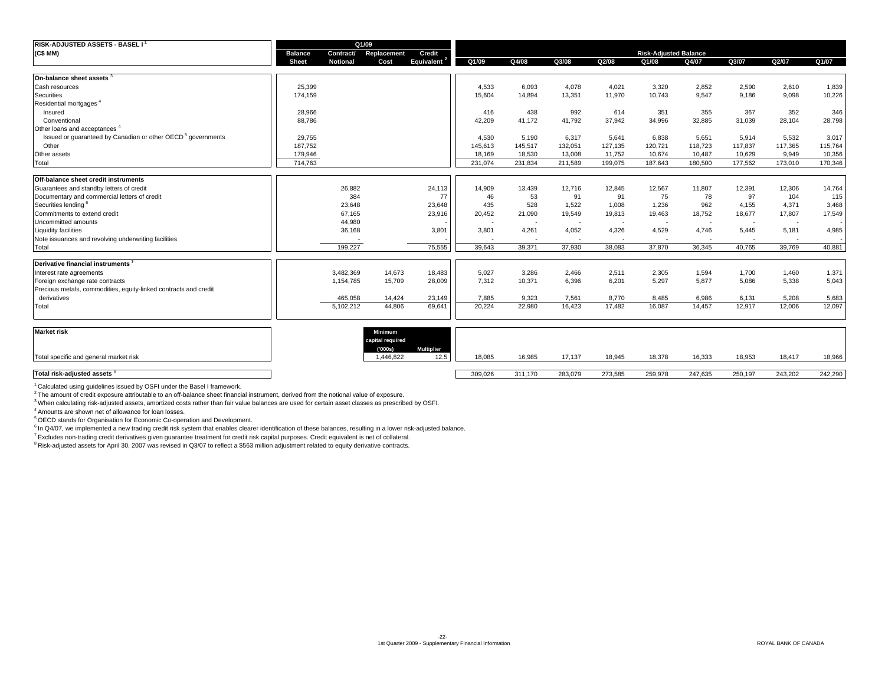| RISK-ADJUSTED ASSETS - BASEL I <sup>1</sup>                             |                |                 | Q1/09       |                   |         |         |                          |                          |                              |                          |                          |                          |         |
|-------------------------------------------------------------------------|----------------|-----------------|-------------|-------------------|---------|---------|--------------------------|--------------------------|------------------------------|--------------------------|--------------------------|--------------------------|---------|
| (C\$MM)                                                                 | <b>Balance</b> | Contract/       | Replacement | Credit            |         |         |                          |                          | <b>Risk-Adjusted Balance</b> |                          |                          |                          |         |
|                                                                         | <b>Sheet</b>   | <b>Notional</b> | Cost        | <b>Equivalent</b> | Q1/09   | Q4/08   | Q3/08                    | Q2/08                    | Q1/08                        | Q4/07                    | Q3/07                    | Q2/07                    | Q1/07   |
| On-balance sheet assets                                                 |                |                 |             |                   |         |         |                          |                          |                              |                          |                          |                          |         |
| Cash resources                                                          | 25,399         |                 |             |                   | 4.533   | 6,093   | 4.078                    | 4.021                    | 3.320                        | 2,852                    | 2,590                    | 2,610                    | 1,839   |
| Securities                                                              | 174,159        |                 |             |                   | 15,604  | 14,894  | 13,351                   | 11,970                   | 10,743                       | 9,547                    | 9,186                    | 9,098                    | 10,226  |
| Residential mortgages                                                   |                |                 |             |                   |         |         |                          |                          |                              |                          |                          |                          |         |
| Insured                                                                 | 28,966         |                 |             |                   | 416     | 438     | 992                      | 614                      | 351                          | 355                      | 367                      | 352                      | 346     |
| Conventional                                                            | 88,786         |                 |             |                   | 42,209  | 41,172  | 41,792                   | 37,942                   | 34,996                       | 32,885                   | 31,039                   | 28,104                   | 28,798  |
| Other loans and acceptances <sup>4</sup>                                |                |                 |             |                   |         |         |                          |                          |                              |                          |                          |                          |         |
| Issued or quaranteed by Canadian or other OECD <sup>5</sup> governments | 29,755         |                 |             |                   | 4.530   | 5,190   | 6,317                    | 5,641                    | 6,838                        | 5,651                    | 5,914                    | 5,532                    | 3,017   |
| Other                                                                   | 187,752        |                 |             |                   | 145,613 | 145,517 | 132,051                  | 127,135                  | 120,721                      | 118,723                  | 117,837                  | 117,365                  | 115,764 |
| Other assets                                                            | 179,946        |                 |             |                   | 18.169  | 18.530  | 13,008                   | 11.752                   | 10.674                       | 10.487                   | 10.629                   | 9.949                    | 10,356  |
| Total                                                                   | 714.763        |                 |             |                   | 231.074 | 231.834 | 211.589                  | 199.075                  | 187.643                      | 180,500                  | 177.562                  | 173.010                  | 170,346 |
|                                                                         |                |                 |             |                   |         |         |                          |                          |                              |                          |                          |                          |         |
| Off-balance sheet credit instruments                                    |                |                 |             |                   |         |         |                          |                          |                              |                          |                          |                          |         |
| Guarantees and standby letters of credit                                |                | 26,882          |             | 24,113            | 14,909  | 13,439  | 12,716                   | 12,845                   | 12,567                       | 11,807                   | 12,391                   | 12,306                   | 14,764  |
| Documentary and commercial letters of credit                            |                | 384             |             | 77                | 46      | 53      | 91                       | 91                       | 75                           | 78                       | 97                       | 104                      | 115     |
| Securities lending                                                      |                | 23,648          |             | 23,648            | 435     | 528     | 1,522                    | 1,008                    | 1,236                        | 962                      | 4,155                    | 4,371                    | 3,468   |
| Commitments to extend credit                                            |                | 67,165          |             | 23,916            | 20,452  | 21,090  | 19,549                   | 19,813                   | 19,463                       | 18,752                   | 18,677                   | 17,807                   | 17,549  |
| Uncommitted amounts                                                     |                | 44,980          |             |                   |         |         | $\overline{\phantom{a}}$ | $\overline{\phantom{a}}$ | $\overline{\phantom{a}}$     |                          | $\overline{\phantom{a}}$ | $\overline{\phantom{a}}$ |         |
| <b>Liquidity facilities</b>                                             |                | 36,168          |             | 3,801             | 3,801   | 4,261   | 4,052                    | 4,326                    | 4,529                        | 4,746                    | 5,445                    | 5,181                    | 4,985   |
| Note issuances and revolving underwriting facilities                    |                |                 |             |                   |         | $\sim$  | $\sim$                   | $\sim$                   | $\overline{\phantom{a}}$     | $\overline{\phantom{a}}$ |                          |                          |         |
| Total                                                                   |                | 199.227         |             | 75.555            | 39.643  | 39.371  | 37.930                   | 38,083                   | 37,870                       | 36.345                   | 40.765                   | 39.769                   | 40,881  |
|                                                                         |                |                 |             |                   |         |         |                          |                          |                              |                          |                          |                          |         |
| Derivative financial instruments                                        |                |                 |             |                   |         |         |                          |                          |                              |                          |                          |                          |         |
| Interest rate agreements                                                |                | 3,482,369       | 14.673      | 18,483            | 5,027   | 3,286   | 2.466                    | 2,511                    | 2,305                        | 1,594                    | 1,700                    | 1,460                    | 1,371   |
| Foreign exchange rate contracts                                         |                | 1,154,785       | 15,709      | 28,009            | 7,312   | 10,371  | 6,396                    | 6,201                    | 5,297                        | 5,877                    | 5,086                    | 5,338                    | 5,043   |
| Precious metals, commodities, equity-linked contracts and credit        |                |                 |             |                   |         |         |                          |                          |                              |                          |                          |                          |         |
| derivatives                                                             |                | 465.058         | 14.424      | 23.149            | 7.885   | 9.323   | 7,561                    | 8.770                    | 8,485                        | 6.986                    | 6,131                    | 5,208                    | 5,683   |
| Total                                                                   |                | 5,102,212       | 44,806      | 69,641            | 20,224  | 22,980  | 16,423                   | 17,482                   | 16,087                       | 14,457                   | 12,917                   | 12,006                   | 12,097  |
|                                                                         |                |                 |             |                   |         |         |                          |                          |                              |                          |                          |                          |         |

| <b>Market risk</b>                     | <b>Minimum</b><br>capital required |                                 |         |         |         |         |         |         |         |         |         |
|----------------------------------------|------------------------------------|---------------------------------|---------|---------|---------|---------|---------|---------|---------|---------|---------|
| Total specific and general market risk | (000s)<br>,446,822                 | <b>Multiplier</b><br>125<br>ں.ے | 18,085  | 16,985  | 17.137  | 18,945  | 18,378  | 16,333  | 18,953  | 18,417  | 18,966  |
| Total risk-adjusted assets 8           |                                    |                                 | 309,026 | 311.170 | 283,079 | 273,585 | 259,978 | 247,635 | 250,197 | 243,202 | 242,290 |

1 Calculated using guidelines issued by OSFI under the Basel I framework.

<sup>2</sup> The amount of credit exposure attributable to an off-balance sheet financial instrument, derived from the notional value of exposure.

<sup>3</sup> When calculating risk-adjusted assets, amortized costs rather than fair value balances are used for certain asset classes as prescribed by OSFI.

4 Amounts are shown net of allowance for loan losses.

<sup>5</sup> OECD stands for Organisation for Economic Co-operation and Development.

<sup>6</sup> In Q4/07, we implemented a new trading credit risk system that enables clearer identification of these balances, resulting in a lower risk-adjusted balance.

7 Excludes non-trading credit derivatives given guarantee treatment for credit risk capital purposes. Credit equivalent is net of collateral.

8 Risk-adjusted assets for April 30, 2007 was revised in Q3/07 to reflect a \$563 million adjustment related to equity derivative contracts.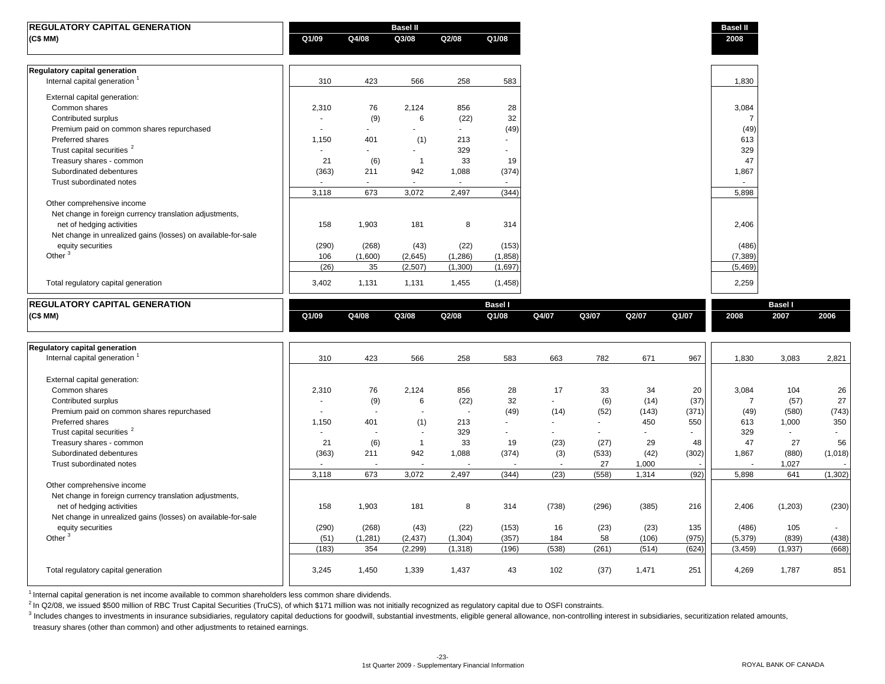| <b>REGULATORY CAPITAL GENERATION</b>                                      |             |               | <b>Basel II</b> |                        |                |              |             |               |               | <b>Basel II</b>         |                |                                                                                         |
|---------------------------------------------------------------------------|-------------|---------------|-----------------|------------------------|----------------|--------------|-------------|---------------|---------------|-------------------------|----------------|-----------------------------------------------------------------------------------------|
| (C\$ MM)                                                                  | Q1/09       | Q4/08         | Q3/08           | Q2/08                  | Q1/08          |              |             |               |               | 2008                    |                |                                                                                         |
| Regulatory capital generation                                             |             |               |                 |                        |                |              |             |               |               |                         |                |                                                                                         |
| Internal capital generation <sup>1</sup>                                  | 310         | 423           | 566             | 258                    | 583            |              |             |               |               | 1,830                   |                |                                                                                         |
| External capital generation:                                              |             |               |                 |                        |                |              |             |               |               |                         |                |                                                                                         |
| Common shares                                                             | 2,310       | 76            | 2,124           | 856                    | 28             |              |             |               |               | 3,084                   |                |                                                                                         |
| Contributed surplus                                                       | ٠           | (9)           | 6               | (22)                   | 32             |              |             |               |               | $\overline{7}$          |                |                                                                                         |
| Premium paid on common shares repurchased                                 | $\sim$      | $\sim$        | $\mathbf{r}$    | $\omega$               | (49)           |              |             |               |               | (49)                    |                |                                                                                         |
| Preferred shares                                                          | 1,150       | 401           | (1)             | 213                    | $\sim$         |              |             |               |               | 613                     |                |                                                                                         |
| Trust capital securities <sup>2</sup>                                     | $\sim$      | ÷.            | $\blacksquare$  | 329                    |                |              |             |               |               | 329                     |                |                                                                                         |
| Treasury shares - common                                                  | 21          | (6)           | $\overline{1}$  | 33                     | 19             |              |             |               |               | 47                      |                |                                                                                         |
| Subordinated debentures<br>Trust subordinated notes                       | (363)       | 211<br>$\sim$ | 942<br>$\sim$   | 1,088<br>$\sim$        | (374)          |              |             |               |               | 1,867                   |                |                                                                                         |
|                                                                           | 3,118       | 673           | 3,072           | 2,497                  | (344)          |              |             |               |               | 5,898                   |                |                                                                                         |
| Other comprehensive income                                                |             |               |                 |                        |                |              |             |               |               |                         |                |                                                                                         |
| Net change in foreign currency translation adjustments,                   |             |               |                 |                        |                |              |             |               |               |                         |                |                                                                                         |
| net of hedging activities                                                 | 158         | 1,903         | 181             | 8                      | 314            |              |             |               |               | 2,406                   |                |                                                                                         |
| Net change in unrealized gains (losses) on available-for-sale             |             |               |                 |                        |                |              |             |               |               |                         |                |                                                                                         |
| equity securities                                                         | (290)       | (268)         | (43)            | (22)                   | (153)          |              |             |               |               | (486)                   |                |                                                                                         |
| Other <sup>3</sup>                                                        | 106         | (1,600)       | (2,645)         | (1,286)                | (1,858)        |              |             |               |               | (7, 389)                |                |                                                                                         |
|                                                                           | (26)        | 35            | (2,507)         | (1,300)                | (1,697)        |              |             |               |               | (5, 469)                |                |                                                                                         |
| Total regulatory capital generation                                       | 3,402       | 1,131         | 1,131           | 1,455                  | (1,458)        |              |             |               |               | 2,259                   |                |                                                                                         |
| <b>REGULATORY CAPITAL GENERATION</b>                                      |             |               |                 |                        | <b>Basel I</b> |              |             |               |               |                         | <b>Basel I</b> |                                                                                         |
| (C\$MM)                                                                   | Q1/09       | Q4/08         | Q3/08           | Q2/08                  | Q1/08          | Q4/07        | Q3/07       | Q2/07         | Q1/07         | 2008                    | 2007           | 2006                                                                                    |
|                                                                           |             |               |                 |                        |                |              |             |               |               |                         |                |                                                                                         |
|                                                                           |             |               |                 |                        |                |              |             |               |               |                         |                |                                                                                         |
| Regulatory capital generation<br>Internal capital generation <sup>1</sup> | 310         | 423           | 566             | 258                    | 583            | 663          | 782         | 671           | 967           | 1,830                   | 3,083          | 2,821                                                                                   |
|                                                                           |             |               |                 |                        |                |              |             |               |               |                         |                |                                                                                         |
| External capital generation:                                              |             |               |                 |                        |                |              |             |               |               |                         |                |                                                                                         |
| Common shares                                                             |             |               |                 |                        |                |              |             |               |               |                         |                |                                                                                         |
|                                                                           |             |               |                 |                        |                |              |             |               |               |                         |                |                                                                                         |
|                                                                           | 2,310<br>÷. | 76            | 2,124<br>6      | 856                    | 28             | 17<br>$\sim$ | 33          | 34            | 20            | 3,084<br>$\overline{7}$ | 104            |                                                                                         |
| Contributed surplus<br>Premium paid on common shares repurchased          | $\sim$      | (9)<br>$\sim$ | $\sim$          | (22)<br>$\overline{a}$ | 32<br>(49)     | (14)         | (6)<br>(52) | (14)<br>(143) | (37)<br>(371) | (49)                    | (57)<br>(580)  |                                                                                         |
| Preferred shares                                                          | 1,150       | 401           | (1)             | 213                    | $\sim$         | ÷.           | ÷.          | 450           | 550           | 613                     | 1,000          |                                                                                         |
| Trust capital securities <sup>2</sup>                                     | $\sim$      | ÷.            | $\sim$          | 329                    | $\sim$         | $\sim$       | ÷.          | ÷.            |               | 329                     | $\sim$         |                                                                                         |
| Treasury shares - common                                                  | 21          | (6)           | $\mathbf{1}$    | 33                     | 19             | (23)         | (27)        | 29            | 48            | 47                      | 27             |                                                                                         |
| Subordinated debentures                                                   | (363)       | 211           | 942             | 1,088                  | (374)          | (3)          | (533)       | (42)          | (302)         | 1,867                   | (880)          |                                                                                         |
| Trust subordinated notes                                                  |             |               | ÷.              |                        |                | $\sim$       | 27          | 1,000         |               |                         | 1,027          |                                                                                         |
|                                                                           | 3,118       | 673           | 3,072           | 2,497                  | (344)          | (23)         | (558)       | 1,314         | (92)          | 5,898                   | 641            |                                                                                         |
| Other comprehensive income                                                |             |               |                 |                        |                |              |             |               |               |                         |                |                                                                                         |
| Net change in foreign currency translation adjustments,                   |             |               |                 |                        |                |              |             |               |               |                         |                |                                                                                         |
| net of hedging activities                                                 | 158         | 1,903         | 181             | 8                      | 314            | (738)        | (296)       | (385)         | 216           | 2,406                   | (1,203)        |                                                                                         |
| Net change in unrealized gains (losses) on available-for-sale             |             |               |                 |                        |                |              |             |               |               |                         |                |                                                                                         |
| equity securities                                                         | (290)       | (268)         | (43)            | (22)                   | (153)          | 16           | (23)        | (23)          | 135           | (486)                   | 105            |                                                                                         |
| Other $3$                                                                 | (51)        | (1,281)       | (2, 437)        | (1, 304)               | (357)          | 184          | 58          | (106)         | (975)         | (5, 379)                | (839)          |                                                                                         |
|                                                                           | (183)       | 354           | (2, 299)        | (1, 318)               | (196)          | (538)        | (261)       | (514)         | (624)         | (3, 459)                | (1,937)        |                                                                                         |
| Total regulatory capital generation                                       | 3,245       | 1,450         | 1,339           | 1,437                  | 43             | 102          | (37)        | 1,471         | 251           | 4,269                   | 1,787          | 26<br>27<br>(743)<br>350<br>56<br>(1,018)<br>(1, 302)<br>(230)<br>(438)<br>(668)<br>851 |

 $1$  Internal capital generation is net income available to common shareholders less common share dividends.

 $^{2}$  In Q2/08, we issued \$500 million of RBC Trust Capital Securities (TruCS), of which \$171 million was not initially recognized as regulatory capital due to OSFI constraints.

<sup>3</sup> Includes changes to investments in insurance subsidiaries, regulatory capital deductions for goodwill, substantial investments, eligible general allowance, non-controlling interest in subsidiaries, securitization relat

treasury shares (other than common) and other adjustments to retained earnings.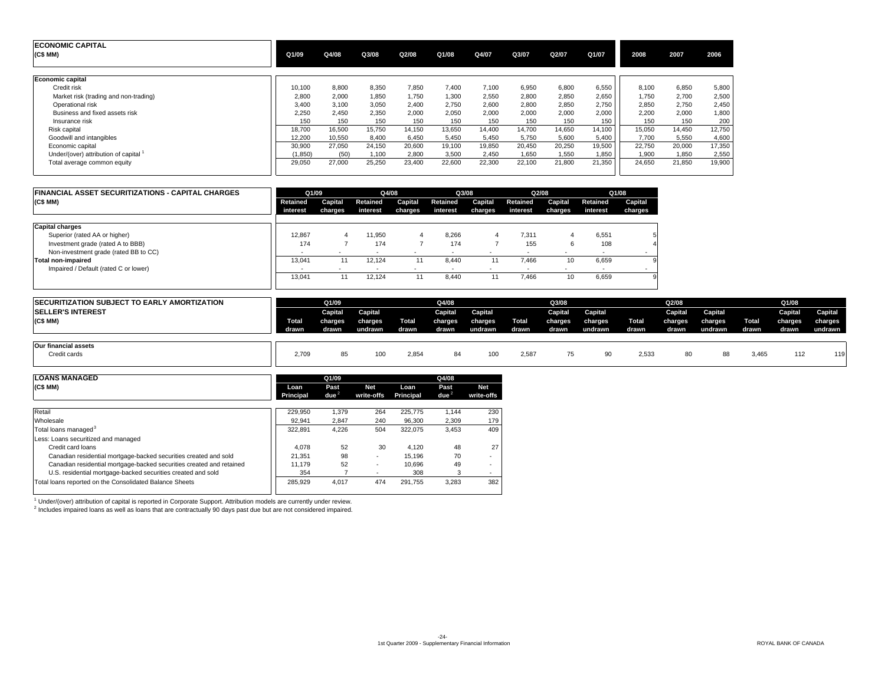| <b>ECONOMIC CAPITAL</b><br>(C\$ MM)   | Q1/09    | Q4/08  | Q3/08  | Q2/08  | Q1/08  | Q4/07  | Q3/07  | Q2/07  | Q1/07  | 2008   | 2007   | 2006   |
|---------------------------------------|----------|--------|--------|--------|--------|--------|--------|--------|--------|--------|--------|--------|
| Economic capital                      |          |        |        |        |        |        |        |        |        |        |        |        |
| Credit risk                           | 10,100   | 8,800  | 8,350  | 7,850  | 7.400  | 7.100  | 6,950  | 6,800  | 6,550  | 8.100  | 6,850  | 5,800  |
| Market risk (trading and non-trading) | 2.800    | 2.000  | 1.850  | 1.750  | 1.300  | 2.550  | 2,800  | 2,850  | 2,650  | 1.750  | 2,700  | 2,500  |
| Operational risk                      | 3,400    | 3.100  | 3,050  | 2,400  | 2.750  | 2,600  | 2,800  | 2,850  | 2,750  | 2,850  | 2,750  | 2,450  |
| Business and fixed assets risk        | 2,250    | 2.450  | 2,350  | 2,000  | 2.050  | 2.000  | 2,000  | 2,000  | 2,000  | 2,200  | 2,000  | 1,800  |
| Insurance risk                        | 150      | 150    | 150    | 150    | 150    | 150    | 150    | 150    | 150    | 150    | 150    | 200    |
| Risk capital                          | 18.700   | 16.500 | 15.750 | 14.150 | 13.650 | 14.400 | 14.700 | 14.650 | 14.100 | 15.050 | 14.450 | 12,750 |
| Goodwill and intangibles              | 12.200   | 10,550 | 8,400  | 6,450  | 5,450  | 5,450  | 5,750  | 5,600  | 5,400  | 7,700  | 5,550  | 4,600  |
| Economic capital                      | 30,900   | 27.050 | 24,150 | 20,600 | 19,100 | 19,850 | 20.450 | 20,250 | 19,500 | 22,750 | 20,000 | 17,350 |
| Under/(over) attribution of capital 1 | (1, 850) | (50)   | .100   | 2,800  | 3,500  | 2.450  | 1.650  | 1.550  | 1,850  | 1,900  | 1,850  | 2,550  |
| Total average common equity           | 29,050   | 27,000 | 25,250 | 23,400 | 22,600 | 22,300 | 22.100 | 21,800 | 21,350 | 24,650 | 21,850 | 19,900 |

| <b>FINANCIAL ASSET SECURITIZATIONS - CAPITAL CHARGES</b> |                          | Q1/09                    | Q4/08                    |         | Q3/08                    |         |          | Q2/08   |                          | Q1/08   |
|----------------------------------------------------------|--------------------------|--------------------------|--------------------------|---------|--------------------------|---------|----------|---------|--------------------------|---------|
| (C\$MM)                                                  | Retained                 | Capital                  | Retained                 | Capital | Retained                 | Capital | Retained | Capital | Retained                 | Capital |
|                                                          | interest                 | charges                  | interest                 | charges | interest                 | charges | interest | charges | interest                 | charges |
| <b>Capital charges</b>                                   |                          |                          |                          |         |                          |         |          |         |                          |         |
| Superior (rated AA or higher)                            | 12,867                   |                          | 11.950                   | 4       | 8.266                    | 4       | 7.311    | 4       | 6,551                    |         |
| Investment grade (rated A to BBB)                        | 174                      |                          | 174                      |         | 174                      |         | 155      | 6       | 108                      |         |
| Non-investment grade (rated BB to CC)                    | $\overline{\phantom{a}}$ | $\overline{\phantom{a}}$ | $\sim$                   |         | $\overline{\phantom{a}}$ |         |          |         | $\overline{\phantom{a}}$ |         |
| Total non-impaired                                       | 13.041                   | 11                       | 12.124                   | 11      | 8.440                    | 11      | 7.466    | 10      | 6,659                    |         |
| Impaired / Default (rated C or lower)                    | $\overline{\phantom{a}}$ |                          | $\overline{\phantom{a}}$ |         | $\overline{\phantom{a}}$ |         |          |         | $\overline{\phantom{a}}$ |         |
|                                                          | 13.041                   | 11                       | 12.124                   | 11      | 8.440                    | 11      | 7,466    | 10      | 6,659                    |         |
|                                                          |                          |                          |                          |         |                          |         |          |         |                          |         |

| <b>ISECURITIZATION SUBJECT TO EARLY AMORTIZATION</b><br><b>SELLER'S INTEREST</b><br>(C\$MM) | <b>Total</b><br>drawn | Q1/09<br>Capital<br>charges<br>drawn l | Capital<br>charges<br>undrawn | Total<br>drawn | Q4/08<br>Capital<br>charges<br>drawn | Capital<br>charges<br>undrawn | Total<br>drawn | Q3/08<br>Capital<br>charges<br>drawn | Capital<br>charges<br>undrawn | Total<br>drawn | Q2/08<br>Capital<br>charges<br>drawn | Capital<br>charges<br>undrawn | <b>Total</b><br>drawn | Q1/08<br>Capital<br>charges<br>drawn | Capital<br>charges<br>undrawn |
|---------------------------------------------------------------------------------------------|-----------------------|----------------------------------------|-------------------------------|----------------|--------------------------------------|-------------------------------|----------------|--------------------------------------|-------------------------------|----------------|--------------------------------------|-------------------------------|-----------------------|--------------------------------------|-------------------------------|
| <b>Our financial assets</b><br>Credit cards                                                 | 2.709                 | 85                                     |                               | 2,854          | 84                                   | 100                           | 2,587          | 75                                   | 90                            | 2,533          | 80                                   | 88                            | 3,465                 | 112                                  | 119                           |

| <b>LOANS MANAGED</b>                                                 |                          | Q1/09                    |                          |                          | Q4/08                    |                          |
|----------------------------------------------------------------------|--------------------------|--------------------------|--------------------------|--------------------------|--------------------------|--------------------------|
| (C\$ MM)                                                             | Loan<br><b>Principal</b> | Past<br>due <sup>2</sup> | <b>Net</b><br>write-offs | Loan<br><b>Principal</b> | Past<br>due <sup>2</sup> | <b>Net</b><br>write-offs |
| Retail                                                               | 229.950                  | 1.379                    | 264                      | 225,775                  | 1.144                    | 230                      |
| Wholesale                                                            | 92.941                   | 2.847                    | 240                      | 96.300                   | 2.309                    | 179                      |
| Total loans managed <sup>3</sup>                                     | 322.891                  | 4.226                    | 504                      | 322.075                  | 3,453                    | 409                      |
| Less: Loans securitized and managed                                  |                          |                          |                          |                          |                          |                          |
| Credit card loans                                                    | 4.078                    | 52                       | 30                       | 4.120                    | 48                       | 27                       |
| Canadian residential mortgage-backed securities created and sold     | 21.351                   | 98                       | $\sim$                   | 15.196                   | 70                       |                          |
| Canadian residential mortgage-backed securities created and retained | 11.179                   | 52                       |                          | 10.696                   | 49                       | $\overline{\phantom{a}}$ |
| U.S. residential mortgage-backed securities created and sold         | 354                      |                          |                          | 308                      | 3                        |                          |
| Total loans reported on the Consolidated Balance Sheets              | 285.929                  | 4.017                    | 474                      | 291.755                  | 3,283                    | 382                      |

 $1$  Under/(over) attribution of capital is reported in Corporate Support. Attribution models are currently under review.

2 Includes impaired loans as well as loans that are contractually 90 days past due but are not considered impaired.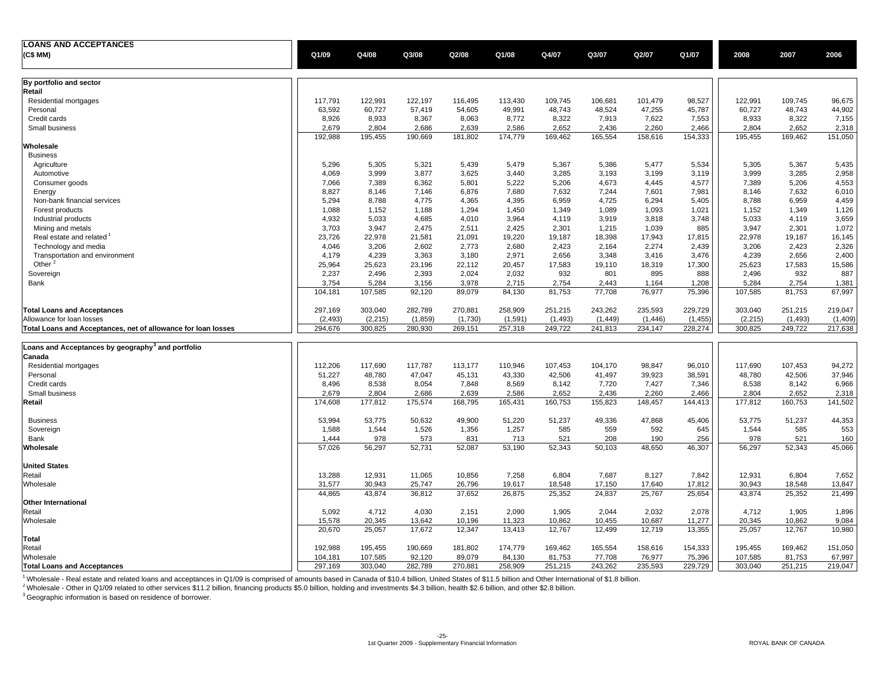| <b>LOANS AND ACCEPTANCES</b>                                  |          |          |         |         |          |          |          |          |          |          |          |         |
|---------------------------------------------------------------|----------|----------|---------|---------|----------|----------|----------|----------|----------|----------|----------|---------|
| (C\$ MM)                                                      | Q1/09    | Q4/08    | Q3/08   | Q2/08   | Q1/08    | Q4/07    | Q3/07    | Q2/07    | Q1/07    | 2008     | 2007     | 2006    |
|                                                               |          |          |         |         |          |          |          |          |          |          |          |         |
| By portfolio and sector                                       |          |          |         |         |          |          |          |          |          |          |          |         |
| Retail                                                        |          |          |         |         |          |          |          |          |          |          |          |         |
| Residential mortgages                                         | 117,791  | 122,991  | 122,197 | 116,495 | 113,430  | 109,745  | 106,681  | 101,479  | 98,527   | 122,991  | 109,745  | 96,675  |
| Personal                                                      | 63,592   | 60,727   | 57,419  | 54,605  | 49,991   | 48,743   | 48,524   | 47,255   | 45,787   | 60,727   | 48,743   | 44,902  |
| Credit cards                                                  | 8,926    | 8,933    | 8,367   | 8,063   | 8,772    | 8,322    | 7,913    | 7,622    | 7,553    | 8,933    | 8,322    | 7,155   |
| Small business                                                | 2,679    | 2,804    | 2,686   | 2,639   | 2,586    | 2,652    | 2,436    | 2,260    | 2,466    | 2,804    | 2,652    | 2,318   |
| Wholesale                                                     | 192,988  | 195,455  | 190,669 | 181,802 | 174,779  | 169,462  | 165,554  | 158,616  | 154,333  | 195,455  | 169,462  | 151,050 |
| <b>Business</b>                                               |          |          |         |         |          |          |          |          |          |          |          |         |
|                                                               | 5,296    | 5,305    | 5,321   | 5,439   | 5,479    | 5,367    | 5,386    | 5,477    | 5,534    | 5,305    | 5,367    | 5,435   |
| Agriculture<br>Automotive                                     | 4,069    | 3,999    | 3,877   | 3,625   | 3,440    | 3,285    | 3,193    | 3,199    | 3,119    | 3,999    | 3,285    | 2,958   |
|                                                               | 7,066    | 7,389    | 6,362   | 5,801   | 5,222    | 5,206    | 4,673    |          | 4,577    | 7,389    | 5,206    | 4,553   |
| Consumer goods                                                |          |          |         |         |          |          |          | 4,445    |          |          |          |         |
| Energy                                                        | 8,827    | 8,146    | 7,146   | 6,876   | 7,680    | 7,632    | 7,244    | 7,601    | 7,981    | 8,146    | 7,632    | 6,010   |
| Non-bank financial services                                   | 5,294    | 8,788    | 4,775   | 4,365   | 4,395    | 6,959    | 4,725    | 6,294    | 5,405    | 8,788    | 6,959    | 4,459   |
| Forest products                                               | 1,088    | 1,152    | 1,188   | 1,294   | 1,450    | 1,349    | 1,089    | 1,093    | 1,021    | 1,152    | 1,349    | 1,126   |
| Industrial products                                           | 4,932    | 5,033    | 4,685   | 4,010   | 3,964    | 4,119    | 3,919    | 3,818    | 3,748    | 5,033    | 4,119    | 3,659   |
| Mining and metals                                             | 3,703    | 3,947    | 2,475   | 2,511   | 2,425    | 2,301    | 1,215    | 1,039    | 885      | 3,947    | 2,301    | 1,072   |
| Real estate and related                                       | 23,726   | 22,978   | 21,581  | 21,091  | 19,220   | 19,187   | 18,398   | 17,943   | 17,815   | 22,978   | 19,187   | 16,145  |
| Technology and media                                          | 4,046    | 3,206    | 2,602   | 2,773   | 2,680    | 2,423    | 2,164    | 2,274    | 2,439    | 3,206    | 2,423    | 2,326   |
| Transportation and environment                                | 4,179    | 4,239    | 3,363   | 3,180   | 2,971    | 2,656    | 3,348    | 3,416    | 3,476    | 4,239    | 2,656    | 2,400   |
| Other <sup>2</sup>                                            | 25,964   | 25,623   | 23,196  | 22,112  | 20,457   | 17,583   | 19,110   | 18,319   | 17,300   | 25,623   | 17,583   | 15,586  |
| Sovereign                                                     | 2,237    | 2,496    | 2,393   | 2,024   | 2,032    | 932      | 801      | 895      | 888      | 2,496    | 932      | 887     |
| Bank                                                          | 3,754    | 5,284    | 3,156   | 3,978   | 2,715    | 2,754    | 2,443    | 1,164    | 1,208    | 5,284    | 2,754    | 1,381   |
|                                                               | 104,181  | 107,585  | 92,120  | 89,079  | 84,130   | 81,753   | 77,708   | 76,977   | 75,396   | 107,585  | 81,753   | 67,997  |
| <b>Total Loans and Acceptances</b>                            | 297,169  | 303,040  | 282,789 | 270,881 | 258,909  | 251,215  | 243,262  | 235,593  | 229,729  | 303,040  | 251,215  | 219,047 |
| Allowance for loan losses                                     | (2, 493) | (2, 215) | (1,859) | (1,730) | (1, 591) | (1, 493) | (1, 449) | (1, 446) | (1, 455) | (2, 215) | (1, 493) | (1,409) |
| Total Loans and Acceptances, net of allowance for loan losses | 294,676  | 300,825  | 280,930 | 269,151 | 257,318  | 249,722  | 241,813  | 234,147  | 228,274  | 300,825  | 249,722  | 217,638 |
|                                                               |          |          |         |         |          |          |          |          |          |          |          |         |
| Loans and Acceptances by geography <sup>3</sup> and portfolio |          |          |         |         |          |          |          |          |          |          |          |         |
| Canada                                                        |          |          |         |         |          |          |          |          |          |          |          |         |
| Residential mortgages                                         | 112,206  | 117,690  | 117,787 | 113,177 | 110,946  | 107,453  | 104,170  | 98,847   | 96,010   | 117,690  | 107,453  | 94,272  |
| Personal                                                      | 51,227   | 48,780   | 47,047  | 45,131  | 43,330   | 42,506   | 41,497   | 39,923   | 38,591   | 48,780   | 42,506   | 37,946  |
| Credit cards                                                  | 8,496    | 8,538    | 8,054   | 7,848   | 8,569    | 8,142    | 7,720    | 7,427    | 7,346    | 8,538    | 8,142    | 6,966   |
| Small business                                                | 2,679    | 2,804    | 2,686   | 2,639   | 2,586    | 2,652    | 2,436    | 2,260    | 2,466    | 2,804    | 2,652    | 2,318   |
| Retail                                                        | 174,608  | 177,812  | 175,574 | 168,795 | 165,431  | 160,753  | 155,823  | 148,457  | 144,413  | 177,812  | 160,753  | 141,502 |
| <b>Business</b>                                               | 53,994   | 53,775   | 50,632  | 49,900  | 51,220   | 51,237   | 49,336   | 47,868   | 45,406   | 53,775   | 51,237   | 44,353  |
| Sovereign                                                     | 1,588    | 1,544    | 1,526   | 1,356   | 1,257    | 585      | 559      | 592      | 645      | 1,544    | 585      | 553     |
| Bank                                                          | 1,444    | 978      | 573     | 831     | 713      | 521      | 208      | 190      | 256      | 978      | 521      | 160     |
| Wholesale                                                     | 57,026   | 56,297   | 52,731  | 52,087  | 53,190   | 52,343   | 50,103   | 48,650   | 46,307   | 56,297   | 52,343   | 45,066  |
|                                                               |          |          |         |         |          |          |          |          |          |          |          |         |
| <b>United States</b>                                          |          |          |         |         |          |          |          |          |          |          |          |         |
| Retail                                                        | 13,288   | 12,931   | 11,065  | 10,856  | 7,258    | 6,804    | 7,687    | 8,127    | 7,842    | 12,931   | 6,804    | 7,652   |
| Wholesale                                                     | 31,577   | 30,943   | 25,747  | 26,796  | 19,617   | 18,548   | 17,150   | 17,640   | 17,812   | 30,943   | 18,548   | 13,847  |
|                                                               | 44,865   | 43,874   | 36,812  | 37,652  | 26,875   | 25,352   | 24,837   | 25,767   | 25,654   | 43,874   | 25,352   | 21,499  |
| Other International                                           |          |          |         |         |          |          |          |          |          |          |          |         |
| Retail                                                        | 5,092    | 4,712    | 4,030   | 2,151   | 2,090    | 1,905    | 2,044    | 2,032    | 2,078    | 4,712    | 1,905    | 1,896   |
| Wholesale                                                     | 15,578   | 20,345   | 13,642  | 10,196  | 11,323   | 10,862   | 10,455   | 10,687   | 11,277   | 20,345   | 10,862   | 9,084   |
| Total                                                         | 20,670   | 25,057   | 17,672  | 12,347  | 13,413   | 12,767   | 12,499   | 12,719   | 13,355   | 25,057   | 12,767   | 10,980  |
|                                                               |          |          |         |         |          |          |          |          |          |          |          |         |
| Retail                                                        | 192,988  | 195,455  | 190,669 | 181,802 | 174,779  | 169,462  | 165,554  | 158,616  | 154,333  | 195,455  | 169,462  | 151,050 |
| Wholesale                                                     | 104,181  | 107,585  | 92,120  | 89,079  | 84,130   | 81,753   | 77,708   | 76,977   | 75,396   | 107,585  | 81,753   | 67,997  |
| <b>Total Loans and Acceptances</b>                            | 297,169  | 303,040  | 282,789 | 270,881 | 258,909  | 251,215  | 243,262  | 235,593  | 229,729  | 303,040  | 251,215  | 219,047 |

<sup>1</sup> Wholesale - Real estate and related loans and acceptances in Q1/09 is comprised of amounts based in Canada of \$10.4 billion, United States of \$11.5 billion and Other International of \$1.8 billion.

 $^2$ Wholesale - Other in Q1/09 related to other services \$11.2 billion, financing products \$5.0 billion, holding and investments \$4.3 billion, health \$2.6 billion, and other \$2.8 billion.

 $3$  Geographic information is based on residence of borrower.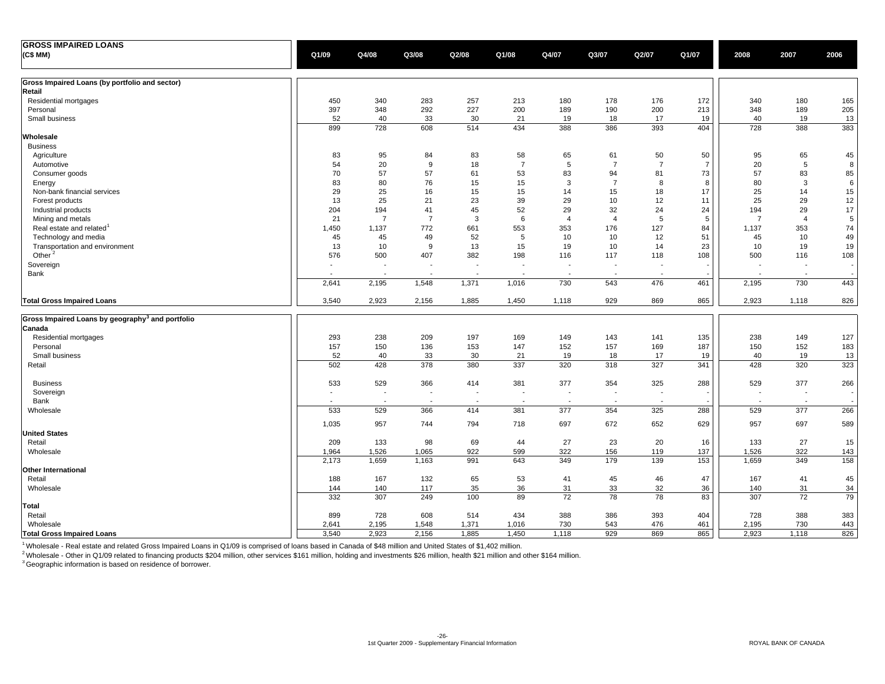| <b>GROSS IMPAIRED LOANS</b>                                  |            |                          |                |                          |                          |                |                          |                |                |                |                          |          |
|--------------------------------------------------------------|------------|--------------------------|----------------|--------------------------|--------------------------|----------------|--------------------------|----------------|----------------|----------------|--------------------------|----------|
| (C\$ MM)                                                     | Q1/09      | Q4/08                    | Q3/08          | Q2/08                    | Q1/08                    | Q4/07          | Q3/07                    | Q2/07          | Q1/07          | 2008           | 2007                     | 2006     |
| Gross Impaired Loans (by portfolio and sector)               |            |                          |                |                          |                          |                |                          |                |                |                |                          |          |
| Retail                                                       |            |                          |                |                          |                          |                |                          |                |                |                |                          |          |
| Residential mortgages                                        | 450        | 340                      | 283            | 257                      | 213                      | 180            | 178                      | 176            | 172            | 340            | 180                      | 165      |
| Personal                                                     | 397        | 348                      | 292            | 227                      | 200                      | 189            | 190                      | 200            | 213            | 348            | 189                      | 205      |
| Small business                                               | 52         | 40                       | 33             | 30                       | 21                       | 19             | 18                       | 17             | 19             | 40             | 19                       | 13       |
| Wholesale                                                    | 899        | 728                      | 608            | 514                      | 434                      | 388            | 386                      | 393            | 404            | 728            | 388                      | 383      |
| <b>Business</b>                                              |            |                          |                |                          |                          |                |                          |                |                |                |                          |          |
| Agriculture                                                  | 83         | 95                       | 84             | 83                       | 58                       | 65             | 61                       | 50             | 50             | 95             | 65                       | 45       |
| Automotive                                                   | 54         | 20                       | 9              | 18                       | $\overline{7}$           | 5              | $\overline{7}$           | $\overline{7}$ | $\overline{7}$ | 20             | 5                        | 8        |
| Consumer goods                                               | 70         | 57                       | 57             | 61                       | 53                       | 83             | 94                       | 81             | 73             | 57             | 83                       | 85       |
| Energy                                                       | 83         | 80                       | 76             | 15                       | 15                       | 3              | $\overline{7}$           | 8              | 8              | 80             | 3                        | 6        |
| Non-bank financial services                                  | 29         | 25                       | 16             | 15                       | 15                       | 14             | 15                       | 18             | 17             | 25             | 14                       | 15       |
| Forest products                                              | 13         | 25                       | 21             | 23                       | 39                       | 29             | 10                       | 12             | 11             | 25             | 29                       | 12       |
| Industrial products                                          | 204        | 194                      | 41             | 45                       | 52                       | 29             | 32                       | 24             | 24             | 194            | 29                       | 17       |
| Mining and metals                                            | 21         | $\overline{7}$           | $\overline{7}$ | 3                        | 6                        | $\overline{4}$ | $\overline{4}$           | 5              | 5              | $\overline{7}$ | $\overline{4}$           | 5        |
| Real estate and related                                      | 1,450      | 1,137                    | 772            | 661                      | 553                      | 353            | 176                      | 127            | 84             | 1,137          | 353                      | 74       |
| Technology and media                                         | 45         | 45                       | 49             | 52                       | 5                        | 10             | 10                       | 12             | 51             | 45             | 10                       | 49       |
| Transportation and environment                               | 13         | 10                       | 9              | 13                       | 15                       | 19             | 10                       | 14             | 23             | 10             | 19                       | 19       |
| Other <sup>2</sup>                                           | 576        | 500                      | 407            | 382                      | 198                      | 116            | 117                      | 118            | 108            | 500            | 116                      | 108      |
| Sovereign                                                    |            |                          | $\overline{a}$ | $\overline{\phantom{a}}$ | $\overline{\phantom{a}}$ |                | $\overline{\phantom{a}}$ |                |                |                | $\overline{\phantom{a}}$ |          |
| Bank                                                         |            | $\overline{\phantom{a}}$ | $\overline{a}$ | - 1                      |                          |                | $\overline{a}$           |                |                |                | $\blacksquare$           |          |
|                                                              | 2,641      | 2,195                    | 1,548          | 1,371                    | 1,016                    | 730            | 543                      | 476            | 461            | 2,195          | 730                      | 443      |
| <b>Total Gross Impaired Loans</b>                            | 3,540      | 2,923                    | 2,156          | 1,885                    | 1,450                    | 1,118          | 929                      | 869            | 865            | 2,923          | 1,118                    | 826      |
| Gross Impaired Loans by geography <sup>3</sup> and portfolio |            |                          |                |                          |                          |                |                          |                |                |                |                          |          |
| Canada                                                       |            |                          |                |                          |                          |                |                          |                |                |                |                          |          |
| Residential mortgages                                        | 293        | 238                      | 209            | 197                      | 169                      | 149            | 143                      | 141            | 135            | 238            | 149                      | 127      |
| Personal                                                     | 157        | 150                      | 136            | 153                      | 147                      | 152            | 157                      | 169            | 187            | 150            | 152                      | 183      |
| Small business                                               | 52         | 40                       | 33             | 30                       | 21                       | 19             | 18                       | 17             | 19             | 40             | 19                       | 13       |
| Retail                                                       | 502        | 428                      | 378            | 380                      | 337                      | 320            | 318                      | 327            | 341            | 428            | 320                      | 323      |
| <b>Business</b>                                              | 533        | 529                      | 366            | 414                      | 381                      | 377            | 354                      | 325            | 288            | 529            | 377                      | 266      |
| Sovereign                                                    |            |                          | $\blacksquare$ |                          | ٠                        |                | $\overline{\phantom{a}}$ |                |                |                | $\overline{\phantom{a}}$ |          |
| Bank                                                         |            |                          |                |                          |                          |                |                          |                |                |                |                          |          |
| Wholesale                                                    | 533        | 529                      | 366            | 414                      | 381                      | 377            | 354                      | 325            | 288            | 529            | 377                      | 266      |
|                                                              | 1,035      | 957                      | 744            | 794                      | 718                      | 697            | 672                      | 652            | 629            | 957            | 697                      | 589      |
| <b>United States</b>                                         |            |                          |                |                          |                          |                |                          |                |                |                |                          |          |
| Retail                                                       | 209        | 133                      | 98             | 69                       | 44                       | 27             | 23                       | 20             | 16             | 133            | 27                       | 15       |
| Wholesale                                                    | 1,964      | 1,526                    | 1,065          | 922                      | 599                      | 322            | 156                      | 119            | 137            | 1,526          | 322                      | 143      |
|                                                              | 2,173      | 1,659                    | 1,163          | 991                      | 643                      | 349            | 179                      | 139            | 153            | 1,659          | 349                      | 158      |
| Other International                                          |            |                          |                |                          |                          |                |                          |                |                |                |                          |          |
| Retail                                                       | 188        | 167                      | 132            | 65                       | 53                       | 41             | 45                       | 46             | 47             | 167            | 41                       | 45       |
| Wholesale                                                    | 144<br>332 | 140<br>307               | 117<br>249     | 35<br>100                | 36<br>89                 | 31<br>72       | 33<br>78                 | 32<br>78       | 36<br>83       | 140<br>307     | 31<br>72                 | 34<br>79 |
| Total                                                        |            |                          |                |                          |                          |                |                          |                |                |                |                          |          |
| Retail                                                       | 899        | 728                      | 608            | 514                      | 434                      | 388            | 386                      | 393            | 404            | 728            | 388                      | 383      |
| Wholesale                                                    | 2,641      | 2,195                    | 1,548          | 1,371                    | 1,016                    | 730            | 543                      | 476            | 461            | 2,195          | 730                      | 443      |
| <b>Total Gross Impaired Loans</b>                            | 3,540      | 2,923                    | 2,156          | 1,885                    | 1,450                    | 1,118          | 929                      | 869            | 865            | 2,923          | 1,118                    | 826      |

1 Wholesale - Real estate and related Gross Impaired Loans in Q1/09 is comprised of loans based in Canada of \$48 million and United States of \$1,402 million.

<sup>2</sup> Wholesale - Other in Q1/09 related to financing products \$204 million, other services \$161 million, holding and investments \$26 million, health \$21 million and other \$164 million.

 $3$  Geographic information is based on residence of borrower.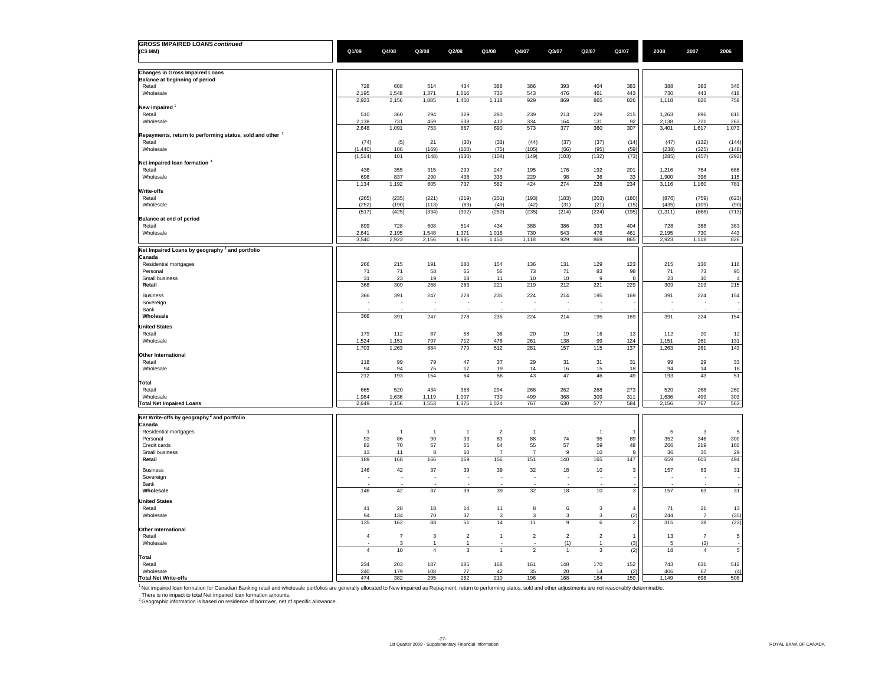| <b>GROSS IMPAIRED LOANS continued</b>                                                                                                                                                                                          |                    |                      |                      |                               |                       |                       |                   |                               |                       |                   |                       |                      |
|--------------------------------------------------------------------------------------------------------------------------------------------------------------------------------------------------------------------------------|--------------------|----------------------|----------------------|-------------------------------|-----------------------|-----------------------|-------------------|-------------------------------|-----------------------|-------------------|-----------------------|----------------------|
| (C\$ MM)                                                                                                                                                                                                                       | Q1/09              | Q4/08                | Q3/08                | Q2/08                         | Q1/08                 | Q4/07                 | Q3/07             | Q2/07                         | Q1/07                 | 2008              | 2007                  | 2006                 |
|                                                                                                                                                                                                                                |                    |                      |                      |                               |                       |                       |                   |                               |                       |                   |                       |                      |
| <b>Changes in Gross Impaired Loans</b><br>Balance at beginning of period                                                                                                                                                       |                    |                      |                      |                               |                       |                       |                   |                               |                       |                   |                       |                      |
| Retail                                                                                                                                                                                                                         | 728                | 608                  | 514                  | 434                           | 388                   | 386                   | 393               | 404                           | 383                   | 388               | 383                   | 340                  |
| Wholesale                                                                                                                                                                                                                      | 2,195              | 1,548                | 1,371                | 1,016                         | 730                   | 543                   | 476               | 461                           | 443                   | 730               | 443                   | 418                  |
| New impaired                                                                                                                                                                                                                   | 2,923              | 2,156                | 1,885                | 1,450                         | 1,118                 | 929                   | 869               | 865                           | 826                   | 1,118             | 826                   | 758                  |
| Retail                                                                                                                                                                                                                         | 510                | 360                  | 294                  | 329                           | 280                   | 239                   | 213               | 229                           | 215                   | 1,263             | 896                   | 810                  |
| Wholesale                                                                                                                                                                                                                      | 2,138              | 731                  | 459                  | 538                           | 410                   | 334                   | 164               | 131                           | 92                    | 2,138             | 721                   | 263                  |
| Repayments, return to performing status, sold and other                                                                                                                                                                        | 2,648              | 1,091                | 753                  | 867                           | 690                   | 573                   | 377               | 360                           | 307                   | 3,401             | 1,617                 | 1,073                |
| Retail                                                                                                                                                                                                                         | (74)               | (5)                  | 21                   | (30)                          | (33)                  | (44)                  | (37)              | (37)                          | (14)                  | (47)              | (132)                 | (144)                |
| Wholesale                                                                                                                                                                                                                      | (1, 440)           | 106<br>101           | (169)                | (100)                         | (75)<br>(108)         | (105)                 | (66)<br>(103)     | (95)                          | (59)<br>(73)          | (238)             | (325)                 | (148)                |
| Net impaired loan formation <sup>1</sup>                                                                                                                                                                                       | (1, 514)           |                      | (148)                | (130)                         |                       | (149)                 |                   | (132)                         |                       | (285)             | (457)                 | (292)                |
| Retail                                                                                                                                                                                                                         | 436                | 355                  | 315                  | 299                           | 247                   | 195                   | 176               | 192                           | 201                   | 1,216             | 764                   | 666                  |
| Wholesale                                                                                                                                                                                                                      | 698<br>1,134       | 837<br>1,192         | 290<br>605           | 438<br>737                    | 335<br>582            | 229<br>424            | 98<br>274         | 36<br>228                     | 33<br>234             | 1.900<br>3,116    | 396<br>1,160          | 115<br>781           |
| Write-offs                                                                                                                                                                                                                     |                    |                      |                      |                               |                       |                       |                   |                               |                       |                   |                       |                      |
| Retail                                                                                                                                                                                                                         | (265)              | (235)                | (221)                | (219)                         | (201)                 | (193)                 | (183)             | (203)                         | (180)                 | (876)             | (759)                 | (623)                |
| Wholesale                                                                                                                                                                                                                      | (252)<br>(517)     | (190)<br>(425)       | (113)<br>(334)       | (83)<br>(302)                 | (49)<br>(250)         | (42)<br>(235)         | (31)<br>(214)     | (21)<br>(224)                 | (15)<br>(195)         | (435)<br>(1, 311) | (109)<br>(868)        | (90)<br>(713)        |
| Balance at end of period                                                                                                                                                                                                       |                    |                      |                      |                               |                       |                       |                   |                               |                       |                   |                       |                      |
| Retail                                                                                                                                                                                                                         | 899                | 728                  | 608                  | 514                           | 434                   | 388                   | 386               | 393                           | 404                   | 728               | 388                   | 383                  |
| Wholesale                                                                                                                                                                                                                      | 2,641<br>3,540     | 2,195<br>2,923       | 1,548<br>2,156       | 1,371<br>1,885                | 1,016<br>1,450        | 730<br>1,118          | 543<br>929        | 476<br>869                    | 461<br>865            | 2,195<br>2,923    | 730<br>1,118          | 443<br>826           |
| Net Impaired Loans by geography <sup>2</sup> and portfolio                                                                                                                                                                     |                    |                      |                      |                               |                       |                       |                   |                               |                       |                   |                       |                      |
| Canada                                                                                                                                                                                                                         |                    |                      |                      |                               |                       |                       |                   |                               |                       |                   |                       |                      |
| Residential mortgages                                                                                                                                                                                                          | 266                | 215                  | 191                  | 180                           | 154                   | 136                   | 131               | 129                           | 123                   | 215               | 136                   | 116                  |
| Personal<br>Small business                                                                                                                                                                                                     | 71<br>31           | 71<br>23             | 58<br>19             | 65<br>18                      | 56<br>11              | 73<br>10              | 71<br>10          | 83<br>9                       | 98                    | 71<br>23          | 73<br>$10$            | 95<br>$\overline{4}$ |
| Retail                                                                                                                                                                                                                         | 368                | 309                  | 268                  | 263                           | 221                   | 219                   | 212               | 221                           | 229                   | 309               | 219                   | 215                  |
| <b>Business</b>                                                                                                                                                                                                                | 366                | 391                  | 247                  | 278                           | 235                   | 224                   | 214               | 195                           | 169                   | 391               | 224                   | 154                  |
| Sovereign                                                                                                                                                                                                                      |                    |                      |                      |                               |                       |                       |                   |                               |                       |                   |                       |                      |
| Bank<br>Wholesale                                                                                                                                                                                                              | 366                | 391                  | 247                  | 278                           | 235                   | 224                   | 214               | 195                           | 169                   | 391               | 224                   | 154                  |
|                                                                                                                                                                                                                                |                    |                      |                      |                               |                       |                       |                   |                               |                       |                   |                       |                      |
| <b>United States</b><br>Retail                                                                                                                                                                                                 | 179                | 112                  | 87                   | 58                            | 36                    | 20                    | 19                | 16                            | 13                    | 112               | 20                    | 12                   |
| Wholesale                                                                                                                                                                                                                      | 1.524              | 1,151                | 797                  | 712                           | 476                   | 261                   | 138               | 99                            | 124                   | 1,151             | 261                   | 131                  |
| <b>Other International</b>                                                                                                                                                                                                     | 1,703              | 1,263                | 884                  | 770                           | 512                   | 281                   | 157               | 115                           | 137                   | 1,263             | 281                   | 143                  |
| Retail                                                                                                                                                                                                                         | 118                | 99                   | 79                   | 47                            | 37                    | 29                    | 31                | 31                            | 31                    | 99                | 29                    | 33                   |
| Wholesale                                                                                                                                                                                                                      | 94                 | 94                   | 75                   | 17                            | 19                    | 14                    | 16                | 15                            | 18                    | 94                | 14                    | 18                   |
| Total                                                                                                                                                                                                                          | 212                | 193                  | 154                  | 64                            | 56                    | 43                    | 47                | 46                            | 49                    | 193               | 43                    | 51                   |
| Retail                                                                                                                                                                                                                         | 665                | 520                  | 434                  | 368                           | 294                   | 268                   | 262               | 268                           | 273                   | 520               | 268                   | 260                  |
| Wholesale                                                                                                                                                                                                                      | 1,984              | 1,636                | 1,119                | 1,007                         | 730                   | 499                   | 368               | 309                           | 311                   | 1,636             | 499                   | 303                  |
| <b>Total Net Impaired Loans</b>                                                                                                                                                                                                | 2,649              | 2,156                | 1,553                | 1,375                         | 1,024                 | 767                   | 630               | 577                           | 584                   | 2,156             | 767                   | 563                  |
| Net Write-offs by geography <sup>2</sup> and portfolio                                                                                                                                                                         |                    |                      |                      |                               |                       |                       |                   |                               |                       |                   |                       |                      |
| Canada                                                                                                                                                                                                                         |                    |                      |                      |                               |                       |                       |                   |                               |                       |                   |                       |                      |
| Residential mortgages<br>Personal                                                                                                                                                                                              | $\mathbf{1}$<br>93 | $\overline{1}$<br>86 | $\overline{1}$<br>90 | -1<br>93                      | $\overline{2}$<br>83  | -1<br>88              | 74                | -1<br>95                      | 89                    | 5<br>352          | 3<br>346              | 5<br>300             |
| Credit cards                                                                                                                                                                                                                   | 82                 | $70\,$               | 67                   | 65                            | 64                    | 55                    | 57                | 59                            | 48                    | 266               | 219                   | 160                  |
| Small business<br>Retail                                                                                                                                                                                                       | 13<br>189          | 11<br>168            | 8<br>166             | 10<br>169                     | $\overline{7}$<br>156 | $\overline{7}$<br>151 | 9<br>140          | 10<br>165                     | -9<br>147             | 36<br>659         | 35<br>603             | 29<br>494            |
|                                                                                                                                                                                                                                |                    |                      |                      |                               |                       |                       |                   |                               |                       |                   |                       |                      |
| <b>Business</b><br>Sovereign                                                                                                                                                                                                   | 146                | 42<br>÷,             | 37                   | 39                            | 39                    | 32<br>÷,              | 18<br>÷,          | $10$                          | 3                     | 157               | 63<br>÷,              | 31                   |
| Bank                                                                                                                                                                                                                           |                    |                      |                      |                               |                       |                       |                   |                               |                       |                   |                       |                      |
| Wholesale                                                                                                                                                                                                                      | 146                | 42                   | 37                   | 39                            | 39                    | 32                    | 18                | $10$                          | 3                     | 157               | 63                    | 31                   |
| <b>United States</b>                                                                                                                                                                                                           |                    |                      |                      |                               |                       |                       |                   |                               |                       |                   |                       |                      |
| Retail<br>Wholesale                                                                                                                                                                                                            | 41<br>94           | 28<br>134            | 18<br>70             | 14<br>37                      | 11<br>3               | $\bf8$<br>3           | 6<br>3            | $\mathbf 3$<br>3              | $\overline{4}$<br>(2) | 71<br>244         | 21<br>$\overline{7}$  | 13<br>(35)           |
|                                                                                                                                                                                                                                | 135                | 162                  | 88                   | 51                            | 14                    | 11                    | 9                 | 6                             | $\overline{2}$        | 315               | 28                    | (22)                 |
| <b>Other International</b>                                                                                                                                                                                                     |                    |                      |                      |                               |                       |                       |                   |                               |                       |                   |                       |                      |
| Retail<br>Wholesale                                                                                                                                                                                                            | $\overline{4}$     | $\overline{7}$<br>3  | 3<br>$\mathbf{1}$    | $\overline{\mathbf{c}}$<br>-1 | 1                     | $\sqrt{2}$            | $\sqrt{2}$<br>(1) | $\overline{\mathbf{c}}$<br>-1 | $\overline{1}$<br>(3) | 13<br>5           | $\overline{7}$<br>(3) | $\,$ 5 $\,$          |
|                                                                                                                                                                                                                                | $\overline{4}$     | $10$                 | $\sqrt{4}$           | $\overline{3}$                | $\overline{1}$        | $\mathbf 2$           | $\overline{1}$    | $\mathbf 3$                   | (2)                   | 18                | $\overline{4}$        | $\,$ 5 $\,$          |
| Total                                                                                                                                                                                                                          |                    |                      |                      |                               |                       |                       |                   |                               |                       |                   |                       |                      |
| Retail<br>Wholesale                                                                                                                                                                                                            | 234<br>240         | 203<br>179           | 187<br>108           | 185<br>77                     | 168<br>42             | 161<br>35             | 148<br>20         | 170<br>14                     | 152<br>(2)            | 743<br>406        | 631<br>67             | 512<br>(4)           |
| <b>Total Net Write-offs</b>                                                                                                                                                                                                    | 474                | 382                  | 295                  | 262                           | 210                   | 196                   | 168               | 184                           | 150                   | 1.149             | 698                   | 508                  |
| 1 Net impaired loan formation for Canadian Banking retail and wholesale portfolios are generally allocated to New impaired as Repayment, return to performing status, sold and other adjustments are not reasonably determinab |                    |                      |                      |                               |                       |                       |                   |                               |                       |                   |                       |                      |
| There is no impact to total Net impaired loan formation amounts.<br>$^2$ Geographic information is based on residence of borrower, net of specific allowance.                                                                  |                    |                      |                      |                               |                       |                       |                   |                               |                       |                   |                       |                      |
|                                                                                                                                                                                                                                |                    |                      |                      |                               |                       |                       |                   |                               |                       |                   |                       |                      |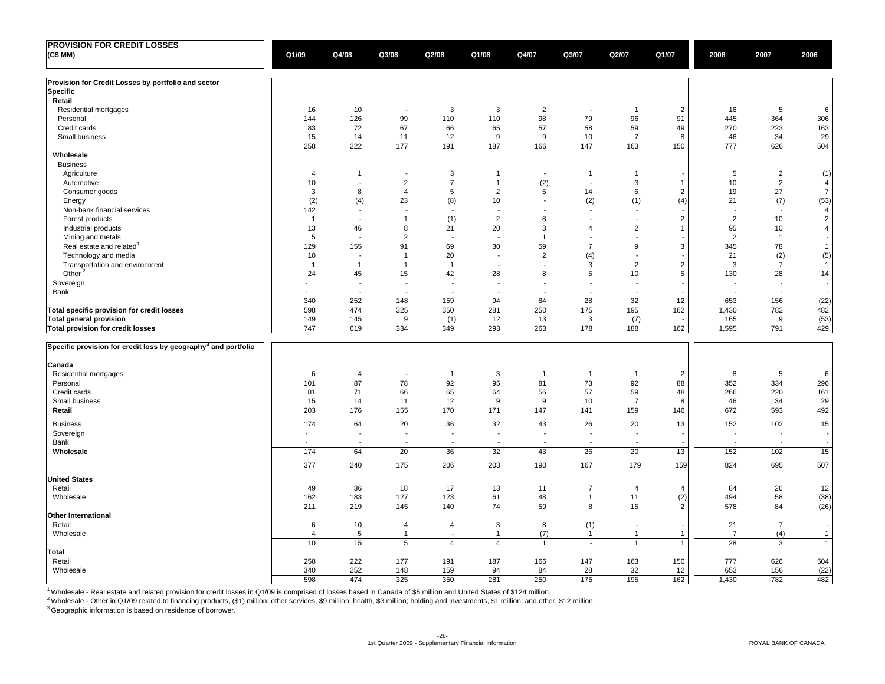| <b>PROVISION FOR CREDIT LOSSES</b>                                         |                         |                |                          |                          |                          |                |                          |                |                |                |                          |                          |
|----------------------------------------------------------------------------|-------------------------|----------------|--------------------------|--------------------------|--------------------------|----------------|--------------------------|----------------|----------------|----------------|--------------------------|--------------------------|
| (C\$ MM)                                                                   | Q1/09                   | Q4/08          | Q3/08                    | Q2/08                    | Q1/08                    | Q4/07          | Q3/07                    | Q2/07          | Q1/07          | 2008           | 2007                     | 2006                     |
|                                                                            |                         |                |                          |                          |                          |                |                          |                |                |                |                          |                          |
| Provision for Credit Losses by portfolio and sector                        |                         |                |                          |                          |                          |                |                          |                |                |                |                          |                          |
| <b>Specific</b>                                                            |                         |                |                          |                          |                          |                |                          |                |                |                |                          |                          |
| Retail                                                                     |                         |                |                          |                          |                          |                |                          |                |                |                |                          |                          |
| Residential mortgages                                                      | 16                      | 10             | $\overline{\phantom{a}}$ | 3                        | 3                        | $\overline{2}$ | ٠.                       | $\overline{1}$ | $\overline{2}$ | 16             | 5                        | 6                        |
| Personal                                                                   | 144                     | 126            | 99                       | 110                      | 110                      | 98             | 79                       | 96             | 91             | 445            | 364                      | 306                      |
| Credit cards                                                               | 83                      | 72             | 67                       | 66                       | 65                       | 57             | 58                       | 59             | 49             | 270            | 223                      | 163                      |
| Small business                                                             | 15                      | 14             | 11                       | 12                       | 9                        | 9              | 10                       | $\overline{7}$ | 8              | 46             | 34                       | 29                       |
|                                                                            | 258                     | 222            | 177                      | 191                      | 187                      | 166            | 147                      | 163            | 150            | 777            | 626                      | 504                      |
| Wholesale                                                                  |                         |                |                          |                          |                          |                |                          |                |                |                |                          |                          |
| <b>Business</b>                                                            |                         |                |                          |                          |                          |                |                          |                |                |                |                          |                          |
| Agriculture                                                                | $\overline{4}$          | -1             | $\overline{\phantom{a}}$ | 3                        | $\mathbf{1}$             | $\sim$         | $\overline{1}$           | $\mathbf{1}$   |                | 5              | $\overline{2}$           | (1)                      |
| Automotive                                                                 | 10                      | $\blacksquare$ | $\overline{2}$           | $\overline{7}$           | $\mathbf{1}$             | (2)            | $\overline{\phantom{a}}$ | 3              | $\overline{1}$ | 10             | $\overline{2}$           | $\overline{4}$           |
| Consumer goods                                                             | 3                       | 8              | $\overline{4}$           | 5                        | $\overline{2}$           | 5              | 14                       | 6              | 2              | 19             | 27                       | $\overline{7}$           |
| Energy                                                                     | (2)                     | (4)            | 23                       | (8)                      | 10                       |                | (2)                      | (1)            | (4)            | 21             | (7)                      | (53)                     |
| Non-bank financial services                                                | 142                     | $\overline{a}$ | J.                       | $\overline{\phantom{a}}$ | $\overline{a}$           |                | $\overline{\phantom{a}}$ |                |                |                | $\blacksquare$           | $\overline{4}$           |
| Forest products                                                            | $\overline{1}$          | $\blacksquare$ | $\overline{1}$           | (1)                      | $\overline{2}$           | 8              | ÷,                       | $\overline{a}$ | $\overline{2}$ | $\overline{2}$ | 10                       | $\sqrt{2}$               |
| Industrial products                                                        | 13                      | 46             | 8                        | 21                       | 20                       | 3              | $\overline{4}$           | $\overline{2}$ | $\mathbf{1}$   | 95             | 10                       | $\sqrt{4}$               |
| Mining and metals                                                          | 5                       |                | $\overline{2}$           |                          |                          | $\overline{1}$ |                          |                |                | 2              | $\overline{1}$           | $\overline{\phantom{a}}$ |
| Real estate and related                                                    | 129                     | 155            | 91                       | 69                       | 30                       | 59             | $\overline{7}$           | 9              | 3              | 345            | 78                       | $\mathbf{1}$             |
| Technology and media                                                       | 10                      | ÷              | $\overline{1}$           | 20                       | ÷,                       | $\overline{2}$ | (4)                      | i.             |                | 21             | (2)                      | (5)                      |
| Transportation and environment                                             | $\overline{1}$          | $\overline{1}$ | $\overline{1}$           | $\mathbf 1$              | ÷,                       | $\overline{a}$ | 3                        | $\overline{2}$ | $\overline{2}$ | 3              | $\overline{7}$           | $\overline{1}$           |
| Other <sup>2</sup>                                                         | 24                      | 45             | 15                       | 42                       | 28                       | 8              | 5                        | 10             | 5              | 130            | 28                       | 14                       |
| Sovereign                                                                  |                         | $\blacksquare$ | J.                       | $\overline{\phantom{a}}$ | $\overline{\phantom{a}}$ |                | $\overline{\phantom{a}}$ |                |                |                | $\overline{\phantom{a}}$ | $\overline{\phantom{a}}$ |
| Bank                                                                       |                         |                | $\overline{\phantom{a}}$ | $\overline{\phantom{a}}$ | $\overline{a}$           | - 1            | ٠.                       |                |                | ÷.             | ٠.                       |                          |
|                                                                            | 340                     | 252            | 148                      | 159                      | 94                       | 84             | 28                       | 32             | 12             | 653            | 156                      | (22)                     |
| Total specific provision for credit losses                                 | 598                     | 474            | 325                      | 350                      | 281                      | 250            | 175                      | 195            | 162            | 1,430          | 782                      | 482                      |
| <b>Total general provision</b>                                             | 149                     | 145            | 9                        | (1)                      | 12                       | 13             | 3                        | (7)            |                | 165            | 9                        | (53)                     |
| Total provision for credit losses                                          | 747                     | 619            | 334                      | 349                      | 293                      | 263            | 178                      | 188            | 162            | 1,595          | 791                      | 429                      |
| Specific provision for credit loss by geography <sup>3</sup> and portfolio |                         |                |                          |                          |                          |                |                          |                |                |                |                          |                          |
| Canada                                                                     |                         |                |                          |                          |                          |                |                          |                |                |                |                          |                          |
| Residential mortgages                                                      | 6                       | $\overline{4}$ | $\overline{\phantom{a}}$ | $\overline{1}$           | 3                        | $\overline{1}$ | $\overline{1}$           | $\mathbf{1}$   | 2              | 8              | 5                        | 6                        |
| Personal                                                                   | 101                     | 87             | 78                       | 92                       | 95                       | 81             | 73                       | 92             | 88             | 352            | 334                      | 296                      |
| Credit cards                                                               | 81                      | 71             | 66                       | 65                       | 64                       | 56             | 57                       | 59             | 48             | 266            | 220                      | 161                      |
| Small business                                                             | 15                      | 14             | 11                       | 12                       | 9                        | 9              | 10                       | $\overline{7}$ | 8              | 46             | 34                       | 29                       |
| Retail                                                                     | 203                     | 176            | 155                      | 170                      | 171                      | 147            | 141                      | 159            | 146            | 672            | 593                      | 492                      |
|                                                                            |                         |                |                          |                          |                          |                |                          |                |                |                |                          |                          |
| <b>Business</b>                                                            | 174                     | 64             | 20                       | 36                       | 32                       | 43             | 26                       | 20             | 13             | 152            | 102                      | 15                       |
| Sovereign                                                                  |                         |                | $\overline{\phantom{a}}$ | $\overline{\phantom{a}}$ | $\overline{\phantom{a}}$ |                | J.                       |                |                | $\blacksquare$ | $\overline{\phantom{a}}$ |                          |
| Bank                                                                       |                         |                |                          |                          |                          |                |                          |                |                | $\overline{a}$ |                          |                          |
| Wholesale                                                                  | 174                     | 64             | 20                       | 36                       | 32                       | 43             | 26                       | 20             | 13             | 152            | 102                      | 15                       |
|                                                                            | 377                     | 240            | 175                      | 206                      | 203                      | 190            | 167                      | 179            | 159            | 824            | 695                      | 507                      |
| <b>United States</b>                                                       |                         |                |                          |                          |                          |                |                          |                |                |                |                          |                          |
| Retail                                                                     | 49                      | 36             | 18                       | 17                       | 13                       | 11             | $\overline{7}$           | 4              | $\overline{4}$ | 84             | 26                       | 12                       |
| Wholesale                                                                  | 162                     | 183            | 127                      | 123                      | 61                       | 48             | $\mathbf{1}$             | 11             | (2)            | 494            | 58                       | (38)                     |
|                                                                            | 211                     | 219            | 145                      | 140                      | 74                       | 59             | 8                        | 15             | 2              | 578            | 84                       | (26)                     |
| Other International                                                        |                         |                |                          |                          |                          |                |                          |                |                |                |                          |                          |
| Retail                                                                     | 6                       | 10             | $\overline{4}$           | 4                        | 3                        | 8              | (1)                      | $\blacksquare$ |                | 21             | $\overline{7}$           |                          |
| Wholesale                                                                  | $\overline{\mathbf{A}}$ | 5              | $\overline{1}$           |                          | $\overline{1}$           | (7)            | $\overline{1}$           | $\mathbf{1}$   | $\mathbf{1}$   | $\overline{7}$ | (4)                      | $\mathbf{1}$             |
|                                                                            | 10                      | 15             | 5                        | $\overline{4}$           | $\overline{4}$           | $\mathbf{1}$   | $\sim$                   | $\mathbf{1}$   | $\mathbf{1}$   | 28             | 3                        | $\mathbf{1}$             |
| Total                                                                      |                         |                |                          |                          |                          |                |                          |                |                |                |                          |                          |
| Retail                                                                     | 258                     | 222            | 177                      | 191                      | 187                      | 166            | 147                      | 163            | 150            | 777            | 626                      | 504                      |
| Wholesale                                                                  | 340                     | 252            | 148                      | 159                      | 94                       | 84             | 28                       | 32             | 12             | 653            | 156                      | (22)                     |
|                                                                            | 598                     | 474            | 325                      | 350                      | 281                      | 250            | 175                      | 195            | 162            | 1,430          | 782                      | 482                      |

<sup>1</sup> Wholesale - Real estate and related provision for credit losses in Q1/09 is comprised of losses based in Canada of \$5 million and United States of \$124 million.

 $^2$ Wholesale - Other in Q1/09 related to financing products, (\$1) million; other services, \$9 million; health, \$3 million; holding and investments, \$1 million; and other, \$12 million.

 $3$  Geographic information is based on residence of borrower.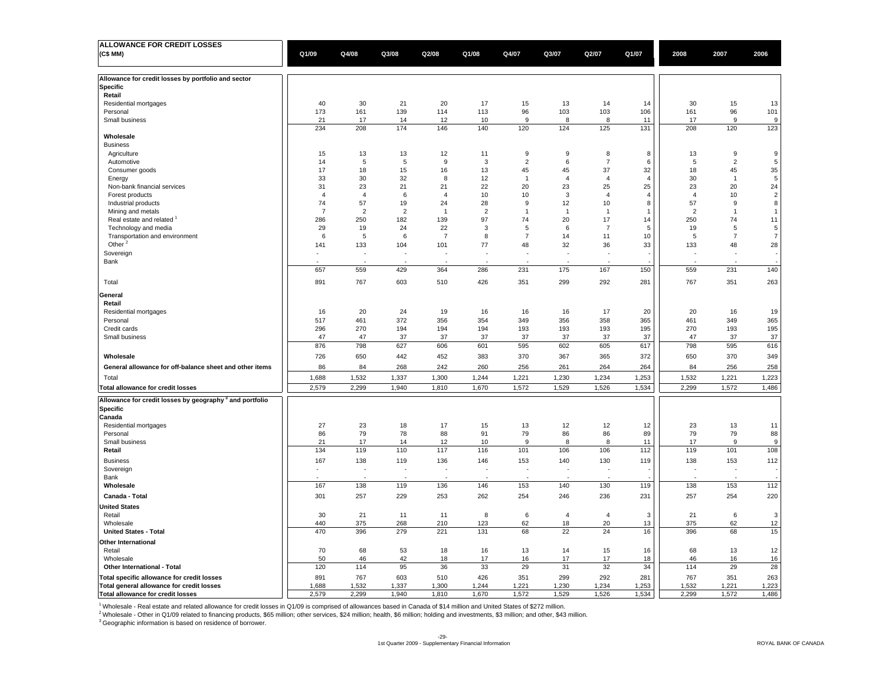| <b>ALLOWANCE FOR CREDIT LOSSES</b>                                              |                |                |                |                  |                |                |                |                |                |                |                  |                  |
|---------------------------------------------------------------------------------|----------------|----------------|----------------|------------------|----------------|----------------|----------------|----------------|----------------|----------------|------------------|------------------|
| (C\$ MM)                                                                        | Q1/09          | Q4/08          | Q3/08          | Q2/08            | Q1/08          | Q4/07          | Q3/07          | Q2/07          | Q1/07          | 2008           | 2007             | 2006             |
|                                                                                 |                |                |                |                  |                |                |                |                |                |                |                  |                  |
|                                                                                 |                |                |                |                  |                |                |                |                |                |                |                  |                  |
| Allowance for credit losses by portfolio and sector                             |                |                |                |                  |                |                |                |                |                |                |                  |                  |
| <b>Specific</b>                                                                 |                |                |                |                  |                |                |                |                |                |                |                  |                  |
| Retail                                                                          |                |                |                |                  |                |                |                |                |                |                |                  |                  |
| Residential mortgages                                                           | 40             | 30             | 21             | 20               | 17             | 15             | 13             | 14             | 14             | 30             | 15               | 13               |
| Personal                                                                        | 173            | 161            | 139            | 114              | 113            | 96             | 103            | 103            | 106            | 161            | 96               | 101              |
| Small business                                                                  | 21             | 17             | 14             | 12               | 10             | 9              | 8              | 8              | 11             | 17             | 9                | 9                |
|                                                                                 | 234            | 208            | 174            | 146              | 140            | 120            | 124            | 125            | 131            | 208            | 120              | 123              |
| Wholesale                                                                       |                |                |                |                  |                |                |                |                |                |                |                  |                  |
| <b>Business</b>                                                                 |                |                |                |                  |                |                |                |                |                |                |                  |                  |
| Agriculture                                                                     | 15             | 13             | 13             | 12               | 11             | $\mathsf g$    | 9              | 8              | 8              | 13             | $\boldsymbol{9}$ | 9                |
| Automotive                                                                      | 14             | $\sqrt{5}$     | $\overline{5}$ | $\boldsymbol{9}$ | $\mathbf{3}$   | $\sqrt{2}$     | 6              | $\overline{7}$ | $\,6\,$        | 5              | $\sqrt{2}$       | $\,$ 5 $\,$      |
| Consumer goods                                                                  | 17             | 18             | 15             | 16               | 13             | 45             | 45             | 37             | 32             | 18             | 45               | $35\,$           |
|                                                                                 | 33             | 30             | 32             | 8                | 12             | -1             | $\overline{4}$ | $\overline{4}$ | $\overline{4}$ | 30             | $\overline{1}$   | $\sqrt{5}$       |
| Energy                                                                          |                |                |                |                  |                |                |                |                | 25             |                |                  | 24               |
| Non-bank financial services                                                     | 31             | 23             | 21             | 21               | 22             | 20             | 23             | 25             |                | 23             | 20               |                  |
| Forest products                                                                 | $\overline{4}$ | $\overline{4}$ | 6              | $\overline{4}$   | 10             | 10             | 3              | $\overline{4}$ | $\overline{4}$ | $\overline{4}$ | 10               | $\overline{2}$   |
| Industrial products                                                             | 74             | 57             | 19             | 24               | 28             | 9              | 12             | 10             | 8              | 57             | $\boldsymbol{9}$ | 8                |
| Mining and metals                                                               | $\overline{7}$ | 2              | $\overline{2}$ | $\overline{1}$   | $\overline{2}$ | $\overline{1}$ | $\overline{1}$ | $\overline{1}$ | $\mathbf{1}$   | $\overline{2}$ | $\overline{1}$   | $\overline{1}$   |
| Real estate and related                                                         | 286            | 250            | 182            | 139              | 97             | 74             | 20             | 17             | 14             | 250            | 74               | 11               |
| Technology and media                                                            | 29             | 19             | 24             | 22               | 3              | 5              | 6              | $\overline{7}$ | 5              | 19             | 5                | 5                |
| Transportation and environment                                                  | 6              | 5              | 6              | $\overline{7}$   | 8              | $\overline{7}$ | 14             | 11             | 10             | 5              | $\overline{7}$   | $\boldsymbol{7}$ |
| Other <sup>2</sup>                                                              | 141            | 133            | 104            | 101              | 77             | 48             | 32             | 36             | 33             | 133            | 48               | 28               |
| Sovereign                                                                       | ٠              | ÷.             |                |                  |                |                | ÷.             | $\overline{a}$ |                |                |                  |                  |
| Bank                                                                            |                |                |                |                  |                |                |                |                |                |                |                  |                  |
|                                                                                 | 657            | 559            | 429            | 364              | 286            | 231            | 175            | 167            | 150            | 559            | 231              | 140              |
|                                                                                 |                |                |                |                  |                |                |                |                |                |                |                  |                  |
| Total                                                                           | 891            | 767            | 603            | 510              | 426            | 351            | 299            | 292            | 281            | 767            | 351              | 263              |
| General                                                                         |                |                |                |                  |                |                |                |                |                |                |                  |                  |
| Retail                                                                          |                |                |                |                  |                |                |                |                |                |                |                  |                  |
| Residential mortgages                                                           | 16             | 20             | 24             | 19               | 16             | 16             | 16             | 17             | 20             | 20             | 16               | 19               |
| Personal                                                                        | 517            | 461            | 372            | 356              | 354            | 349            | 356            | 358            | 365            | 461            | 349              | 365              |
|                                                                                 |                |                |                |                  |                |                |                |                |                |                |                  |                  |
| Credit cards                                                                    | 296            | 270            | 194            | 194              | 194            | 193            | 193            | 193            | 195            | 270            | 193              | 195              |
| Small business                                                                  | 47             | 47             | 37             | 37               | 37             | 37             | 37             | 37             | 37             | 47             | 37               | 37               |
|                                                                                 | 876            | 798            | 627            | 606              | 601            | 595            | 602            | 605            | 617            | 798            | 595              | 616              |
| Wholesale                                                                       | 726            | 650            | 442            | 452              | 383            | 370            | 367            | 365            | 372            | 650            | 370              | 349              |
| General allowance for off-balance sheet and other items                         | 86             | 84             | 268            | 242              | 260            | 256            | 261            | 264            | 264            | 84             | 256              | 258              |
|                                                                                 |                |                |                |                  |                |                |                |                |                |                |                  |                  |
| Total                                                                           | 1,688          | 1,532          | 1,337          | 1,300            | 1,244          | 1,221          | 1,230          | 1,234          | 1,253          | 1,532          | 1,221            | 1,223            |
| Total allowance for credit losses                                               | 2,579          | 2,299          | 1,940          | 1,810            | 1,670          | 1,572          | 1,529          | 1,526          | 1,534          | 2,299          | 1,572            | 1,486            |
| Allowance for credit losses by geography <sup>3</sup> and portfolio<br>Specific |                |                |                |                  |                |                |                |                |                |                |                  |                  |
| Canada                                                                          |                |                |                |                  |                |                |                |                |                |                |                  |                  |
| Residential mortgages                                                           | 27             | 23             | 18             | 17               | 15             | 13             | 12             | 12             | 12             | 23             | 13               | 11               |
| Personal                                                                        | 86             | 79             | 78             | 88               | 91             | 79             | 86             | 86             | 89             | 79             | 79               | 88               |
| Small business                                                                  | 21             | 17             | 14             | 12               | 10             | 9              | 8              | 8              | 11             | 17             | 9                | 9                |
| Retail                                                                          | 134            | 119            | 110            | 117              | 116            | 101            | 106            | 106            | 112            | 119            | 101              | 108              |
|                                                                                 |                |                |                |                  |                |                |                |                |                |                |                  |                  |
| <b>Business</b>                                                                 | 167            | 138            | 119            | 136              | 146            | 153            | 140            | 130            | 119            | 138            | 153              | 112              |
| Sovereign                                                                       |                | ä,             |                | J.               |                |                |                | ÷,             |                | ×,             |                  |                  |
| Bank                                                                            |                |                |                |                  |                |                |                |                |                |                |                  |                  |
| Wholesale                                                                       | 167            | 138            | 119            | 136              | 146            | 153            | 140            | 130            | 119            | 138            | 153              | 112              |
| Canada - Total                                                                  | 301            | 257            | 229            | 253              | 262            | 254            | 246            | 236            | 231            | 257            | 254              | 220              |
| <b>United States</b>                                                            |                |                |                |                  |                |                |                |                |                |                |                  |                  |
| Retail                                                                          | 30             | 21             | 11             | 11               | 8              | 6              | $\overline{4}$ | $\overline{4}$ | 3              | 21             | 6                | 3                |
| Wholesale                                                                       | 440            | 375            | 268            | 210              | 123            | 62             | 18             | 20             | 13             | 375            | 62               | 12               |
| <b>United States - Total</b>                                                    | 470            | 396            | 279            | 221              | 131            | 68             | 22             | 24             | 16             | 396            | 68               | 15               |
|                                                                                 |                |                |                |                  |                |                |                |                |                |                |                  |                  |
| Other International                                                             |                |                |                |                  |                |                |                |                |                |                |                  |                  |
| Retail                                                                          | 70             | 68             | 53             | 18               | 16             | 13             | 14             | 15             | 16             | 68             | 13               | 12               |
| Wholesale                                                                       | 50             | 46             | 42             | 18               | 17             | 16             | 17             | 17             | 18             | 46             | 16               | 16               |
| Other International - Total                                                     | 120            | 114            | 95             | 36               | 33             | 29             | 31             | 32             | 34             | 114            | 29               | 28               |
| Total specific allowance for credit losses                                      | 891            | 767            | 603            | 510              | 426            | 351            | 299            | 292            | 281            | 767            | 351              | 263              |
| Total general allowance for credit losses                                       | 1.688          | 1,532          | 1.337          | 1,300            | 1.244          | 1,221          | 1,230          | 1.234          | 1,253          | 1,532          | 1.221            | 1,223            |
| Total allowance for credit losses                                               | 2,579          | 2,299          | 1,940          | 1,810            | 1,670          | 1,572          | 1,529          | 1,526          | 1,534          | 2,299          | 1,572            | 1,486            |
|                                                                                 |                |                |                |                  |                |                |                |                |                |                |                  |                  |

<sup>1</sup> Wholesale - Real estate and related allowance for credit losses in Q1/09 is comprised of allowances based in Canada of \$14 million and United States of \$272 million.<br><sup>2</sup> Wholesale - Other in Q1/09 related to financing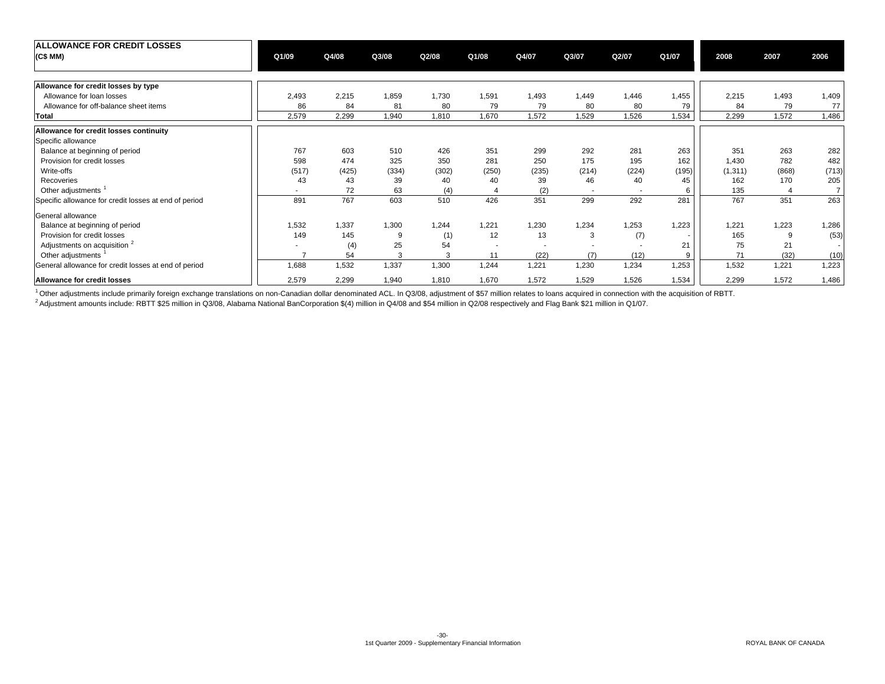| <b>ALLOWANCE FOR CREDIT LOSSES</b>                    |                          |       |       |       |                          |       |       |                          |       |          |              |                |
|-------------------------------------------------------|--------------------------|-------|-------|-------|--------------------------|-------|-------|--------------------------|-------|----------|--------------|----------------|
| (C\$ MM)                                              | Q1/09                    | Q4/08 | Q3/08 | Q2/08 | Q1/08                    | Q4/07 | Q3/07 | Q2/07                    | Q1/07 | 2008     | 2007         | 2006           |
|                                                       |                          |       |       |       |                          |       |       |                          |       |          |              |                |
| Allowance for credit losses by type                   |                          |       |       |       |                          |       |       |                          |       |          |              |                |
| Allowance for loan losses                             | 2,493                    | 2,215 | 1,859 | 1,730 | 1,591                    | 1,493 | 1,449 | 1,446                    | 1,455 | 2,215    | 1,493        | 1,409          |
| Allowance for off-balance sheet items                 | 86                       | 84    | 81    | 80    | 79                       | 79    | 80    | 80                       | 79    | 84       | 79           | 77             |
| Total                                                 | 2,579                    | 2,299 | 1,940 | 1,810 | 1,670                    | 1,572 | 1,529 | 1,526                    | 1,534 | 2,299    | 1,572        | 1,486          |
| Allowance for credit losses continuity                |                          |       |       |       |                          |       |       |                          |       |          |              |                |
| Specific allowance                                    |                          |       |       |       |                          |       |       |                          |       |          |              |                |
| Balance at beginning of period                        | 767                      | 603   | 510   | 426   | 351                      | 299   | 292   | 281                      | 263   | 351      | 263          | 282            |
| Provision for credit losses                           | 598                      | 474   | 325   | 350   | 281                      | 250   | 175   | 195                      | 162   | 1,430    | 782          | 482            |
| Write-offs                                            | (517)                    | (425) | (334) | (302) | (250)                    | (235) | (214) | (224)                    | (195) | (1, 311) | (868)        | (713)          |
| Recoveries                                            | 43                       | 43    | 39    | 40    | 40                       | 39    | 46    | 40                       | 45    | 162      | 170          | 205            |
| Other adjustments                                     | $\overline{\phantom{a}}$ | 72    | 63    | (4)   | $\overline{4}$           | (2)   | ٠     | $\overline{\phantom{a}}$ | 6     | 135      |              | $\overline{7}$ |
| Specific allowance for credit losses at end of period | 891                      | 767   | 603   | 510   | 426                      | 351   | 299   | 292                      | 281   | 767      | 351          | 263            |
| General allowance                                     |                          |       |       |       |                          |       |       |                          |       |          |              |                |
| Balance at beginning of period                        | 1,532                    | 1,337 | 1,300 | 1,244 | 1,221                    | 1,230 | 1,234 | 1,253                    | 1,223 | 1,221    | 1,223        | 1,286          |
| Provision for credit losses                           | 149                      | 145   | 9     | (1)   | 12                       | 13    | 3     | (7)                      |       | 165      | <sub>9</sub> | (53)           |
| Adjustments on acquisition <sup>2</sup>               |                          | (4)   | 25    | 54    | $\overline{\phantom{a}}$ |       |       |                          | 21    | 75       | 21           |                |
| Other adjustments                                     |                          | 54    | 3     | 3     | 11                       | (22)  | (7)   | (12)                     | 9     | 71       | (32)         | (10)           |
| General allowance for credit losses at end of period  | 1,688                    | 1,532 | 1,337 | 1,300 | 1,244                    | 1,221 | 1,230 | 1,234                    | 1,253 | 1,532    | 1,221        | 1,223          |
| Allowance for credit losses                           | 2,579                    | 2,299 | 1,940 | 1,810 | 1,670                    | 1,572 | 1,529 | 1,526                    | 1,534 | 2,299    | 1,572        | 1,486          |

<sup>1</sup> Other adjustments include primarily foreign exchange translations on non-Canadian dollar denominated ACL. In Q3/08, adjustment of \$57 million relates to loans acquired in connection with the acquisition of RBTT.

2 Adjustment amounts include: RBTT \$25 million in Q3/08, Alabama National BanCorporation \$(4) million in Q4/08 and \$54 million in Q2/08 respectively and Flag Bank \$21 million in Q1/07.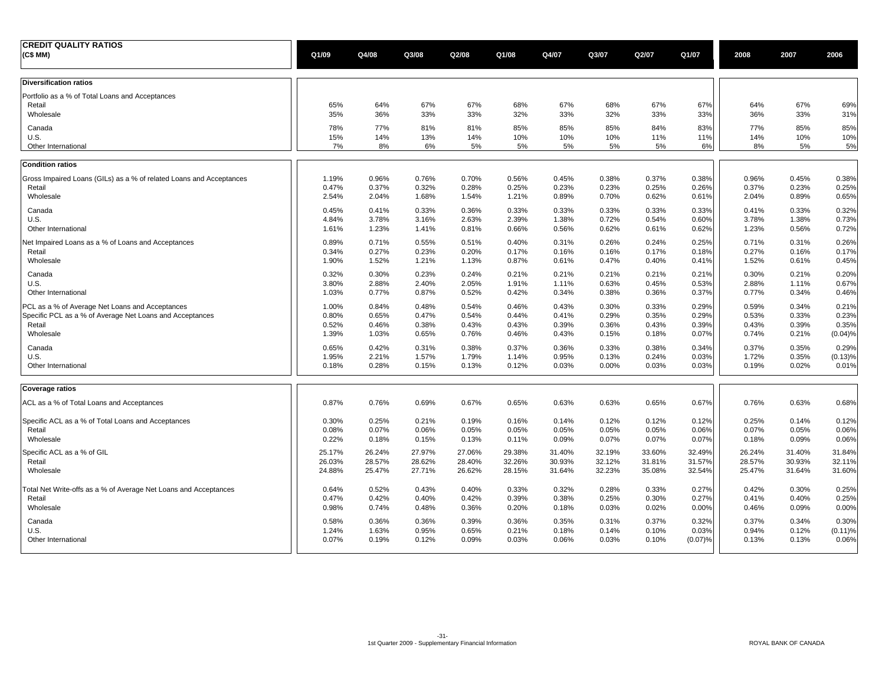| <b>CREDIT QUALITY RATIOS</b><br>(C\$ MM)                               | Q1/09      | Q4/08      | Q3/08      | Q2/08      | Q1/08      | Q4/07      | Q3/07      | Q2/07      | Q1/07      | 2008       | 2007       | 2006       |
|------------------------------------------------------------------------|------------|------------|------------|------------|------------|------------|------------|------------|------------|------------|------------|------------|
| <b>Diversification ratios</b>                                          |            |            |            |            |            |            |            |            |            |            |            |            |
| Portfolio as a % of Total Loans and Acceptances<br>Retail<br>Wholesale | 65%<br>35% | 64%<br>36% | 67%<br>33% | 67%<br>33% | 68%<br>32% | 67%<br>33% | 68%<br>32% | 67%<br>33% | 67%<br>33% | 64%<br>36% | 67%<br>33% | 69%<br>31% |
| Canada                                                                 | 78%        | 77%        | 81%        | 81%        | 85%        | 85%        | 85%        | 84%        | 83%        | 77%        | 85%        | 85%        |
| U.S.                                                                   | 15%        | 14%        | 13%        | 14%        | 10%        | 10%        | 10%        | 11%        | 11%        | 14%        | 10%        | 10%        |
| Other International                                                    | 7%         | 8%         | 6%         | 5%         | 5%         | 5%         | 5%         | 5%         | 6%         | 8%         | 5%         | 5%         |
| <b>Condition ratios</b>                                                |            |            |            |            |            |            |            |            |            |            |            |            |
| Gross Impaired Loans (GILs) as a % of related Loans and Acceptances    | 1.19%      | 0.96%      | 0.76%      | 0.70%      | 0.56%      | 0.45%      | 0.38%      | 0.37%      | 0.38%      | 0.96%      | 0.45%      | 0.38%      |
| Retail                                                                 | 0.47%      | 0.37%      | 0.32%      | 0.28%      | 0.25%      | 0.23%      | 0.23%      | 0.25%      | 0.26%      | 0.37%      | 0.23%      | 0.25%      |
| Wholesale                                                              | 2.54%      | 2.04%      | 1.68%      | 1.54%      | 1.21%      | 0.89%      | 0.70%      | 0.62%      | 0.61%      | 2.04%      | 0.89%      | 0.65%      |
| Canada                                                                 | 0.45%      | 0.41%      | 0.33%      | 0.36%      | 0.33%      | 0.33%      | 0.33%      | 0.33%      | 0.33%      | 0.41%      | 0.33%      | 0.32%      |
| U.S.                                                                   | 4.84%      | 3.78%      | 3.16%      | 2.63%      | 2.39%      | 1.38%      | 0.72%      | 0.54%      | 0.60%      | 3.78%      | 1.38%      | 0.73%      |
| Other International                                                    | 1.61%      | 1.23%      | 1.41%      | 0.81%      | 0.66%      | 0.56%      | 0.62%      | 0.61%      | 0.62%      | 1.23%      | 0.56%      | 0.72%      |
| Net Impaired Loans as a % of Loans and Acceptances                     | 0.89%      | 0.71%      | 0.55%      | 0.51%      | 0.40%      | 0.31%      | 0.26%      | 0.24%      | 0.25%      | 0.71%      | 0.31%      | 0.26%      |
| Retail                                                                 | 0.34%      | 0.27%      | 0.23%      | 0.20%      | 0.17%      | 0.16%      | 0.16%      | 0.17%      | 0.18%      | 0.27%      | 0.16%      | 0.17%      |
| Wholesale                                                              | 1.90%      | 1.52%      | 1.21%      | 1.13%      | 0.87%      | 0.61%      | 0.47%      | 0.40%      | 0.41%      | 1.52%      | 0.61%      | 0.45%      |
| Canada                                                                 | 0.32%      | 0.30%      | 0.23%      | 0.24%      | 0.21%      | 0.21%      | 0.21%      | 0.21%      | 0.21%      | 0.30%      | 0.21%      | 0.20%      |
| U.S.                                                                   | 3.80%      | 2.88%      | 2.40%      | 2.05%      | 1.91%      | 1.11%      | 0.63%      | 0.45%      | 0.53%      | 2.88%      | 1.11%      | 0.67%      |
| Other International                                                    | 1.03%      | 0.77%      | 0.87%      | 0.52%      | 0.42%      | 0.34%      | 0.38%      | 0.36%      | 0.37%      | 0.77%      | 0.34%      | 0.46%      |
| PCL as a % of Average Net Loans and Acceptances                        | 1.00%      | 0.84%      | 0.48%      | 0.54%      | 0.46%      | 0.43%      | 0.30%      | 0.33%      | 0.29%      | 0.59%      | 0.34%      | 0.21%      |
| Specific PCL as a % of Average Net Loans and Acceptances               | 0.80%      | 0.65%      | 0.47%      | 0.54%      | 0.44%      | 0.41%      | 0.29%      | 0.35%      | 0.29%      | 0.53%      | 0.33%      | 0.23%      |
| Retail                                                                 | 0.52%      | 0.46%      | 0.38%      | 0.43%      | 0.43%      | 0.39%      | 0.36%      | 0.43%      | 0.39%      | 0.43%      | 0.39%      | 0.35%      |
| Wholesale                                                              | 1.39%      | 1.03%      | 0.65%      | 0.76%      | 0.46%      | 0.43%      | 0.15%      | 0.18%      | 0.07%      | 0.74%      | 0.21%      | (0.04)%    |
| Canada                                                                 | 0.65%      | 0.42%      | 0.31%      | 0.38%      | 0.37%      | 0.36%      | 0.33%      | 0.38%      | 0.34%      | 0.37%      | 0.35%      | 0.29%      |
| U.S.                                                                   | 1.95%      | 2.21%      | 1.57%      | 1.79%      | 1.14%      | 0.95%      | 0.13%      | 0.24%      | 0.03%      | 1.72%      | 0.35%      | (0.13)%    |
| Other International                                                    | 0.18%      | 0.28%      | 0.15%      | 0.13%      | 0.12%      | 0.03%      | 0.00%      | 0.03%      | 0.03%      | 0.19%      | 0.02%      | 0.01%      |
| Coverage ratios                                                        |            |            |            |            |            |            |            |            |            |            |            |            |
| ACL as a % of Total Loans and Acceptances                              | 0.87%      | 0.76%      | 0.69%      | 0.67%      | 0.65%      | 0.63%      | 0.63%      | 0.65%      | 0.67%      | 0.76%      | 0.63%      | 0.68%      |
| Specific ACL as a % of Total Loans and Acceptances                     | 0.30%      | 0.25%      | 0.21%      | 0.19%      | 0.16%      | 0.14%      | 0.12%      | 0.12%      | 0.12%      | 0.25%      | 0.14%      | 0.12%      |
| Retail                                                                 | 0.08%      | 0.07%      | 0.06%      | 0.05%      | 0.05%      | 0.05%      | 0.05%      | 0.05%      | 0.06%      | 0.07%      | 0.05%      | 0.06%      |
| Wholesale                                                              | 0.22%      | 0.18%      | 0.15%      | 0.13%      | 0.11%      | 0.09%      | 0.07%      | $0.07\%$   | 0.07%      | 0.18%      | 0.09%      | 0.06%      |
| Specific ACL as a % of GIL                                             | 25.17%     | 26.24%     | 27.97%     | 27.06%     | 29.38%     | 31.40%     | 32.19%     | 33.60%     | 32.49%     | 26.24%     | 31.40%     | 31.84%     |
| Retail                                                                 | 26.03%     | 28.57%     | 28.62%     | 28.40%     | 32.26%     | 30.93%     | 32.12%     | 31.81%     | 31.57%     | 28.57%     | 30.93%     | 32.11%     |
| Wholesale                                                              | 24.88%     | 25.47%     | 27.71%     | 26.62%     | 28.15%     | 31.64%     | 32.23%     | 35.08%     | 32.54%     | 25.47%     | 31.64%     | 31.60%     |
| Total Net Write-offs as a % of Average Net Loans and Acceptances       | 0.64%      | 0.52%      | 0.43%      | 0.40%      | 0.33%      | 0.32%      | 0.28%      | 0.33%      | 0.27%      | 0.42%      | 0.30%      | 0.25%      |
| Retail                                                                 | 0.47%      | 0.42%      | 0.40%      | 0.42%      | 0.39%      | 0.38%      | 0.25%      | 0.30%      | 0.27%      | 0.41%      | 0.40%      | 0.25%      |
| Wholesale                                                              | 0.98%      | 0.74%      | 0.48%      | 0.36%      | 0.20%      | 0.18%      | 0.03%      | 0.02%      | 0.00%      | 0.46%      | 0.09%      | 0.00%      |
| Canada                                                                 | 0.58%      | 0.36%      | 0.36%      | 0.39%      | 0.36%      | 0.35%      | 0.31%      | 0.37%      | 0.32%      | 0.37%      | 0.34%      | 0.30%      |
| U.S.                                                                   | 1.24%      | 1.63%      | 0.95%      | 0.65%      | 0.21%      | 0.18%      | 0.14%      | 0.10%      | 0.03%      | 0.94%      | 0.12%      | (0.11)%    |
| Other International                                                    | 0.07%      | 0.19%      | 0.12%      | 0.09%      | 0.03%      | 0.06%      | 0.03%      | 0.10%      | (0.07)%    | 0.13%      | 0.13%      | 0.06%      |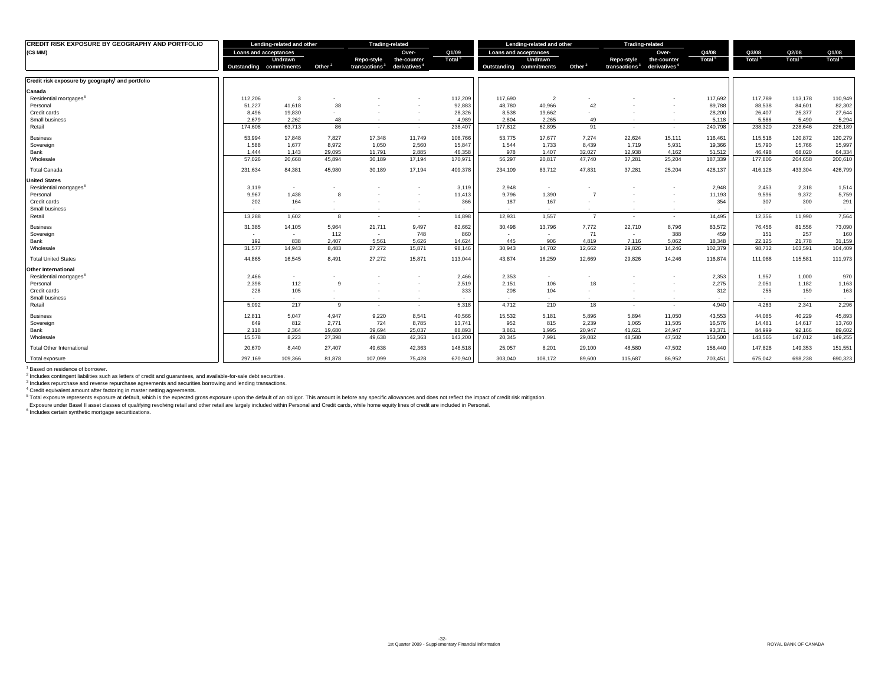| <b>CREDIT RISK EXPOSURE BY GEOGRAPHY AND PORTFOLIO</b> |                              | Lending-related and other |                    | <b>Trading-related</b>                  |                                         |                             |                              | Lending-related and other |                    | <b>Trading-related</b>                  |                                         |                          |                             |                |                             |
|--------------------------------------------------------|------------------------------|---------------------------|--------------------|-----------------------------------------|-----------------------------------------|-----------------------------|------------------------------|---------------------------|--------------------|-----------------------------------------|-----------------------------------------|--------------------------|-----------------------------|----------------|-----------------------------|
| (C\$ MM)                                               | <b>Loans and acceptances</b> |                           |                    |                                         | Over-                                   | Q1/09<br>Total <sup>5</sup> | <b>Loans and acceptances</b> |                           |                    |                                         | Over-                                   | Q4/08<br>Total           | Q3/08<br>Total <sup>5</sup> | Q2/08<br>Total | Q1/08<br>Total <sup>5</sup> |
|                                                        | Outstanding commitments      | Undrawn                   | Other <sup>2</sup> | Repo-style<br>transactions <sup>3</sup> | the-counter<br>derivatives <sup>4</sup> |                             | Outstanding commitments      | <b>Undrawn</b>            | Other <sup>2</sup> | Repo-style<br>transactions <sup>3</sup> | the-counter<br>derivatives <sup>4</sup> |                          |                             |                |                             |
| Credit risk exposure by geography and portfolio        |                              |                           |                    |                                         |                                         |                             |                              |                           |                    |                                         |                                         |                          |                             |                |                             |
|                                                        |                              |                           |                    |                                         |                                         |                             |                              |                           |                    |                                         |                                         |                          |                             |                |                             |
| Canada                                                 |                              |                           |                    |                                         |                                         |                             |                              |                           |                    |                                         |                                         |                          |                             |                |                             |
| Residential mortgages <sup>6</sup>                     | 112,206                      | 3                         |                    |                                         |                                         | 112,209                     | 117,690                      | $\overline{2}$            |                    |                                         |                                         | 117,692                  | 117.789                     | 113,178        | 110,949                     |
| Personal                                               | 51,227                       | 41,618                    | 38                 |                                         | $\overline{\phantom{a}}$                | 92,883                      | 48,780                       | 40,966                    | 42                 |                                         | $\sim$                                  | 89,788                   | 88,538                      | 84,601         | 82,302                      |
| Credit cards                                           | 8,496                        | 19,830                    |                    |                                         | $\sim$                                  | 28,326                      | 8,538                        | 19,662                    |                    |                                         | $\sim$                                  | 28,200                   | 26,407                      | 25,377         | 27,644                      |
| Small business                                         | 2.679                        | 2.262                     | 48                 | $\sim$                                  |                                         | 4.989                       | 2.804                        | 2.265                     | 49                 |                                         | $\sim$                                  | 5,118                    | 5.586                       | 5.490          | 5,294                       |
| Retail                                                 | 174,608                      | 63,713                    | 86                 | $\sim$                                  | $\overline{\phantom{a}}$                | 238,407                     | 177,812                      | 62,895                    | 91                 |                                         | $\sim$                                  | 240,798                  | 238,320                     | 228,646        | 226,189                     |
| <b>Business</b>                                        | 53,994                       | 17,848                    | 7,827              | 17,348                                  | 11,749                                  | 108,766                     | 53,775                       | 17,677                    | 7,274              | 22,624                                  | 15,111                                  | 116,461                  | 115,518                     | 120,872        | 120,279                     |
| Sovereign                                              | 1,588                        | 1,677                     | 8,972              | 1,050                                   | 2,560                                   | 15,847                      | 1,544                        | 1,733                     | 8,439              | 1,719                                   | 5,931                                   | 19,366                   | 15,790                      | 15,766         | 15,997                      |
| Bank                                                   | 1,444                        | 1.143                     | 29,095             | 11,791                                  | 2,885                                   | 46,358                      | 978                          | 1,407                     | 32,027             | 12,938                                  | 4,162                                   | 51,512                   | 46,498                      | 68,020         | 64,334                      |
| Wholesale                                              | 57,026                       | 20,668                    | 45,894             | 30,189                                  | 17,194                                  | 170,971                     | 56,297                       | 20,817                    | 47,740             | 37,281                                  | 25,204                                  | 187,339                  | 177,806                     | 204,658        | 200,610                     |
| <b>Total Canada</b>                                    | 231,634                      | 84,381                    | 45,980             | 30,189                                  | 17,194                                  | 409,378                     | 234,109                      | 83,712                    | 47,831             | 37,281                                  | 25,204                                  | 428,137                  | 416,126                     | 433,304        | 426,799                     |
| <b>United States</b>                                   |                              |                           |                    |                                         |                                         |                             |                              |                           |                    |                                         |                                         |                          |                             |                |                             |
| Residential mortgages <sup>6</sup>                     | 3,119                        | $\sim$                    |                    |                                         |                                         | 3,119                       | 2,948                        | $\sim$                    |                    |                                         | $\overline{\phantom{a}}$                | 2,948                    | 2,453                       | 2,318          | 1,514                       |
| Personal                                               | 9,967                        | 1,438                     | 8                  |                                         |                                         | 11,413                      | 9,796                        | 1,390                     | $\overline{7}$     |                                         | $\overline{\phantom{a}}$                | 11,193                   | 9,596                       | 9,372          | 5,759                       |
| Credit cards                                           | 202                          | 164                       |                    |                                         | $\sim$                                  | 366                         | 187                          | 167                       |                    |                                         | $\sim$                                  | 354                      | 307                         | 300            | 291                         |
| Small business                                         | $\overline{\phantom{a}}$     | $\sim$                    | $\sim$             | $\sim$                                  | $\sim$                                  | $\sim$                      | $\sim$                       | $\sim$                    |                    | $\sim$                                  | $\sim$                                  | $\overline{\phantom{a}}$ | $\sim$                      | $\sim$         | $\sim$                      |
| Retail                                                 | 13,288                       | 1,602                     | 8                  | $\sim$                                  | $\sim$                                  | 14,898                      | 12,931                       | 1,557                     | $\overline{7}$     | $\sim$                                  | $\sim$                                  | 14,495                   | 12,356                      | 11,990         | 7,564                       |
| <b>Business</b>                                        | 31,385                       | 14,105                    | 5,964              | 21,711                                  | 9,497                                   | 82,662                      | 30,498                       | 13,796                    | 7,772              | 22,710                                  | 8,796                                   | 83,572                   | 76,456                      | 81,556         | 73,090                      |
| Sovereign                                              | $\sim$                       | $\sim$                    | 112                | $\sim$                                  | 748                                     | 860                         | $\sim$                       | $\sim$                    | 71                 | $\sim$                                  | 388                                     | 459                      | 151                         | 257            | 160                         |
| Bank                                                   | 192                          | 838                       | 2.407              | 5.561                                   | 5.626                                   | 14,624                      | 445                          | 906                       | 4.819              | 7,116                                   | 5.062                                   | 18,348                   | 22.125                      | 21,778         | 31,159                      |
| Wholesale                                              | 31,577                       | 14,943                    | 8,483              | 27,272                                  | 15,871                                  | 98,146                      | 30,943                       | 14,702                    | 12,662             | 29,826                                  | 14,246                                  | 102,379                  | 98,732                      | 103,591        | 104,409                     |
| <b>Total United States</b>                             | 44,865                       | 16,545                    | 8.491              | 27,272                                  | 15.871                                  | 113,044                     | 43.874                       | 16,259                    | 12.669             | 29,826                                  | 14,246                                  | 116,874                  | 111,088                     | 115,581        | 111,973                     |
| Other International                                    |                              |                           |                    |                                         |                                         |                             |                              |                           |                    |                                         |                                         |                          |                             |                |                             |
| Residential mortgages <sup>6</sup>                     | 2,466                        | $\sim$                    |                    |                                         |                                         | 2,466                       | 2,353                        | $\sim$                    |                    |                                         | $\overline{\phantom{a}}$                | 2,353                    | 1,957                       | 1,000          | 970                         |
| Personal                                               | 2,398                        | 112                       | 9                  |                                         |                                         | 2,519                       | 2,151                        | 106                       | 18                 |                                         | ۰.                                      | 2,275                    | 2,051                       | 1,182          | 1,163                       |
| Credit cards                                           | 228                          | 105                       |                    |                                         | $\overline{\phantom{a}}$                | 333                         | 208                          | 104                       |                    |                                         | $\overline{\phantom{a}}$                | 312                      | 255                         | 159            | 163                         |
| Small business                                         | $\overline{\phantom{a}}$     | $\sim$                    | $\sim$             |                                         | $\sim$                                  | $\sim$                      |                              | $\sim$                    | $\sim$             | $\overline{\phantom{a}}$                | $\sim$                                  | $\sim$                   | $\overline{\phantom{a}}$    | $\sim$         | $\sim$                      |
| Retail                                                 | 5,092                        | 217                       | 9                  | $\sim$                                  | $\sim$                                  | 5,318                       | 4,712                        | 210                       | 18                 | $\sim$                                  | $\overline{\phantom{a}}$                | 4,940                    | 4,263                       | 2,341          | 2,296                       |
| <b>Business</b>                                        | 12,811                       | 5,047                     | 4,947              | 9,220                                   | 8,541                                   | 40,566                      | 15,532                       | 5,181                     | 5,896              | 5,894                                   | 11,050                                  | 43,553                   | 44,085                      | 40,229         | 45,893                      |
| Sovereign                                              | 649                          | 812                       | 2,771              | 724                                     | 8,785                                   | 13,741                      | 952                          | 815                       | 2,239              | 1,065                                   | 11,505                                  | 16,576                   | 14,481                      | 14,617         | 13,760                      |
| Bank                                                   | 2,118                        | 2,364                     | 19,680             | 39,694                                  | 25,037                                  | 88,893                      | 3,861                        | 1,995                     | 20,947             | 41,621                                  | 24,947                                  | 93,371                   | 84.999                      | 92,166         | 89,602                      |
| Wholesale                                              | 15,578                       | 8,223                     | 27,398             | 49,638                                  | 42,363                                  | 143,200                     | 20,345                       | 7,991                     | 29,082             | 48,580                                  | 47,502                                  | 153,500                  | 143,565                     | 147,012        | 149,255                     |
| <b>Total Other International</b>                       | 20,670                       | 8,440                     | 27,407             | 49,638                                  | 42,363                                  | 148,518                     | 25,057                       | 8,201                     | 29,100             | 48,580                                  | 47,502                                  | 158,440                  | 147,828                     | 149,353        | 151,551                     |
| Total exposure                                         | 297.169                      | 109.366                   | 81.878             | 107.099                                 | 75.428                                  | 670.940                     | 303.040                      | 108.172                   | 89,600             | 115,687                                 | 86.952                                  | 703,451                  | 675.042                     | 698,238        | 690,323                     |

<sup>1</sup> Based on residence of borrower.

<sup>2</sup> Includes contingent liabilities such as letters of credit and guarantees, and available-for-sale debt securities.<br><sup>3</sup> Includes repurchase and reverse repurchase agreements and securities borrowing and lending transacti

<sup>4</sup> Credit equivalent amount after factoring in master netting agreements.<br><sup>5</sup> Total exposure represents exposure at default, which is the expected gross exposure upon the default of an obligor. This amount is before any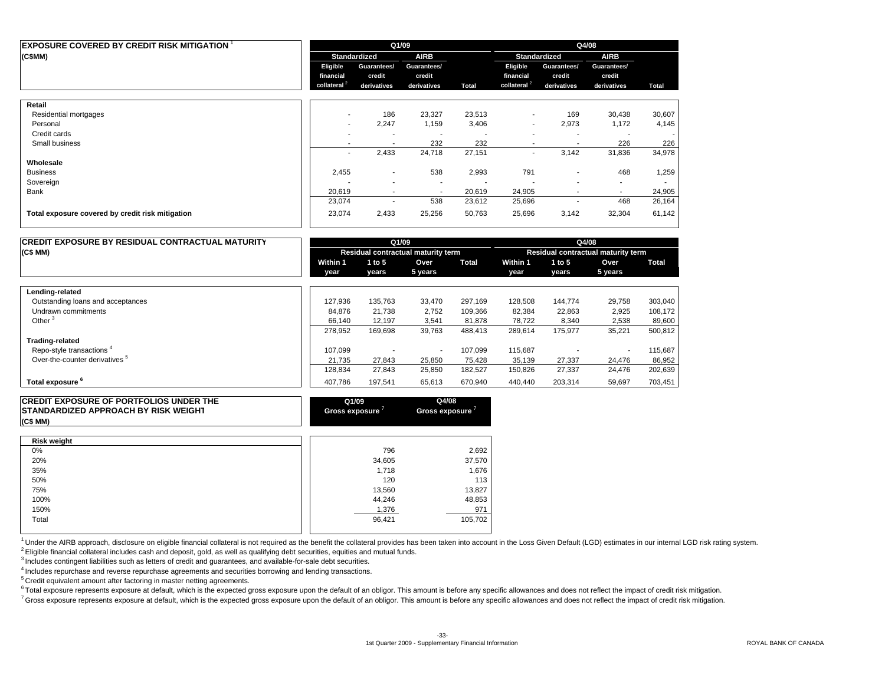| EXPOSURE COVERED BY CREDIT RISK MITIGATION $^{\rm 1}$ |                          |                          | Q1/09                    |        | Q4/08                    |                          |                          |        |  |  |
|-------------------------------------------------------|--------------------------|--------------------------|--------------------------|--------|--------------------------|--------------------------|--------------------------|--------|--|--|
| (C\$MM)                                               |                          | <b>Standardized</b>      | <b>AIRB</b>              |        |                          | Standardized             | <b>AIRB</b>              |        |  |  |
|                                                       | Eligible                 | Guarantees/              | Guarantees/              |        | Eligible                 | Guarantees/              | Guarantees/              |        |  |  |
|                                                       | financial                | credit                   | credit                   |        | financial                | credit                   | credit                   |        |  |  |
|                                                       | collateral <sup>2</sup>  | derivatives              | derivatives              | Total  | collateral <sup>2</sup>  | derivatives              | derivatives              | Total  |  |  |
| Retail                                                |                          |                          |                          |        |                          |                          |                          |        |  |  |
| Residential mortgages                                 | $\sim$                   | 186                      | 23,327                   | 23,513 | $\overline{\phantom{a}}$ | 169                      | 30,438                   | 30,607 |  |  |
| Personal                                              | $\overline{\phantom{a}}$ | 2,247                    | 1,159                    | 3,406  | $\overline{\phantom{a}}$ | 2,973                    | 1,172                    | 4,145  |  |  |
| Credit cards                                          | ۰                        | $\overline{\phantom{a}}$ |                          |        |                          |                          |                          |        |  |  |
| Small business                                        | $\overline{\phantom{a}}$ | $\blacksquare$           | 232                      | 232    | ٠                        | $\overline{\phantom{a}}$ | 226                      | 226    |  |  |
|                                                       | ٠                        | 2,433                    | 24,718                   | 27,151 | $\overline{\phantom{a}}$ | 3,142                    | 31,836                   | 34,978 |  |  |
| Wholesale                                             |                          |                          |                          |        |                          |                          |                          |        |  |  |
| <b>Business</b>                                       | 2,455                    | $\overline{\phantom{a}}$ | 538                      | 2,993  | 791                      | $\overline{\phantom{a}}$ | 468                      | 1,259  |  |  |
| Sovereign                                             |                          | $\overline{\phantom{a}}$ | ٠                        |        |                          |                          | $\overline{\phantom{a}}$ |        |  |  |
| Bank                                                  | 20,619                   | $\overline{\phantom{a}}$ | $\overline{\phantom{a}}$ | 20,619 | 24,905                   | $\overline{\phantom{a}}$ | $\overline{\phantom{a}}$ | 24,905 |  |  |
|                                                       | 23,074                   | ٠                        | 538                      | 23,612 | 25,696                   |                          | 468                      | 26,164 |  |  |
| Total exposure covered by credit risk mitigation      | 23,074                   | 2,433                    | 25,256                   | 50,763 | 25,696                   | 3,142                    | 32,304                   | 61,142 |  |  |
|                                                       |                          |                          |                          |        |                          |                          |                          |        |  |  |

| <b>CREDIT EXPOSURE BY RESIDUAL CONTRACTUAL MATURITY</b> |          | Q1/09    |                                    |         | Q4/08    |         |                                    |         |  |  |
|---------------------------------------------------------|----------|----------|------------------------------------|---------|----------|---------|------------------------------------|---------|--|--|
| (C\$MM)                                                 |          |          | Residual contractual maturity term |         |          |         | Residual contractual maturity term |         |  |  |
|                                                         | Within 1 | 1 to $5$ | Over                               | Total   | Within 1 | 1 to 5  | Over                               | Total   |  |  |
|                                                         | vear     | vears    | 5 years                            |         | vear     | vears   | 5 years                            |         |  |  |
| Lending-related                                         |          |          |                                    |         |          |         |                                    |         |  |  |
| Outstanding loans and acceptances                       | 127,936  | 135,763  | 33,470                             | 297.169 | 128,508  | 144,774 | 29,758                             | 303,040 |  |  |
| Undrawn commitments                                     | 84.876   | 21,738   | 2,752                              | 109,366 | 82,384   | 22,863  | 2,925                              | 108,172 |  |  |
| Other <sup>3</sup>                                      | 66.140   | 12,197   | 3,541                              | 81,878  | 78,722   | 8,340   | 2,538                              | 89,600  |  |  |
|                                                         | 278,952  | 169,698  | 39,763                             | 488,413 | 289,614  | 175,977 | 35,221                             | 500,812 |  |  |
| <b>Trading-related</b>                                  |          |          |                                    |         |          |         |                                    |         |  |  |
| Repo-style transactions <sup>4</sup>                    | 107.099  |          | $\overline{\phantom{a}}$           | 107,099 | 115,687  |         |                                    | 115,687 |  |  |
| Over-the-counter derivatives <sup>5</sup>               | 21.735   | 27,843   | 25,850                             | 75.428  | 35,139   | 27,337  | 24.476                             | 86,952  |  |  |
|                                                         | 128,834  | 27,843   | 25,850                             | 182,527 | 150,826  | 27,337  | 24,476                             | 202,639 |  |  |
| Total exposure <sup>6</sup>                             | 407,786  | 197,541  | 65,613                             | 670,940 | 440,440  | 203,314 | 59,697                             | 703,451 |  |  |

| <b>CREDIT EXPOSURE OF PORTFOLIOS UNDER THE</b><br><b>STANDARDIZED APPROACH BY RISK WEIGHT</b><br>(C\$ MM) | Q1/09<br>Gross exposure ' | Q4/08<br>Gross exposure ' |
|-----------------------------------------------------------------------------------------------------------|---------------------------|---------------------------|
| <b>Risk weight</b>                                                                                        |                           |                           |
| 0%                                                                                                        | 796                       | 2,692                     |
| 20%                                                                                                       | 34,605                    | 37,570                    |
| 35%                                                                                                       | 1.718                     | 1,676                     |
| 50%                                                                                                       | 120                       | 113                       |
| 75%                                                                                                       | 13,560                    | 13,827                    |
| 100%                                                                                                      | 44,246                    | 48,853                    |
| 150%                                                                                                      | 1,376                     | 971                       |
| Total                                                                                                     | 96.421                    | 105,702                   |

<sup>1</sup> Under the AIRB approach, disclosure on eligible financial collateral is not required as the benefit the collateral provides has been taken into account in the Loss Given Default (LGD) estimates in our internal LGD risk 2 Eligible financial collateral includes cash and deposit, gold, as well as qualifying debt securities, equities and mutual funds.

<sup>3</sup> Includes contingent liabilities such as letters of credit and guarantees, and available-for-sale debt securities.

4 Includes repurchase and reverse repurchase agreements and securities borrowing and lending transactions.

5 Credit equivalent amount after factoring in master netting agreements.

<sup>6</sup> Total exposure represents exposure at default, which is the expected gross exposure upon the default of an obligor. This amount is before any specific allowances and does not reflect the impact of credit risk mitigatio

<sup>7</sup> Gross exposure represents exposure at default, which is the expected gross exposure upon the default of an obligor. This amount is before any specific allowances and does not reflect the impact of credit risk mitigatio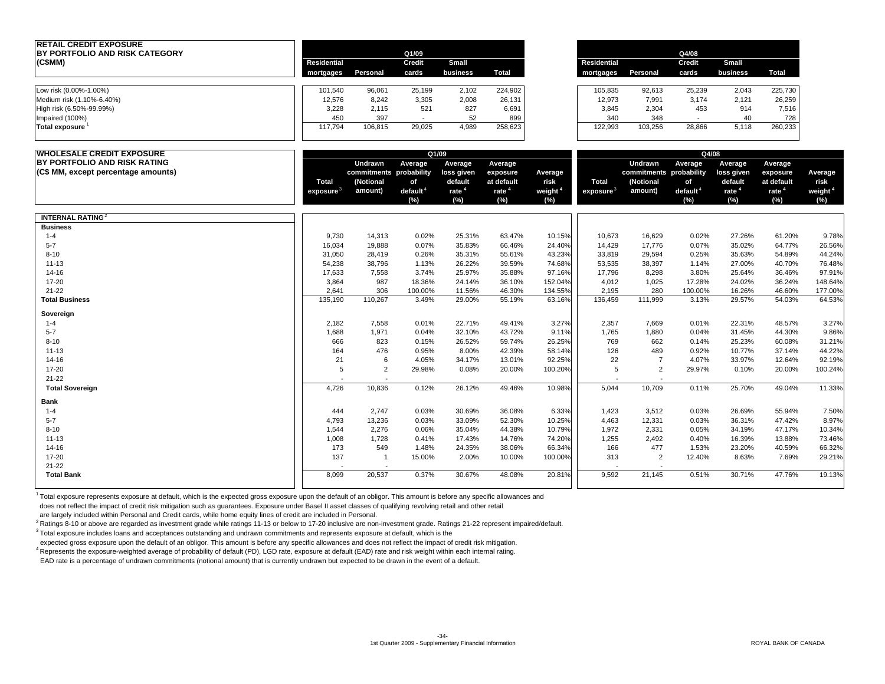| <b>RETAIL CREDIT EXPOSURE</b><br>BY PORTFOLIO AND RISK CATEGORY |                          |                          | Q1/09              |                          |                          |                            |                    |                          | Q4/08                                   |                          |                           |                               |
|-----------------------------------------------------------------|--------------------------|--------------------------|--------------------|--------------------------|--------------------------|----------------------------|--------------------|--------------------------|-----------------------------------------|--------------------------|---------------------------|-------------------------------|
| (C\$MM)                                                         | <b>Residential</b>       |                          | Credit             | Small                    |                          |                            | <b>Residential</b> |                          | Credit                                  | Small                    |                           |                               |
|                                                                 | mortgages                | Personal                 | cards              | business                 | Total                    |                            | mortgages          | Personal                 | cards                                   | business                 | <b>Total</b>              |                               |
| Low risk (0.00%-1.00%)                                          | 101,540                  | 96,061                   | 25,199             | 2,102                    | 224,902                  |                            | 105,835            | 92,613                   | 25,239                                  | 2,043                    | 225,730                   |                               |
| Medium risk (1.10%-6.40%)                                       | 12,576                   | 8,242                    | 3,305              | 2,008                    | 26,131                   |                            | 12,973             | 7,991                    | 3,174                                   |                          | 26,259                    |                               |
| High risk (6.50%-99.99%)                                        | 3,228                    | 2,115                    | 521                | 827                      | 6,691                    |                            | 3,845              | 2,304                    | 453                                     | 2,121<br>914             | 7,516                     |                               |
|                                                                 | 450                      | 397                      | $\sim$             | 52                       | 899                      |                            | 340                | 348                      | $\sim$                                  | 40                       | 728                       |                               |
| Impaired (100%)<br><b>Total exposure</b>                        | 117,794                  | 106,815                  | 29,025             | 4,989                    | 258,623                  |                            | 122,993            | 103,256                  | 28,866                                  | 5,118                    | 260,233                   |                               |
| <b>WHOLESALE CREDIT EXPOSURE</b>                                |                          |                          |                    | Q1/09                    |                          |                            |                    |                          |                                         | Q4/08                    |                           |                               |
| BY PORTFOLIO AND RISK RATING                                    |                          | Undrawn                  | Average            | Average                  | Average                  |                            |                    | Undrawn                  | Average                                 | Average                  | Average                   |                               |
| (C\$ MM, except percentage amounts)                             |                          | commitments probability  |                    | loss given               | exposure                 | Average                    |                    | commitments probability  |                                         | loss given               | exposure                  | Average                       |
|                                                                 | Total                    | (Notional                | of                 | default                  | at default               | risk                       | Total              | (Notional                | of                                      | default                  | at default                | risk                          |
|                                                                 | exposure $^3$            | amount)                  | default $4$<br>(%) | rate <sup>4</sup><br>(%) | rate <sup>4</sup><br>(%) | weight <sup>4</sup><br>(%) | exposure $^3$      | amount)                  | $\theta$ default <sup>4</sup><br>$(\%)$ | rate <sup>4</sup><br>(%) | rate <sup>4</sup><br>(% ) | weight <sup>4</sup><br>$(\%)$ |
| <b>INTERNAL RATING</b> <sup>2</sup>                             |                          |                          |                    |                          |                          |                            |                    |                          |                                         |                          |                           |                               |
| <b>Business</b>                                                 |                          |                          |                    |                          |                          |                            |                    |                          |                                         |                          |                           |                               |
| $1 - 4$                                                         | 9,730                    | 14,313                   | 0.02%              | 25.31%                   | 63.47%                   | 10.15%                     | 10,673             | 16,629                   | 0.02%                                   | 27.26%                   | 61.20%                    | 9.78%                         |
| $5 - 7$                                                         | 16,034                   | 19,888                   | 0.07%              | 35.83%                   | 66.46%                   | 24.40%                     | 14,429             | 17,776                   | 0.07%                                   | 35.02%                   | 64.77%                    | 26.56%                        |
| $8 - 10$                                                        | 31,050                   | 28,419                   | 0.26%              | 35.31%                   | 55.61%                   | 43.23%                     | 33,819             | 29,594                   | 0.25%                                   | 35.63%                   | 54.89%                    | 44.24%                        |
| $11 - 13$                                                       | 54,238                   | 38,796                   | 1.13%              | 26.22%                   | 39.59%                   | 74.68%                     | 53,535             | 38,397                   | 1.14%                                   | 27.00%                   | 40.70%                    | 76.48%                        |
| 14-16                                                           | 17,633                   | 7,558                    | 3.74%              | 25.97%                   | 35.88%                   | 97.16%                     | 17,796             | 8,298                    | 3.80%                                   | 25.64%                   | 36.46%                    | 97.91%                        |
| 17-20                                                           | 3,864                    | 987                      | 18.36%             | 24.14%                   | 36.10%                   | 152.04%                    | 4,012              | 1,025                    | 17.28%                                  | 24.02%                   | 36.24%                    | 148.64%                       |
| $21 - 22$                                                       | 2,641                    | 306                      | 100.00%            | 11.56%                   | 46.30%                   | 134.55%                    | 2,195              | 280                      | 100.00%                                 | 16.26%                   | 46.60%                    | 177.00%                       |
| <b>Total Business</b>                                           | 135,190                  | 110,267                  | 3.49%              | 29.00%                   | 55.19%                   | 63.16%                     | 136,459            | 111,999                  | 3.13%                                   | 29.57%                   | 54.03%                    | 64.53%                        |
| Sovereign                                                       |                          |                          |                    |                          |                          |                            |                    |                          |                                         |                          |                           |                               |
| $1 - 4$                                                         | 2,182                    | 7,558                    | 0.01%              | 22.71%                   | 49.41%                   | 3.27%                      | 2,357              | 7,669                    | 0.01%                                   | 22.31%                   | 48.57%                    | 3.27%                         |
| $5 - 7$                                                         | 1,688                    | 1,971                    | 0.04%              | 32.10%                   | 43.72%                   | 9.11%                      | 1,765              | 1,880                    | 0.04%                                   | 31.45%                   | 44.30%                    | 9.86%                         |
| $8 - 10$                                                        | 666                      | 823                      | 0.15%              | 26.52%                   | 59.74%                   | 26.25%                     | 769                | 662                      | 0.14%                                   | 25.23%                   | 60.08%                    | 31.21%                        |
| $11 - 13$                                                       | 164                      | 476                      | 0.95%              | 8.00%                    | 42.39%                   | 58.14%                     | 126                | 489                      | 0.92%                                   | 10.77%                   | 37.14%                    | 44.22%                        |
| 14-16                                                           | 21                       | 6                        | 4.05%              | 34.17%                   | 13.01%                   | 92.25%                     | 22                 | $\overline{7}$           | 4.07%                                   | 33.97%                   | 12.64%                    | 92.19%                        |
| 17-20                                                           | 5                        | $\overline{2}$           | 29.98%             | 0.08%                    | 20.00%                   | 100.20%                    | 5                  | $\overline{2}$           | 29.97%                                  | 0.10%                    | 20.00%                    | 100.24%                       |
| $21 - 22$                                                       | $\overline{\phantom{a}}$ | $\overline{\phantom{a}}$ |                    |                          |                          |                            |                    | $\overline{\phantom{a}}$ |                                         |                          |                           |                               |
| <b>Total Sovereign</b>                                          | 4,726                    | 10,836                   | 0.12%              | 26.12%                   | 49.46%                   | 10.98%                     | 5,044              | 10,709                   | 0.11%                                   | 25.70%                   | 49.04%                    | 11.33%                        |
| Bank                                                            |                          |                          |                    |                          |                          |                            |                    |                          |                                         |                          |                           |                               |
| $1 - 4$                                                         | 444                      | 2,747                    | 0.03%              | 30.69%                   | 36.08%                   | 6.33%                      | 1,423              | 3,512                    | 0.03%                                   | 26.69%                   | 55.94%                    | 7.50%                         |
| $5 - 7$                                                         | 4,793                    | 13,236                   | 0.03%              | 33.09%                   | 52.30%                   | 10.25%                     | 4,463              | 12,331                   | 0.03%                                   | 36.31%                   | 47.42%                    | 8.97%                         |
| $8 - 10$                                                        | 1,544                    | 2,276                    | 0.06%              | 35.04%                   | 44.38%                   | 10.79%                     | 1,972              | 2,331                    | 0.05%                                   | 34.19%                   | 47.17%                    | 10.34%                        |
| $11 - 13$                                                       | 1,008                    | 1,728                    | 0.41%              | 17.43%                   | 14.76%                   | 74.20%                     | 1,255              | 2,492                    | 0.40%                                   | 16.39%                   | 13.88%                    | 73.46%                        |
| 14-16                                                           | 173                      | 549                      | 1.48%              | 24.35%                   | 38.06%                   | 66.34%                     | 166                | 477                      | 1.53%                                   | 23.20%                   | 40.59%                    | 66.32%                        |
| 17-20                                                           | 137                      | $\overline{1}$           | 15.00%             | 2.00%                    | 10.00%                   | 100.00%                    | 313                | 2                        | 12.40%                                  | 8.63%                    | 7.69%                     | 29.21%                        |
| $21 - 22$                                                       |                          |                          |                    |                          |                          |                            |                    |                          |                                         |                          |                           |                               |
| <b>Total Bank</b>                                               | 8,099                    | 20,537                   | 0.37%              | 30.67%                   | 48.08%                   | 20.81%                     | 9.592              | 21,145                   | 0.51%                                   | 30.71%                   | 47.76%                    | 19.13%                        |

1 Total exposure represents exposure at default, which is the expected gross exposure upon the default of an obligor. This amount is before any specific allowances and

does not reflect the impact of credit risk mitigation such as guarantees. Exposure under Basel II asset classes of qualifying revolving retail and other retail

are largely included within Personal and Credit cards, while home equity lines of credit are included in Personal.

<sup>2</sup> Ratings 8-10 or above are regarded as investment grade while ratings 11-13 or below to 17-20 inclusive are non-investment grade. Ratings 21-22 represent impaired/default.

3 Total exposure includes loans and acceptances outstanding and undrawn commitments and represents exposure at default, which is the

expected gross exposure upon the default of an obligor. This amount is before any specific allowances and does not reflect the impact of credit risk mitigation.

4 Represents the exposure-weighted average of probability of default (PD), LGD rate, exposure at default (EAD) rate and risk weight within each internal rating.

EAD rate is a percentage of undrawn commitments (notional amount) that is currently undrawn but expected to be drawn in the event of a default.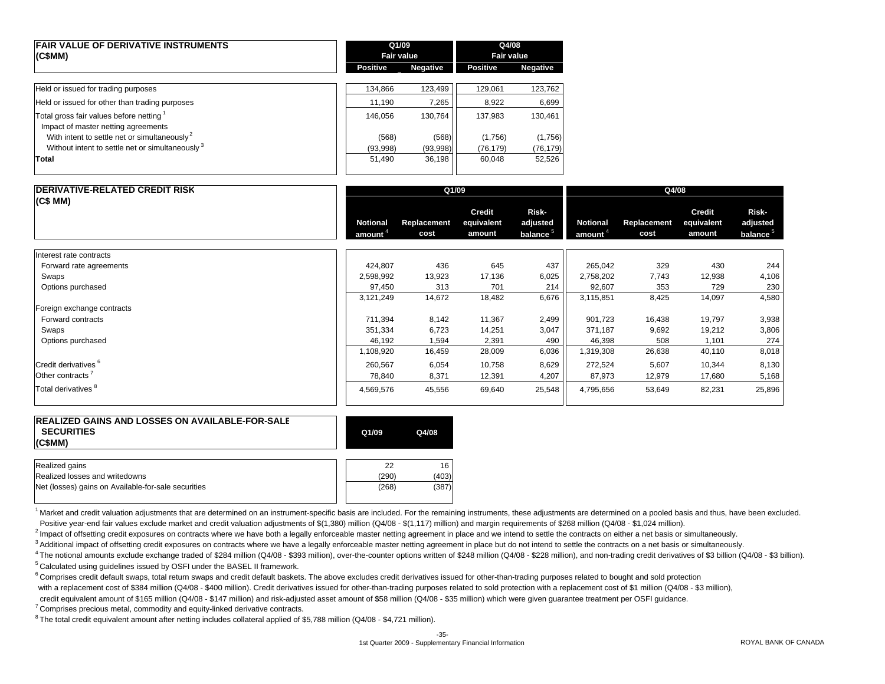| <b>FAIR VALUE OF DERIVATIVE INSTRUMENTS</b><br>(C\$MM)                                     | Q1/09<br><b>Fair value</b> |                 | Q4/08<br><b>Fair value</b> |                 |  |
|--------------------------------------------------------------------------------------------|----------------------------|-----------------|----------------------------|-----------------|--|
|                                                                                            | <b>Positive</b>            | <b>Negative</b> | <b>Positive</b>            | <b>Negative</b> |  |
| Held or issued for trading purposes                                                        | 134.866                    | 123,499         | 129,061                    | 123,762         |  |
| Held or issued for other than trading purposes                                             | 11,190                     | 7,265           | 8,922                      | 6,699           |  |
| Total gross fair values before netting <sup>1</sup><br>Impact of master netting agreements | 146.056                    | 130.764         | 137,983                    | 130,461         |  |
| With intent to settle net or simultaneously <sup>2</sup>                                   | (568)                      | (568)           | (1,756)                    | (1,756)         |  |
| Without intent to settle net or simultaneously 3                                           | (93,998)                   | (93,998)        | (76, 179)                  | (76, 179)       |  |
| <b>Total</b>                                                                               | 51,490                     | 36,198          | 60,048                     | 52,526          |  |

| <b>IDERIVATIVE-RELATED CREDIT RISK</b> |                               | Q1/09               |                                       |                                           | Q4/08                                  |                     |                                       |                                           |  |
|----------------------------------------|-------------------------------|---------------------|---------------------------------------|-------------------------------------------|----------------------------------------|---------------------|---------------------------------------|-------------------------------------------|--|
| (C\$MM)                                | <b>Notional</b><br>amount $4$ | Replacement<br>cost | <b>Credit</b><br>equivalent<br>amount | Risk-<br>adjusted<br>balance <sup>5</sup> | <b>Notional</b><br>amount <sup>4</sup> | Replacement<br>cost | <b>Credit</b><br>equivalent<br>amount | Risk-<br>adjusted<br>balance <sup>5</sup> |  |
| Interest rate contracts                |                               |                     |                                       |                                           |                                        |                     |                                       |                                           |  |
| Forward rate agreements                | 424,807                       | 436                 | 645                                   | 437                                       | 265,042                                | 329                 | 430                                   | 244                                       |  |
| Swaps                                  | 2,598,992                     | 13,923              | 17,136                                | 6,025                                     | 2,758,202                              | 7,743               | 12,938                                | 4,106                                     |  |
| Options purchased                      | 97,450                        | 313                 | 701                                   | 214                                       | 92,607                                 | 353                 | 729                                   | 230                                       |  |
|                                        | 3,121,249                     | 14,672              | 18,482                                | 6,676                                     | 3,115,851                              | 8,425               | 14,097                                | 4,580                                     |  |
| Foreign exchange contracts             |                               |                     |                                       |                                           |                                        |                     |                                       |                                           |  |
| Forward contracts                      | 711,394                       | 8,142               | 11,367                                | 2,499                                     | 901,723                                | 16,438              | 19,797                                | 3,938                                     |  |
| Swaps                                  | 351,334                       | 6,723               | 14,251                                | 3,047                                     | 371,187                                | 9,692               | 19,212                                | 3,806                                     |  |
| Options purchased                      | 46,192                        | 1,594               | 2,391                                 | 490                                       | 46,398                                 | 508                 | 1,101                                 | 274                                       |  |
|                                        | 1,108,920                     | 16,459              | 28,009                                | 6,036                                     | 1,319,308                              | 26,638              | 40,110                                | 8,018                                     |  |
| Credit derivatives <sup>6</sup>        | 260,567                       | 6,054               | 10,758                                | 8,629                                     | 272,524                                | 5,607               | 10,344                                | 8,130                                     |  |
| Other contracts'                       | 78,840                        | 8,371               | 12,391                                | 4,207                                     | 87,973                                 | 12,979              | 17,680                                | 5,168                                     |  |
| Total derivatives <sup>8</sup>         | 4,569,576                     | 45,556              | 69,640                                | 25,548                                    | 4,795,656                              | 53,649              | 82,231                                | 25,896                                    |  |

| <b>REALIZED GAINS AND LOSSES ON AVAILABLE-FOR-SALE</b><br><b>SECURITIES</b><br>(C\$MM) | Q1/09 | Q4/08 |
|----------------------------------------------------------------------------------------|-------|-------|
| Realized gains                                                                         | 22    | 16    |
| Realized losses and writedowns                                                         | (290) | (403) |
| Net (losses) gains on Available-for-sale securities                                    | (268) | (387) |

 $1$  Market and credit valuation adjustments that are determined on an instrument-specific basis are included. For the remaining instruments, these adjustments are determined on a pooled basis and thus, have been excluded. Positive year-end fair values exclude market and credit valuation adjustments of \$(1,380) million (Q4/08 - \$(1,117) million) and margin requirements of \$268 million (Q4/08 - \$1,024 million).

<sup>2</sup> Impact of offsetting credit exposures on contracts where we have both a legally enforceable master netting agreement in place and we intend to settle the contracts on either a net basis or simultaneously.

<sup>3</sup> Additional impact of offsetting credit exposures on contracts where we have a legally enforceable master netting agreement in place but do not intend to settle the contracts on a net basis or simultaneously.

4 The notional amounts exclude exchange traded of \$284 million (Q4/08 - \$393 million), over-the-counter options written of \$248 million (Q4/08 - \$228 million), and non-trading credit derivatives of \$3 billion (Q4/08 - \$3 b 5 Calculated using guidelines issued by OSFI under the BASEL II framework.

 $6$  Comprises credit default swaps, total return swaps and credit default baskets. The above excludes credit derivatives issued for other-than-trading purposes related to bought and sold protection

with a replacement cost of \$384 million (Q4/08 - \$400 million). Credit derivatives issued for other-than-trading purposes related to sold protection with a replacement cost of \$1 million (Q4/08 - \$3 million),

credit equivalent amount of \$165 million (Q4/08 - \$147 million) and risk-adjusted asset amount of \$58 million (Q4/08 - \$35 million) which were given guarantee treatment per OSFI guidance.

 $7$  Comprises precious metal, commodity and equity-linked derivative contracts.

 $8$  The total credit equivalent amount after netting includes collateral applied of \$5,788 million (Q4/08 - \$4,721 million).